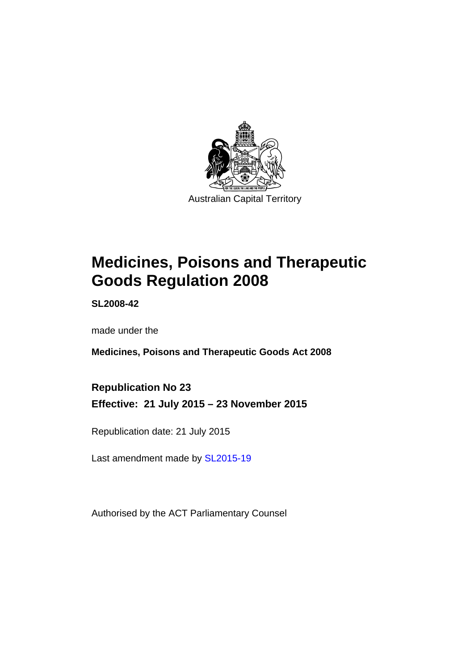

# **Medicines, Poisons and Therapeutic Goods Regulation 2008**

**SL2008-42** 

made under the

**Medicines, Poisons and Therapeutic Goods Act 2008** 

**Republication No 23 Effective: 21 July 2015 – 23 November 2015** 

Republication date: 21 July 2015

Last amendment made by [SL2015-19](http://www.legislation.act.gov.au/sl/2015-19)

Authorised by the ACT Parliamentary Counsel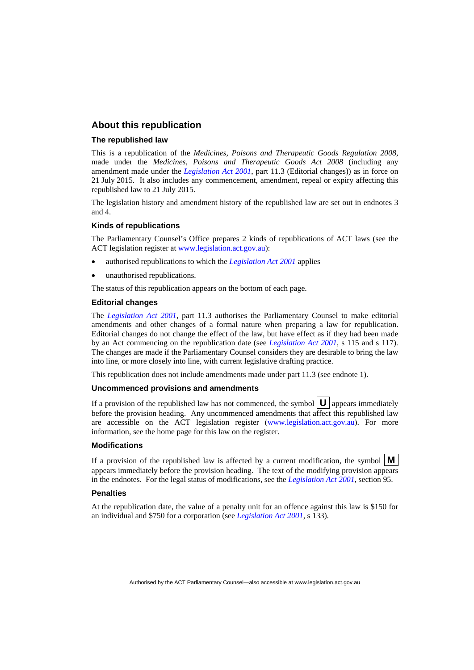#### **About this republication**

#### **The republished law**

This is a republication of the *Medicines, Poisons and Therapeutic Goods Regulation 2008*, made under the *Medicines, Poisons and Therapeutic Goods Act 2008* (including any amendment made under the *[Legislation Act 2001](http://www.legislation.act.gov.au/a/2001-14)*, part 11.3 (Editorial changes)) as in force on 21 July 2015*.* It also includes any commencement, amendment, repeal or expiry affecting this republished law to 21 July 2015.

The legislation history and amendment history of the republished law are set out in endnotes 3 and 4.

#### **Kinds of republications**

The Parliamentary Counsel's Office prepares 2 kinds of republications of ACT laws (see the ACT legislation register at [www.legislation.act.gov.au](http://www.legislation.act.gov.au/)):

- authorised republications to which the *[Legislation Act 2001](http://www.legislation.act.gov.au/a/2001-14)* applies
- unauthorised republications.

The status of this republication appears on the bottom of each page.

#### **Editorial changes**

The *[Legislation Act 2001](http://www.legislation.act.gov.au/a/2001-14)*, part 11.3 authorises the Parliamentary Counsel to make editorial amendments and other changes of a formal nature when preparing a law for republication. Editorial changes do not change the effect of the law, but have effect as if they had been made by an Act commencing on the republication date (see *[Legislation Act 2001](http://www.legislation.act.gov.au/a/2001-14)*, s 115 and s 117). The changes are made if the Parliamentary Counsel considers they are desirable to bring the law into line, or more closely into line, with current legislative drafting practice.

This republication does not include amendments made under part 11.3 (see endnote 1).

#### **Uncommenced provisions and amendments**

If a provision of the republished law has not commenced, the symbol  $\mathbf{U}$  appears immediately before the provision heading. Any uncommenced amendments that affect this republished law are accessible on the ACT legislation register [\(www.legislation.act.gov.au\)](http://www.legislation.act.gov.au/). For more information, see the home page for this law on the register.

#### **Modifications**

If a provision of the republished law is affected by a current modification, the symbol  $\mathbf{M}$ appears immediately before the provision heading. The text of the modifying provision appears in the endnotes. For the legal status of modifications, see the *[Legislation Act 2001](http://www.legislation.act.gov.au/a/2001-14)*, section 95.

#### **Penalties**

At the republication date, the value of a penalty unit for an offence against this law is \$150 for an individual and \$750 for a corporation (see *[Legislation Act 2001](http://www.legislation.act.gov.au/a/2001-14)*, s 133).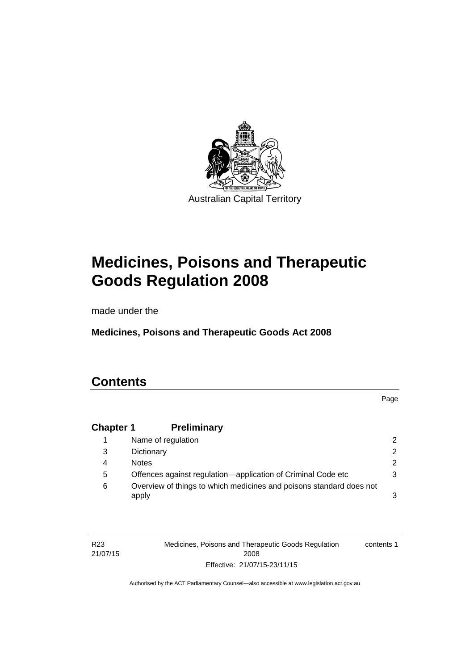

# **Medicines, Poisons and Therapeutic Goods Regulation 2008**

made under the

**Medicines, Poisons and Therapeutic Goods Act 2008** 

# **Contents**

Page

## **Chapter 1 [Preliminary](#page-25-0)**

|   | Name of regulation                                                           |               |
|---|------------------------------------------------------------------------------|---------------|
| 3 | Dictionary                                                                   | $\mathcal{P}$ |
| 4 | <b>Notes</b>                                                                 | $\mathcal{P}$ |
| 5 | Offences against regulation—application of Criminal Code etc                 |               |
| 6 | Overview of things to which medicines and poisons standard does not<br>apply |               |

| R <sub>23</sub> | Medicines, Poisons and Therapeutic Goods Regulation | contents 1 |
|-----------------|-----------------------------------------------------|------------|
| 21/07/15        | 2008                                                |            |
|                 | Effective: 21/07/15-23/11/15                        |            |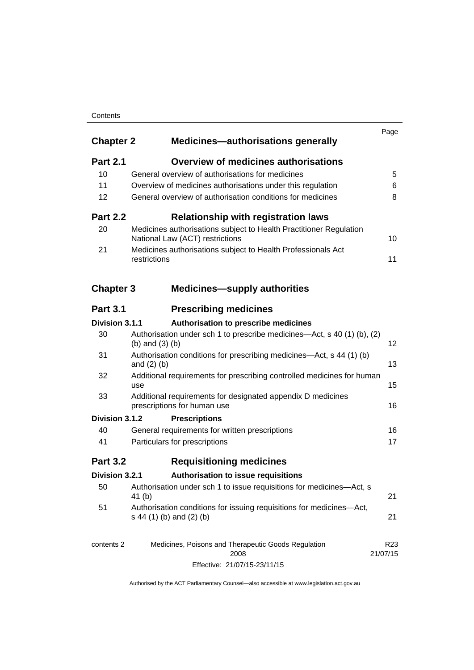#### **Contents**

| <b>Chapter 2</b> | <b>Medicines-authorisations generally</b>                                                             | Page                        |
|------------------|-------------------------------------------------------------------------------------------------------|-----------------------------|
| <b>Part 2.1</b>  | <b>Overview of medicines authorisations</b>                                                           |                             |
| 10               | General overview of authorisations for medicines                                                      | 5                           |
| 11               | Overview of medicines authorisations under this regulation                                            | 6                           |
| 12               | General overview of authorisation conditions for medicines                                            | 8                           |
| <b>Part 2.2</b>  | <b>Relationship with registration laws</b>                                                            |                             |
| 20               | Medicines authorisations subject to Health Practitioner Regulation<br>National Law (ACT) restrictions | 10                          |
| 21               | Medicines authorisations subject to Health Professionals Act<br>restrictions                          | 11                          |
| <b>Chapter 3</b> | <b>Medicines-supply authorities</b>                                                                   |                             |
| <b>Part 3.1</b>  | <b>Prescribing medicines</b>                                                                          |                             |
| Division 3.1.1   | Authorisation to prescribe medicines                                                                  |                             |
| 30               | Authorisation under sch 1 to prescribe medicines—Act, s 40 (1) (b), (2)<br>(b) and $(3)$ (b)          | 12                          |
| 31               | Authorisation conditions for prescribing medicines—Act, s 44 (1) (b)<br>and $(2)$ $(b)$               | 13                          |
| 32               | Additional requirements for prescribing controlled medicines for human<br>use                         | 15                          |
| 33               | Additional requirements for designated appendix D medicines<br>prescriptions for human use            | 16                          |
| Division 3.1.2   | <b>Prescriptions</b>                                                                                  |                             |
| 40               | General requirements for written prescriptions                                                        | 16                          |
| 41               | Particulars for prescriptions                                                                         | 17                          |
| <b>Part 3.2</b>  | <b>Requisitioning medicines</b>                                                                       |                             |
| Division 3.2.1   | Authorisation to issue requisitions                                                                   |                             |
| 50               | Authorisation under sch 1 to issue requisitions for medicines-Act, s<br>41 (b)                        | 21                          |
| 51               | Authorisation conditions for issuing requisitions for medicines-Act,<br>s 44 (1) (b) and (2) (b)      | 21                          |
| contents 2       | Medicines, Poisons and Therapeutic Goods Regulation<br>2008                                           | R <sub>23</sub><br>21/07/15 |

Effective: 21/07/15-23/11/15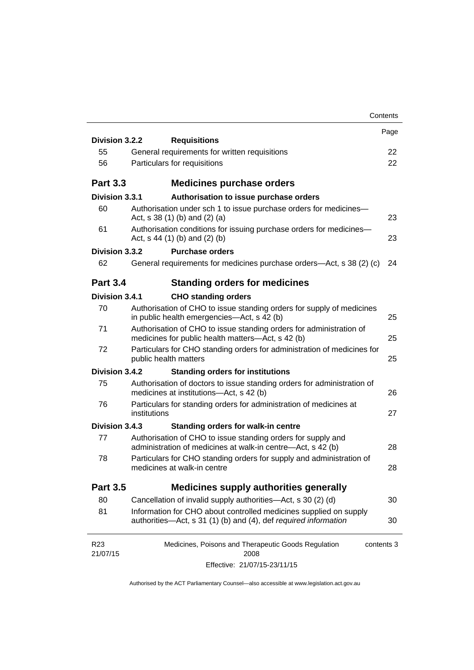|                                                                                                                                      | Contents                                                                                                                                                                    |
|--------------------------------------------------------------------------------------------------------------------------------------|-----------------------------------------------------------------------------------------------------------------------------------------------------------------------------|
|                                                                                                                                      | Page                                                                                                                                                                        |
|                                                                                                                                      | 22                                                                                                                                                                          |
|                                                                                                                                      | 22                                                                                                                                                                          |
|                                                                                                                                      |                                                                                                                                                                             |
| <b>Medicines purchase orders</b>                                                                                                     |                                                                                                                                                                             |
| Division 3.3.1<br>Authorisation to issue purchase orders                                                                             |                                                                                                                                                                             |
| Authorisation under sch 1 to issue purchase orders for medicines-<br>Act, $s$ 38 (1) (b) and (2) (a)                                 | 23                                                                                                                                                                          |
| Authorisation conditions for issuing purchase orders for medicines-<br>Act, $s$ 44 (1) (b) and (2) (b)                               | 23                                                                                                                                                                          |
| Division 3.3.2<br><b>Purchase orders</b>                                                                                             |                                                                                                                                                                             |
| General requirements for medicines purchase orders—Act, s 38 (2) (c)                                                                 | 24                                                                                                                                                                          |
| <b>Standing orders for medicines</b>                                                                                                 |                                                                                                                                                                             |
| Division 3.4.1<br><b>CHO standing orders</b>                                                                                         |                                                                                                                                                                             |
| Authorisation of CHO to issue standing orders for supply of medicines<br>in public health emergencies—Act, s 42 (b)                  | 25                                                                                                                                                                          |
| Authorisation of CHO to issue standing orders for administration of<br>medicines for public health matters-Act, s 42 (b)             | 25                                                                                                                                                                          |
| Particulars for CHO standing orders for administration of medicines for<br>public health matters                                     | 25                                                                                                                                                                          |
| Division 3.4.2<br><b>Standing orders for institutions</b>                                                                            |                                                                                                                                                                             |
| Authorisation of doctors to issue standing orders for administration of<br>medicines at institutions-Act, s 42 (b)                   | 26                                                                                                                                                                          |
| Particulars for standing orders for administration of medicines at<br>institutions                                                   | 27                                                                                                                                                                          |
| Division 3.4.3                                                                                                                       |                                                                                                                                                                             |
| Authorisation of CHO to issue standing orders for supply and<br>administration of medicines at walk-in centre-Act, s 42 (b)          | 28                                                                                                                                                                          |
| Particulars for CHO standing orders for supply and administration of<br>medicines at walk-in centre                                  | 28                                                                                                                                                                          |
| <b>Medicines supply authorities generally</b>                                                                                        |                                                                                                                                                                             |
| Cancellation of invalid supply authorities—Act, s 30 (2) (d)                                                                         | 30                                                                                                                                                                          |
| Information for CHO about controlled medicines supplied on supply<br>authorities—Act, s 31 (1) (b) and (4), def required information | 30                                                                                                                                                                          |
| Medicines, Poisons and Therapeutic Goods Regulation<br>contents 3                                                                    |                                                                                                                                                                             |
| Effective: 21/07/15-23/11/15                                                                                                         |                                                                                                                                                                             |
|                                                                                                                                      | Division 3.2.2<br><b>Requisitions</b><br>General requirements for written requisitions<br>Particulars for requisitions<br><b>Standing orders for walk-in centre</b><br>2008 |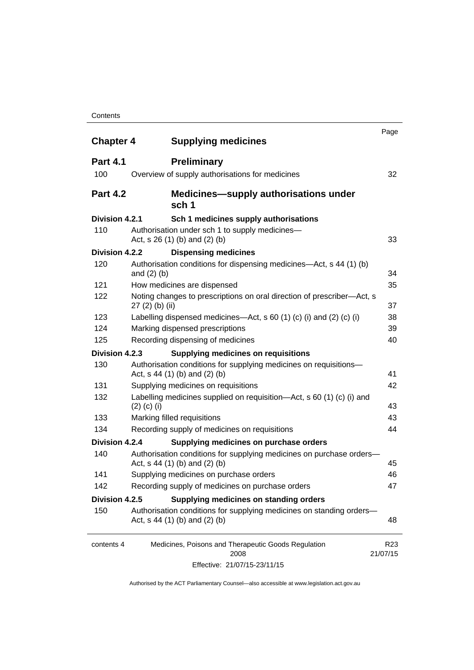#### **Contents**

| <b>Chapter 4</b> | <b>Supplying medicines</b>                                                                              | Page                        |
|------------------|---------------------------------------------------------------------------------------------------------|-----------------------------|
| <b>Part 4.1</b>  | <b>Preliminary</b>                                                                                      |                             |
| 100              | Overview of supply authorisations for medicines                                                         | 32                          |
| <b>Part 4.2</b>  | <b>Medicines—supply authorisations under</b><br>sch 1                                                   |                             |
| Division 4.2.1   | Sch 1 medicines supply authorisations                                                                   |                             |
| 110              | Authorisation under sch 1 to supply medicines-<br>Act, $s$ 26 (1) (b) and (2) (b)                       | 33                          |
| Division 4.2.2   | <b>Dispensing medicines</b>                                                                             |                             |
| 120              | Authorisation conditions for dispensing medicines—Act, s 44 (1) (b)<br>and $(2)$ $(b)$                  | 34                          |
| 121              | How medicines are dispensed                                                                             | 35                          |
| 122              | Noting changes to prescriptions on oral direction of prescriber-Act, s<br>$27(2)$ (b) (ii)              | 37                          |
| 123              | Labelling dispensed medicines—Act, s 60 (1) (c) (i) and (2) (c) (i)                                     | 38                          |
| 124              | Marking dispensed prescriptions                                                                         | 39                          |
| 125              | Recording dispensing of medicines                                                                       | 40                          |
| Division 4.2.3   | <b>Supplying medicines on requisitions</b>                                                              |                             |
| 130              | Authorisation conditions for supplying medicines on requisitions-<br>Act, $s$ 44 (1) (b) and (2) (b)    | 41                          |
| 131              | Supplying medicines on requisitions                                                                     | 42                          |
| 132              | Labelling medicines supplied on requisition-Act, s 60 (1) (c) (i) and<br>$(2)$ (c) (i)                  | 43                          |
| 133              | Marking filled requisitions                                                                             | 43                          |
| 134              | Recording supply of medicines on requisitions                                                           | 44                          |
| Division 4.2.4   | Supplying medicines on purchase orders                                                                  |                             |
| 140              | Authorisation conditions for supplying medicines on purchase orders-<br>Act, s 44 (1) (b) and (2) (b)   | 45                          |
| 141              | Supplying medicines on purchase orders                                                                  | 46                          |
| 142              | Recording supply of medicines on purchase orders                                                        | 47                          |
| Division 4.2.5   | Supplying medicines on standing orders                                                                  |                             |
| 150              | Authorisation conditions for supplying medicines on standing orders-<br>Act, $s$ 44 (1) (b) and (2) (b) | 48                          |
| contents 4       | Medicines, Poisons and Therapeutic Goods Regulation<br>2008                                             | R <sub>23</sub><br>21/07/15 |
|                  | Effective: 21/07/15-23/11/15                                                                            |                             |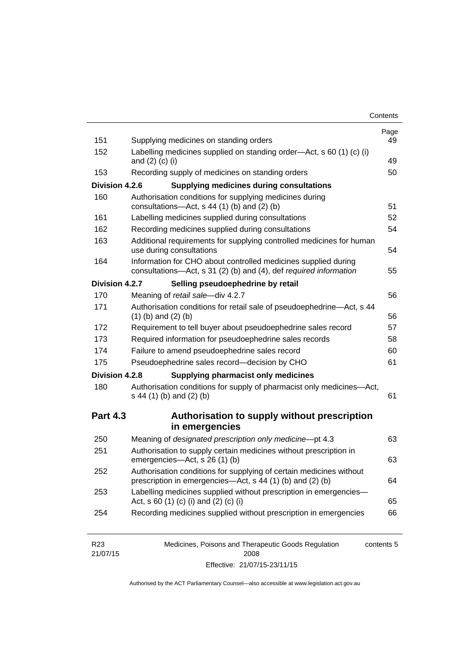| Contents |
|----------|
|----------|

| 151             | Supplying medicines on standing orders                                                                                              | Page<br>49 |
|-----------------|-------------------------------------------------------------------------------------------------------------------------------------|------------|
| 152             | Labelling medicines supplied on standing order-Act, s 60 (1) (c) (i)<br>and $(2)$ $(c)$ $(i)$                                       | 49         |
| 153             | Recording supply of medicines on standing orders                                                                                    | 50         |
| Division 4.2.6  | <b>Supplying medicines during consultations</b>                                                                                     |            |
| 160             | Authorisation conditions for supplying medicines during                                                                             |            |
|                 | consultations-Act, s 44 (1) (b) and (2) (b)                                                                                         | 51         |
| 161             | Labelling medicines supplied during consultations                                                                                   | 52         |
| 162             | Recording medicines supplied during consultations                                                                                   | 54         |
| 163             | Additional requirements for supplying controlled medicines for human<br>use during consultations                                    | 54         |
| 164             | Information for CHO about controlled medicines supplied during<br>consultations-Act, s 31 (2) (b) and (4), def required information | 55         |
| Division 4.2.7  | Selling pseudoephedrine by retail                                                                                                   |            |
| 170             | Meaning of retail sale-div 4.2.7                                                                                                    | 56         |
| 171             | Authorisation conditions for retail sale of pseudoephedrine-Act, s 44<br>$(1)$ (b) and $(2)$ (b)                                    | 56         |
| 172             | Requirement to tell buyer about pseudoephedrine sales record                                                                        | 57         |
| 173             | Required information for pseudoephedrine sales records                                                                              | 58         |
| 174             | Failure to amend pseudoephedrine sales record                                                                                       | 60         |
| 175             | Pseudoephedrine sales record-decision by CHO                                                                                        | 61         |
| Division 4.2.8  | <b>Supplying pharmacist only medicines</b>                                                                                          |            |
| 180             | Authorisation conditions for supply of pharmacist only medicines-Act,<br>s 44 (1) (b) and (2) (b)                                   | 61         |
| <b>Part 4.3</b> | Authorisation to supply without prescription                                                                                        |            |
|                 | in emergencies                                                                                                                      |            |
|                 | Meaning of designated prescription only medicine-pt 4.3                                                                             | 63         |
| 250             |                                                                                                                                     |            |
| 251             | Authorisation to supply certain medicines without prescription in<br>emergencies-Act, s 26 (1) (b)                                  |            |
| 252             | Authorisation conditions for supplying of certain medicines without<br>prescription in emergencies-Act, s 44 (1) (b) and (2) (b)    | 63<br>64   |
| 253             | Labelling medicines supplied without prescription in emergencies-<br>Act, s 60 (1) (c) (i) and (2) (c) (i)                          | 65         |

| R23      | Medicines, Poisons and Therapeutic Goods Regulation | contents 5 |
|----------|-----------------------------------------------------|------------|
| 21/07/15 | 2008                                                |            |
|          | Effective: 21/07/15-23/11/15                        |            |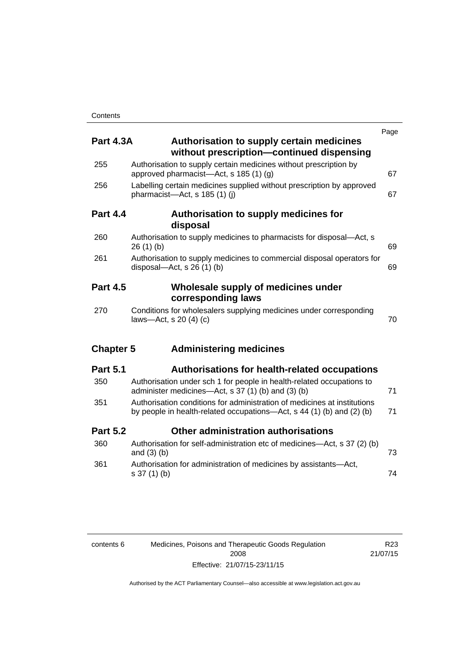| <b>Part 4.3A</b> | <b>Authorisation to supply certain medicines</b><br>without prescription-continued dispensing                                                     | Page |
|------------------|---------------------------------------------------------------------------------------------------------------------------------------------------|------|
| 255              | Authorisation to supply certain medicines without prescription by<br>approved pharmacist—Act, s 185 (1) (g)                                       | 67   |
| 256              | Labelling certain medicines supplied without prescription by approved<br>pharmacist-Act, s 185 (1) (i)                                            | 67   |
| <b>Part 4.4</b>  | Authorisation to supply medicines for<br>disposal                                                                                                 |      |
| 260              | Authorisation to supply medicines to pharmacists for disposal-Act, s<br>26(1)(b)                                                                  | 69   |
| 261              | Authorisation to supply medicines to commercial disposal operators for<br>disposal—Act, s $26(1)(b)$                                              | 69   |
| <b>Part 4.5</b>  | Wholesale supply of medicines under<br>corresponding laws                                                                                         |      |
| 270              | Conditions for wholesalers supplying medicines under corresponding<br>laws-Act, s 20 (4) (c)                                                      | 70   |
| <b>Chapter 5</b> | <b>Administering medicines</b>                                                                                                                    |      |
| <b>Part 5.1</b>  | <b>Authorisations for health-related occupations</b>                                                                                              |      |
| 350              | Authorisation under sch 1 for people in health-related occupations to<br>administer medicines—Act, s 37 (1) (b) and (3) (b)                       | 71   |
| 351              | Authorisation conditions for administration of medicines at institutions<br>by people in health-related occupations—Act, s 44 (1) (b) and (2) (b) | 71   |
| <b>Part 5.2</b>  | Other administration authorisations                                                                                                               |      |
| 360              | Authorisation for self-administration etc of medicines-Act, s 37 (2) (b)<br>and $(3)$ $(b)$                                                       | 73   |
| 361              | Authorisation for administration of medicines by assistants-Act,<br>s 37 (1) (b)                                                                  | 74   |

| contents 6 | Medicines, Poisons and Therapeutic Goods Regulation |
|------------|-----------------------------------------------------|
|            | 2008                                                |
|            | Effective: 21/07/15-23/11/15                        |

R23 21/07/15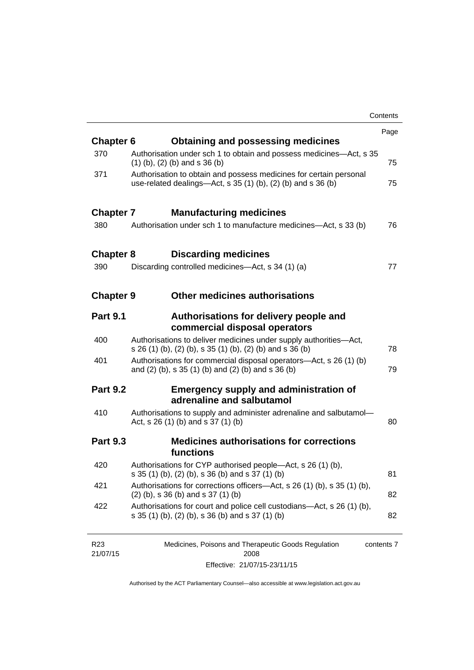|                  |                                                                                                                                        | Contents |
|------------------|----------------------------------------------------------------------------------------------------------------------------------------|----------|
|                  |                                                                                                                                        | Page     |
| <b>Chapter 6</b> | <b>Obtaining and possessing medicines</b>                                                                                              |          |
| 370              | Authorisation under sch 1 to obtain and possess medicines—Act, s 35<br>$(1)$ (b), (2) (b) and s 36 (b)                                 | 75       |
| 371              | Authorisation to obtain and possess medicines for certain personal<br>use-related dealings- $Act$ , s 35 (1) (b), (2) (b) and s 36 (b) | 75       |
| <b>Chapter 7</b> | <b>Manufacturing medicines</b>                                                                                                         |          |
| 380              | Authorisation under sch 1 to manufacture medicines—Act, s 33 (b)                                                                       | 76       |
| <b>Chapter 8</b> | <b>Discarding medicines</b>                                                                                                            |          |
| 390              | Discarding controlled medicines—Act, s 34 (1) (a)                                                                                      | 77       |
| <b>Chapter 9</b> | <b>Other medicines authorisations</b>                                                                                                  |          |
| <b>Part 9.1</b>  | Authorisations for delivery people and<br>commercial disposal operators                                                                |          |
| 400              | Authorisations to deliver medicines under supply authorities-Act,<br>s 26 (1) (b), (2) (b), s 35 (1) (b), (2) (b) and s 36 (b)         | 78       |
| 401              | Authorisations for commercial disposal operators-Act, s 26 (1) (b)<br>and (2) (b), s 35 (1) (b) and (2) (b) and s 36 (b)               | 79       |
| <b>Part 9.2</b>  | <b>Emergency supply and administration of</b><br>adrenaline and salbutamol                                                             |          |
| 410              | Authorisations to supply and administer adrenaline and salbutamol-<br>Act, s 26 (1) (b) and s 37 (1) (b)                               | 80       |
| <b>Part 9.3</b>  | <b>Medicines authorisations for corrections</b><br>functions                                                                           |          |
| 420              | Authorisations for CYP authorised people-Act, s 26 (1) (b),<br>s 35 (1) (b), (2) (b), s 36 (b) and s 37 (1) (b)                        | 81       |
| 421              | Authorisations for corrections officers—Act, s 26 (1) (b), s 35 (1) (b),<br>$(2)$ (b), s 36 (b) and s 37 (1) (b)                       | 82       |
| 422              | Authorisations for court and police cell custodians—Act, s 26 (1) (b),<br>s 35 (1) (b), (2) (b), s 36 (b) and s 37 (1) (b)             | 82       |
|                  |                                                                                                                                        |          |

| R <sub>23</sub> | Medicines, Poisons and Therapeutic Goods Regulation | contents 7 |
|-----------------|-----------------------------------------------------|------------|
| 21/07/15        | 2008                                                |            |
|                 | Effective: 21/07/15-23/11/15                        |            |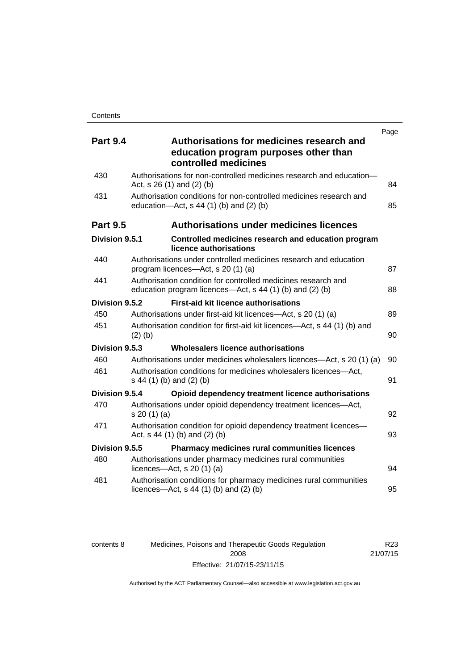| <b>Part 9.4</b> | Page<br>Authorisations for medicines research and                                                                         |    |
|-----------------|---------------------------------------------------------------------------------------------------------------------------|----|
|                 | education program purposes other than<br>controlled medicines                                                             |    |
| 430             | Authorisations for non-controlled medicines research and education-<br>Act, $s$ 26 (1) and (2) (b)                        | 84 |
| 431             | Authorisation conditions for non-controlled medicines research and<br>education- $Act$ , s 44 (1) (b) and (2) (b)         | 85 |
| <b>Part 9.5</b> | <b>Authorisations under medicines licences</b>                                                                            |    |
| Division 9.5.1  | Controlled medicines research and education program<br>licence authorisations                                             |    |
| 440             | Authorisations under controlled medicines research and education<br>program licences—Act, s 20 (1) (a)                    | 87 |
| 441             | Authorisation condition for controlled medicines research and<br>education program licences—Act, s 44 (1) (b) and (2) (b) | 88 |
| Division 9.5.2  | <b>First-aid kit licence authorisations</b>                                                                               |    |
| 450             | Authorisations under first-aid kit licences—Act, s 20 (1) (a)                                                             | 89 |
| 451             | Authorisation condition for first-aid kit licences—Act, s 44 (1) (b) and<br>$(2)$ (b)                                     | 90 |
| Division 9.5.3  | Wholesalers licence authorisations                                                                                        |    |
| 460             | Authorisations under medicines wholesalers licences—Act, s 20 (1) (a)                                                     | 90 |
| 461             | Authorisation conditions for medicines wholesalers licences-Act,<br>s 44 (1) (b) and (2) (b)                              | 91 |
| Division 9.5.4  | Opioid dependency treatment licence authorisations                                                                        |    |
| 470             | Authorisations under opioid dependency treatment licences-Act,<br>s 20 (1) (a)                                            | 92 |
| 471             | Authorisation condition for opioid dependency treatment licences-<br>Act, s 44 (1) (b) and (2) (b)                        | 93 |
| Division 9.5.5  | <b>Pharmacy medicines rural communities licences</b>                                                                      |    |
| 480             | Authorisations under pharmacy medicines rural communities<br>licences- $-\text{Act}$ , s 20 (1) (a)                       | 94 |
| 481             | Authorisation conditions for pharmacy medicines rural communities<br>licences—Act, $s$ 44 (1) (b) and (2) (b)             | 95 |

| contents 8 | Medicines, Poisons and Therapeutic Goods Regulation |
|------------|-----------------------------------------------------|
|            | 2008                                                |
|            | Effective: 21/07/15-23/11/15                        |

R23 21/07/15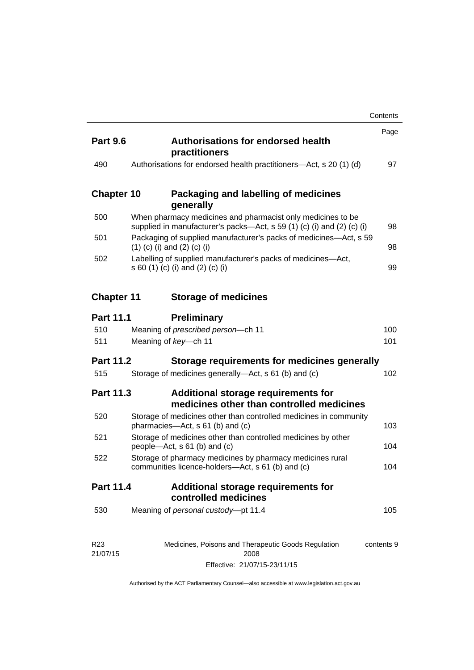|                             |                                                                                                                                       | Contents   |
|-----------------------------|---------------------------------------------------------------------------------------------------------------------------------------|------------|
| <b>Part 9.6</b>             | <b>Authorisations for endorsed health</b><br>practitioners                                                                            | Page       |
| 490                         | Authorisations for endorsed health practitioners—Act, s 20 (1) (d)                                                                    | 97         |
| <b>Chapter 10</b>           | Packaging and labelling of medicines<br>generally                                                                                     |            |
| 500                         | When pharmacy medicines and pharmacist only medicines to be<br>supplied in manufacturer's packs—Act, s 59 (1) (c) (i) and (2) (c) (i) | 98         |
| 501                         | Packaging of supplied manufacturer's packs of medicines—Act, s 59<br>$(1)$ (c) (i) and (2) (c) (i)                                    | 98         |
| 502                         | Labelling of supplied manufacturer's packs of medicines-Act,<br>s 60 (1) (c) (i) and (2) (c) (i)                                      | 99         |
| <b>Chapter 11</b>           | <b>Storage of medicines</b>                                                                                                           |            |
| <b>Part 11.1</b>            | <b>Preliminary</b>                                                                                                                    |            |
| 510                         | Meaning of prescribed person-ch 11                                                                                                    | 100        |
| 511                         | Meaning of key-ch 11                                                                                                                  | 101        |
| <b>Part 11.2</b>            | Storage requirements for medicines generally                                                                                          |            |
| 515                         | Storage of medicines generally-Act, s 61 (b) and (c)                                                                                  | 102        |
| <b>Part 11.3</b>            | Additional storage requirements for<br>medicines other than controlled medicines                                                      |            |
| 520                         | Storage of medicines other than controlled medicines in community<br>pharmacies—Act, s 61 (b) and (c)                                 | 103        |
| 521                         | Storage of medicines other than controlled medicines by other<br>people—Act, s 61 (b) and (c)                                         | 104        |
| 522                         | Storage of pharmacy medicines by pharmacy medicines rural<br>communities licence-holders—Act, s 61 (b) and (c)                        | 104        |
| Part 11.4                   | Additional storage requirements for<br>controlled medicines                                                                           |            |
| 530                         | Meaning of personal custody-pt 11.4                                                                                                   | 105        |
| R <sub>23</sub><br>21/07/15 | Medicines, Poisons and Therapeutic Goods Regulation<br>2008                                                                           | contents 9 |

Effective: 21/07/15-23/11/15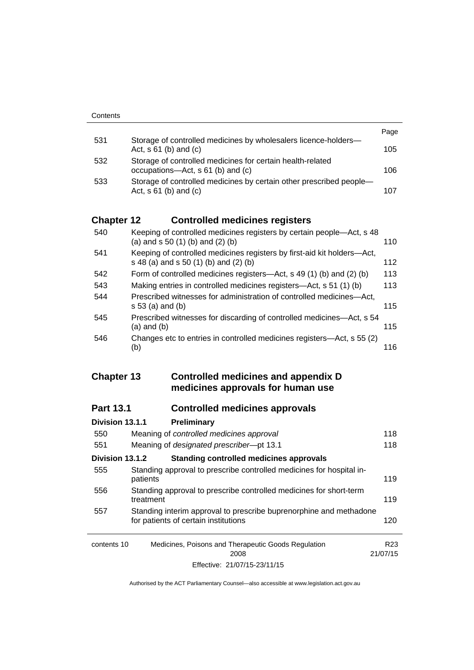|     |                                                                                                   | Page |
|-----|---------------------------------------------------------------------------------------------------|------|
| 531 | Storage of controlled medicines by wholesalers licence-holders-<br>Act, $s \, 61$ (b) and (c)     | 105  |
| 532 | Storage of controlled medicines for certain health-related<br>occupations—Act, s 61 (b) and (c)   | 106  |
| 533 | Storage of controlled medicines by certain other prescribed people-<br>Act, $s \, 61$ (b) and (c) | 107  |

### **Chapter 12 [Controlled medicines registers](#page-133-0)**

| 540 | Keeping of controlled medicines registers by certain people—Act, s 48<br>(a) and $s$ 50 (1) (b) and (2) (b)      | 110 |
|-----|------------------------------------------------------------------------------------------------------------------|-----|
| 541 | Keeping of controlled medicines registers by first-aid kit holders-Act,<br>s 48 (a) and s 50 (1) (b) and (2) (b) | 112 |
| 542 | Form of controlled medicines registers—Act, s 49 (1) (b) and (2) (b)                                             | 113 |
| 543 | Making entries in controlled medicines registers-Act, s 51 (1) (b)                                               | 113 |
| 544 | Prescribed witnesses for administration of controlled medicines—Act,<br>$s 53$ (a) and (b)                       | 115 |
| 545 | Prescribed witnesses for discarding of controlled medicines—Act, s 54<br>$(a)$ and $(b)$                         | 115 |
| 546 | Changes etc to entries in controlled medicines registers—Act, s 55 (2)<br>(b)                                    | 116 |

#### **Chapter 13 [Controlled medicines and appendix D](#page-141-0)  [medicines approvals for human use](#page-141-0)**

### **Part 13.1 [Controlled medicines approvals](#page-141-1)**

| Division 13.1.1 | Preliminary                                                                                                |                 |
|-----------------|------------------------------------------------------------------------------------------------------------|-----------------|
| 550             | Meaning of controlled medicines approval                                                                   | 118             |
| 551             | Meaning of designated prescriber-pt 13.1                                                                   | 118             |
| Division 13.1.2 | <b>Standing controlled medicines approvals</b>                                                             |                 |
| 555             | Standing approval to prescribe controlled medicines for hospital in-<br>patients                           | 119             |
| 556             | Standing approval to prescribe controlled medicines for short-term<br>treatment                            | 119             |
| 557             | Standing interim approval to prescribe buprenorphine and methadone<br>for patients of certain institutions | 120             |
| contents 10     | Medicines, Poisons and Therapeutic Goods Regulation<br>2008                                                | R23<br>21/07/15 |
|                 | Effective: 21/07/15-23/11/15                                                                               |                 |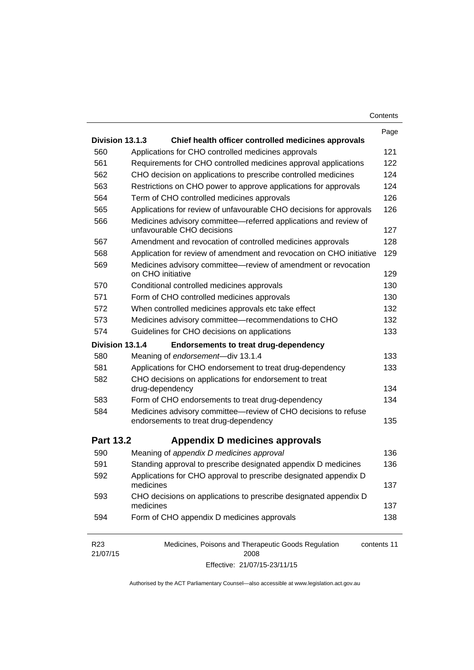| Contents |
|----------|
|----------|

|                             |                                                                                                         | Page        |
|-----------------------------|---------------------------------------------------------------------------------------------------------|-------------|
| Division 13.1.3             | Chief health officer controlled medicines approvals                                                     |             |
| 560                         | Applications for CHO controlled medicines approvals                                                     | 121         |
| 561                         | Requirements for CHO controlled medicines approval applications                                         | 122         |
| 562                         | CHO decision on applications to prescribe controlled medicines                                          | 124         |
| 563                         | Restrictions on CHO power to approve applications for approvals                                         | 124         |
| 564                         | Term of CHO controlled medicines approvals                                                              | 126         |
| 565                         | Applications for review of unfavourable CHO decisions for approvals                                     | 126         |
| 566                         | Medicines advisory committee-referred applications and review of<br>unfavourable CHO decisions          | 127         |
| 567                         | Amendment and revocation of controlled medicines approvals                                              | 128         |
| 568                         | Application for review of amendment and revocation on CHO initiative                                    | 129         |
| 569                         | Medicines advisory committee—review of amendment or revocation<br>on CHO initiative                     | 129         |
| 570                         | Conditional controlled medicines approvals                                                              | 130         |
| 571                         | Form of CHO controlled medicines approvals                                                              | 130         |
| 572                         | When controlled medicines approvals etc take effect                                                     | 132         |
| 573                         | Medicines advisory committee-recommendations to CHO                                                     | 132         |
| 574                         | Guidelines for CHO decisions on applications                                                            | 133         |
| Division 13.1.4             | <b>Endorsements to treat drug-dependency</b>                                                            |             |
| 580                         | Meaning of endorsement-div 13.1.4                                                                       | 133         |
| 581                         | Applications for CHO endorsement to treat drug-dependency                                               | 133         |
| 582                         | CHO decisions on applications for endorsement to treat                                                  |             |
|                             | drug-dependency                                                                                         | 134         |
| 583                         | Form of CHO endorsements to treat drug-dependency                                                       | 134         |
| 584                         | Medicines advisory committee-review of CHO decisions to refuse<br>endorsements to treat drug-dependency | 135         |
| <b>Part 13.2</b>            | Appendix D medicines approvals                                                                          |             |
| 590                         | Meaning of appendix D medicines approval                                                                | 136         |
| 591                         | Standing approval to prescribe designated appendix D medicines                                          | 136         |
| 592                         | Applications for CHO approval to prescribe designated appendix D<br>medicines                           | 137         |
| 593                         | CHO decisions on applications to prescribe designated appendix D<br>medicines                           | 137         |
| 594                         | Form of CHO appendix D medicines approvals                                                              | 138         |
| R <sub>23</sub><br>21/07/15 | Medicines, Poisons and Therapeutic Goods Regulation<br>2008                                             | contents 11 |

Effective: 21/07/15-23/11/15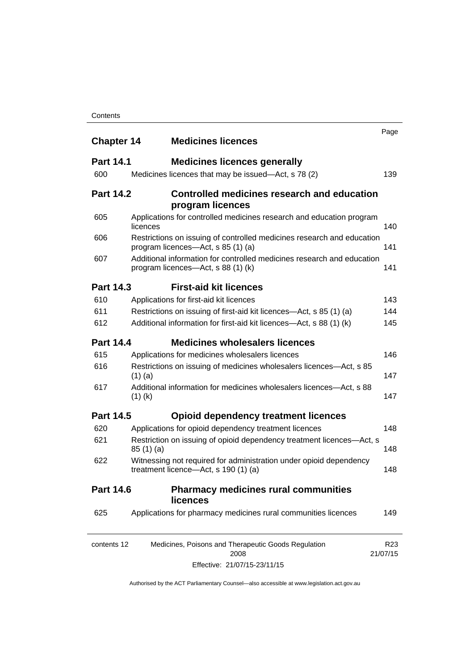#### **Contents**

| <b>Chapter 14</b> | <b>Medicines licences</b>                                                                                    | Page                        |
|-------------------|--------------------------------------------------------------------------------------------------------------|-----------------------------|
| <b>Part 14.1</b>  | <b>Medicines licences generally</b>                                                                          |                             |
| 600               | Medicines licences that may be issued—Act, s 78 (2)                                                          | 139                         |
| <b>Part 14.2</b>  | Controlled medicines research and education<br>program licences                                              |                             |
| 605               | Applications for controlled medicines research and education program<br>licences                             | 140                         |
| 606               | Restrictions on issuing of controlled medicines research and education<br>program licences—Act, s 85 (1) (a) | 141                         |
| 607               | Additional information for controlled medicines research and education<br>program licences—Act, s 88 (1) (k) | 141                         |
| <b>Part 14.3</b>  | <b>First-aid kit licences</b>                                                                                |                             |
| 610               | Applications for first-aid kit licences                                                                      | 143                         |
| 611               | Restrictions on issuing of first-aid kit licences—Act, s 85 (1) (a)                                          | 144                         |
| 612               | Additional information for first-aid kit licences—Act, s 88 (1) (k)                                          | 145                         |
| <b>Part 14.4</b>  | <b>Medicines wholesalers licences</b>                                                                        |                             |
| 615               | Applications for medicines wholesalers licences                                                              | 146                         |
| 616               | Restrictions on issuing of medicines wholesalers licences—Act, s 85<br>$(1)$ (a)                             | 147                         |
| 617               | Additional information for medicines wholesalers licences—Act, s 88<br>$(1)$ (k)                             | 147                         |
| <b>Part 14.5</b>  | <b>Opioid dependency treatment licences</b>                                                                  |                             |
| 620               | Applications for opioid dependency treatment licences                                                        | 148                         |
| 621               | Restriction on issuing of opioid dependency treatment licences-Act, s<br>85(1)(a)                            | 148                         |
| 622               | Witnessing not required for administration under opioid dependency<br>treatment licence—Act, s 190 (1) (a)   | 148                         |
| <b>Part 14.6</b>  | <b>Pharmacy medicines rural communities</b><br><b>licences</b>                                               |                             |
| 625               | Applications for pharmacy medicines rural communities licences                                               | 149                         |
| contents 12       | Medicines, Poisons and Therapeutic Goods Regulation<br>2008                                                  | R <sub>23</sub><br>21/07/15 |

Effective: 21/07/15-23/11/15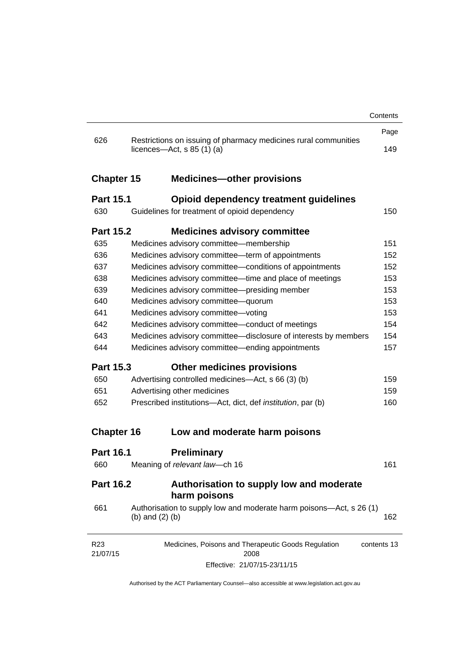|                             |                                                                                                 | Contents    |
|-----------------------------|-------------------------------------------------------------------------------------------------|-------------|
|                             |                                                                                                 | Page        |
| 626                         | Restrictions on issuing of pharmacy medicines rural communities<br>licences—Act, $s$ 85 (1) (a) | 149         |
| <b>Chapter 15</b>           | <b>Medicines-other provisions</b>                                                               |             |
| <b>Part 15.1</b>            | <b>Opioid dependency treatment guidelines</b>                                                   |             |
| 630                         | Guidelines for treatment of opioid dependency                                                   | 150         |
| <b>Part 15.2</b>            | <b>Medicines advisory committee</b>                                                             |             |
| 635                         | Medicines advisory committee-membership                                                         | 151         |
| 636                         | Medicines advisory committee-term of appointments                                               | 152         |
| 637                         | Medicines advisory committee-conditions of appointments                                         | 152         |
| 638                         | Medicines advisory committee—time and place of meetings                                         | 153         |
| 639                         | Medicines advisory committee-presiding member                                                   | 153         |
| 640                         | Medicines advisory committee-quorum                                                             | 153         |
| 641                         | Medicines advisory committee-voting                                                             | 153         |
| 642                         | Medicines advisory committee-conduct of meetings                                                | 154         |
| 643                         | Medicines advisory committee-disclosure of interests by members                                 | 154         |
| 644                         | Medicines advisory committee—ending appointments                                                | 157         |
| <b>Part 15.3</b>            | <b>Other medicines provisions</b>                                                               |             |
| 650                         | Advertising controlled medicines—Act, s 66 (3) (b)                                              | 159         |
| 651                         | Advertising other medicines                                                                     | 159         |
| 652                         | Prescribed institutions-Act, dict, def <i>institution</i> , par (b)                             | 160         |
| <b>Chapter 16</b>           | Low and moderate harm poisons                                                                   |             |
| <b>Part 16.1</b>            | <b>Preliminary</b>                                                                              |             |
| 660                         | Meaning of relevant law-ch 16                                                                   | 161         |
| <b>Part 16.2</b>            | Authorisation to supply low and moderate<br>harm poisons                                        |             |
| 661                         | Authorisation to supply low and moderate harm poisons—Act, s 26 (1)<br>(b) and $(2)$ (b)        | 162         |
| R <sub>23</sub><br>21/07/15 | Medicines, Poisons and Therapeutic Goods Regulation<br>2008                                     | contents 13 |
|                             | Effective: 21/07/15-23/11/15                                                                    |             |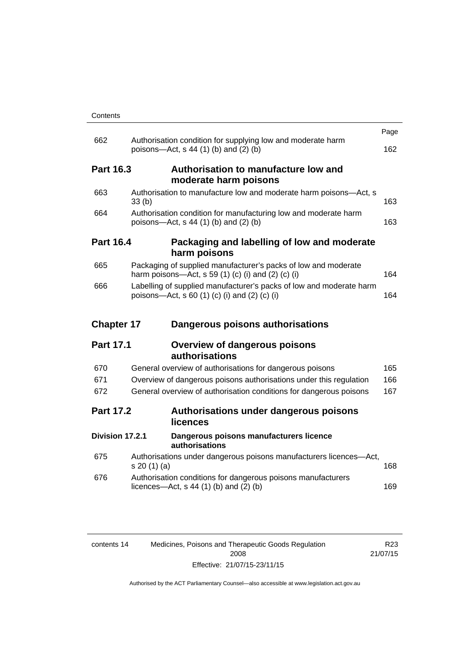| Contents |
|----------|
|----------|

|                   |                                                                                                                      | Page |
|-------------------|----------------------------------------------------------------------------------------------------------------------|------|
| 662               | Authorisation condition for supplying low and moderate harm<br>poisons—Act, s 44 (1) (b) and (2) (b)                 | 162  |
| <b>Part 16.3</b>  | Authorisation to manufacture low and<br>moderate harm poisons                                                        |      |
| 663               | Authorisation to manufacture low and moderate harm poisons-Act, s<br>33(b)                                           | 163  |
| 664               | Authorisation condition for manufacturing low and moderate harm<br>poisons—Act, s 44 (1) (b) and (2) (b)             | 163  |
| <b>Part 16.4</b>  | Packaging and labelling of low and moderate<br>harm poisons                                                          |      |
| 665               | Packaging of supplied manufacturer's packs of low and moderate<br>harm poisons-Act, s 59 (1) (c) (i) and (2) (c) (i) | 164  |
| 666               | Labelling of supplied manufacturer's packs of low and moderate harm<br>poisons-Act, s 60 (1) (c) (i) and (2) (c) (i) | 164  |
|                   |                                                                                                                      |      |
| <b>Chapter 17</b> | Dangerous poisons authorisations                                                                                     |      |
| <b>Part 17.1</b>  | <b>Overview of dangerous poisons</b><br>authorisations                                                               |      |
| 670               | General overview of authorisations for dangerous poisons                                                             | 165  |
| 671               | Overview of dangerous poisons authorisations under this regulation                                                   | 166  |
| 672               | General overview of authorisation conditions for dangerous poisons                                                   | 167  |
| <b>Part 17.2</b>  | Authorisations under dangerous poisons<br>licences                                                                   |      |
| Division 17.2.1   | Dangerous poisons manufacturers licence<br>authorisations                                                            |      |
| 675               | Authorisations under dangerous poisons manufacturers licences-Act,<br>s 20(1)(a)                                     | 168  |
| 676               | Authorisation conditions for dangerous poisons manufacturers<br>licences—Act, $s$ 44 (1) (b) and (2) (b)             | 169  |

| contents 14 | Medicines, Poisons and Therapeutic Goods Regulation | R23.     |
|-------------|-----------------------------------------------------|----------|
|             | 2008                                                | 21/07/15 |
|             | Effective: 21/07/15-23/11/15                        |          |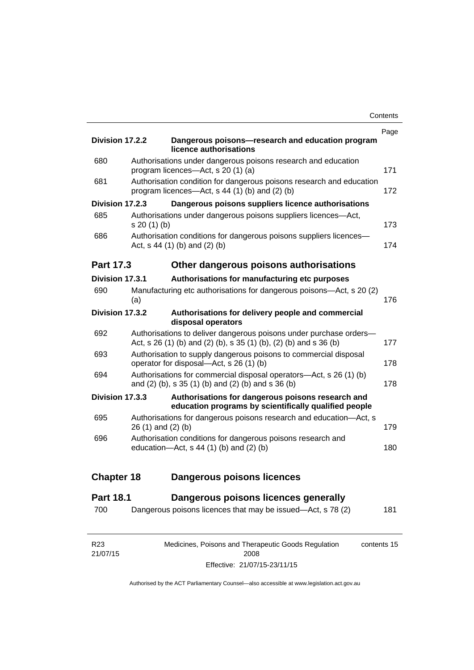| Division 17.2.2   |              | Dangerous poisons-research and education program                                                                                        | Page |
|-------------------|--------------|-----------------------------------------------------------------------------------------------------------------------------------------|------|
|                   |              | licence authorisations                                                                                                                  |      |
| 680               |              | Authorisations under dangerous poisons research and education<br>program licences-Act, s 20 (1) (a)                                     | 171  |
| 681               |              | Authorisation condition for dangerous poisons research and education<br>program licences—Act, s 44 (1) (b) and (2) (b)                  | 172  |
| Division 17.2.3   |              | Dangerous poisons suppliers licence authorisations                                                                                      |      |
| 685               | s 20 (1) (b) | Authorisations under dangerous poisons suppliers licences-Act,                                                                          | 173  |
| 686               |              | Authorisation conditions for dangerous poisons suppliers licences-<br>Act, $s$ 44 (1) (b) and (2) (b)                                   | 174  |
| Part 17.3         |              | Other dangerous poisons authorisations                                                                                                  |      |
| Division 17.3.1   |              | Authorisations for manufacturing etc purposes                                                                                           |      |
| 690               | (a)          | Manufacturing etc authorisations for dangerous poisons-Act, s 20 (2)                                                                    | 176  |
| Division 17.3.2   |              | Authorisations for delivery people and commercial<br>disposal operators                                                                 |      |
| 692               |              | Authorisations to deliver dangerous poisons under purchase orders-<br>Act, s 26 (1) (b) and (2) (b), s 35 (1) (b), (2) (b) and s 36 (b) | 177  |
| 693               |              | Authorisation to supply dangerous poisons to commercial disposal<br>operator for disposal—Act, s 26 (1) (b)                             | 178  |
| 694               |              | Authorisations for commercial disposal operators—Act, s 26 (1) (b)<br>and (2) (b), s 35 (1) (b) and (2) (b) and s 36 (b)                | 178  |
| Division 17.3.3   |              | Authorisations for dangerous poisons research and<br>education programs by scientifically qualified people                              |      |
| 695               |              | Authorisations for dangerous poisons research and education-Act, s<br>26 (1) and (2) (b)                                                | 179  |
| 696               |              | Authorisation conditions for dangerous poisons research and<br>education- $Act$ , s 44 (1) (b) and (2) (b)                              | 180  |
| <b>Chapter 18</b> |              | <b>Dangerous poisons licences</b>                                                                                                       |      |
| <b>Part 18.1</b>  |              | Dangerous poisons licences generally                                                                                                    |      |
| 700               |              | Dangerous poisons licences that may be issued-Act, s 78 (2)                                                                             | 181  |
|                   |              |                                                                                                                                         |      |

| R23      | Medicines, Poisons and Therapeutic Goods Regulation | contents 15 |
|----------|-----------------------------------------------------|-------------|
| 21/07/15 | 2008                                                |             |
|          | Effective: 21/07/15-23/11/15                        |             |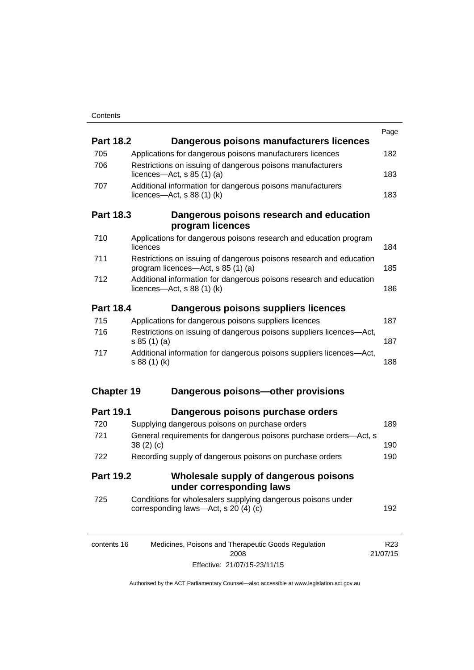| <b>Part 18.2</b>  | Dangerous poisons manufacturers licences                                                                  | Page            |
|-------------------|-----------------------------------------------------------------------------------------------------------|-----------------|
| 705               | Applications for dangerous poisons manufacturers licences                                                 | 182             |
| 706               | Restrictions on issuing of dangerous poisons manufacturers                                                |                 |
|                   | licences- $-\text{Act}$ , s 85 (1) (a)                                                                    | 183             |
| 707               | Additional information for dangerous poisons manufacturers<br>licences- $-\text{Act}$ , s 88 (1) (k)      | 183             |
| <b>Part 18.3</b>  | Dangerous poisons research and education<br>program licences                                              |                 |
| 710               | Applications for dangerous poisons research and education program<br>licences                             | 184             |
| 711               | Restrictions on issuing of dangerous poisons research and education<br>program licences—Act, s 85 (1) (a) | 185             |
| 712               | Additional information for dangerous poisons research and education<br>licences—Act, $s$ 88 (1) (k)       | 186             |
| <b>Part 18.4</b>  | Dangerous poisons suppliers licences                                                                      |                 |
| 715               | Applications for dangerous poisons suppliers licences                                                     | 187             |
| 716               | Restrictions on issuing of dangerous poisons suppliers licences-Act,<br>s 85(1)(a)                        | 187             |
| 717               | Additional information for dangerous poisons suppliers licences-Act,<br>s 88 (1) (k)                      | 188             |
| <b>Chapter 19</b> | Dangerous poisons-other provisions                                                                        |                 |
| <b>Part 19.1</b>  | Dangerous poisons purchase orders                                                                         |                 |
| 720               | Supplying dangerous poisons on purchase orders                                                            | 189             |
| 721               | General requirements for dangerous poisons purchase orders-Act, s<br>38(2)(c)                             | 190             |
| 722               | Recording supply of dangerous poisons on purchase orders                                                  | 190             |
| <b>Part 19.2</b>  | Wholesale supply of dangerous poisons<br>under corresponding laws                                         |                 |
| 725               | Conditions for wholesalers supplying dangerous poisons under<br>corresponding laws-Act, s 20 (4) (c)      | 192             |
| contents 16       | Medicines, Poisons and Therapeutic Goods Regulation                                                       | R <sub>23</sub> |

| contents 16 | Medicines, Poisons and Therapeutic Goods Requiation | R23      |
|-------------|-----------------------------------------------------|----------|
|             | 2008                                                | 21/07/15 |
|             | Effective: 21/07/15-23/11/15                        |          |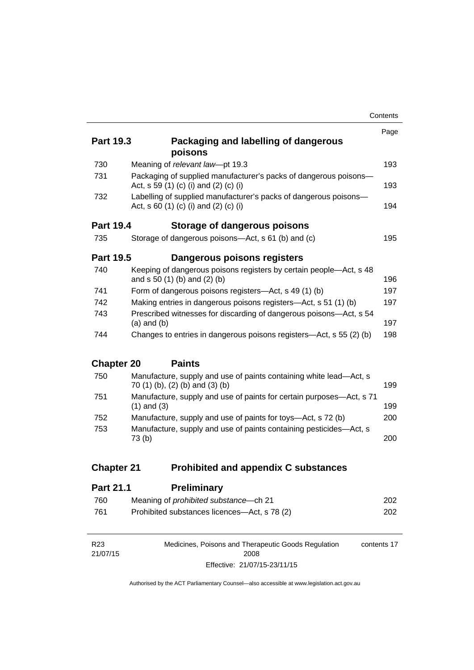|                   |                                                                                                           | Contents |
|-------------------|-----------------------------------------------------------------------------------------------------------|----------|
|                   |                                                                                                           | Page     |
| <b>Part 19.3</b>  | Packaging and labelling of dangerous<br>poisons                                                           |          |
| 730               | Meaning of relevant law-pt 19.3                                                                           | 193      |
| 731               | Packaging of supplied manufacturer's packs of dangerous poisons-<br>Act, s 59 (1) (c) (i) and (2) (c) (i) | 193      |
| 732               | Labelling of supplied manufacturer's packs of dangerous poisons-<br>Act, s 60 (1) (c) (i) and (2) (c) (i) | 194      |
| <b>Part 19.4</b>  | Storage of dangerous poisons                                                                              |          |
| 735               | Storage of dangerous poisons-Act, s 61 (b) and (c)                                                        | 195      |
| <b>Part 19.5</b>  | Dangerous poisons registers                                                                               |          |
| 740               | Keeping of dangerous poisons registers by certain people-Act, s 48<br>and s 50 (1) (b) and (2) (b)        | 196      |
| 741               | Form of dangerous poisons registers—Act, s 49 (1) (b)                                                     | 197      |
| 742               | Making entries in dangerous poisons registers—Act, s 51 (1) (b)                                           | 197      |
| 743               | Prescribed witnesses for discarding of dangerous poisons-Act, s 54<br>$(a)$ and $(b)$                     | 197      |
| 744               | Changes to entries in dangerous poisons registers—Act, s 55 (2) (b)                                       | 198      |
| <b>Chapter 20</b> | <b>Paints</b>                                                                                             |          |
| 750               | Manufacture, supply and use of paints containing white lead-Act, s<br>70 (1) (b), (2) (b) and (3) (b)     | 199      |
| 751               | Manufacture, supply and use of paints for certain purposes-Act, s 71<br>$(1)$ and $(3)$                   | 199      |
| 752               | Manufacture, supply and use of paints for toys—Act, s 72 (b)                                              | 200      |
| 753               | Manufacture, supply and use of paints containing pesticides-Act, s<br>73 (b)                              | 200      |
| <b>Chapter 21</b> | <b>Prohibited and appendix C substances</b>                                                               |          |
| Part 21 1         | Praliminarv                                                                                               |          |

| Fail 4 I.I | <b>FIGHIFFICALY</b>                          |     |
|------------|----------------------------------------------|-----|
| 760        | Meaning of <i>prohibited</i> substance—ch 21 | 202 |
| 761        | Prohibited substances licences—Act, s 78 (2) | 202 |

| R <sub>23</sub> | Medicines, Poisons and Therapeutic Goods Regulation | contents 17 |
|-----------------|-----------------------------------------------------|-------------|
| 21/07/15        | 2008                                                |             |
|                 | Effective: 21/07/15-23/11/15                        |             |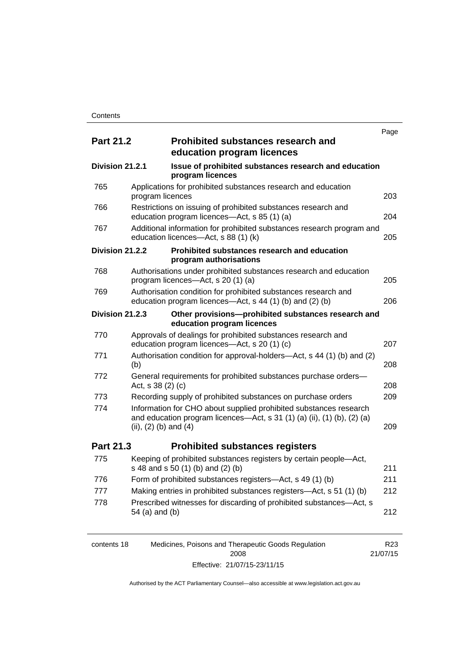|                  |                           |                                                                                                                                              | Page |
|------------------|---------------------------|----------------------------------------------------------------------------------------------------------------------------------------------|------|
| <b>Part 21.2</b> |                           | <b>Prohibited substances research and</b><br>education program licences                                                                      |      |
| Division 21.2.1  |                           | Issue of prohibited substances research and education<br>program licences                                                                    |      |
| 765              | program licences          | Applications for prohibited substances research and education                                                                                | 203  |
| 766              |                           | Restrictions on issuing of prohibited substances research and<br>education program licences-Act, s 85 (1) (a)                                | 204  |
| 767              |                           | Additional information for prohibited substances research program and<br>education licences-Act, s 88 (1) (k)                                | 205  |
| Division 21.2.2  |                           | Prohibited substances research and education<br>program authorisations                                                                       |      |
| 768              |                           | Authorisations under prohibited substances research and education<br>program licences—Act, s 20 (1) (a)                                      | 205  |
| 769              |                           | Authorisation condition for prohibited substances research and<br>education program licences—Act, s 44 (1) (b) and (2) (b)                   | 206  |
| Division 21.2.3  |                           | Other provisions-prohibited substances research and<br>education program licences                                                            |      |
| 770              |                           | Approvals of dealings for prohibited substances research and<br>education program licences-Act, s 20 (1) (c)                                 | 207  |
| 771              | (b)                       | Authorisation condition for approval-holders—Act, s 44 (1) (b) and (2)                                                                       | 208  |
| 772              | Act, s 38 (2) (c)         | General requirements for prohibited substances purchase orders-                                                                              | 208  |
| 773              |                           | Recording supply of prohibited substances on purchase orders                                                                                 | 209  |
| 774              | (ii), $(2)$ (b) and $(4)$ | Information for CHO about supplied prohibited substances research<br>and education program licences—Act, s 31 (1) (a) (ii), (1) (b), (2) (a) | 209  |
| Part 21.3        |                           | <b>Prohibited substances registers</b>                                                                                                       |      |
| 775              |                           | Keeping of prohibited substances registers by certain people-Act,<br>s 48 and s 50 (1) (b) and (2) (b)                                       | 211  |
| 776              |                           | Form of prohibited substances registers—Act, s 49 (1) (b)                                                                                    | 211  |
| 777              |                           | Making entries in prohibited substances registers-Act, s 51 (1) (b)                                                                          | 212  |
| 778              | 54 (a) and (b)            | Prescribed witnesses for discarding of prohibited substances-Act, s                                                                          | 212  |

| contents 18 | Medicines, Poisons and Therapeutic Goods Regulation | R23      |
|-------------|-----------------------------------------------------|----------|
|             | 2008                                                | 21/07/15 |
|             | Effective: 21/07/15-23/11/15                        |          |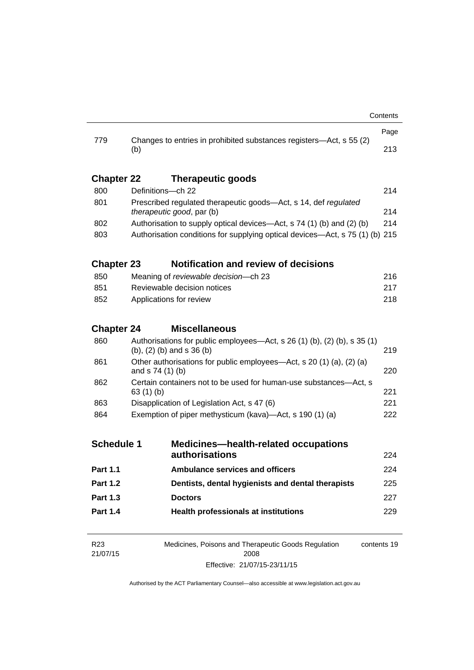| 779               |                                                                                                         | Changes to entries in prohibited substances registers-Act, s 55 (2) | Page |
|-------------------|---------------------------------------------------------------------------------------------------------|---------------------------------------------------------------------|------|
|                   | (b)                                                                                                     |                                                                     | 213  |
| <b>Chapter 22</b> |                                                                                                         | <b>Therapeutic goods</b>                                            |      |
| 800               |                                                                                                         | Definitions-ch 22                                                   | 214  |
| 801               | Prescribed regulated therapeutic goods-Act, s 14, def regulated<br>therapeutic good, par (b)            |                                                                     |      |
| 802               | Authorisation to supply optical devices—Act, s 74 (1) (b) and (2) (b)                                   |                                                                     |      |
| 803               | Authorisation conditions for supplying optical devices—Act, s 75 (1) (b) 215                            |                                                                     |      |
| <b>Chapter 23</b> |                                                                                                         | <b>Notification and review of decisions</b>                         |      |
| 850               |                                                                                                         | Meaning of reviewable decision-ch 23                                | 216  |
| 851               |                                                                                                         | Reviewable decision notices                                         | 217  |
| 852               | Applications for review<br>218                                                                          |                                                                     |      |
| <b>Chapter 24</b> |                                                                                                         | <b>Miscellaneous</b>                                                |      |
| 860               | Authorisations for public employees—Act, s 26 (1) (b), (2) (b), s 35 (1)<br>(b), $(2)$ (b) and s 36 (b) |                                                                     | 219  |
| 861               | Other authorisations for public employees—Act, s 20 (1) (a), (2) (a)<br>220<br>and s 74 (1) (b)         |                                                                     |      |
| 862               | Certain containers not to be used for human-use substances-Act, s<br>63(1)(b)                           |                                                                     |      |
| 863               | Disapplication of Legislation Act, s 47 (6)                                                             |                                                                     | 221  |
| 864               | Exemption of piper methysticum (kava)—Act, s 190 (1) (a)                                                |                                                                     |      |
| <b>Schedule 1</b> |                                                                                                         | <b>Medicines-health-related occupations</b><br>authorisations       | 224  |
| <b>Part 1.1</b>   |                                                                                                         | <b>Ambulance services and officers</b>                              | 224  |
| <b>Part 1.2</b>   |                                                                                                         | Dentists, dental hygienists and dental therapists                   | 225  |
| <b>Part 1.3</b>   |                                                                                                         | <b>Doctors</b>                                                      | 227  |
| <b>Part 1.4</b>   |                                                                                                         | <b>Health professionals at institutions</b>                         | 229  |
|                   |                                                                                                         |                                                                     |      |
| D <sub>00</sub>   |                                                                                                         | Medicines Dejacos and Theresewijs Canda Demulation                  |      |

| R23      | Medicines, Poisons and Therapeutic Goods Regulation | contents 19 |
|----------|-----------------------------------------------------|-------------|
| 21/07/15 | 2008                                                |             |
|          | Effective: 21/07/15-23/11/15                        |             |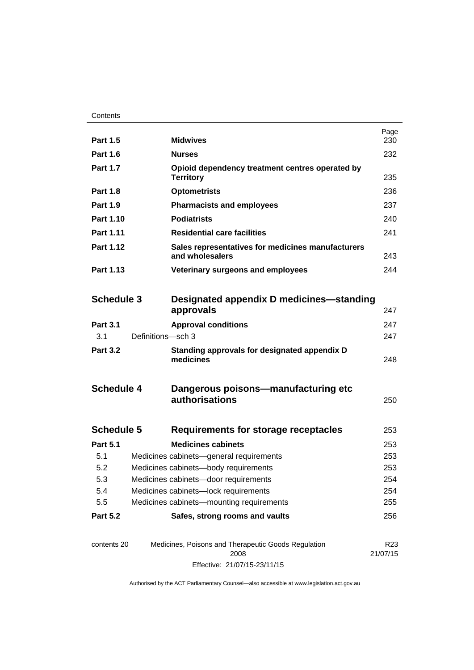| <b>Part 1.5</b>   |                                      | <b>Midwives</b>                                                      | Page<br>230                 |
|-------------------|--------------------------------------|----------------------------------------------------------------------|-----------------------------|
| <b>Part 1.6</b>   |                                      | <b>Nurses</b>                                                        | 232                         |
| <b>Part 1.7</b>   |                                      | Opioid dependency treatment centres operated by<br><b>Territory</b>  | 235                         |
| <b>Part 1.8</b>   |                                      | <b>Optometrists</b>                                                  | 236                         |
| <b>Part 1.9</b>   |                                      | <b>Pharmacists and employees</b>                                     | 237                         |
| Part 1.10         |                                      | <b>Podiatrists</b>                                                   | 240                         |
| Part 1.11         |                                      | <b>Residential care facilities</b>                                   | 241                         |
| Part 1.12         |                                      | Sales representatives for medicines manufacturers<br>and wholesalers |                             |
| Part 1.13         |                                      | Veterinary surgeons and employees                                    |                             |
|                   |                                      |                                                                      |                             |
| <b>Schedule 3</b> |                                      | Designated appendix D medicines—standing<br>approvals                | 247                         |
| <b>Part 3.1</b>   |                                      | <b>Approval conditions</b>                                           | 247                         |
| 3.1               | Definitions-sch 3                    |                                                                      | 247                         |
| <b>Part 3.2</b>   |                                      | Standing approvals for designated appendix D<br>medicines            | 248                         |
| <b>Schedule 4</b> |                                      | Dangerous poisons—manufacturing etc<br>authorisations                | 250                         |
| <b>Schedule 5</b> |                                      | Requirements for storage receptacles                                 | 253                         |
| <b>Part 5.1</b>   |                                      | <b>Medicines cabinets</b>                                            | 253                         |
| 5.1               |                                      | Medicines cabinets-general requirements                              | 253                         |
| 5.2               |                                      | Medicines cabinets-body requirements                                 | 253                         |
| 5.3               | Medicines cabinets-door requirements |                                                                      | 254                         |
| 5.4               |                                      | Medicines cabinets-lock requirements                                 | 254                         |
| 5.5               |                                      | Medicines cabinets-mounting requirements                             | 255                         |
| <b>Part 5.2</b>   |                                      | Safes, strong rooms and vaults                                       | 256                         |
| contents 20       |                                      | Medicines, Poisons and Therapeutic Goods Regulation<br>2008          | R <sub>23</sub><br>21/07/15 |

Effective: 21/07/15-23/11/15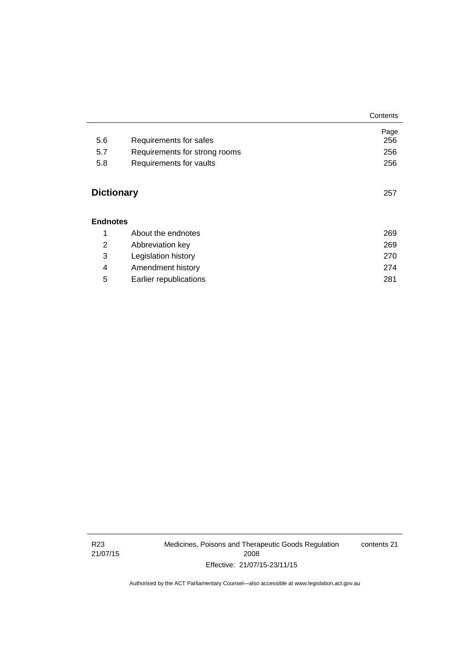|                   |                               | Contents |
|-------------------|-------------------------------|----------|
|                   |                               | Page     |
| 5.6               | Requirements for safes        | 256      |
| 5.7               | Requirements for strong rooms | 256      |
| 5.8               | Requirements for vaults       | 256      |
| <b>Dictionary</b> |                               | 257      |
| <b>Endnotes</b>   |                               |          |
| 1                 | About the endnotes            | 269      |
| 2                 | Abbreviation key              | 269      |
| 3                 | Legislation history           | 270      |
| 4                 | Amendment history             | 274      |
| 5                 | Earlier republications        | 281      |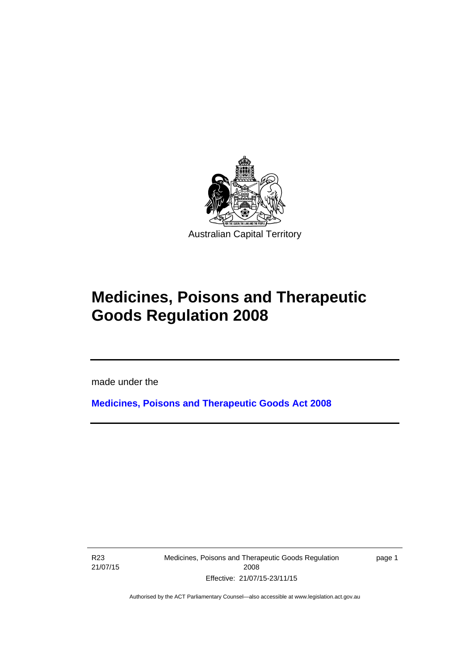

# **Medicines, Poisons and Therapeutic Goods Regulation 2008**

made under the

**[Medicines, Poisons and Therapeutic Goods Act 2008](http://www.legislation.act.gov.au/a/2008-26)**

R23 21/07/15

Ī

Medicines, Poisons and Therapeutic Goods Regulation 2008 Effective: 21/07/15-23/11/15

page 1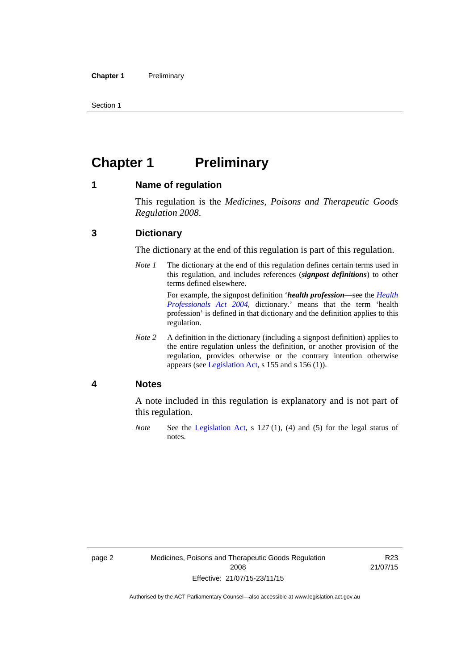Section 1

# <span id="page-25-0"></span>**Chapter 1** Preliminary

#### <span id="page-25-1"></span>**1 Name of regulation**

This regulation is the *Medicines, Poisons and Therapeutic Goods Regulation 2008*.

#### <span id="page-25-2"></span>**3 Dictionary**

The dictionary at the end of this regulation is part of this regulation.

*Note 1* The dictionary at the end of this regulation defines certain terms used in this regulation, and includes references (*signpost definitions*) to other terms defined elsewhere. For example, the signpost definition '*health profession*—see the *[Health](http://www.legislation.act.gov.au/a/2004-38)* 

*[Professionals Act 2004](http://www.legislation.act.gov.au/a/2004-38)*, dictionary.' means that the term 'health profession' is defined in that dictionary and the definition applies to this regulation.

*Note 2* A definition in the dictionary (including a signpost definition) applies to the entire regulation unless the definition, or another provision of the regulation, provides otherwise or the contrary intention otherwise appears (see [Legislation Act,](http://www.legislation.act.gov.au/a/2001-14) s 155 and s 156 (1)).

#### <span id="page-25-3"></span>**4 Notes**

A note included in this regulation is explanatory and is not part of this regulation.

*Note* See the [Legislation Act,](http://www.legislation.act.gov.au/a/2001-14) s 127 (1), (4) and (5) for the legal status of notes.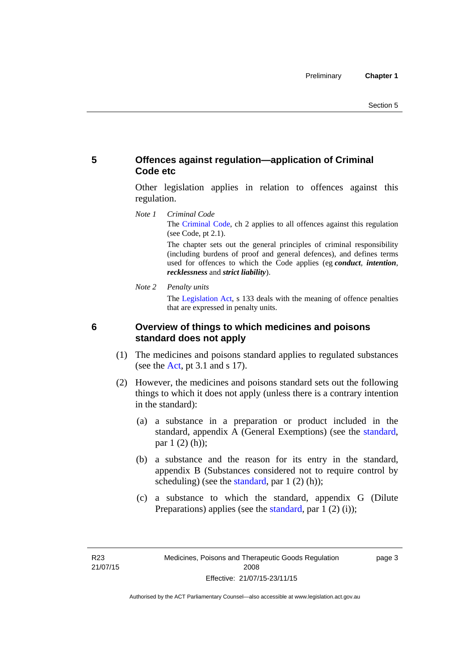#### <span id="page-26-0"></span>**5 Offences against regulation—application of Criminal Code etc**

Other legislation applies in relation to offences against this regulation.

*Note 1 Criminal Code* The [Criminal Code](http://www.legislation.act.gov.au/a/2002-51), ch 2 applies to all offences against this regulation (see Code, pt 2.1).

> The chapter sets out the general principles of criminal responsibility (including burdens of proof and general defences), and defines terms used for offences to which the Code applies (eg *conduct*, *intention*, *recklessness* and *strict liability*).

*Note 2 Penalty units* 

The [Legislation Act](http://www.legislation.act.gov.au/a/2001-14), s 133 deals with the meaning of offence penalties that are expressed in penalty units.

<span id="page-26-1"></span>

#### **6 Overview of things to which medicines and poisons standard does not apply**

- (1) The medicines and poisons standard applies to regulated substances (see the [Act](http://www.legislation.act.gov.au/a/2008-26/default.asp), pt 3.1 and s 17).
- (2) However, the medicines and poisons standard sets out the following things to which it does not apply (unless there is a contrary intention in the standard):
	- (a) a substance in a preparation or product included in the standard, appendix A (General Exemptions) (see the [standard](http://www.comlaw.gov.au/Series/F2012L01200), par 1 (2) (h));
	- (b) a substance and the reason for its entry in the standard, appendix B (Substances considered not to require control by scheduling) (see the [standard,](http://www.comlaw.gov.au/Series/F2012L01200) par  $1(2)(h)$ );
	- (c) a substance to which the standard, appendix G (Dilute Preparations) applies (see the [standard,](http://www.comlaw.gov.au/Series/F2012L01200) par 1 (2) (i));

page 3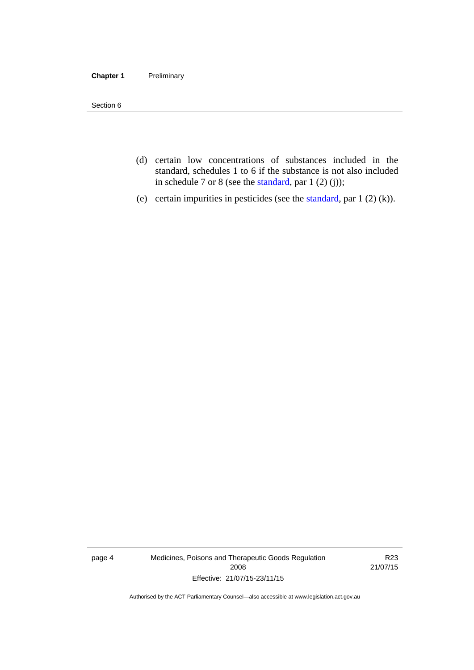#### **Chapter 1** Preliminary

Section 6

- (d) certain low concentrations of substances included in the standard, schedules 1 to 6 if the substance is not also included in schedule 7 or 8 (see the [standard,](http://www.comlaw.gov.au/Series/F2012L01200) par 1 (2) (j));
- (e) certain impurities in pesticides (see the [standard,](http://www.comlaw.gov.au/Series/F2012L01200) par  $1(2)(k)$ ).

page 4 Medicines, Poisons and Therapeutic Goods Regulation 2008 Effective: 21/07/15-23/11/15

R23 21/07/15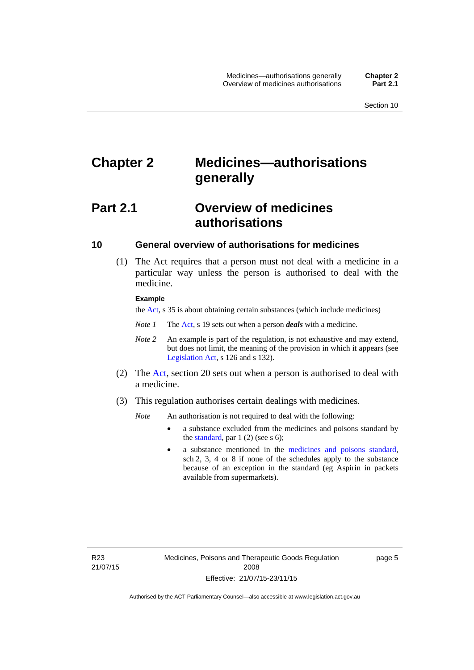# <span id="page-28-0"></span>**Chapter 2 Medicines—authorisations generally**

# <span id="page-28-1"></span>**Part 2.1 Overview of medicines authorisations**

#### <span id="page-28-2"></span>**10 General overview of authorisations for medicines**

 (1) The Act requires that a person must not deal with a medicine in a particular way unless the person is authorised to deal with the medicine.

#### **Example**

the [Act](http://www.legislation.act.gov.au/a/2008-26/default.asp), s 35 is about obtaining certain substances (which include medicines)

- *Note 1* The [Act,](http://www.legislation.act.gov.au/a/2008-26/default.asp) s 19 sets out when a person *deals* with a medicine.
- *Note 2* An example is part of the regulation, is not exhaustive and may extend, but does not limit, the meaning of the provision in which it appears (see [Legislation Act,](http://www.legislation.act.gov.au/a/2001-14) s 126 and s 132).
- (2) The [Act](http://www.legislation.act.gov.au/a/2008-26/default.asp), section 20 sets out when a person is authorised to deal with a medicine.
- (3) This regulation authorises certain dealings with medicines.

*Note* An authorisation is not required to deal with the following:

- a substance excluded from the medicines and poisons standard by the [standard,](http://www.comlaw.gov.au/Series/F2012L01200) par  $1(2)$  (see s 6);
- a substance mentioned in the [medicines and poisons standard,](http://www.comlaw.gov.au/Series/F2012L01200) sch 2, 3, 4 or 8 if none of the schedules apply to the substance because of an exception in the standard (eg Aspirin in packets available from supermarkets).

R23 21/07/15 page 5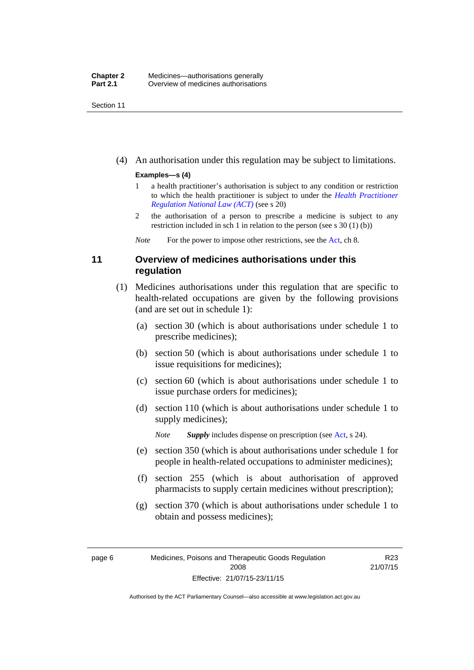Section 11

(4) An authorisation under this regulation may be subject to limitations.

#### **Examples—s (4)**

- 1 a health practitioner's authorisation is subject to any condition or restriction to which the health practitioner is subject to under the *[Health Practitioner](http://www.legislation.act.gov.au/a/db_39269/default.asp)  [Regulation National Law \(ACT\)](http://www.legislation.act.gov.au/a/db_39269/default.asp)* (see s 20)
- 2 the authorisation of a person to prescribe a medicine is subject to any restriction included in sch 1 in relation to the person (see s 30 (1) (b))

*Note* For the power to impose other restrictions, see the [Act](http://www.legislation.act.gov.au/a/2008-26/default.asp), ch 8.

#### <span id="page-29-0"></span>**11 Overview of medicines authorisations under this regulation**

- (1) Medicines authorisations under this regulation that are specific to health-related occupations are given by the following provisions (and are set out in schedule 1):
	- (a) section 30 (which is about authorisations under schedule 1 to prescribe medicines);
	- (b) section 50 (which is about authorisations under schedule 1 to issue requisitions for medicines);
	- (c) section 60 (which is about authorisations under schedule 1 to issue purchase orders for medicines);
	- (d) section 110 (which is about authorisations under schedule 1 to supply medicines);

*Note Supply* includes dispense on prescription (see [Act,](http://www.legislation.act.gov.au/a/2008-26/default.asp) s 24).

- (e) section 350 (which is about authorisations under schedule 1 for people in health-related occupations to administer medicines);
- (f) section 255 (which is about authorisation of approved pharmacists to supply certain medicines without prescription);
- (g) section 370 (which is about authorisations under schedule 1 to obtain and possess medicines);

R23 21/07/15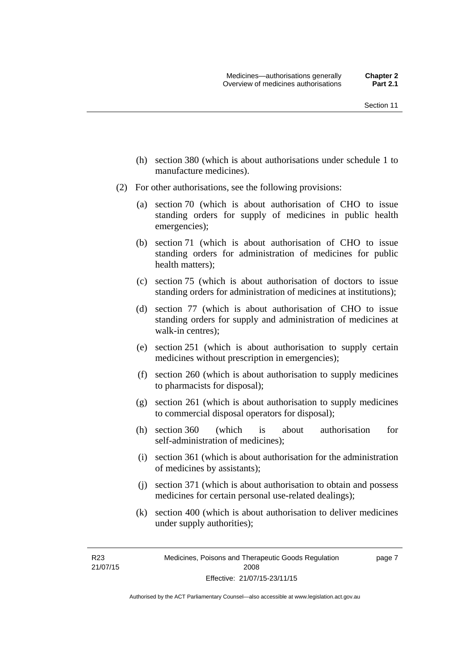- (h) section 380 (which is about authorisations under schedule 1 to manufacture medicines).
- (2) For other authorisations, see the following provisions:
	- (a) section 70 (which is about authorisation of CHO to issue standing orders for supply of medicines in public health emergencies);
	- (b) section 71 (which is about authorisation of CHO to issue standing orders for administration of medicines for public health matters);
	- (c) section 75 (which is about authorisation of doctors to issue standing orders for administration of medicines at institutions);
	- (d) section 77 (which is about authorisation of CHO to issue standing orders for supply and administration of medicines at walk-in centres);
	- (e) section 251 (which is about authorisation to supply certain medicines without prescription in emergencies);
	- (f) section 260 (which is about authorisation to supply medicines to pharmacists for disposal);
	- (g) section 261 (which is about authorisation to supply medicines to commercial disposal operators for disposal);
	- (h) section 360 (which is about authorisation for self-administration of medicines);
	- (i) section 361 (which is about authorisation for the administration of medicines by assistants);
	- (j) section 371 (which is about authorisation to obtain and possess medicines for certain personal use-related dealings);
	- (k) section 400 (which is about authorisation to deliver medicines under supply authorities);

R23 21/07/15 page 7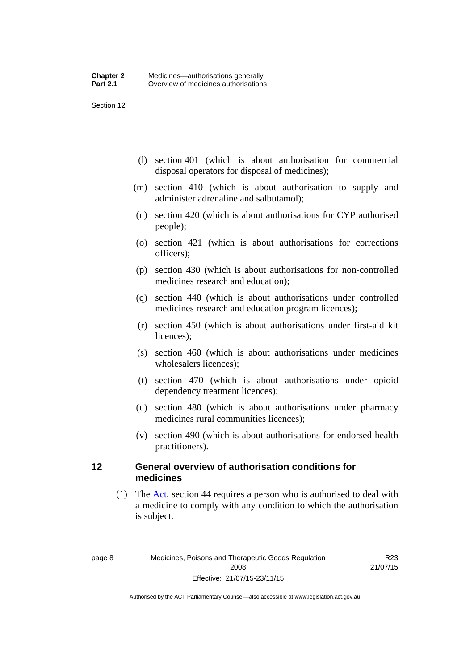Section 12

- (l) section 401 (which is about authorisation for commercial disposal operators for disposal of medicines);
- (m) section 410 (which is about authorisation to supply and administer adrenaline and salbutamol);
- (n) section 420 (which is about authorisations for CYP authorised people);
- (o) section 421 (which is about authorisations for corrections officers);
- (p) section 430 (which is about authorisations for non-controlled medicines research and education);
- (q) section 440 (which is about authorisations under controlled medicines research and education program licences);
- (r) section 450 (which is about authorisations under first-aid kit licences);
- (s) section 460 (which is about authorisations under medicines wholesalers licences);
- (t) section 470 (which is about authorisations under opioid dependency treatment licences);
- (u) section 480 (which is about authorisations under pharmacy medicines rural communities licences);
- (v) section 490 (which is about authorisations for endorsed health practitioners).

#### <span id="page-31-0"></span>**12 General overview of authorisation conditions for medicines**

 (1) The [Act](http://www.legislation.act.gov.au/a/2008-26/default.asp), section 44 requires a person who is authorised to deal with a medicine to comply with any condition to which the authorisation is subject.

R23 21/07/15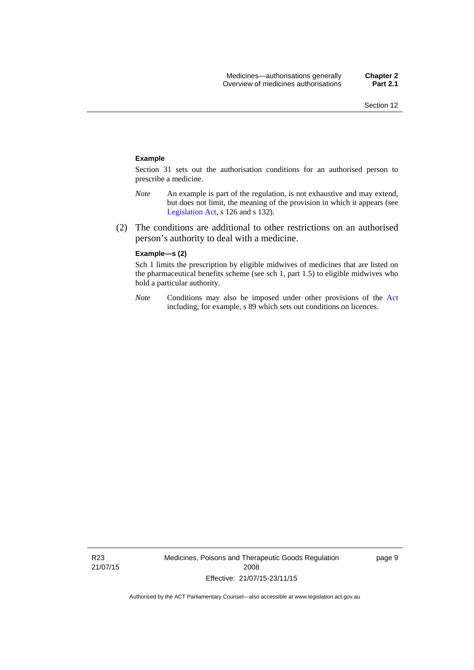#### **Example**

Section 31 sets out the authorisation conditions for an authorised person to prescribe a medicine.

- *Note* An example is part of the regulation, is not exhaustive and may extend, but does not limit, the meaning of the provision in which it appears (see [Legislation Act,](http://www.legislation.act.gov.au/a/2001-14) s 126 and s 132).
- (2) The conditions are additional to other restrictions on an authorised person's authority to deal with a medicine.

#### **Example—s (2)**

Sch 1 limits the prescription by eligible midwives of medicines that are listed on the pharmaceutical benefits scheme (see sch 1, part 1.5) to eligible midwives who hold a particular authority.

*Note* Conditions may also be imposed under other provisions of the [Act](http://www.legislation.act.gov.au/a/2008-26/default.asp) including, for example, s 89 which sets out conditions on licences.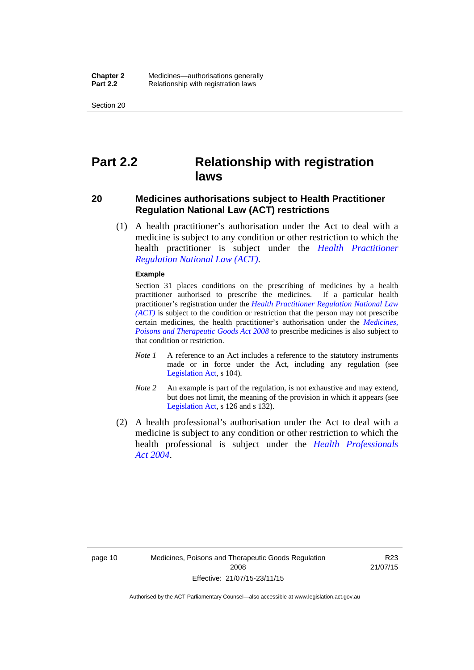Section 20

## <span id="page-33-0"></span>**Part 2.2 Relationship with registration laws**

#### <span id="page-33-1"></span>**20 Medicines authorisations subject to Health Practitioner Regulation National Law (ACT) restrictions**

 (1) A health practitioner's authorisation under the Act to deal with a medicine is subject to any condition or other restriction to which the health practitioner is subject under the *[Health Practitioner](http://www.legislation.act.gov.au/a/db_39269/default.asp)  [Regulation National Law \(ACT\)](http://www.legislation.act.gov.au/a/db_39269/default.asp)*.

#### **Example**

Section 31 places conditions on the prescribing of medicines by a health practitioner authorised to prescribe the medicines. If a particular health practitioner's registration under the *[Health Practitioner Regulation National Law](http://www.legislation.act.gov.au/a/db_39269/default.asp)  [\(ACT\)](http://www.legislation.act.gov.au/a/db_39269/default.asp)* is subject to the condition or restriction that the person may not prescribe certain medicines, the health practitioner's authorisation under the *[Medicines,](http://www.legislation.act.gov.au/a/2008-26)  [Poisons and Therapeutic Goods Act 2008](http://www.legislation.act.gov.au/a/2008-26)* to prescribe medicines is also subject to that condition or restriction.

- *Note 1* A reference to an Act includes a reference to the statutory instruments made or in force under the Act, including any regulation (see [Legislation Act,](http://www.legislation.act.gov.au/a/2001-14) s 104).
- *Note 2* An example is part of the regulation, is not exhaustive and may extend, but does not limit, the meaning of the provision in which it appears (see [Legislation Act,](http://www.legislation.act.gov.au/a/2001-14) s 126 and s 132).
- (2) A health professional's authorisation under the Act to deal with a medicine is subject to any condition or other restriction to which the health professional is subject under the *[Health Professionals](http://www.legislation.act.gov.au/a/2004-38)  [Act 2004](http://www.legislation.act.gov.au/a/2004-38)*.

R23 21/07/15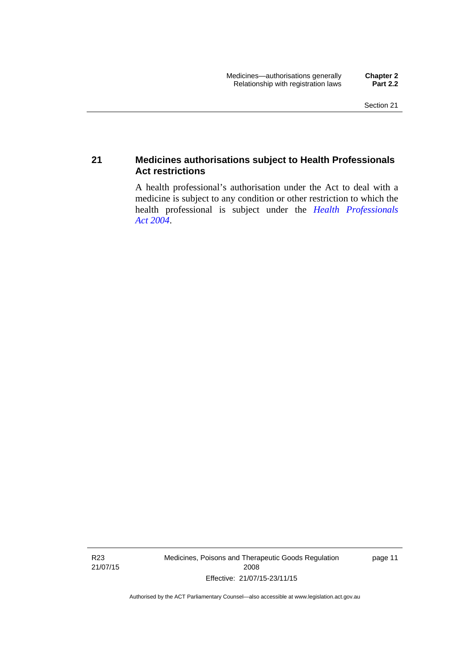#### <span id="page-34-0"></span>**21 Medicines authorisations subject to Health Professionals Act restrictions**

A health professional's authorisation under the Act to deal with a medicine is subject to any condition or other restriction to which the health professional is subject under the *[Health Professionals](http://www.legislation.act.gov.au/a/2004-38)  [Act 2004](http://www.legislation.act.gov.au/a/2004-38)*.

R23 21/07/15 Medicines, Poisons and Therapeutic Goods Regulation 2008 Effective: 21/07/15-23/11/15

page 11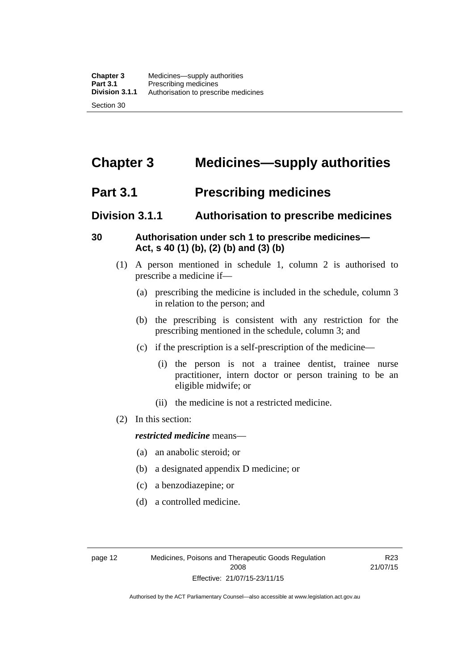# <span id="page-35-0"></span>**Chapter 3 Medicines—supply authorities**

## <span id="page-35-1"></span>**Part 3.1 Prescribing medicines**

### <span id="page-35-2"></span>**Division 3.1.1 Authorisation to prescribe medicines**

#### <span id="page-35-3"></span>**30 Authorisation under sch 1 to prescribe medicines— Act, s 40 (1) (b), (2) (b) and (3) (b)**

- (1) A person mentioned in schedule 1, column 2 is authorised to prescribe a medicine if—
	- (a) prescribing the medicine is included in the schedule, column 3 in relation to the person; and
	- (b) the prescribing is consistent with any restriction for the prescribing mentioned in the schedule, column 3; and
	- (c) if the prescription is a self-prescription of the medicine—
		- (i) the person is not a trainee dentist, trainee nurse practitioner, intern doctor or person training to be an eligible midwife; or
		- (ii) the medicine is not a restricted medicine.
- (2) In this section:

#### *restricted medicine* means—

- (a) an anabolic steroid; or
- (b) a designated appendix D medicine; or
- (c) a benzodiazepine; or
- (d) a controlled medicine.

R23 21/07/15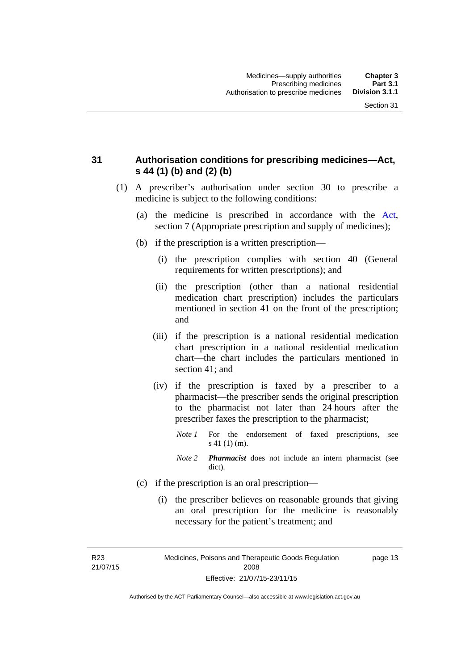## **31 Authorisation conditions for prescribing medicines—Act, s 44 (1) (b) and (2) (b)**

- (1) A prescriber's authorisation under section 30 to prescribe a medicine is subject to the following conditions:
	- (a) the medicine is prescribed in accordance with the [Act](http://www.legislation.act.gov.au/a/2008-26/default.asp), section 7 (Appropriate prescription and supply of medicines);
	- (b) if the prescription is a written prescription—
		- (i) the prescription complies with section 40 (General requirements for written prescriptions); and
		- (ii) the prescription (other than a national residential medication chart prescription) includes the particulars mentioned in section 41 on the front of the prescription; and
		- (iii) if the prescription is a national residential medication chart prescription in a national residential medication chart––the chart includes the particulars mentioned in section 41; and
		- (iv) if the prescription is faxed by a prescriber to a pharmacist—the prescriber sends the original prescription to the pharmacist not later than 24 hours after the prescriber faxes the prescription to the pharmacist;
			- *Note 1* For the endorsement of faxed prescriptions, see s 41 (1) (m).
			- *Note 2 Pharmacist* does not include an intern pharmacist (see dict).
	- (c) if the prescription is an oral prescription—
		- (i) the prescriber believes on reasonable grounds that giving an oral prescription for the medicine is reasonably necessary for the patient's treatment; and

R23 21/07/15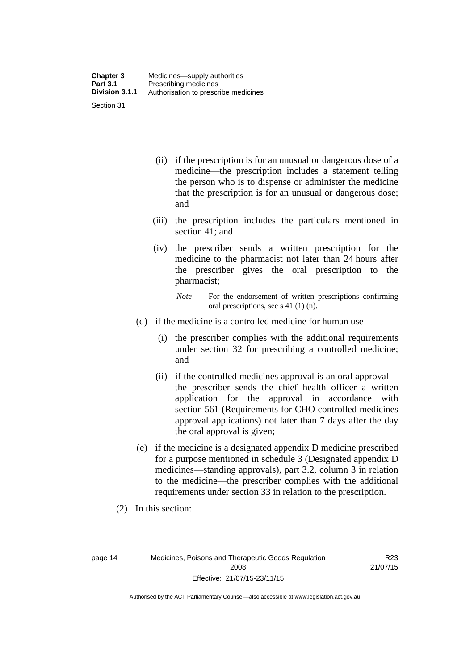| <b>Chapter 3</b> | Medicines—supply authorities         |
|------------------|--------------------------------------|
| <b>Part 3.1</b>  | Prescribing medicines                |
| Division 3.1.1   | Authorisation to prescribe medicines |
| Section 31       |                                      |

- (ii) if the prescription is for an unusual or dangerous dose of a medicine—the prescription includes a statement telling the person who is to dispense or administer the medicine that the prescription is for an unusual or dangerous dose; and
- (iii) the prescription includes the particulars mentioned in section 41; and
- (iv) the prescriber sends a written prescription for the medicine to the pharmacist not later than 24 hours after the prescriber gives the oral prescription to the pharmacist;

- (d) if the medicine is a controlled medicine for human use—
	- (i) the prescriber complies with the additional requirements under section 32 for prescribing a controlled medicine; and
	- (ii) if the controlled medicines approval is an oral approval the prescriber sends the chief health officer a written application for the approval in accordance with section 561 (Requirements for CHO controlled medicines approval applications) not later than 7 days after the day the oral approval is given;
- (e) if the medicine is a designated appendix D medicine prescribed for a purpose mentioned in schedule 3 (Designated appendix D medicines—standing approvals), part 3.2, column 3 in relation to the medicine—the prescriber complies with the additional requirements under section 33 in relation to the prescription.
- (2) In this section:

page 14 Medicines, Poisons and Therapeutic Goods Regulation 2008 Effective: 21/07/15-23/11/15

R23 21/07/15

*Note* For the endorsement of written prescriptions confirming oral prescriptions, see s 41 (1) (n).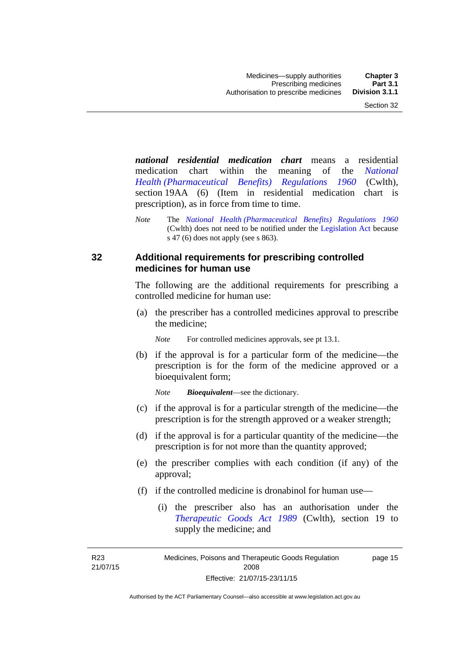*national residential medication chart* means a residential medication chart within the meaning of the *[National](http://www.comlaw.gov.au/Series/F1996B02844)  [Health \(Pharmaceutical Benefits\) Regulations 1960](http://www.comlaw.gov.au/Series/F1996B02844)* (Cwlth), section 19AA (6) (Item in residential medication chart is prescription), as in force from time to time.

*Note* The *[National Health \(Pharmaceutical Benefits\) Regulations 1960](http://www.comlaw.gov.au/Series/F1996B02844)* (Cwlth) does not need to be notified under the [Legislation Act](http://www.legislation.act.gov.au/a/2001-14) because s 47 (6) does not apply (see s 863).

### **32 Additional requirements for prescribing controlled medicines for human use**

The following are the additional requirements for prescribing a controlled medicine for human use:

 (a) the prescriber has a controlled medicines approval to prescribe the medicine;

*Note* For controlled medicines approvals, see pt 13.1.

 (b) if the approval is for a particular form of the medicine—the prescription is for the form of the medicine approved or a bioequivalent form;

*Note Bioequivalent*—see the dictionary.

- (c) if the approval is for a particular strength of the medicine—the prescription is for the strength approved or a weaker strength;
- (d) if the approval is for a particular quantity of the medicine—the prescription is for not more than the quantity approved;
- (e) the prescriber complies with each condition (if any) of the approval;
- (f) if the controlled medicine is dronabinol for human use—
	- (i) the prescriber also has an authorisation under the *[Therapeutic Goods Act 1989](http://www.comlaw.gov.au/Series/C2004A03952)* (Cwlth), section 19 to supply the medicine; and

R23 21/07/15

Medicines, Poisons and Therapeutic Goods Regulation 2008 Effective: 21/07/15-23/11/15 page 15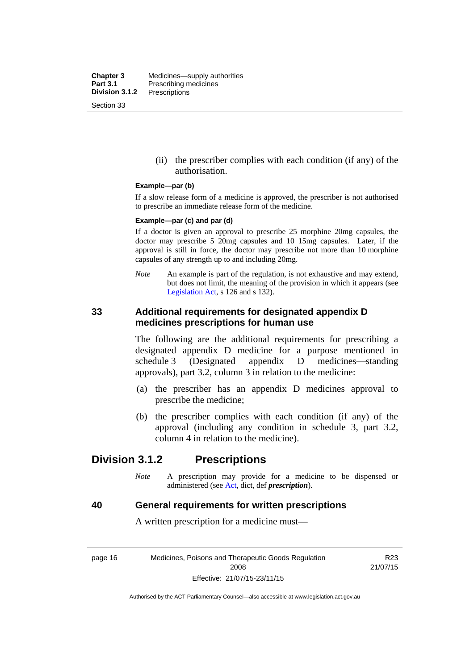**Chapter 3** Medicines—supply authorities<br>**Part 3.1** Prescribing medicines **Part 3.1** Prescribing medicines<br>**Division 3.1.2** Prescriptions **Division 3.1.2** Prescriptions Section 33

> (ii) the prescriber complies with each condition (if any) of the authorisation.

#### **Example—par (b)**

If a slow release form of a medicine is approved, the prescriber is not authorised to prescribe an immediate release form of the medicine.

#### **Example—par (c) and par (d)**

If a doctor is given an approval to prescribe 25 morphine 20mg capsules, the doctor may prescribe 5 20mg capsules and 10 15mg capsules. Later, if the approval is still in force, the doctor may prescribe not more than 10 morphine capsules of any strength up to and including 20mg.

*Note* An example is part of the regulation, is not exhaustive and may extend, but does not limit, the meaning of the provision in which it appears (see [Legislation Act,](http://www.legislation.act.gov.au/a/2001-14) s 126 and s 132).

### **33 Additional requirements for designated appendix D medicines prescriptions for human use**

The following are the additional requirements for prescribing a designated appendix D medicine for a purpose mentioned in schedule 3 (Designated appendix D medicines—standing approvals), part 3.2, column 3 in relation to the medicine:

- (a) the prescriber has an appendix D medicines approval to prescribe the medicine;
- (b) the prescriber complies with each condition (if any) of the approval (including any condition in schedule 3, part 3.2, column 4 in relation to the medicine).

## **Division 3.1.2 Prescriptions**

*Note* A prescription may provide for a medicine to be dispensed or administered (see [Act](http://www.legislation.act.gov.au/a/2008-26/default.asp), dict, def *prescription*).

#### **40 General requirements for written prescriptions**

A written prescription for a medicine must—

page 16 Medicines, Poisons and Therapeutic Goods Regulation 2008 Effective: 21/07/15-23/11/15

R23 21/07/15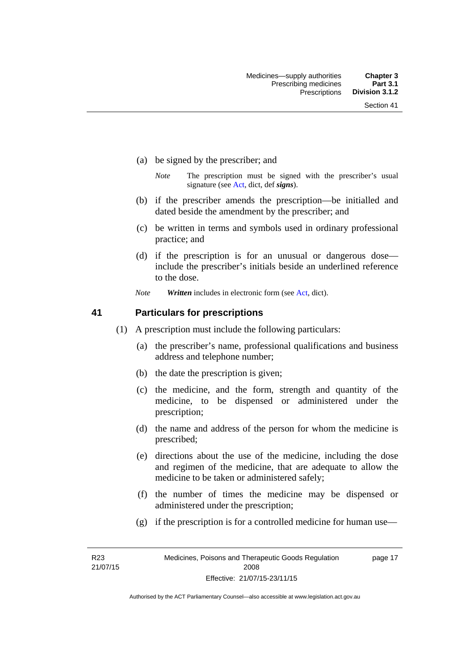- (a) be signed by the prescriber; and
	- *Note* The prescription must be signed with the prescriber's usual signature (see [Act](http://www.legislation.act.gov.au/a/2008-26/default.asp), dict, def *signs*).
- (b) if the prescriber amends the prescription—be initialled and dated beside the amendment by the prescriber; and
- (c) be written in terms and symbols used in ordinary professional practice; and
- (d) if the prescription is for an unusual or dangerous dose include the prescriber's initials beside an underlined reference to the dose.
- *Note Written* includes in electronic form (see [Act,](http://www.legislation.act.gov.au/a/2008-26/default.asp) dict).

### **41 Particulars for prescriptions**

- (1) A prescription must include the following particulars:
	- (a) the prescriber's name, professional qualifications and business address and telephone number;
	- (b) the date the prescription is given;
	- (c) the medicine, and the form, strength and quantity of the medicine, to be dispensed or administered under the prescription;
	- (d) the name and address of the person for whom the medicine is prescribed;
	- (e) directions about the use of the medicine, including the dose and regimen of the medicine, that are adequate to allow the medicine to be taken or administered safely;
	- (f) the number of times the medicine may be dispensed or administered under the prescription;
	- (g) if the prescription is for a controlled medicine for human use—

R23 21/07/15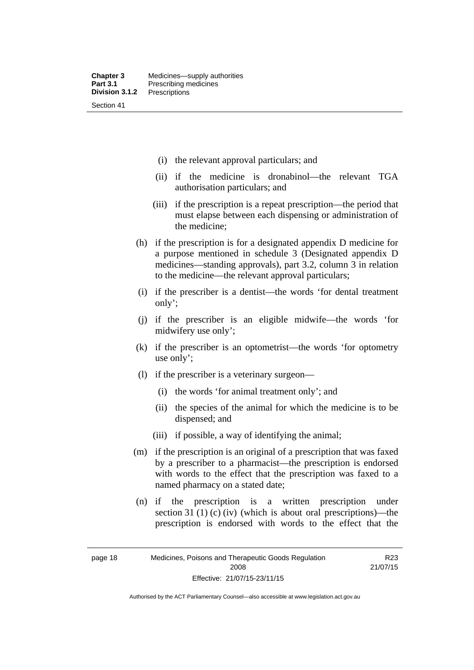- (i) the relevant approval particulars; and
- (ii) if the medicine is dronabinol—the relevant TGA authorisation particulars; and
- (iii) if the prescription is a repeat prescription—the period that must elapse between each dispensing or administration of the medicine;
- (h) if the prescription is for a designated appendix D medicine for a purpose mentioned in schedule 3 (Designated appendix D medicines—standing approvals), part 3.2, column 3 in relation to the medicine—the relevant approval particulars;
- (i) if the prescriber is a dentist—the words 'for dental treatment only';
- (j) if the prescriber is an eligible midwife—the words 'for midwifery use only';
- (k) if the prescriber is an optometrist—the words 'for optometry use only';
- (l) if the prescriber is a veterinary surgeon—
	- (i) the words 'for animal treatment only'; and
	- (ii) the species of the animal for which the medicine is to be dispensed; and
	- (iii) if possible, a way of identifying the animal;
- (m) if the prescription is an original of a prescription that was faxed by a prescriber to a pharmacist—the prescription is endorsed with words to the effect that the prescription was faxed to a named pharmacy on a stated date;
- (n) if the prescription is a written prescription under section 31 (1) (c) (iv) (which is about oral prescriptions)—the prescription is endorsed with words to the effect that the

R23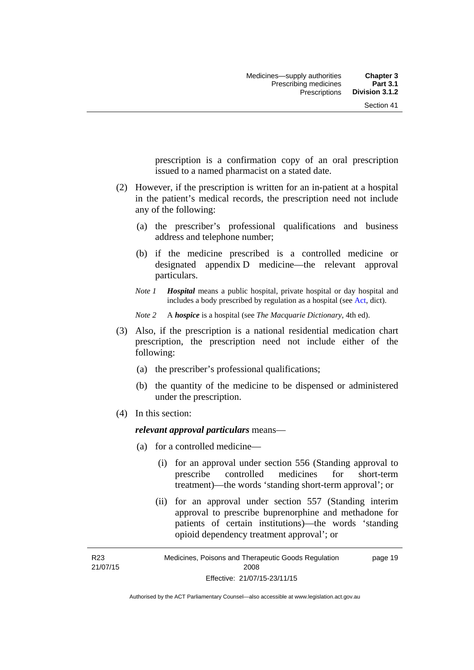prescription is a confirmation copy of an oral prescription issued to a named pharmacist on a stated date.

- (2) However, if the prescription is written for an in-patient at a hospital in the patient's medical records, the prescription need not include any of the following:
	- (a) the prescriber's professional qualifications and business address and telephone number;
	- (b) if the medicine prescribed is a controlled medicine or designated appendix D medicine—the relevant approval particulars.
	- *Note 1 Hospital* means a public hospital, private hospital or day hospital and includes a body prescribed by regulation as a hospital (see [Act,](http://www.legislation.act.gov.au/a/2008-26/default.asp) dict).

*Note 2* A *hospice* is a hospital (see *The Macquarie Dictionary*, 4th ed).

- (3) Also, if the prescription is a national residential medication chart prescription, the prescription need not include either of the following:
	- (a) the prescriber's professional qualifications;
	- (b) the quantity of the medicine to be dispensed or administered under the prescription.
- (4) In this section:

### *relevant approval particulars* means—

- (a) for a controlled medicine—
	- (i) for an approval under section 556 (Standing approval to prescribe controlled medicines for short-term treatment)—the words 'standing short-term approval'; or
	- (ii) for an approval under section 557 (Standing interim approval to prescribe buprenorphine and methadone for patients of certain institutions)—the words 'standing opioid dependency treatment approval'; or

R23 21/07/15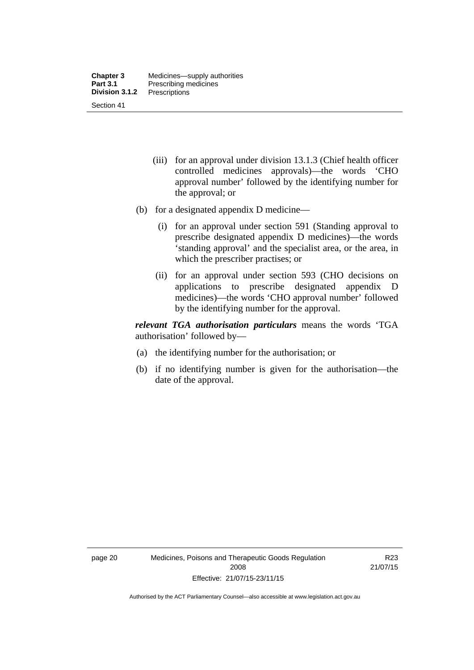- (iii) for an approval under division 13.1.3 (Chief health officer controlled medicines approvals)—the words 'CHO approval number' followed by the identifying number for the approval; or
- (b) for a designated appendix D medicine—
	- (i) for an approval under section 591 (Standing approval to prescribe designated appendix D medicines)—the words 'standing approval' and the specialist area, or the area, in which the prescriber practises; or
	- (ii) for an approval under section 593 (CHO decisions on applications to prescribe designated appendix D medicines)—the words 'CHO approval number' followed by the identifying number for the approval.

*relevant TGA authorisation particulars* means the words 'TGA authorisation' followed by—

- (a) the identifying number for the authorisation; or
- (b) if no identifying number is given for the authorisation—the date of the approval.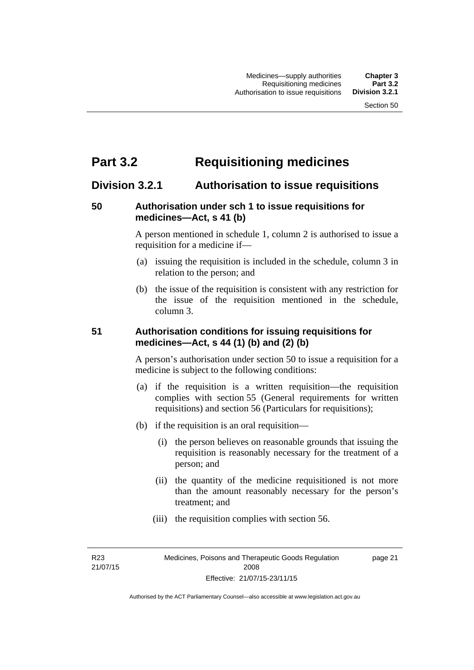# **Part 3.2 Requisitioning medicines**

## **Division 3.2.1 Authorisation to issue requisitions**

## **50 Authorisation under sch 1 to issue requisitions for medicines—Act, s 41 (b)**

A person mentioned in schedule 1, column 2 is authorised to issue a requisition for a medicine if—

- (a) issuing the requisition is included in the schedule, column 3 in relation to the person; and
- (b) the issue of the requisition is consistent with any restriction for the issue of the requisition mentioned in the schedule, column 3.

## **51 Authorisation conditions for issuing requisitions for medicines—Act, s 44 (1) (b) and (2) (b)**

A person's authorisation under section 50 to issue a requisition for a medicine is subject to the following conditions:

- (a) if the requisition is a written requisition—the requisition complies with section 55 (General requirements for written requisitions) and section 56 (Particulars for requisitions);
- (b) if the requisition is an oral requisition—
	- (i) the person believes on reasonable grounds that issuing the requisition is reasonably necessary for the treatment of a person; and
	- (ii) the quantity of the medicine requisitioned is not more than the amount reasonably necessary for the person's treatment; and
	- (iii) the requisition complies with section 56.

R23 21/07/15 page 21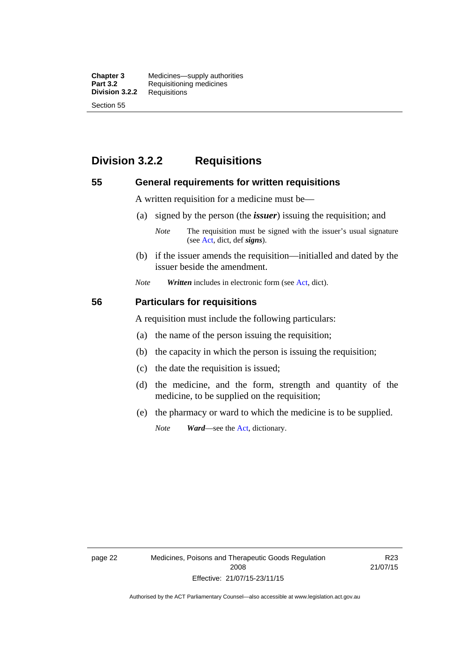**Chapter 3** Medicines—supply authorities<br>**Part 3.2** Requisitioning medicines **Requisitioning medicines**<br>Requisitions **Division 3.2.2** Section 55

## **Division 3.2.2 Requisitions**

### **55 General requirements for written requisitions**

A written requisition for a medicine must be—

(a) signed by the person (the *issuer*) issuing the requisition; and

 (b) if the issuer amends the requisition—initialled and dated by the issuer beside the amendment.

*Note Written* includes in electronic form (see [Act,](http://www.legislation.act.gov.au/a/2008-26/default.asp) dict).

#### **56 Particulars for requisitions**

A requisition must include the following particulars:

- (a) the name of the person issuing the requisition;
- (b) the capacity in which the person is issuing the requisition;
- (c) the date the requisition is issued;
- (d) the medicine, and the form, strength and quantity of the medicine, to be supplied on the requisition;
- (e) the pharmacy or ward to which the medicine is to be supplied.

*Note Ward*—see the [Act](http://www.legislation.act.gov.au/a/2008-26/default.asp), dictionary.

page 22 Medicines, Poisons and Therapeutic Goods Regulation 2008 Effective: 21/07/15-23/11/15

R23 21/07/15

*Note* The requisition must be signed with the issuer's usual signature (see [Act](http://www.legislation.act.gov.au/a/2008-26/default.asp), dict, def *signs*).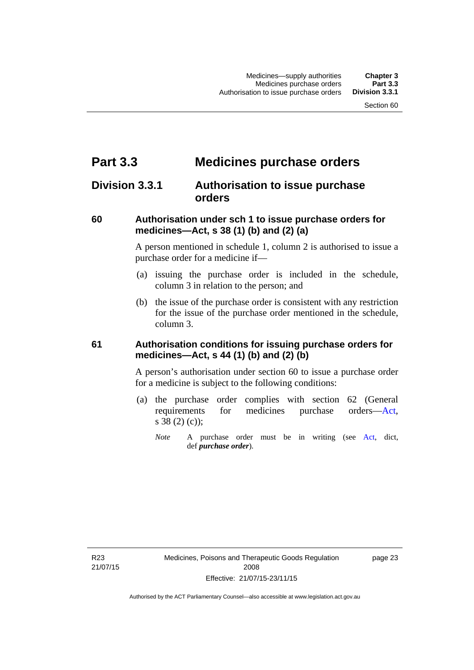# **Part 3.3 Medicines purchase orders**

## **Division 3.3.1 Authorisation to issue purchase orders**

## **60 Authorisation under sch 1 to issue purchase orders for medicines—Act, s 38 (1) (b) and (2) (a)**

A person mentioned in schedule 1, column 2 is authorised to issue a purchase order for a medicine if—

- (a) issuing the purchase order is included in the schedule, column 3 in relation to the person; and
- (b) the issue of the purchase order is consistent with any restriction for the issue of the purchase order mentioned in the schedule, column 3.

## **61 Authorisation conditions for issuing purchase orders for medicines—Act, s 44 (1) (b) and (2) (b)**

A person's authorisation under section 60 to issue a purchase order for a medicine is subject to the following conditions:

- (a) the purchase order complies with section 62 (General requirements for medicines purchase orders[—Act](http://www.legislation.act.gov.au/a/2008-26/default.asp), s 38 (2) (c));
	- *Note* A purchase order must be in writing (see [Act,](http://www.legislation.act.gov.au/a/2008-26/default.asp) dict, def *purchase order*).

R23 21/07/15 page 23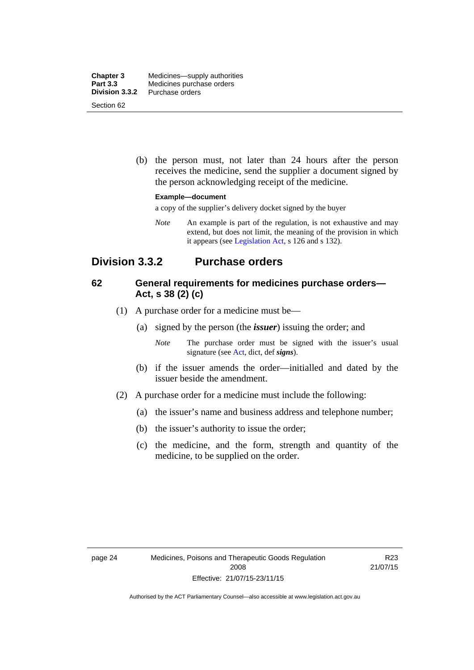| <b>Chapter 3</b> | Medicines—supply authorities |
|------------------|------------------------------|
| Part 3.3         | Medicines purchase orders    |
| Division 3.3.2   | Purchase orders              |
| Section 62       |                              |

 (b) the person must, not later than 24 hours after the person receives the medicine, send the supplier a document signed by the person acknowledging receipt of the medicine.

#### **Example—document**

a copy of the supplier's delivery docket signed by the buyer

*Note* An example is part of the regulation, is not exhaustive and may extend, but does not limit, the meaning of the provision in which it appears (see [Legislation Act,](http://www.legislation.act.gov.au/a/2001-14) s 126 and s 132).

## **Division 3.3.2 Purchase orders**

## **62 General requirements for medicines purchase orders— Act, s 38 (2) (c)**

- (1) A purchase order for a medicine must be—
	- (a) signed by the person (the *issuer*) issuing the order; and
		- *Note* The purchase order must be signed with the issuer's usual signature (see [Act](http://www.legislation.act.gov.au/a/2008-26/default.asp), dict, def *signs*).
	- (b) if the issuer amends the order—initialled and dated by the issuer beside the amendment.
- (2) A purchase order for a medicine must include the following:
	- (a) the issuer's name and business address and telephone number;
	- (b) the issuer's authority to issue the order;
	- (c) the medicine, and the form, strength and quantity of the medicine, to be supplied on the order.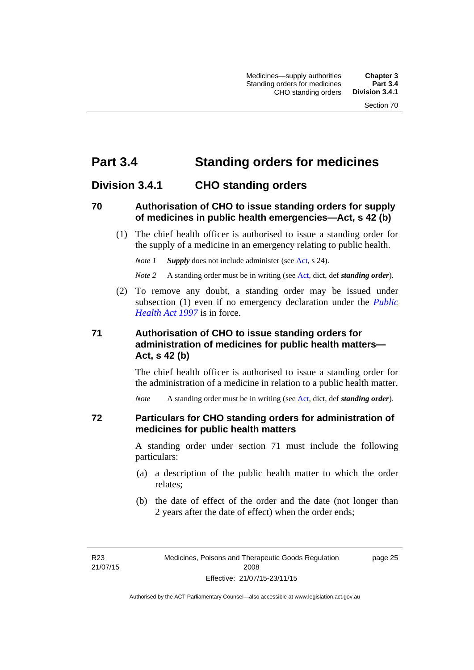# **Part 3.4 Standing orders for medicines**

## **Division 3.4.1 CHO standing orders**

### **70 Authorisation of CHO to issue standing orders for supply of medicines in public health emergencies—Act, s 42 (b)**

 (1) The chief health officer is authorised to issue a standing order for the supply of a medicine in an emergency relating to public health.

*Note 1 Supply* does not include administer (see [Act,](http://www.legislation.act.gov.au/a/2008-26/default.asp) s 24).

*Note 2* A standing order must be in writing (see [Act](http://www.legislation.act.gov.au/a/2008-26/default.asp), dict, def *standing order*).

 (2) To remove any doubt, a standing order may be issued under subsection (1) even if no emergency declaration under the *[Public](http://www.legislation.act.gov.au/a/1997-69)  [Health Act 1997](http://www.legislation.act.gov.au/a/1997-69)* is in force.

## **71 Authorisation of CHO to issue standing orders for administration of medicines for public health matters— Act, s 42 (b)**

The chief health officer is authorised to issue a standing order for the administration of a medicine in relation to a public health matter.

*Note* A standing order must be in writing (see [Act](http://www.legislation.act.gov.au/a/2008-26/default.asp), dict, def *standing order*).

### **72 Particulars for CHO standing orders for administration of medicines for public health matters**

A standing order under section 71 must include the following particulars:

- (a) a description of the public health matter to which the order relates;
- (b) the date of effect of the order and the date (not longer than 2 years after the date of effect) when the order ends;

R23 21/07/15 page 25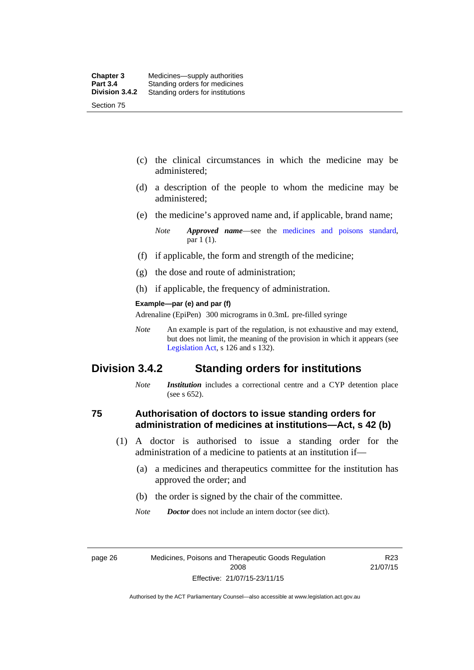- (c) the clinical circumstances in which the medicine may be administered;
- (d) a description of the people to whom the medicine may be administered;
- (e) the medicine's approved name and, if applicable, brand name;

- (f) if applicable, the form and strength of the medicine;
- (g) the dose and route of administration;
- (h) if applicable, the frequency of administration.

#### **Example—par (e) and par (f)**

Adrenaline (EpiPen) 300 micrograms in 0.3mL pre-filled syringe

*Note* An example is part of the regulation, is not exhaustive and may extend, but does not limit, the meaning of the provision in which it appears (see [Legislation Act,](http://www.legislation.act.gov.au/a/2001-14) s 126 and s 132).

## **Division 3.4.2 Standing orders for institutions**

*Note Institution* includes a correctional centre and a CYP detention place (see s 652).

### **75 Authorisation of doctors to issue standing orders for administration of medicines at institutions—Act, s 42 (b)**

- (1) A doctor is authorised to issue a standing order for the administration of a medicine to patients at an institution if—
	- (a) a medicines and therapeutics committee for the institution has approved the order; and
	- (b) the order is signed by the chair of the committee.
	- *Note Doctor* does not include an intern doctor (see dict).

R23 21/07/15

*Note Approved name*—see the [medicines and poisons standard,](http://www.comlaw.gov.au/Series/F2012L01200) par 1 (1).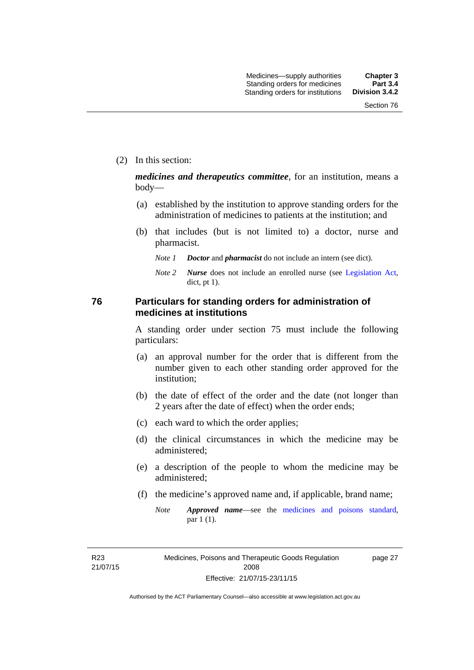(2) In this section:

*medicines and therapeutics committee*, for an institution, means a body—

- (a) established by the institution to approve standing orders for the administration of medicines to patients at the institution; and
- (b) that includes (but is not limited to) a doctor, nurse and pharmacist.
	- *Note 1 Doctor* and *pharmacist* do not include an intern (see dict).
	- *Note 2 Nurse* does not include an enrolled nurse (see [Legislation Act,](http://www.legislation.act.gov.au/a/2001-14) dict, pt 1).

### **76 Particulars for standing orders for administration of medicines at institutions**

A standing order under section 75 must include the following particulars:

- (a) an approval number for the order that is different from the number given to each other standing order approved for the institution;
- (b) the date of effect of the order and the date (not longer than 2 years after the date of effect) when the order ends;
- (c) each ward to which the order applies;
- (d) the clinical circumstances in which the medicine may be administered;
- (e) a description of the people to whom the medicine may be administered;
- (f) the medicine's approved name and, if applicable, brand name;
	- *Note Approved name*—see the [medicines and poisons standard,](http://www.comlaw.gov.au/Series/F2012L01200) par 1 (1).

R23 21/07/15 page 27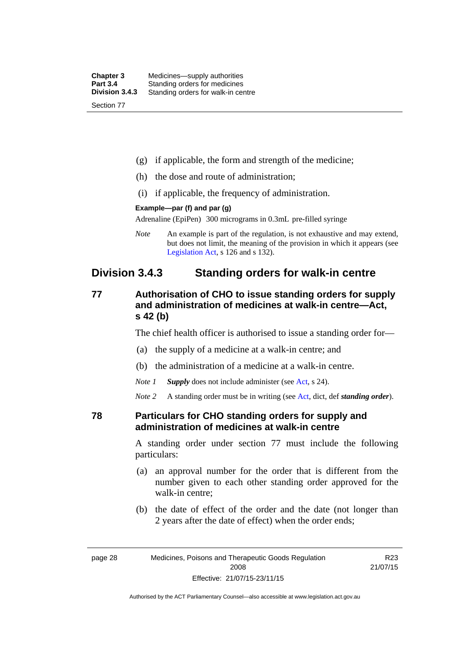| <b>Chapter 3</b> | Medicines—supply authorities       |
|------------------|------------------------------------|
| <b>Part 3.4</b>  | Standing orders for medicines      |
| Division 3.4.3   | Standing orders for walk-in centre |
| Section 77       |                                    |

- (g) if applicable, the form and strength of the medicine;
- (h) the dose and route of administration;
- (i) if applicable, the frequency of administration.

#### **Example—par (f) and par (g)**

Adrenaline (EpiPen) 300 micrograms in 0.3mL pre-filled syringe

*Note* An example is part of the regulation, is not exhaustive and may extend, but does not limit, the meaning of the provision in which it appears (see [Legislation Act,](http://www.legislation.act.gov.au/a/2001-14) s 126 and s 132).

## **Division 3.4.3 Standing orders for walk-in centre**

## **77 Authorisation of CHO to issue standing orders for supply and administration of medicines at walk-in centre—Act, s 42 (b)**

The chief health officer is authorised to issue a standing order for—

- (a) the supply of a medicine at a walk-in centre; and
- (b) the administration of a medicine at a walk-in centre.
- *Note 1 Supply* does not include administer (see [Act,](http://www.legislation.act.gov.au/a/2008-26/default.asp) s 24).

*Note 2* A standing order must be in writing (see [Act](http://www.legislation.act.gov.au/a/2008-26/default.asp), dict, def *standing order*).

### **78 Particulars for CHO standing orders for supply and administration of medicines at walk-in centre**

A standing order under section 77 must include the following particulars:

- (a) an approval number for the order that is different from the number given to each other standing order approved for the walk-in centre;
- (b) the date of effect of the order and the date (not longer than 2 years after the date of effect) when the order ends;

R23 21/07/15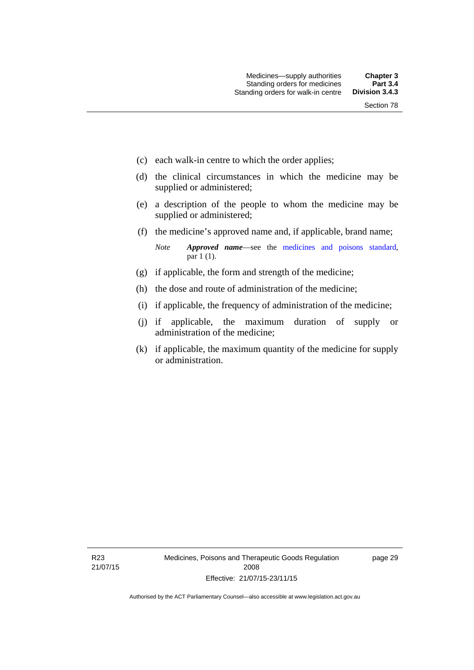- (c) each walk-in centre to which the order applies;
- (d) the clinical circumstances in which the medicine may be supplied or administered;
- (e) a description of the people to whom the medicine may be supplied or administered;
- (f) the medicine's approved name and, if applicable, brand name;

*Note Approved name*—see the [medicines and poisons standard,](http://www.comlaw.gov.au/Series/F2012L01200) par 1 (1).

- (g) if applicable, the form and strength of the medicine;
- (h) the dose and route of administration of the medicine;
- (i) if applicable, the frequency of administration of the medicine;
- (j) if applicable, the maximum duration of supply or administration of the medicine;
- (k) if applicable, the maximum quantity of the medicine for supply or administration.

page 29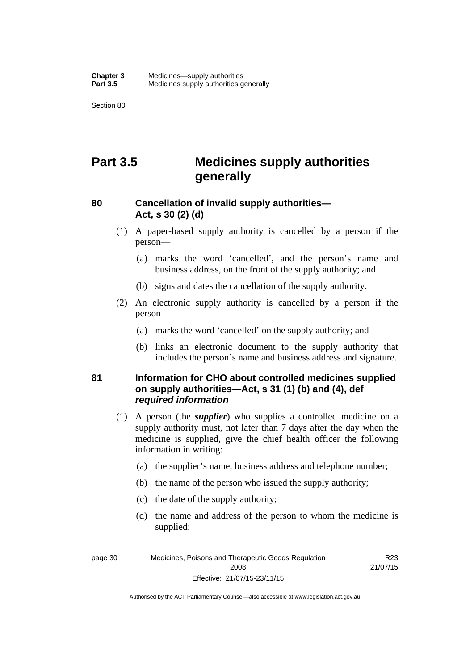Section 80

# **Part 3.5 Medicines supply authorities generally**

## **80 Cancellation of invalid supply authorities— Act, s 30 (2) (d)**

- (1) A paper-based supply authority is cancelled by a person if the person—
	- (a) marks the word 'cancelled', and the person's name and business address, on the front of the supply authority; and
	- (b) signs and dates the cancellation of the supply authority.
- (2) An electronic supply authority is cancelled by a person if the person—
	- (a) marks the word 'cancelled' on the supply authority; and
	- (b) links an electronic document to the supply authority that includes the person's name and business address and signature.

## **81 Information for CHO about controlled medicines supplied on supply authorities—Act, s 31 (1) (b) and (4), def**  *required information*

- (1) A person (the *supplier*) who supplies a controlled medicine on a supply authority must, not later than 7 days after the day when the medicine is supplied, give the chief health officer the following information in writing:
	- (a) the supplier's name, business address and telephone number;
	- (b) the name of the person who issued the supply authority;
	- (c) the date of the supply authority;
	- (d) the name and address of the person to whom the medicine is supplied;

R<sub>23</sub> 21/07/15

page 30 Medicines, Poisons and Therapeutic Goods Regulation 2008 Effective: 21/07/15-23/11/15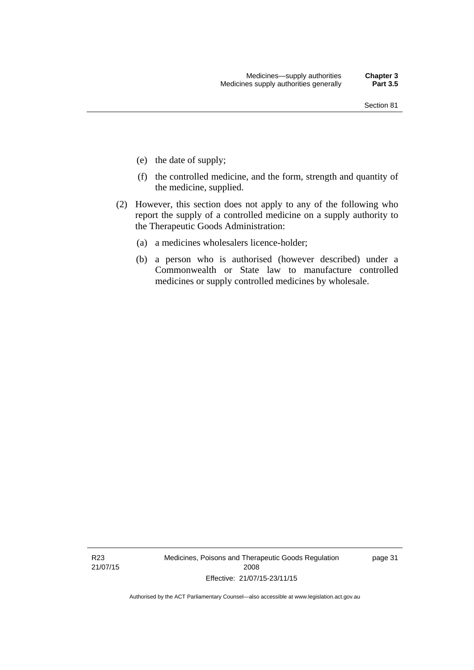- (e) the date of supply;
- (f) the controlled medicine, and the form, strength and quantity of the medicine, supplied.
- (2) However, this section does not apply to any of the following who report the supply of a controlled medicine on a supply authority to the Therapeutic Goods Administration:
	- (a) a medicines wholesalers licence-holder;
	- (b) a person who is authorised (however described) under a Commonwealth or State law to manufacture controlled medicines or supply controlled medicines by wholesale.

R23 21/07/15 Medicines, Poisons and Therapeutic Goods Regulation 2008 Effective: 21/07/15-23/11/15

page 31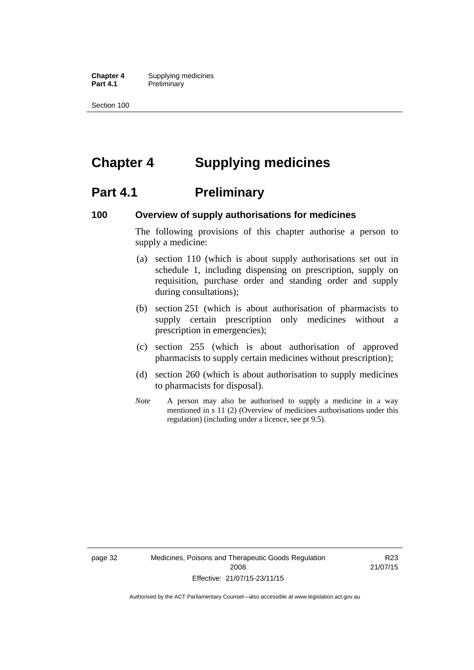**Chapter 4** Supplying medicines **Part 4.1** Preliminary

Section 100

# **Chapter 4 Supplying medicines**

## **Part 4.1** Preliminary

### **100 Overview of supply authorisations for medicines**

The following provisions of this chapter authorise a person to supply a medicine:

- (a) section 110 (which is about supply authorisations set out in schedule 1, including dispensing on prescription, supply on requisition, purchase order and standing order and supply during consultations);
- (b) section 251 (which is about authorisation of pharmacists to supply certain prescription only medicines without a prescription in emergencies);
- (c) section 255 (which is about authorisation of approved pharmacists to supply certain medicines without prescription);
- (d) section 260 (which is about authorisation to supply medicines to pharmacists for disposal).
- *Note* A person may also be authorised to supply a medicine in a way mentioned in s 11 (2) (Overview of medicines authorisations under this regulation) (including under a licence, see pt 9.5).

page 32 Medicines, Poisons and Therapeutic Goods Regulation 2008 Effective: 21/07/15-23/11/15

R23 21/07/15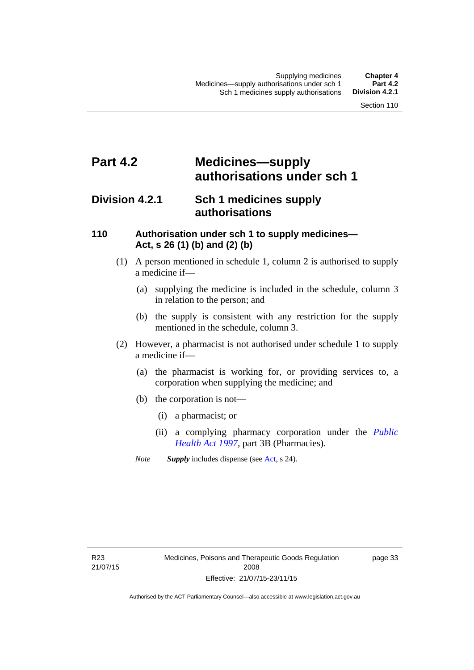# **Part 4.2 Medicines—supply authorisations under sch 1**

## **Division 4.2.1 Sch 1 medicines supply authorisations**

## **110 Authorisation under sch 1 to supply medicines— Act, s 26 (1) (b) and (2) (b)**

- (1) A person mentioned in schedule 1, column 2 is authorised to supply a medicine if—
	- (a) supplying the medicine is included in the schedule, column 3 in relation to the person; and
	- (b) the supply is consistent with any restriction for the supply mentioned in the schedule, column 3.
- (2) However, a pharmacist is not authorised under schedule 1 to supply a medicine if—
	- (a) the pharmacist is working for, or providing services to, a corporation when supplying the medicine; and
	- (b) the corporation is not—
		- (i) a pharmacist; or
		- (ii) a complying pharmacy corporation under the *[Public](http://www.legislation.act.gov.au/a/1997-69)  [Health Act 1997](http://www.legislation.act.gov.au/a/1997-69)*, part 3B (Pharmacies).
	- *Note Supply* includes dispense (see [Act,](http://www.legislation.act.gov.au/a/2008-26/default.asp) s 24).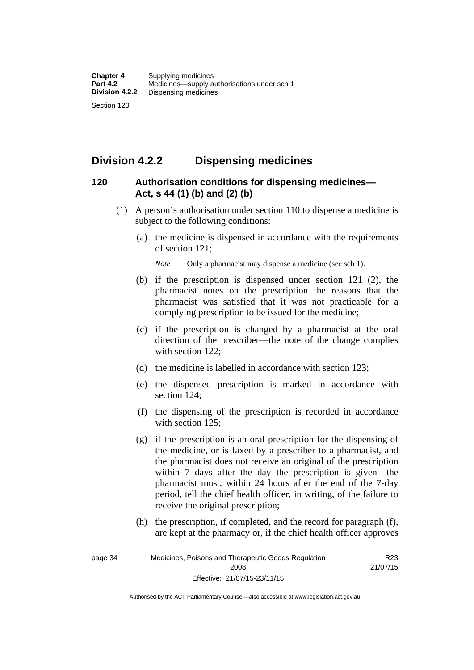## **Division 4.2.2 Dispensing medicines**

## **120 Authorisation conditions for dispensing medicines— Act, s 44 (1) (b) and (2) (b)**

- (1) A person's authorisation under section 110 to dispense a medicine is subject to the following conditions:
	- (a) the medicine is dispensed in accordance with the requirements of section 121;

*Note* Only a pharmacist may dispense a medicine (see sch 1).

- (b) if the prescription is dispensed under section 121 (2), the pharmacist notes on the prescription the reasons that the pharmacist was satisfied that it was not practicable for a complying prescription to be issued for the medicine;
- (c) if the prescription is changed by a pharmacist at the oral direction of the prescriber—the note of the change complies with section 122:
- (d) the medicine is labelled in accordance with section 123;
- (e) the dispensed prescription is marked in accordance with section 124;
- (f) the dispensing of the prescription is recorded in accordance with section 125:
- (g) if the prescription is an oral prescription for the dispensing of the medicine, or is faxed by a prescriber to a pharmacist, and the pharmacist does not receive an original of the prescription within 7 days after the day the prescription is given—the pharmacist must, within 24 hours after the end of the 7-day period, tell the chief health officer, in writing, of the failure to receive the original prescription;
- (h) the prescription, if completed, and the record for paragraph (f), are kept at the pharmacy or, if the chief health officer approves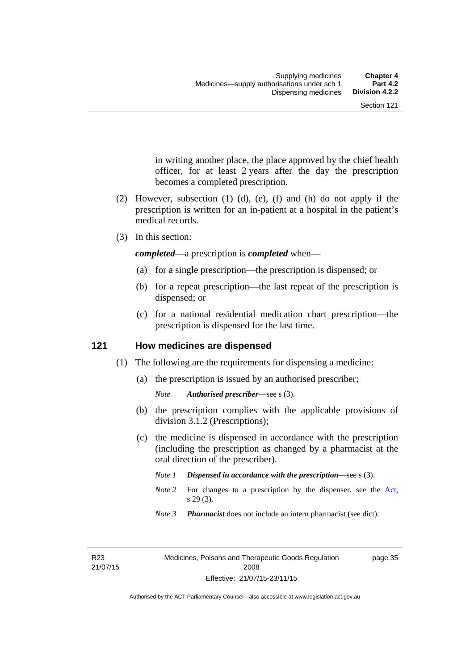in writing another place, the place approved by the chief health officer, for at least 2 years after the day the prescription becomes a completed prescription.

- (2) However, subsection (1) (d), (e), (f) and (h) do not apply if the prescription is written for an in-patient at a hospital in the patient's medical records.
- (3) In this section:

*completed*—a prescription is *completed* when—

- (a) for a single prescription—the prescription is dispensed; or
- (b) for a repeat prescription—the last repeat of the prescription is dispensed; or
- (c) for a national residential medication chart prescription––the prescription is dispensed for the last time.

### **121 How medicines are dispensed**

- (1) The following are the requirements for dispensing a medicine:
	- (a) the prescription is issued by an authorised prescriber;

- (b) the prescription complies with the applicable provisions of division 3.1.2 (Prescriptions);
- (c) the medicine is dispensed in accordance with the prescription (including the prescription as changed by a pharmacist at the oral direction of the prescriber).
	- *Note 1 Dispensed in accordance with the prescription*—see s (3).
	- *Note* 2 For changes to a prescription by the dispenser, see the [Act,](http://www.legislation.act.gov.au/a/2008-26/default.asp) s 29 (3).
	- *Note 3 Pharmacist* does not include an intern pharmacist (see dict).

R23 21/07/15 page 35

*Note Authorised prescriber*—see s (3).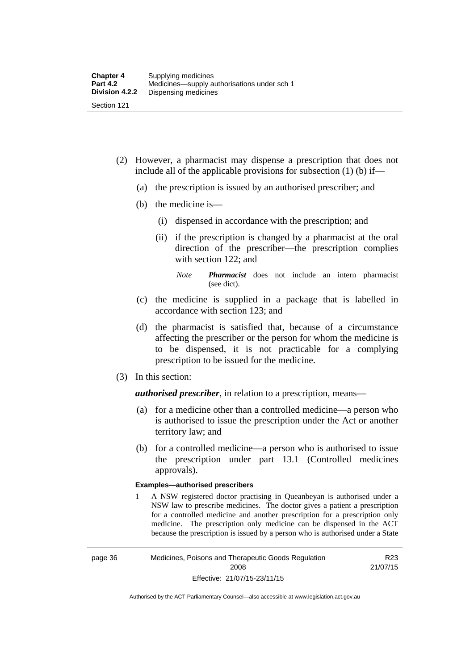- (2) However, a pharmacist may dispense a prescription that does not include all of the applicable provisions for subsection (1) (b) if—
	- (a) the prescription is issued by an authorised prescriber; and
	- (b) the medicine is—
		- (i) dispensed in accordance with the prescription; and
		- (ii) if the prescription is changed by a pharmacist at the oral direction of the prescriber—the prescription complies with section 122; and

*Note Pharmacist* does not include an intern pharmacist (see dict).

- (c) the medicine is supplied in a package that is labelled in accordance with section 123; and
- (d) the pharmacist is satisfied that, because of a circumstance affecting the prescriber or the person for whom the medicine is to be dispensed, it is not practicable for a complying prescription to be issued for the medicine.
- (3) In this section:

*authorised prescriber*, in relation to a prescription, means—

- (a) for a medicine other than a controlled medicine—a person who is authorised to issue the prescription under the Act or another territory law; and
- (b) for a controlled medicine—a person who is authorised to issue the prescription under part 13.1 (Controlled medicines approvals).

#### **Examples—authorised prescribers**

1 A NSW registered doctor practising in Queanbeyan is authorised under a NSW law to prescribe medicines. The doctor gives a patient a prescription for a controlled medicine and another prescription for a prescription only medicine. The prescription only medicine can be dispensed in the ACT because the prescription is issued by a person who is authorised under a State

R23 21/07/15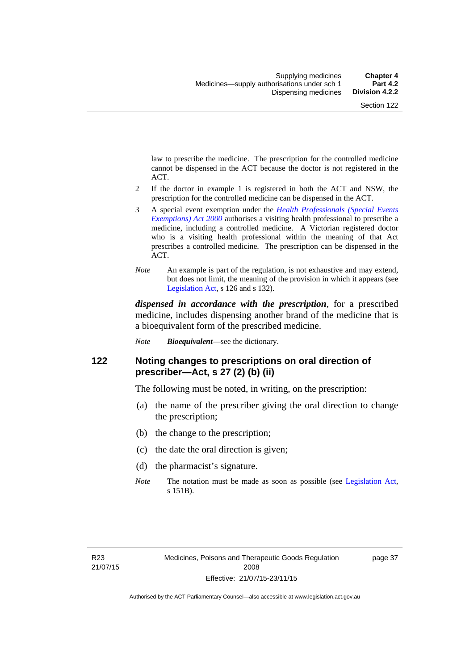law to prescribe the medicine. The prescription for the controlled medicine cannot be dispensed in the ACT because the doctor is not registered in the ACT.

- 2 If the doctor in example 1 is registered in both the ACT and NSW, the prescription for the controlled medicine can be dispensed in the ACT.
- 3 A special event exemption under the *[Health Professionals \(Special Events](http://www.legislation.act.gov.au/a/2000-25)  [Exemptions\) Act 2000](http://www.legislation.act.gov.au/a/2000-25)* authorises a visiting health professional to prescribe a medicine, including a controlled medicine. A Victorian registered doctor who is a visiting health professional within the meaning of that Act prescribes a controlled medicine. The prescription can be dispensed in the ACT.
- *Note* An example is part of the regulation, is not exhaustive and may extend, but does not limit, the meaning of the provision in which it appears (see [Legislation Act,](http://www.legislation.act.gov.au/a/2001-14) s 126 and s 132).

*dispensed in accordance with the prescription*, for a prescribed medicine, includes dispensing another brand of the medicine that is a bioequivalent form of the prescribed medicine.

*Note Bioequivalent*—see the dictionary.

### **122 Noting changes to prescriptions on oral direction of prescriber—Act, s 27 (2) (b) (ii)**

The following must be noted, in writing, on the prescription:

- (a) the name of the prescriber giving the oral direction to change the prescription;
- (b) the change to the prescription;
- (c) the date the oral direction is given;
- (d) the pharmacist's signature.
- *Note* The notation must be made as soon as possible (see [Legislation Act,](http://www.legislation.act.gov.au/a/2001-14) s 151B).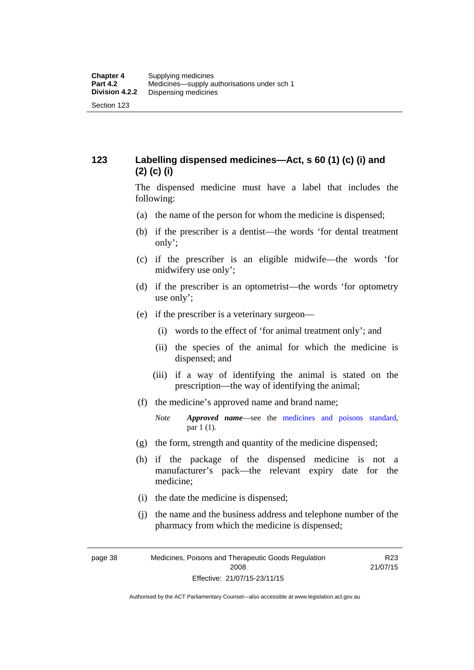## **123 Labelling dispensed medicines—Act, s 60 (1) (c) (i) and (2) (c) (i)**

The dispensed medicine must have a label that includes the following:

- (a) the name of the person for whom the medicine is dispensed;
- (b) if the prescriber is a dentist—the words 'for dental treatment only';
- (c) if the prescriber is an eligible midwife—the words 'for midwifery use only';
- (d) if the prescriber is an optometrist—the words 'for optometry use only';
- (e) if the prescriber is a veterinary surgeon—
	- (i) words to the effect of 'for animal treatment only'; and
	- (ii) the species of the animal for which the medicine is dispensed; and
	- (iii) if a way of identifying the animal is stated on the prescription—the way of identifying the animal;
- (f) the medicine's approved name and brand name;
	- *Note Approved name*—see the [medicines and poisons standard,](http://www.comlaw.gov.au/Series/F2012L01200) par 1 (1).
- (g) the form, strength and quantity of the medicine dispensed;
- (h) if the package of the dispensed medicine is not a manufacturer's pack—the relevant expiry date for the medicine;
- (i) the date the medicine is dispensed;
- (j) the name and the business address and telephone number of the pharmacy from which the medicine is dispensed;

R23 21/07/15

page 38 Medicines, Poisons and Therapeutic Goods Regulation 2008 Effective: 21/07/15-23/11/15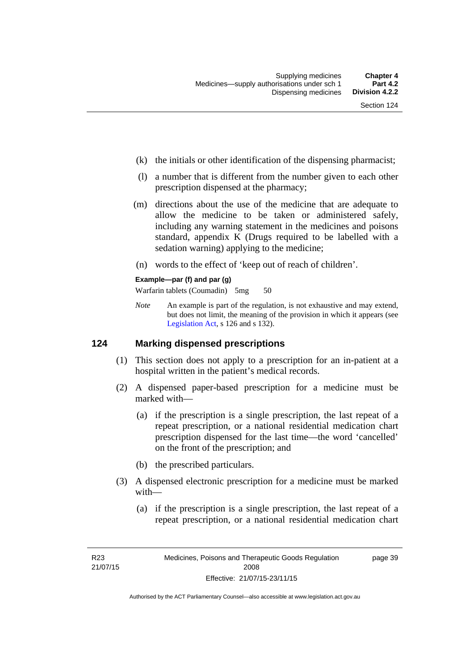- (k) the initials or other identification of the dispensing pharmacist;
- (l) a number that is different from the number given to each other prescription dispensed at the pharmacy;
- (m) directions about the use of the medicine that are adequate to allow the medicine to be taken or administered safely, including any warning statement in the medicines and poisons standard, appendix K (Drugs required to be labelled with a sedation warning) applying to the medicine;
- (n) words to the effect of 'keep out of reach of children'.

#### **Example—par (f) and par (g)**

Warfarin tablets (Coumadin) 5mg 50

*Note* An example is part of the regulation, is not exhaustive and may extend, but does not limit, the meaning of the provision in which it appears (see [Legislation Act,](http://www.legislation.act.gov.au/a/2001-14) s 126 and s 132).

### **124 Marking dispensed prescriptions**

- (1) This section does not apply to a prescription for an in-patient at a hospital written in the patient's medical records.
- (2) A dispensed paper-based prescription for a medicine must be marked with—
	- (a) if the prescription is a single prescription, the last repeat of a repeat prescription, or a national residential medication chart prescription dispensed for the last time––the word 'cancelled' on the front of the prescription; and
	- (b) the prescribed particulars.
- (3) A dispensed electronic prescription for a medicine must be marked with—
	- (a) if the prescription is a single prescription, the last repeat of a repeat prescription, or a national residential medication chart

page 39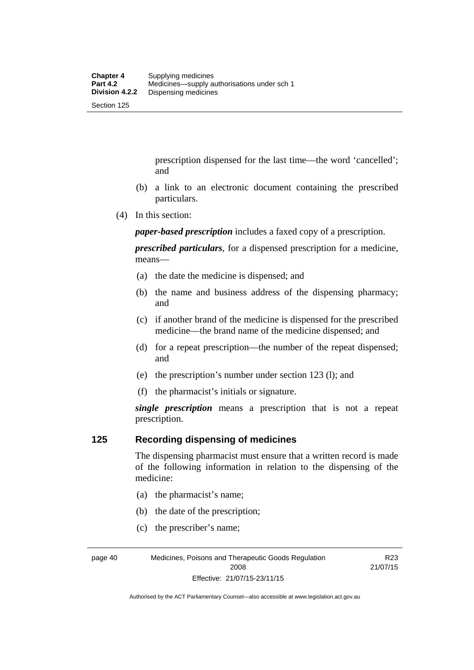prescription dispensed for the last time––the word 'cancelled'; and

- (b) a link to an electronic document containing the prescribed particulars.
- (4) In this section:

*paper-based prescription* includes a faxed copy of a prescription.

*prescribed particulars*, for a dispensed prescription for a medicine, means—

- (a) the date the medicine is dispensed; and
- (b) the name and business address of the dispensing pharmacy; and
- (c) if another brand of the medicine is dispensed for the prescribed medicine—the brand name of the medicine dispensed; and
- (d) for a repeat prescription—the number of the repeat dispensed; and
- (e) the prescription's number under section 123 (l); and
- (f) the pharmacist's initials or signature.

*single prescription* means a prescription that is not a repeat prescription.

### **125 Recording dispensing of medicines**

The dispensing pharmacist must ensure that a written record is made of the following information in relation to the dispensing of the medicine:

- (a) the pharmacist's name;
- (b) the date of the prescription;
- (c) the prescriber's name;

page 40 Medicines, Poisons and Therapeutic Goods Regulation 2008 Effective: 21/07/15-23/11/15

R23 21/07/15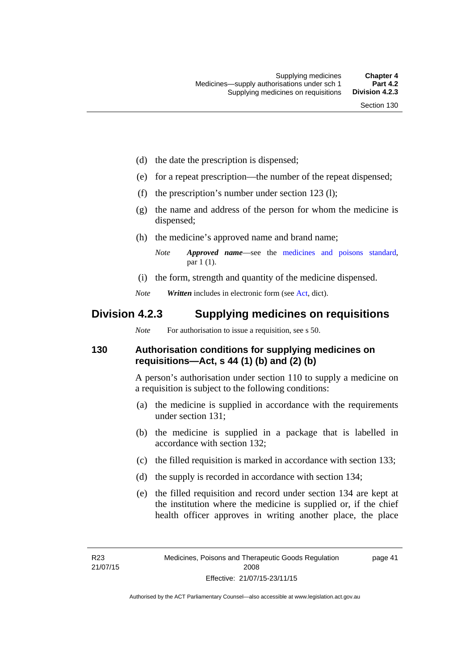- (d) the date the prescription is dispensed;
- (e) for a repeat prescription—the number of the repeat dispensed;
- (f) the prescription's number under section 123 (l);
- (g) the name and address of the person for whom the medicine is dispensed;
- (h) the medicine's approved name and brand name;
	- *Note Approved name*—see the [medicines and poisons standard,](http://www.comlaw.gov.au/Series/F2012L01200) par 1 (1).
- (i) the form, strength and quantity of the medicine dispensed.
- *Note Written* includes in electronic form (see [Act,](http://www.legislation.act.gov.au/a/2008-26/default.asp) dict).

## **Division 4.2.3 Supplying medicines on requisitions**

*Note* For authorisation to issue a requisition, see s 50.

## **130 Authorisation conditions for supplying medicines on requisitions—Act, s 44 (1) (b) and (2) (b)**

A person's authorisation under section 110 to supply a medicine on a requisition is subject to the following conditions:

- (a) the medicine is supplied in accordance with the requirements under section 131;
- (b) the medicine is supplied in a package that is labelled in accordance with section 132;
- (c) the filled requisition is marked in accordance with section 133;
- (d) the supply is recorded in accordance with section 134;
- (e) the filled requisition and record under section 134 are kept at the institution where the medicine is supplied or, if the chief health officer approves in writing another place, the place

page 41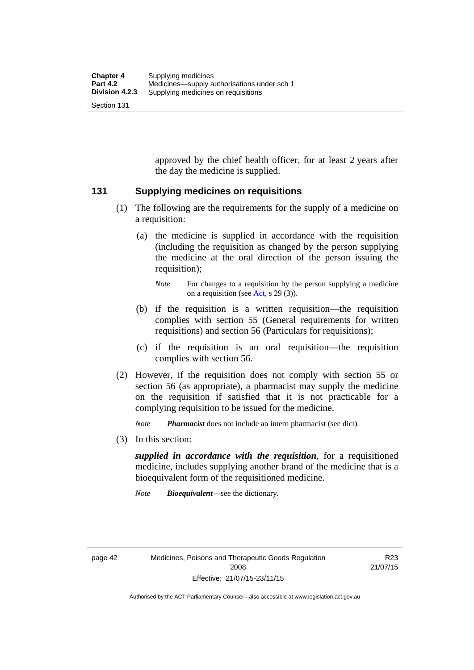approved by the chief health officer, for at least 2 years after the day the medicine is supplied.

### **131 Supplying medicines on requisitions**

- (1) The following are the requirements for the supply of a medicine on a requisition:
	- (a) the medicine is supplied in accordance with the requisition (including the requisition as changed by the person supplying the medicine at the oral direction of the person issuing the requisition);

- (b) if the requisition is a written requisition—the requisition complies with section 55 (General requirements for written requisitions) and section 56 (Particulars for requisitions);
- (c) if the requisition is an oral requisition—the requisition complies with section 56.
- (2) However, if the requisition does not comply with section 55 or section 56 (as appropriate), a pharmacist may supply the medicine on the requisition if satisfied that it is not practicable for a complying requisition to be issued for the medicine.

*Note Pharmacist* does not include an intern pharmacist (see dict).

(3) In this section:

*supplied in accordance with the requisition*, for a requisitioned medicine, includes supplying another brand of the medicine that is a bioequivalent form of the requisitioned medicine.

*Note Bioequivalent*—see the dictionary.

R23 21/07/15

*Note* For changes to a requisition by the person supplying a medicine on a requisition (see [Act,](http://www.legislation.act.gov.au/a/2008-26/default.asp) s 29 (3)).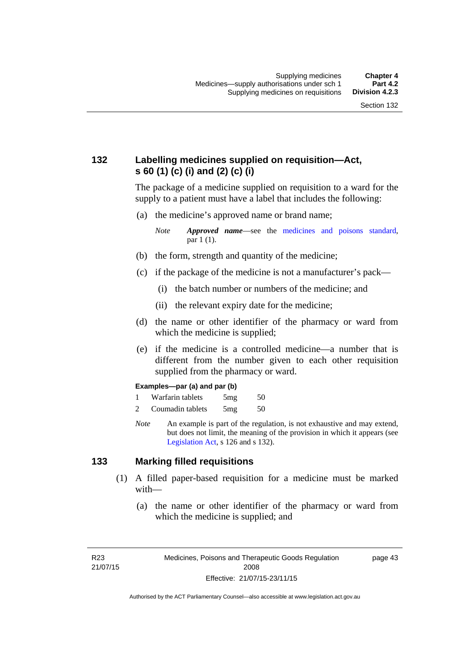## **132 Labelling medicines supplied on requisition—Act, s 60 (1) (c) (i) and (2) (c) (i)**

The package of a medicine supplied on requisition to a ward for the supply to a patient must have a label that includes the following:

(a) the medicine's approved name or brand name;

*Note Approved name*—see the [medicines and poisons standard,](http://www.comlaw.gov.au/Series/F2012L01200) par 1 (1).

- (b) the form, strength and quantity of the medicine;
- (c) if the package of the medicine is not a manufacturer's pack—
	- (i) the batch number or numbers of the medicine; and
	- (ii) the relevant expiry date for the medicine;
- (d) the name or other identifier of the pharmacy or ward from which the medicine is supplied;
- (e) if the medicine is a controlled medicine—a number that is different from the number given to each other requisition supplied from the pharmacy or ward.

#### **Examples—par (a) and par (b)**

- 1 Warfarin tablets 5mg 50
- 2 Coumadin tablets 5mg 50
- *Note* An example is part of the regulation, is not exhaustive and may extend, but does not limit, the meaning of the provision in which it appears (see [Legislation Act,](http://www.legislation.act.gov.au/a/2001-14) s 126 and s 132).

### **133 Marking filled requisitions**

- (1) A filled paper-based requisition for a medicine must be marked with—
	- (a) the name or other identifier of the pharmacy or ward from which the medicine is supplied; and

R23 21/07/15 page 43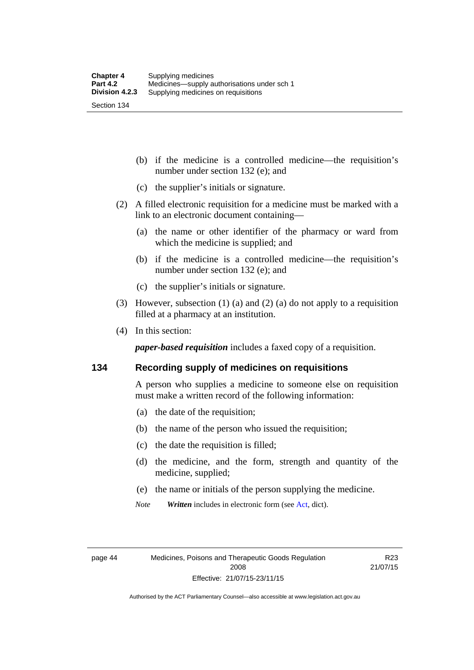(b) if the medicine is a controlled medicine—the requisition's number under section 132 (e); and

- (c) the supplier's initials or signature.
- (2) A filled electronic requisition for a medicine must be marked with a link to an electronic document containing—
	- (a) the name or other identifier of the pharmacy or ward from which the medicine is supplied; and
	- (b) if the medicine is a controlled medicine—the requisition's number under section 132 (e); and
	- (c) the supplier's initials or signature.
- (3) However, subsection (1) (a) and (2) (a) do not apply to a requisition filled at a pharmacy at an institution.
- (4) In this section:

*paper-based requisition* includes a faxed copy of a requisition.

#### **134 Recording supply of medicines on requisitions**

A person who supplies a medicine to someone else on requisition must make a written record of the following information:

- (a) the date of the requisition;
- (b) the name of the person who issued the requisition;
- (c) the date the requisition is filled;
- (d) the medicine, and the form, strength and quantity of the medicine, supplied;
- (e) the name or initials of the person supplying the medicine.
- *Note Written* includes in electronic form (see [Act,](http://www.legislation.act.gov.au/a/2008-26/default.asp) dict).

R23 21/07/15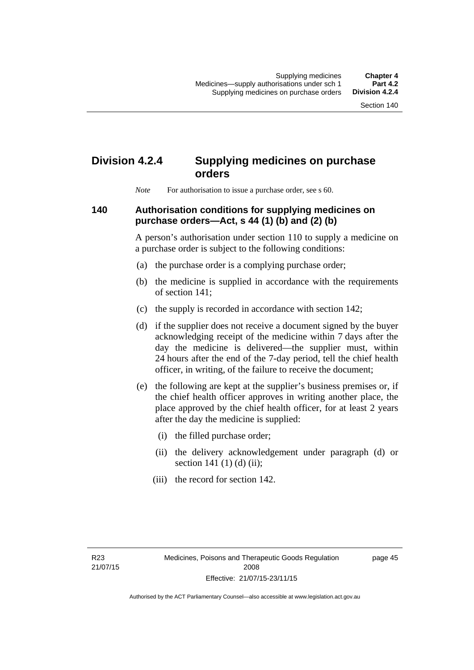# **Division 4.2.4 Supplying medicines on purchase orders**

*Note* For authorisation to issue a purchase order, see s 60.

## **140 Authorisation conditions for supplying medicines on purchase orders—Act, s 44 (1) (b) and (2) (b)**

A person's authorisation under section 110 to supply a medicine on a purchase order is subject to the following conditions:

- (a) the purchase order is a complying purchase order;
- (b) the medicine is supplied in accordance with the requirements of section 141;
- (c) the supply is recorded in accordance with section 142;
- (d) if the supplier does not receive a document signed by the buyer acknowledging receipt of the medicine within 7 days after the day the medicine is delivered—the supplier must, within 24 hours after the end of the 7-day period, tell the chief health officer, in writing, of the failure to receive the document;
- (e) the following are kept at the supplier's business premises or, if the chief health officer approves in writing another place, the place approved by the chief health officer, for at least 2 years after the day the medicine is supplied:
	- (i) the filled purchase order;
	- (ii) the delivery acknowledgement under paragraph (d) or section 141 $(1)$  $(d)$  $(ii)$ ;
	- (iii) the record for section 142.

page 45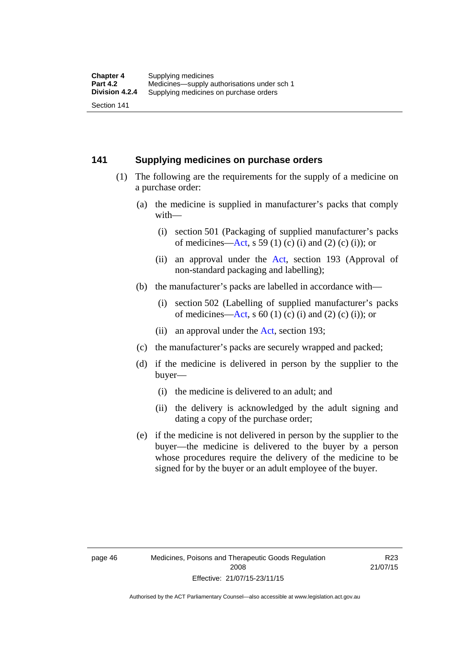### **141 Supplying medicines on purchase orders**

- (1) The following are the requirements for the supply of a medicine on a purchase order:
	- (a) the medicine is supplied in manufacturer's packs that comply with—
		- (i) section 501 (Packaging of supplied manufacturer's packs of medicines—[Act](http://www.legislation.act.gov.au/a/2008-26/default.asp), s 59 (1) (c) (i) and (2) (c) (i)); or
		- (ii) an approval under the [Act](http://www.legislation.act.gov.au/a/2008-26/default.asp), section 193 (Approval of non-standard packaging and labelling);
	- (b) the manufacturer's packs are labelled in accordance with—
		- (i) section 502 (Labelling of supplied manufacturer's packs of medicines—[Act](http://www.legislation.act.gov.au/a/2008-26/default.asp), s  $60(1)$  (c) (i) and (2) (c) (i)); or
		- (ii) an approval under the [Act,](http://www.legislation.act.gov.au/a/2008-26/default.asp) section 193;
	- (c) the manufacturer's packs are securely wrapped and packed;
	- (d) if the medicine is delivered in person by the supplier to the buyer—
		- (i) the medicine is delivered to an adult; and
		- (ii) the delivery is acknowledged by the adult signing and dating a copy of the purchase order;
	- (e) if the medicine is not delivered in person by the supplier to the buyer—the medicine is delivered to the buyer by a person whose procedures require the delivery of the medicine to be signed for by the buyer or an adult employee of the buyer.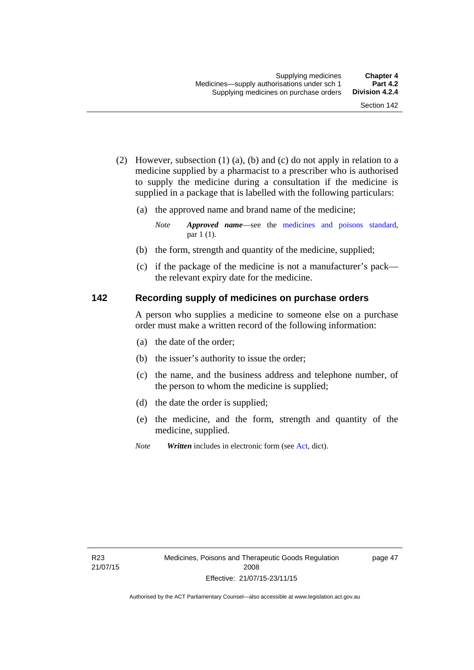- (2) However, subsection (1) (a), (b) and (c) do not apply in relation to a medicine supplied by a pharmacist to a prescriber who is authorised to supply the medicine during a consultation if the medicine is supplied in a package that is labelled with the following particulars:
	- (a) the approved name and brand name of the medicine;

*Note Approved name*—see the [medicines and poisons standard,](http://www.comlaw.gov.au/Series/F2012L01200) par 1 (1).

- (b) the form, strength and quantity of the medicine, supplied;
- (c) if the package of the medicine is not a manufacturer's pack the relevant expiry date for the medicine.

## **142 Recording supply of medicines on purchase orders**

A person who supplies a medicine to someone else on a purchase order must make a written record of the following information:

- (a) the date of the order;
- (b) the issuer's authority to issue the order;
- (c) the name, and the business address and telephone number, of the person to whom the medicine is supplied;
- (d) the date the order is supplied;
- (e) the medicine, and the form, strength and quantity of the medicine, supplied.
- *Note Written* includes in electronic form (see [Act,](http://www.legislation.act.gov.au/a/2008-26/default.asp) dict).

page 47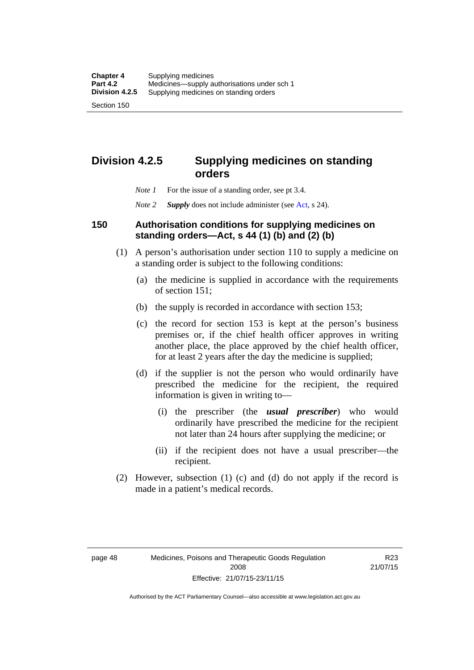## **Division 4.2.5 Supplying medicines on standing orders**

- *Note 1* For the issue of a standing order, see pt 3.4.
- *Note 2 Supply* does not include administer (see [Act,](http://www.legislation.act.gov.au/a/2008-26/default.asp) s 24).

### **150 Authorisation conditions for supplying medicines on standing orders—Act, s 44 (1) (b) and (2) (b)**

- (1) A person's authorisation under section 110 to supply a medicine on a standing order is subject to the following conditions:
	- (a) the medicine is supplied in accordance with the requirements of section 151;
	- (b) the supply is recorded in accordance with section 153;
	- (c) the record for section 153 is kept at the person's business premises or, if the chief health officer approves in writing another place, the place approved by the chief health officer, for at least 2 years after the day the medicine is supplied;
	- (d) if the supplier is not the person who would ordinarily have prescribed the medicine for the recipient, the required information is given in writing to—
		- (i) the prescriber (the *usual prescriber*) who would ordinarily have prescribed the medicine for the recipient not later than 24 hours after supplying the medicine; or
		- (ii) if the recipient does not have a usual prescriber—the recipient.
- (2) However, subsection (1) (c) and (d) do not apply if the record is made in a patient's medical records.

page 48 Medicines, Poisons and Therapeutic Goods Regulation 2008 Effective: 21/07/15-23/11/15

R23 21/07/15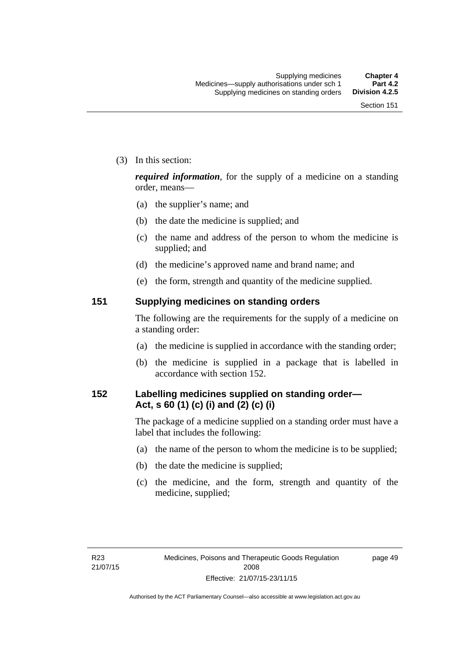(3) In this section:

*required information*, for the supply of a medicine on a standing order, means—

- (a) the supplier's name; and
- (b) the date the medicine is supplied; and
- (c) the name and address of the person to whom the medicine is supplied; and
- (d) the medicine's approved name and brand name; and
- (e) the form, strength and quantity of the medicine supplied.

### **151 Supplying medicines on standing orders**

The following are the requirements for the supply of a medicine on a standing order:

- (a) the medicine is supplied in accordance with the standing order;
- (b) the medicine is supplied in a package that is labelled in accordance with section 152.

## **152 Labelling medicines supplied on standing order— Act, s 60 (1) (c) (i) and (2) (c) (i)**

The package of a medicine supplied on a standing order must have a label that includes the following:

- (a) the name of the person to whom the medicine is to be supplied;
- (b) the date the medicine is supplied;
- (c) the medicine, and the form, strength and quantity of the medicine, supplied;

page 49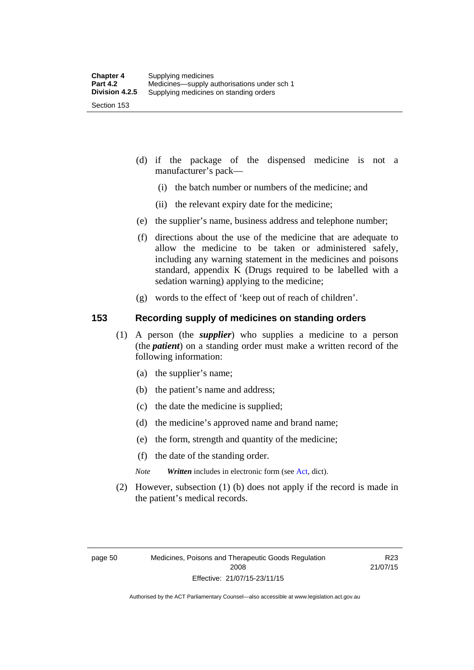- (d) if the package of the dispensed medicine is not a manufacturer's pack—
	- (i) the batch number or numbers of the medicine; and
	- (ii) the relevant expiry date for the medicine;
- (e) the supplier's name, business address and telephone number;
- (f) directions about the use of the medicine that are adequate to allow the medicine to be taken or administered safely, including any warning statement in the medicines and poisons standard, appendix K (Drugs required to be labelled with a sedation warning) applying to the medicine;
- (g) words to the effect of 'keep out of reach of children'.

### **153 Recording supply of medicines on standing orders**

- (1) A person (the *supplier*) who supplies a medicine to a person (the *patient*) on a standing order must make a written record of the following information:
	- (a) the supplier's name;
	- (b) the patient's name and address;
	- (c) the date the medicine is supplied;
	- (d) the medicine's approved name and brand name;
	- (e) the form, strength and quantity of the medicine;
	- (f) the date of the standing order.
	- *Note Written* includes in electronic form (see [Act,](http://www.legislation.act.gov.au/a/2008-26/default.asp) dict).
- (2) However, subsection (1) (b) does not apply if the record is made in the patient's medical records.

R23 21/07/15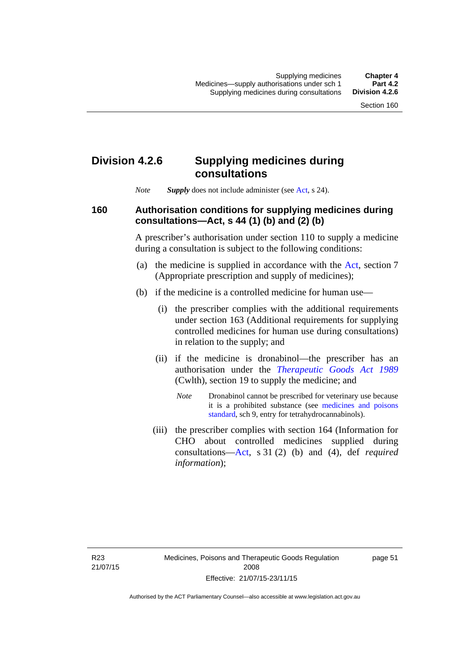## **Division 4.2.6 Supplying medicines during consultations**

*Note Supply* does not include administer (see [Act,](http://www.legislation.act.gov.au/a/2008-26/default.asp) s 24).

### **160 Authorisation conditions for supplying medicines during consultations—Act, s 44 (1) (b) and (2) (b)**

A prescriber's authorisation under section 110 to supply a medicine during a consultation is subject to the following conditions:

- (a) the medicine is supplied in accordance with the [Act](http://www.legislation.act.gov.au/a/2008-26/default.asp), section 7 (Appropriate prescription and supply of medicines);
- (b) if the medicine is a controlled medicine for human use—
	- (i) the prescriber complies with the additional requirements under section 163 (Additional requirements for supplying controlled medicines for human use during consultations) in relation to the supply; and
	- (ii) if the medicine is dronabinol—the prescriber has an authorisation under the *[Therapeutic Goods Act 1989](http://www.comlaw.gov.au/Series/C2004A03952)* (Cwlth), section 19 to supply the medicine; and
		- *Note* Dronabinol cannot be prescribed for veterinary use because it is a prohibited substance (see [medicines and poisons](http://www.comlaw.gov.au/Series/F2012L01200)  [standard,](http://www.comlaw.gov.au/Series/F2012L01200) sch 9, entry for tetrahydrocannabinols).
	- (iii) the prescriber complies with section 164 (Information for CHO about controlled medicines supplied during consultations[—Act,](http://www.legislation.act.gov.au/a/2008-26/default.asp) s 31 (2) (b) and (4), def *required information*);

page 51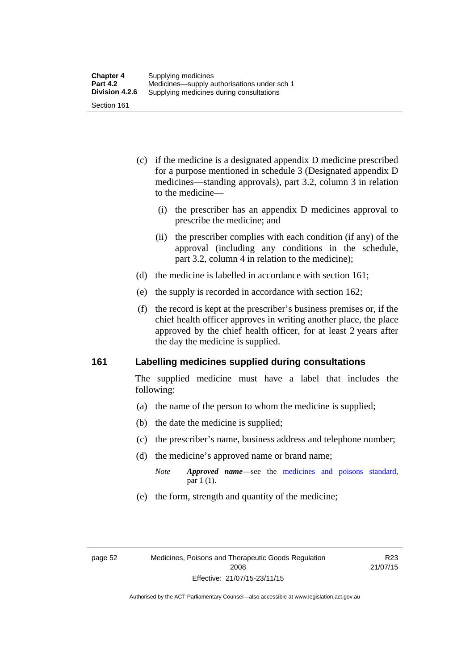- (c) if the medicine is a designated appendix D medicine prescribed for a purpose mentioned in schedule 3 (Designated appendix D medicines—standing approvals), part 3.2, column 3 in relation to the medicine—
	- (i) the prescriber has an appendix D medicines approval to prescribe the medicine; and
	- (ii) the prescriber complies with each condition (if any) of the approval (including any conditions in the schedule, part 3.2, column 4 in relation to the medicine);
- (d) the medicine is labelled in accordance with section 161;
- (e) the supply is recorded in accordance with section 162;
- (f) the record is kept at the prescriber's business premises or, if the chief health officer approves in writing another place, the place approved by the chief health officer, for at least 2 years after the day the medicine is supplied.

### **161 Labelling medicines supplied during consultations**

The supplied medicine must have a label that includes the following:

- (a) the name of the person to whom the medicine is supplied;
- (b) the date the medicine is supplied;
- (c) the prescriber's name, business address and telephone number;
- (d) the medicine's approved name or brand name;
	- *Note Approved name*—see the [medicines and poisons standard,](http://www.comlaw.gov.au/Series/F2012L01200) par 1 (1).
- (e) the form, strength and quantity of the medicine;

R23 21/07/15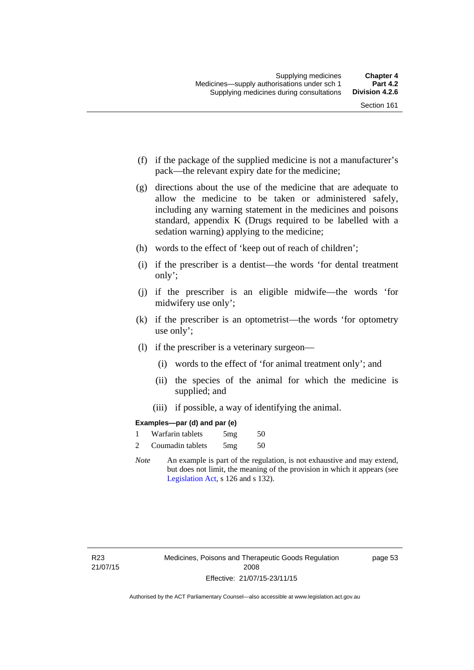- (f) if the package of the supplied medicine is not a manufacturer's pack—the relevant expiry date for the medicine;
- (g) directions about the use of the medicine that are adequate to allow the medicine to be taken or administered safely, including any warning statement in the medicines and poisons standard, appendix K (Drugs required to be labelled with a sedation warning) applying to the medicine;
- (h) words to the effect of 'keep out of reach of children';
- (i) if the prescriber is a dentist—the words 'for dental treatment only';
- (j) if the prescriber is an eligible midwife—the words 'for midwifery use only';
- (k) if the prescriber is an optometrist—the words 'for optometry use only';
- (l) if the prescriber is a veterinary surgeon—
	- (i) words to the effect of 'for animal treatment only'; and
	- (ii) the species of the animal for which the medicine is supplied; and
	- (iii) if possible, a way of identifying the animal.

### **Examples—par (d) and par (e)**

| Warfarin tablets | 5mg | 50 |
|------------------|-----|----|
| Coumadin tablets | 5mg | 50 |

*Note* An example is part of the regulation, is not exhaustive and may extend, but does not limit, the meaning of the provision in which it appears (see [Legislation Act,](http://www.legislation.act.gov.au/a/2001-14) s 126 and s 132).

page 53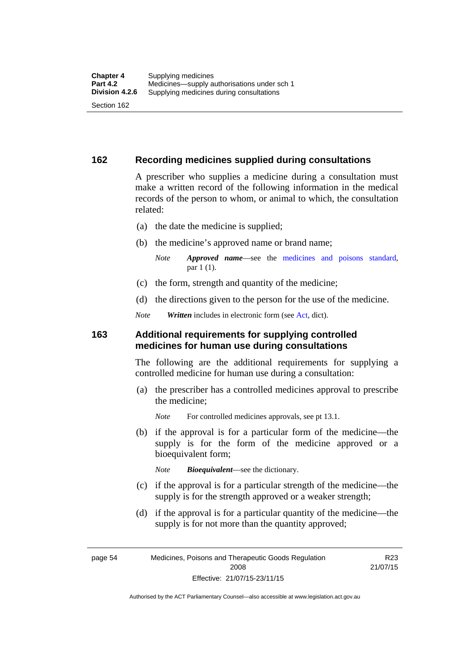### **162 Recording medicines supplied during consultations**

A prescriber who supplies a medicine during a consultation must make a written record of the following information in the medical records of the person to whom, or animal to which, the consultation related:

- (a) the date the medicine is supplied;
- (b) the medicine's approved name or brand name;

*Note Approved name*—see the [medicines and poisons standard,](http://www.comlaw.gov.au/Series/F2012L01200) par 1 (1).

- (c) the form, strength and quantity of the medicine;
- (d) the directions given to the person for the use of the medicine.

*Note Written* includes in electronic form (see [Act,](http://www.legislation.act.gov.au/a/2008-26/default.asp) dict).

### **163 Additional requirements for supplying controlled medicines for human use during consultations**

The following are the additional requirements for supplying a controlled medicine for human use during a consultation:

- (a) the prescriber has a controlled medicines approval to prescribe the medicine;
	- *Note* For controlled medicines approvals, see pt 13.1.
- (b) if the approval is for a particular form of the medicine—the supply is for the form of the medicine approved or a bioequivalent form;

*Note Bioequivalent*—see the dictionary.

- (c) if the approval is for a particular strength of the medicine—the supply is for the strength approved or a weaker strength;
- (d) if the approval is for a particular quantity of the medicine—the supply is for not more than the quantity approved;

page 54 Medicines, Poisons and Therapeutic Goods Regulation 2008 Effective: 21/07/15-23/11/15

R23 21/07/15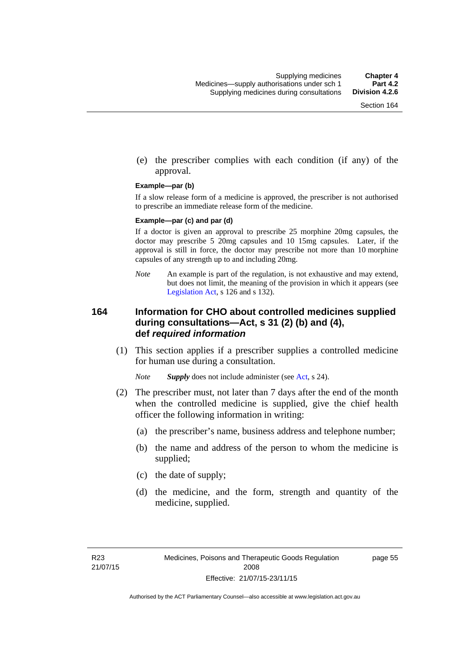(e) the prescriber complies with each condition (if any) of the approval.

#### **Example—par (b)**

If a slow release form of a medicine is approved, the prescriber is not authorised to prescribe an immediate release form of the medicine.

#### **Example—par (c) and par (d)**

If a doctor is given an approval to prescribe 25 morphine 20mg capsules, the doctor may prescribe 5 20mg capsules and 10 15mg capsules. Later, if the approval is still in force, the doctor may prescribe not more than 10 morphine capsules of any strength up to and including 20mg.

*Note* An example is part of the regulation, is not exhaustive and may extend, but does not limit, the meaning of the provision in which it appears (see [Legislation Act,](http://www.legislation.act.gov.au/a/2001-14) s 126 and s 132).

### **164 Information for CHO about controlled medicines supplied during consultations—Act, s 31 (2) (b) and (4), def** *required information*

 (1) This section applies if a prescriber supplies a controlled medicine for human use during a consultation.

*Note Supply* does not include administer (see [Act,](http://www.legislation.act.gov.au/a/2008-26/default.asp) s 24).

- (2) The prescriber must, not later than 7 days after the end of the month when the controlled medicine is supplied, give the chief health officer the following information in writing:
	- (a) the prescriber's name, business address and telephone number;
	- (b) the name and address of the person to whom the medicine is supplied;
	- (c) the date of supply;
	- (d) the medicine, and the form, strength and quantity of the medicine, supplied.

page 55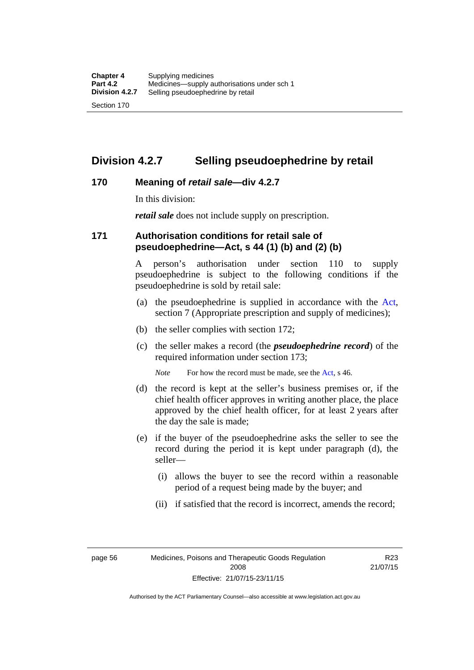## **Division 4.2.7 Selling pseudoephedrine by retail**

### **170 Meaning of** *retail sale***—div 4.2.7**

In this division:

*retail sale* does not include supply on prescription.

### **171 Authorisation conditions for retail sale of pseudoephedrine—Act, s 44 (1) (b) and (2) (b)**

A person's authorisation under section 110 to supply pseudoephedrine is subject to the following conditions if the pseudoephedrine is sold by retail sale:

- (a) the pseudoephedrine is supplied in accordance with the [Act](http://www.legislation.act.gov.au/a/2008-26/default.asp), section 7 (Appropriate prescription and supply of medicines);
- (b) the seller complies with section 172;
- (c) the seller makes a record (the *pseudoephedrine record*) of the required information under section 173;

*Note* For how the record must be made, see the [Act,](http://www.legislation.act.gov.au/a/2008-26/default.asp) s 46.

- (d) the record is kept at the seller's business premises or, if the chief health officer approves in writing another place, the place approved by the chief health officer, for at least 2 years after the day the sale is made;
- (e) if the buyer of the pseudoephedrine asks the seller to see the record during the period it is kept under paragraph (d), the seller—
	- (i) allows the buyer to see the record within a reasonable period of a request being made by the buyer; and
	- (ii) if satisfied that the record is incorrect, amends the record;

page 56 Medicines, Poisons and Therapeutic Goods Regulation 2008 Effective: 21/07/15-23/11/15

R23 21/07/15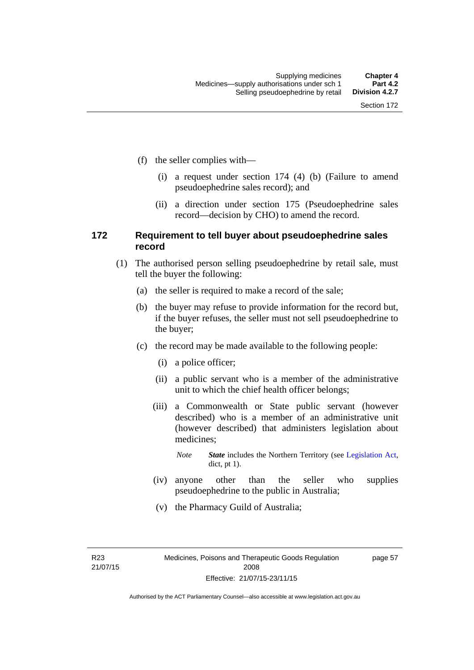- (f) the seller complies with—
	- (i) a request under section 174 (4) (b) (Failure to amend pseudoephedrine sales record); and
	- (ii) a direction under section 175 (Pseudoephedrine sales record—decision by CHO) to amend the record.

### **172 Requirement to tell buyer about pseudoephedrine sales record**

- (1) The authorised person selling pseudoephedrine by retail sale, must tell the buyer the following:
	- (a) the seller is required to make a record of the sale;
	- (b) the buyer may refuse to provide information for the record but, if the buyer refuses, the seller must not sell pseudoephedrine to the buyer;
	- (c) the record may be made available to the following people:
		- (i) a police officer;
		- (ii) a public servant who is a member of the administrative unit to which the chief health officer belongs;
		- (iii) a Commonwealth or State public servant (however described) who is a member of an administrative unit (however described) that administers legislation about medicines;
			- *Note State* includes the Northern Territory (see [Legislation Act,](http://www.legislation.act.gov.au/a/2001-14) dict, pt 1).
		- (iv) anyone other than the seller who supplies pseudoephedrine to the public in Australia;
		- (v) the Pharmacy Guild of Australia;

R23 21/07/15 page 57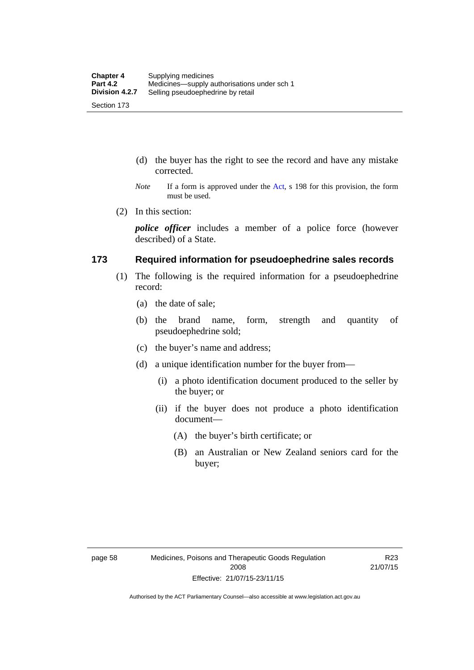- (d) the buyer has the right to see the record and have any mistake corrected.
- *Note* If a form is approved under the [Act](http://www.legislation.act.gov.au/a/2008-26/default.asp), s 198 for this provision, the form must be used.
- (2) In this section:

*police officer* includes a member of a police force (however described) of a State.

### **173 Required information for pseudoephedrine sales records**

- (1) The following is the required information for a pseudoephedrine record:
	- (a) the date of sale;
	- (b) the brand name, form, strength and quantity of pseudoephedrine sold;
	- (c) the buyer's name and address;
	- (d) a unique identification number for the buyer from—
		- (i) a photo identification document produced to the seller by the buyer; or
		- (ii) if the buyer does not produce a photo identification document—
			- (A) the buyer's birth certificate; or
			- (B) an Australian or New Zealand seniors card for the buyer;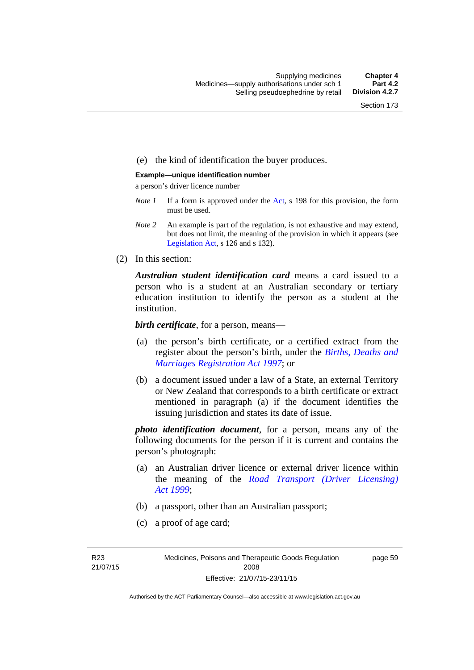### (e) the kind of identification the buyer produces.

#### **Example—unique identification number**

a person's driver licence number

- *Note 1* If a form is approved under the [Act](http://www.legislation.act.gov.au/a/2008-26/default.asp), s 198 for this provision, the form must be used.
- *Note 2* An example is part of the regulation, is not exhaustive and may extend, but does not limit, the meaning of the provision in which it appears (see [Legislation Act,](http://www.legislation.act.gov.au/a/2001-14) s 126 and s 132).
- (2) In this section:

*Australian student identification card* means a card issued to a person who is a student at an Australian secondary or tertiary education institution to identify the person as a student at the institution.

*birth certificate*, for a person, means—

- (a) the person's birth certificate, or a certified extract from the register about the person's birth, under the *[Births, Deaths and](http://www.legislation.act.gov.au/a/1997-112)  [Marriages Registration Act 1997](http://www.legislation.act.gov.au/a/1997-112)*; or
- (b) a document issued under a law of a State, an external Territory or New Zealand that corresponds to a birth certificate or extract mentioned in paragraph (a) if the document identifies the issuing jurisdiction and states its date of issue.

*photo identification document*, for a person, means any of the following documents for the person if it is current and contains the person's photograph:

- (a) an Australian driver licence or external driver licence within the meaning of the *[Road Transport \(Driver Licensing\)](http://www.legislation.act.gov.au/a/1999-78)  [Act 1999](http://www.legislation.act.gov.au/a/1999-78)*;
- (b) a passport, other than an Australian passport;
- (c) a proof of age card;

R23 21/07/15 page 59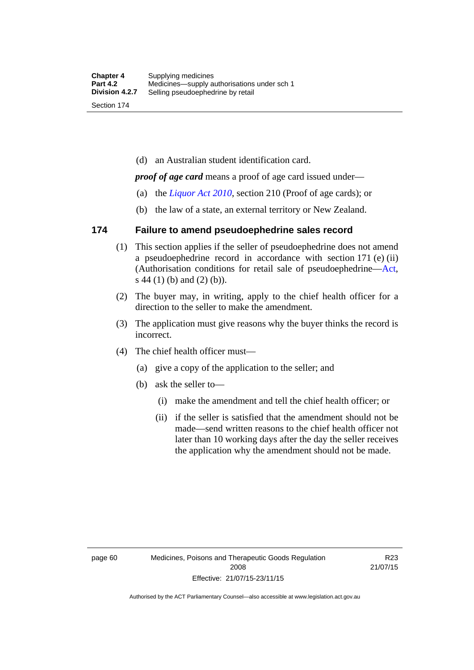(d) an Australian student identification card.

*proof of age card* means a proof of age card issued under—

- (a) the *[Liquor Act 2010](http://www.legislation.act.gov.au/a/2010-35)*, section 210 (Proof of age cards); or
- (b) the law of a state, an external territory or New Zealand.

### **174 Failure to amend pseudoephedrine sales record**

- (1) This section applies if the seller of pseudoephedrine does not amend a pseudoephedrine record in accordance with section 171 (e) (ii) (Authorisation conditions for retail sale of pseudoephedrine—[Act](http://www.legislation.act.gov.au/a/2008-26/default.asp), s 44 (1) (b) and (2) (b)).
- (2) The buyer may, in writing, apply to the chief health officer for a direction to the seller to make the amendment.
- (3) The application must give reasons why the buyer thinks the record is incorrect.
- (4) The chief health officer must—
	- (a) give a copy of the application to the seller; and
	- (b) ask the seller to—
		- (i) make the amendment and tell the chief health officer; or
		- (ii) if the seller is satisfied that the amendment should not be made—send written reasons to the chief health officer not later than 10 working days after the day the seller receives the application why the amendment should not be made.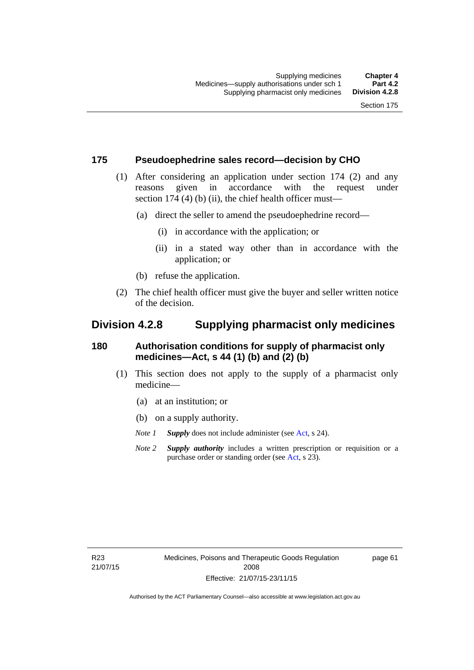### **175 Pseudoephedrine sales record—decision by CHO**

- (1) After considering an application under section 174 (2) and any reasons given in accordance with the request under section 174  $(4)$  (b)  $(ii)$ , the chief health officer must—
	- (a) direct the seller to amend the pseudoephedrine record—
		- (i) in accordance with the application; or
		- (ii) in a stated way other than in accordance with the application; or
	- (b) refuse the application.
- (2) The chief health officer must give the buyer and seller written notice of the decision.

## **Division 4.2.8 Supplying pharmacist only medicines**

### **180 Authorisation conditions for supply of pharmacist only medicines—Act, s 44 (1) (b) and (2) (b)**

- (1) This section does not apply to the supply of a pharmacist only medicine—
	- (a) at an institution; or
	- (b) on a supply authority.
	- *Note 1 Supply* does not include administer (see [Act,](http://www.legislation.act.gov.au/a/2008-26/default.asp) s 24).
	- *Note 2 Supply authority* includes a written prescription or requisition or a purchase order or standing order (see [Act,](http://www.legislation.act.gov.au/a/2008-26/default.asp) s 23).

page 61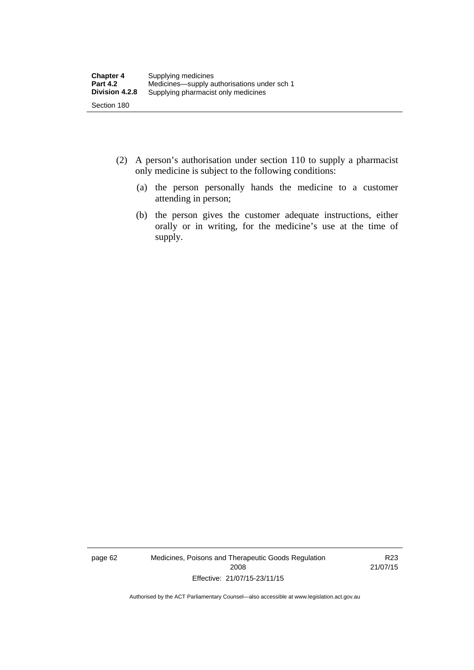- (2) A person's authorisation under section 110 to supply a pharmacist only medicine is subject to the following conditions:
	- (a) the person personally hands the medicine to a customer attending in person;
	- (b) the person gives the customer adequate instructions, either orally or in writing, for the medicine's use at the time of supply.

page 62 Medicines, Poisons and Therapeutic Goods Regulation 2008 Effective: 21/07/15-23/11/15

R23 21/07/15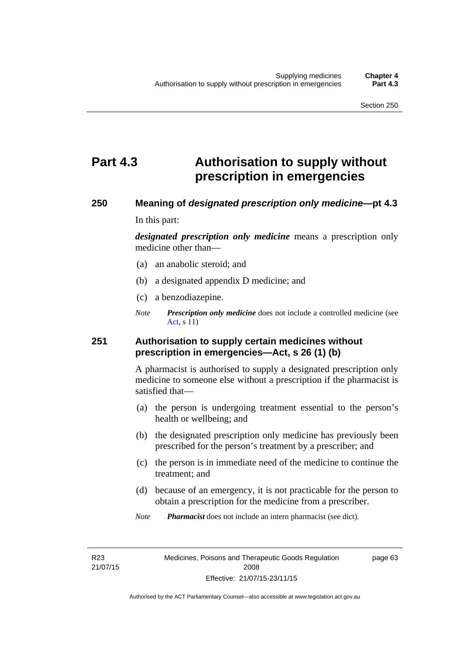# **Part 4.3 Authorisation to supply without prescription in emergencies**

### **250 Meaning of** *designated prescription only medicine***—pt 4.3**

In this part:

*designated prescription only medicine* means a prescription only medicine other than—

- (a) an anabolic steroid; and
- (b) a designated appendix D medicine; and
- (c) a benzodiazepine.
- *Note Prescription only medicine* does not include a controlled medicine (see [Act](http://www.legislation.act.gov.au/a/2008-26/default.asp), s 11)

### **251 Authorisation to supply certain medicines without prescription in emergencies—Act, s 26 (1) (b)**

A pharmacist is authorised to supply a designated prescription only medicine to someone else without a prescription if the pharmacist is satisfied that—

- (a) the person is undergoing treatment essential to the person's health or wellbeing; and
- (b) the designated prescription only medicine has previously been prescribed for the person's treatment by a prescriber; and
- (c) the person is in immediate need of the medicine to continue the treatment; and
- (d) because of an emergency, it is not practicable for the person to obtain a prescription for the medicine from a prescriber.
- *Note Pharmacist* does not include an intern pharmacist (see dict).

R23 21/07/15 page 63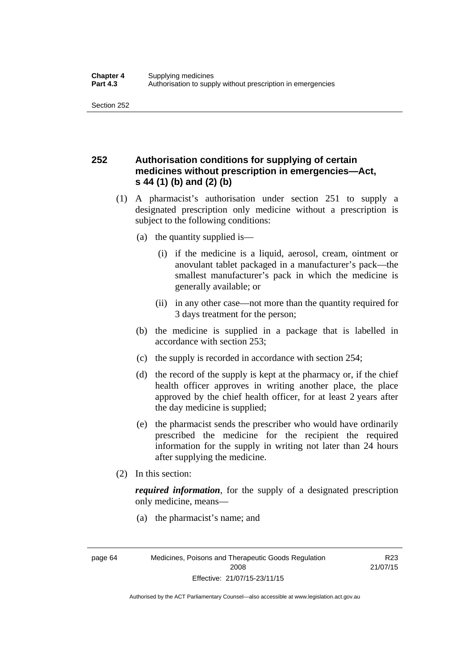## **252 Authorisation conditions for supplying of certain medicines without prescription in emergencies—Act, s 44 (1) (b) and (2) (b)**

- (1) A pharmacist's authorisation under section 251 to supply a designated prescription only medicine without a prescription is subject to the following conditions:
	- (a) the quantity supplied is—
		- (i) if the medicine is a liquid, aerosol, cream, ointment or anovulant tablet packaged in a manufacturer's pack—the smallest manufacturer's pack in which the medicine is generally available; or
		- (ii) in any other case—not more than the quantity required for 3 days treatment for the person;
	- (b) the medicine is supplied in a package that is labelled in accordance with section 253;
	- (c) the supply is recorded in accordance with section 254;
	- (d) the record of the supply is kept at the pharmacy or, if the chief health officer approves in writing another place, the place approved by the chief health officer, for at least 2 years after the day medicine is supplied;
	- (e) the pharmacist sends the prescriber who would have ordinarily prescribed the medicine for the recipient the required information for the supply in writing not later than 24 hours after supplying the medicine.
- (2) In this section:

*required information*, for the supply of a designated prescription only medicine, means—

(a) the pharmacist's name; and

R23 21/07/15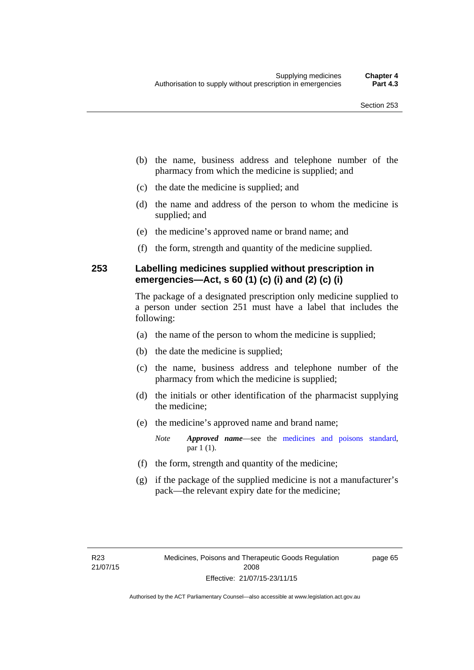- (b) the name, business address and telephone number of the pharmacy from which the medicine is supplied; and
- (c) the date the medicine is supplied; and
- (d) the name and address of the person to whom the medicine is supplied; and
- (e) the medicine's approved name or brand name; and
- (f) the form, strength and quantity of the medicine supplied.

### **253 Labelling medicines supplied without prescription in emergencies—Act, s 60 (1) (c) (i) and (2) (c) (i)**

The package of a designated prescription only medicine supplied to a person under section 251 must have a label that includes the following:

- (a) the name of the person to whom the medicine is supplied;
- (b) the date the medicine is supplied;
- (c) the name, business address and telephone number of the pharmacy from which the medicine is supplied;
- (d) the initials or other identification of the pharmacist supplying the medicine;
- (e) the medicine's approved name and brand name;

*Note Approved name*—see the [medicines and poisons standard,](http://www.comlaw.gov.au/Series/F2012L01200) par 1 (1).

- (f) the form, strength and quantity of the medicine;
- (g) if the package of the supplied medicine is not a manufacturer's pack—the relevant expiry date for the medicine;

page 65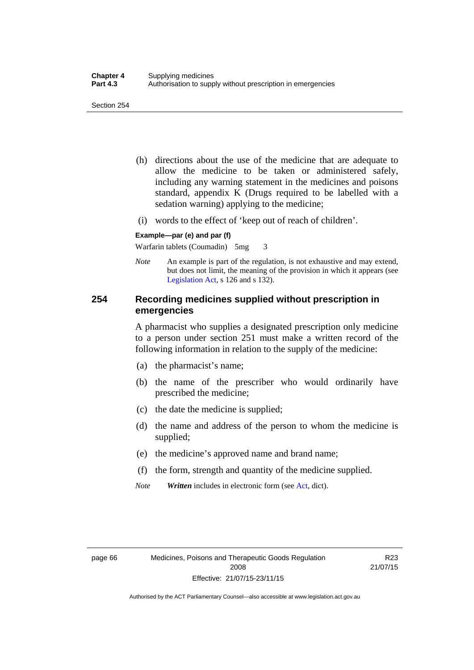- (h) directions about the use of the medicine that are adequate to allow the medicine to be taken or administered safely, including any warning statement in the medicines and poisons standard, appendix K (Drugs required to be labelled with a sedation warning) applying to the medicine;
- (i) words to the effect of 'keep out of reach of children'.

#### **Example—par (e) and par (f)**

Warfarin tablets (Coumadin) 5mg 3

*Note* An example is part of the regulation, is not exhaustive and may extend, but does not limit, the meaning of the provision in which it appears (see [Legislation Act,](http://www.legislation.act.gov.au/a/2001-14) s 126 and s 132).

### **254 Recording medicines supplied without prescription in emergencies**

A pharmacist who supplies a designated prescription only medicine to a person under section 251 must make a written record of the following information in relation to the supply of the medicine:

- (a) the pharmacist's name;
- (b) the name of the prescriber who would ordinarily have prescribed the medicine;
- (c) the date the medicine is supplied;
- (d) the name and address of the person to whom the medicine is supplied;
- (e) the medicine's approved name and brand name;
- (f) the form, strength and quantity of the medicine supplied.
- *Note Written* includes in electronic form (see [Act,](http://www.legislation.act.gov.au/a/2008-26/default.asp) dict).

R23 21/07/15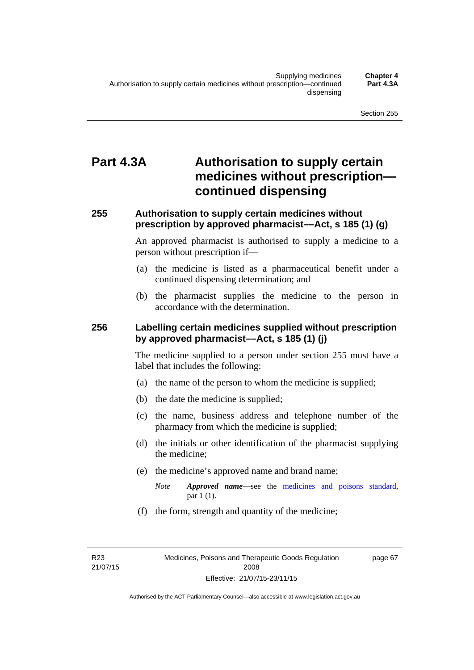# **Part 4.3A Authorisation to supply certain medicines without prescription continued dispensing**

### **255 Authorisation to supply certain medicines without prescription by approved pharmacist––Act, s 185 (1) (g)**

An approved pharmacist is authorised to supply a medicine to a person without prescription if––

- (a) the medicine is listed as a pharmaceutical benefit under a continued dispensing determination; and
- (b) the pharmacist supplies the medicine to the person in accordance with the determination.

### **256 Labelling certain medicines supplied without prescription by approved pharmacist––Act, s 185 (1) (j)**

The medicine supplied to a person under section 255 must have a label that includes the following:

- (a) the name of the person to whom the medicine is supplied;
- (b) the date the medicine is supplied;
- (c) the name, business address and telephone number of the pharmacy from which the medicine is supplied;
- (d) the initials or other identification of the pharmacist supplying the medicine;
- (e) the medicine's approved name and brand name;
	- *Note Approved name––*see the [medicines and poisons standard,](http://www.comlaw.gov.au/Series/F2012L01200) par 1 (1).
- (f) the form, strength and quantity of the medicine;

R23 21/07/15 page 67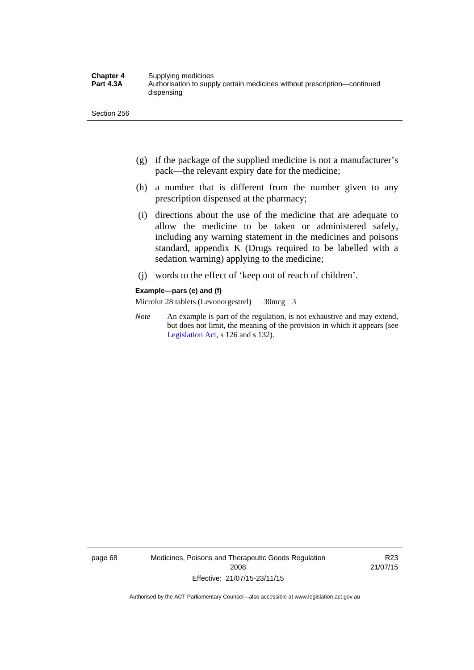- (g) if the package of the supplied medicine is not a manufacturer's pack—the relevant expiry date for the medicine;
- (h) a number that is different from the number given to any prescription dispensed at the pharmacy;
- (i) directions about the use of the medicine that are adequate to allow the medicine to be taken or administered safely, including any warning statement in the medicines and poisons standard, appendix K (Drugs required to be labelled with a sedation warning) applying to the medicine;
- (j) words to the effect of 'keep out of reach of children'.

#### **Example—pars (e) and (f)**

Microlut 28 tablets (Levonorgestrel) 30mcg 3

*Note* An example is part of the regulation, is not exhaustive and may extend, but does not limit, the meaning of the provision in which it appears (see [Legislation Act,](http://www.legislation.act.gov.au/a/2001-14) s 126 and s 132).

page 68 Medicines, Poisons and Therapeutic Goods Regulation 2008 Effective: 21/07/15-23/11/15

R23 21/07/15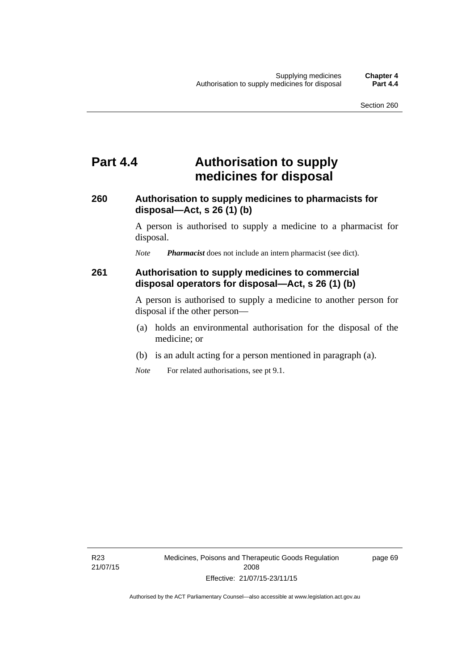# **Part 4.4 Authorisation to supply medicines for disposal**

### **260 Authorisation to supply medicines to pharmacists for disposal—Act, s 26 (1) (b)**

A person is authorised to supply a medicine to a pharmacist for disposal.

*Note Pharmacist* does not include an intern pharmacist (see dict).

### **261 Authorisation to supply medicines to commercial disposal operators for disposal—Act, s 26 (1) (b)**

A person is authorised to supply a medicine to another person for disposal if the other person—

- (a) holds an environmental authorisation for the disposal of the medicine; or
- (b) is an adult acting for a person mentioned in paragraph (a).
- *Note* For related authorisations, see pt 9.1.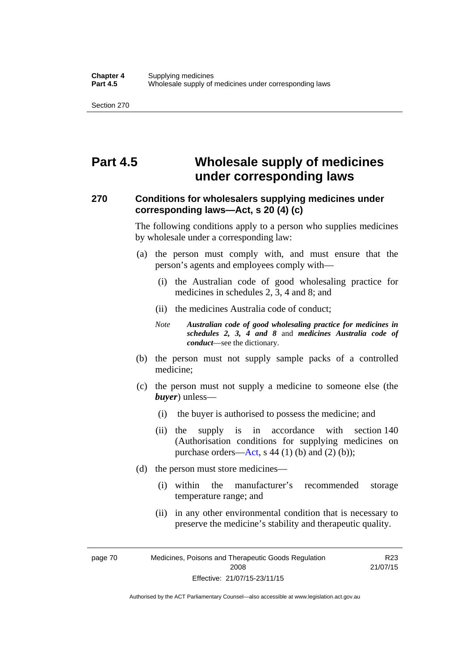# **Part 4.5 Wholesale supply of medicines under corresponding laws**

### **270 Conditions for wholesalers supplying medicines under corresponding laws—Act, s 20 (4) (c)**

The following conditions apply to a person who supplies medicines by wholesale under a corresponding law:

- (a) the person must comply with, and must ensure that the person's agents and employees comply with—
	- (i) the Australian code of good wholesaling practice for medicines in schedules 2, 3, 4 and 8; and
	- (ii) the medicines Australia code of conduct;
	- *Note Australian code of good wholesaling practice for medicines in schedules 2, 3, 4 and 8* and *medicines Australia code of conduct*—see the dictionary.
- (b) the person must not supply sample packs of a controlled medicine;
- (c) the person must not supply a medicine to someone else (the *buyer*) unless—
	- (i) the buyer is authorised to possess the medicine; and
	- (ii) the supply is in accordance with section 140 (Authorisation conditions for supplying medicines on purchase orders—[Act,](http://www.legislation.act.gov.au/a/2008-26/default.asp) s 44 (1) (b) and (2) (b));
- (d) the person must store medicines—
	- (i) within the manufacturer's recommended storage temperature range; and
	- (ii) in any other environmental condition that is necessary to preserve the medicine's stability and therapeutic quality.

R23

page 70 Medicines, Poisons and Therapeutic Goods Regulation 2008 Effective: 21/07/15-23/11/15 21/07/15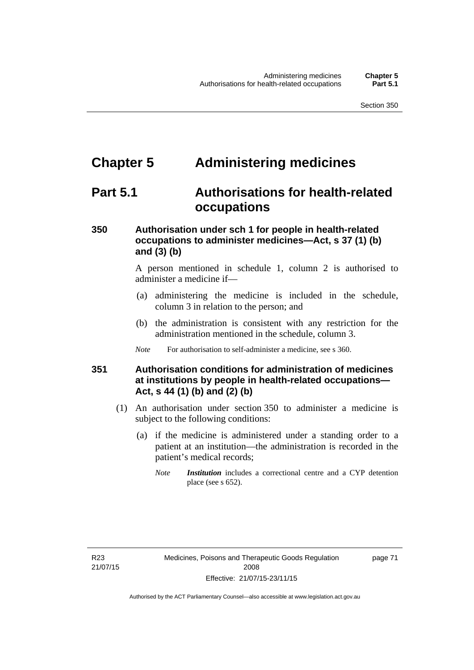# **Chapter 5 Administering medicines**

# **Part 5.1 Authorisations for health-related occupations**

## **350 Authorisation under sch 1 for people in health-related occupations to administer medicines—Act, s 37 (1) (b) and (3) (b)**

A person mentioned in schedule 1, column 2 is authorised to administer a medicine if—

- (a) administering the medicine is included in the schedule, column 3 in relation to the person; and
- (b) the administration is consistent with any restriction for the administration mentioned in the schedule, column 3.
- *Note* For authorisation to self-administer a medicine, see s 360.

## **351 Authorisation conditions for administration of medicines at institutions by people in health-related occupations— Act, s 44 (1) (b) and (2) (b)**

- (1) An authorisation under section 350 to administer a medicine is subject to the following conditions:
	- (a) if the medicine is administered under a standing order to a patient at an institution—the administration is recorded in the patient's medical records;
		- *Note Institution* includes a correctional centre and a CYP detention place (see s 652).

page 71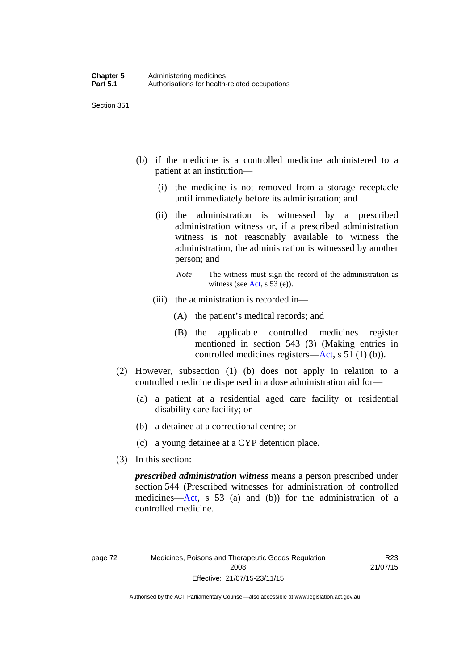- (b) if the medicine is a controlled medicine administered to a patient at an institution—
	- (i) the medicine is not removed from a storage receptacle until immediately before its administration; and
	- (ii) the administration is witnessed by a prescribed administration witness or, if a prescribed administration witness is not reasonably available to witness the administration, the administration is witnessed by another person; and
		- *Note* The witness must sign the record of the administration as witness (see [Act,](http://www.legislation.act.gov.au/a/2008-26/default.asp) s 53 (e)).
	- (iii) the administration is recorded in—
		- (A) the patient's medical records; and
		- (B) the applicable controlled medicines register mentioned in section 543 (3) (Making entries in controlled medicines registers[—Act](http://www.legislation.act.gov.au/a/2008-26/default.asp), s 51 (1) (b)).
- (2) However, subsection (1) (b) does not apply in relation to a controlled medicine dispensed in a dose administration aid for—
	- (a) a patient at a residential aged care facility or residential disability care facility; or
	- (b) a detainee at a correctional centre; or
	- (c) a young detainee at a CYP detention place.
- (3) In this section:

*prescribed administration witness* means a person prescribed under section 544 (Prescribed witnesses for administration of controlled medicines—[Act](http://www.legislation.act.gov.au/a/2008-26/default.asp), s 53 (a) and (b)) for the administration of a controlled medicine.

R23 21/07/15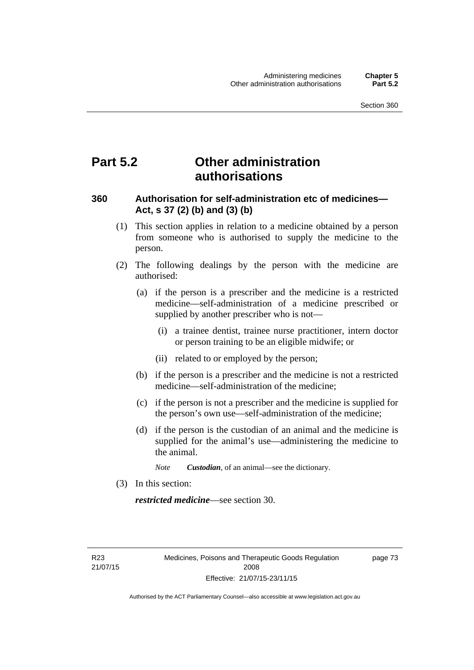# **Part 5.2 Other administration authorisations**

### **360 Authorisation for self-administration etc of medicines— Act, s 37 (2) (b) and (3) (b)**

- (1) This section applies in relation to a medicine obtained by a person from someone who is authorised to supply the medicine to the person.
- (2) The following dealings by the person with the medicine are authorised:
	- (a) if the person is a prescriber and the medicine is a restricted medicine—self-administration of a medicine prescribed or supplied by another prescriber who is not—
		- (i) a trainee dentist, trainee nurse practitioner, intern doctor or person training to be an eligible midwife; or
		- (ii) related to or employed by the person;
	- (b) if the person is a prescriber and the medicine is not a restricted medicine—self-administration of the medicine;
	- (c) if the person is not a prescriber and the medicine is supplied for the person's own use—self-administration of the medicine;
	- (d) if the person is the custodian of an animal and the medicine is supplied for the animal's use—administering the medicine to the animal.
		- *Note Custodian*, of an animal—see the dictionary.
- (3) In this section:

*restricted medicine*—see section 30.

R23 21/07/15 page 73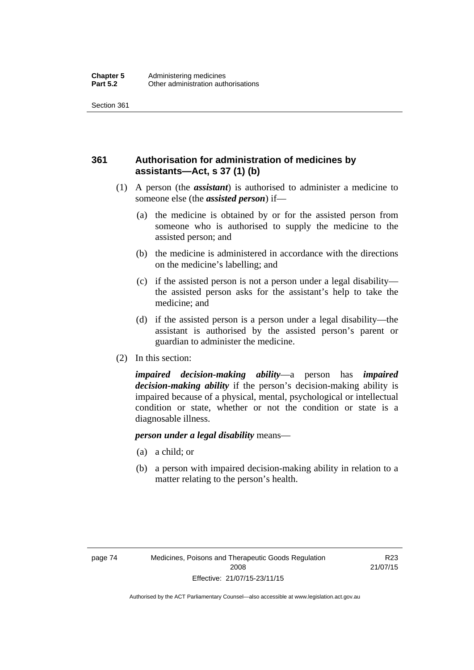## **361 Authorisation for administration of medicines by assistants—Act, s 37 (1) (b)**

- (1) A person (the *assistant*) is authorised to administer a medicine to someone else (the *assisted person*) if—
	- (a) the medicine is obtained by or for the assisted person from someone who is authorised to supply the medicine to the assisted person; and
	- (b) the medicine is administered in accordance with the directions on the medicine's labelling; and
	- (c) if the assisted person is not a person under a legal disability the assisted person asks for the assistant's help to take the medicine; and
	- (d) if the assisted person is a person under a legal disability—the assistant is authorised by the assisted person's parent or guardian to administer the medicine.
- (2) In this section:

*impaired decision-making ability*—a person has *impaired decision-making ability* if the person's decision-making ability is impaired because of a physical, mental, psychological or intellectual condition or state, whether or not the condition or state is a diagnosable illness.

### *person under a legal disability* means—

- (a) a child; or
- (b) a person with impaired decision-making ability in relation to a matter relating to the person's health.

R23 21/07/15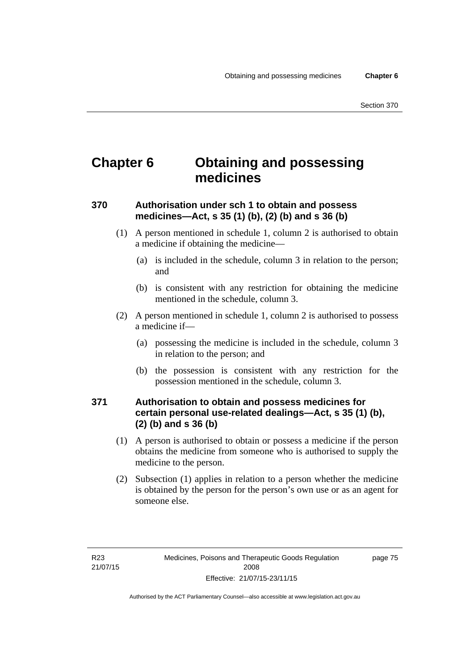# **Chapter 6 Obtaining and possessing medicines**

## **370 Authorisation under sch 1 to obtain and possess medicines—Act, s 35 (1) (b), (2) (b) and s 36 (b)**

- (1) A person mentioned in schedule 1, column 2 is authorised to obtain a medicine if obtaining the medicine—
	- (a) is included in the schedule, column 3 in relation to the person; and
	- (b) is consistent with any restriction for obtaining the medicine mentioned in the schedule, column 3.
- (2) A person mentioned in schedule 1, column 2 is authorised to possess a medicine if—
	- (a) possessing the medicine is included in the schedule, column 3 in relation to the person; and
	- (b) the possession is consistent with any restriction for the possession mentioned in the schedule, column 3.

### **371 Authorisation to obtain and possess medicines for certain personal use-related dealings—Act, s 35 (1) (b), (2) (b) and s 36 (b)**

- (1) A person is authorised to obtain or possess a medicine if the person obtains the medicine from someone who is authorised to supply the medicine to the person.
- (2) Subsection (1) applies in relation to a person whether the medicine is obtained by the person for the person's own use or as an agent for someone else.

page 75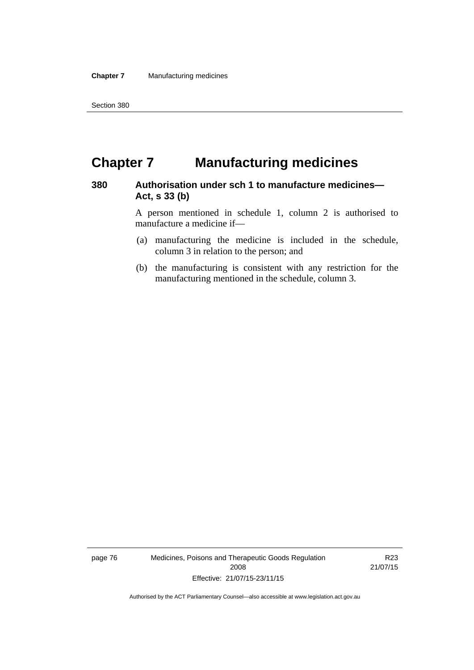# **Chapter 7 Manufacturing medicines**

### **380 Authorisation under sch 1 to manufacture medicines— Act, s 33 (b)**

A person mentioned in schedule 1, column 2 is authorised to manufacture a medicine if—

- (a) manufacturing the medicine is included in the schedule, column 3 in relation to the person; and
- (b) the manufacturing is consistent with any restriction for the manufacturing mentioned in the schedule, column 3.

page 76 Medicines, Poisons and Therapeutic Goods Regulation 2008 Effective: 21/07/15-23/11/15

R23 21/07/15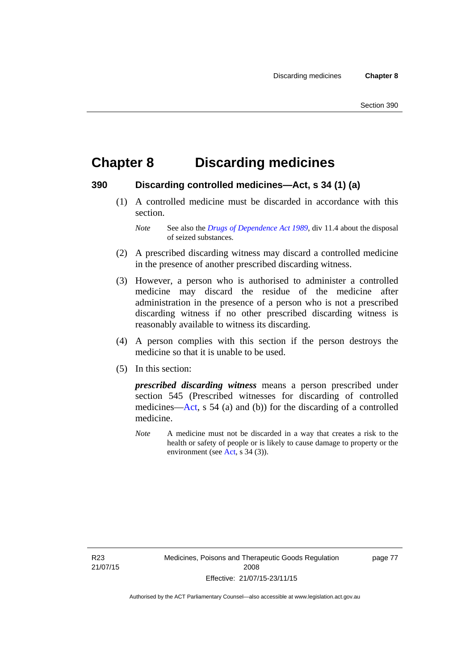# **Chapter 8 Discarding medicines**

### **390 Discarding controlled medicines—Act, s 34 (1) (a)**

 (1) A controlled medicine must be discarded in accordance with this section.

*Note* See also the *[Drugs of Dependence Act 1989](http://www.legislation.act.gov.au/a/alt_a1989-11co)*, div 11.4 about the disposal of seized substances.

- (2) A prescribed discarding witness may discard a controlled medicine in the presence of another prescribed discarding witness.
- (3) However, a person who is authorised to administer a controlled medicine may discard the residue of the medicine after administration in the presence of a person who is not a prescribed discarding witness if no other prescribed discarding witness is reasonably available to witness its discarding.
- (4) A person complies with this section if the person destroys the medicine so that it is unable to be used.
- (5) In this section:

*prescribed discarding witness* means a person prescribed under section 545 (Prescribed witnesses for discarding of controlled medicines—[Act](http://www.legislation.act.gov.au/a/2008-26/default.asp), s 54 (a) and (b)) for the discarding of a controlled medicine.

*Note* A medicine must not be discarded in a way that creates a risk to the health or safety of people or is likely to cause damage to property or the environment (see [Act](http://www.legislation.act.gov.au/a/2008-26/default.asp), s 34 (3)).

R23 21/07/15 page 77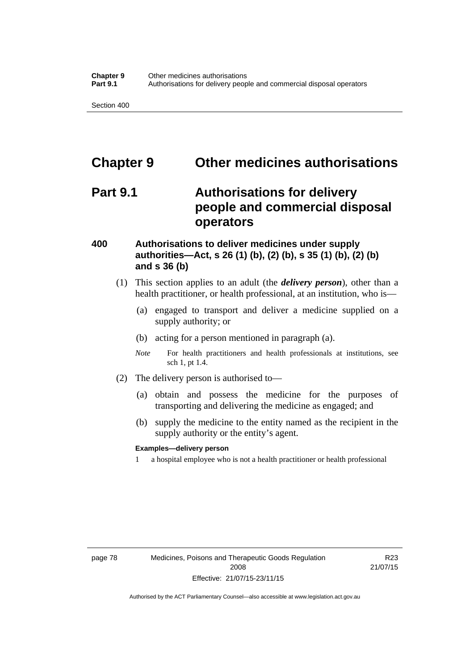# **Chapter 9 Other medicines authorisations**

# **Part 9.1 Authorisations for delivery people and commercial disposal operators**

### **400 Authorisations to deliver medicines under supply authorities—Act, s 26 (1) (b), (2) (b), s 35 (1) (b), (2) (b) and s 36 (b)**

- (1) This section applies to an adult (the *delivery person*), other than a health practitioner, or health professional, at an institution, who is—
	- (a) engaged to transport and deliver a medicine supplied on a supply authority; or
	- (b) acting for a person mentioned in paragraph (a).
	- *Note* For health practitioners and health professionals at institutions, see sch 1, pt 1.4.
- (2) The delivery person is authorised to—
	- (a) obtain and possess the medicine for the purposes of transporting and delivering the medicine as engaged; and
	- (b) supply the medicine to the entity named as the recipient in the supply authority or the entity's agent.

### **Examples—delivery person**

1 a hospital employee who is not a health practitioner or health professional

page 78 Medicines, Poisons and Therapeutic Goods Regulation 2008 Effective: 21/07/15-23/11/15

R23 21/07/15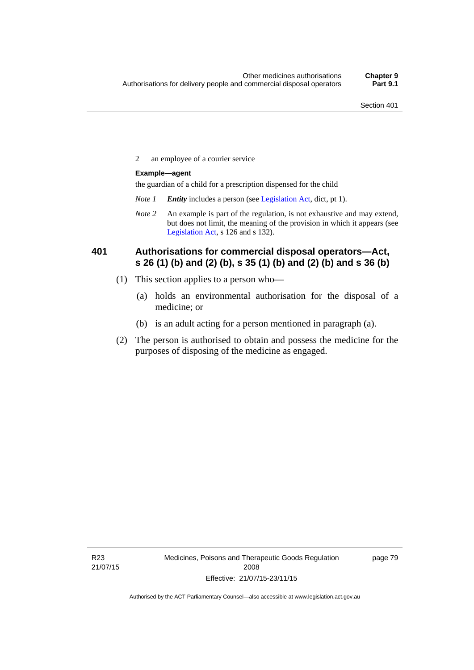2 an employee of a courier service

### **Example—agent**

the guardian of a child for a prescription dispensed for the child

- *Note 1 Entity* includes a person (see [Legislation Act,](http://www.legislation.act.gov.au/a/2001-14) dict, pt 1).
- *Note 2* An example is part of the regulation, is not exhaustive and may extend, but does not limit, the meaning of the provision in which it appears (see [Legislation Act,](http://www.legislation.act.gov.au/a/2001-14) s 126 and s 132).

### **401 Authorisations for commercial disposal operators—Act, s 26 (1) (b) and (2) (b), s 35 (1) (b) and (2) (b) and s 36 (b)**

- (1) This section applies to a person who—
	- (a) holds an environmental authorisation for the disposal of a medicine; or
	- (b) is an adult acting for a person mentioned in paragraph (a).
- (2) The person is authorised to obtain and possess the medicine for the purposes of disposing of the medicine as engaged.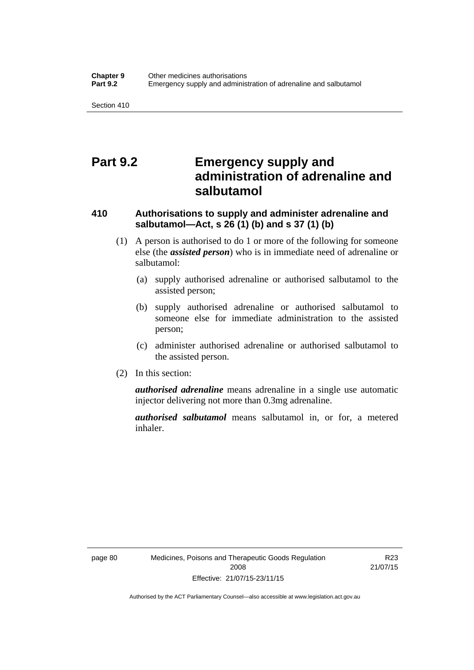# **Part 9.2 Emergency supply and administration of adrenaline and salbutamol**

## **410 Authorisations to supply and administer adrenaline and salbutamol—Act, s 26 (1) (b) and s 37 (1) (b)**

- (1) A person is authorised to do 1 or more of the following for someone else (the *assisted person*) who is in immediate need of adrenaline or salbutamol:
	- (a) supply authorised adrenaline or authorised salbutamol to the assisted person;
	- (b) supply authorised adrenaline or authorised salbutamol to someone else for immediate administration to the assisted person;
	- (c) administer authorised adrenaline or authorised salbutamol to the assisted person.
- (2) In this section:

*authorised adrenaline* means adrenaline in a single use automatic injector delivering not more than 0.3mg adrenaline.

*authorised salbutamol* means salbutamol in, or for, a metered inhaler.

R23 21/07/15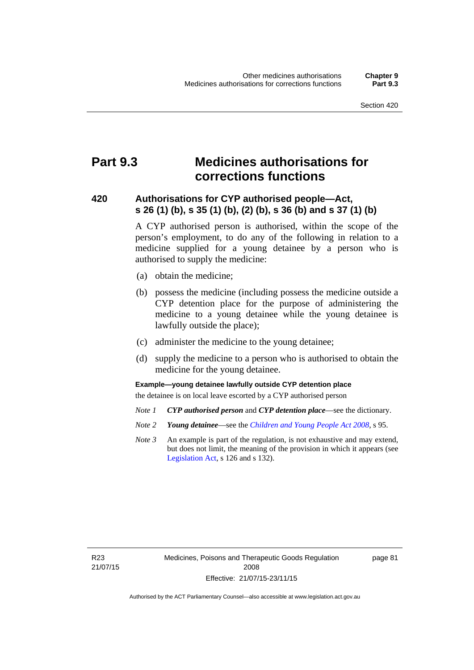# **Part 9.3 Medicines authorisations for corrections functions**

### **420 Authorisations for CYP authorised people—Act, s 26 (1) (b), s 35 (1) (b), (2) (b), s 36 (b) and s 37 (1) (b)**

A CYP authorised person is authorised, within the scope of the person's employment, to do any of the following in relation to a medicine supplied for a young detainee by a person who is authorised to supply the medicine:

- (a) obtain the medicine;
- (b) possess the medicine (including possess the medicine outside a CYP detention place for the purpose of administering the medicine to a young detainee while the young detainee is lawfully outside the place);
- (c) administer the medicine to the young detainee;
- (d) supply the medicine to a person who is authorised to obtain the medicine for the young detainee.

### **Example—young detainee lawfully outside CYP detention place**

the detainee is on local leave escorted by a CYP authorised person

- *Note 1 CYP authorised person* and *CYP detention place*—see the dictionary.
- *Note 2 Young detainee*—see the *[Children and Young People Act 2008](http://www.legislation.act.gov.au/a/2008-19)*, s 95.
- *Note 3* An example is part of the regulation, is not exhaustive and may extend, but does not limit, the meaning of the provision in which it appears (see [Legislation Act,](http://www.legislation.act.gov.au/a/2001-14) s 126 and s 132).

R23 21/07/15 page 81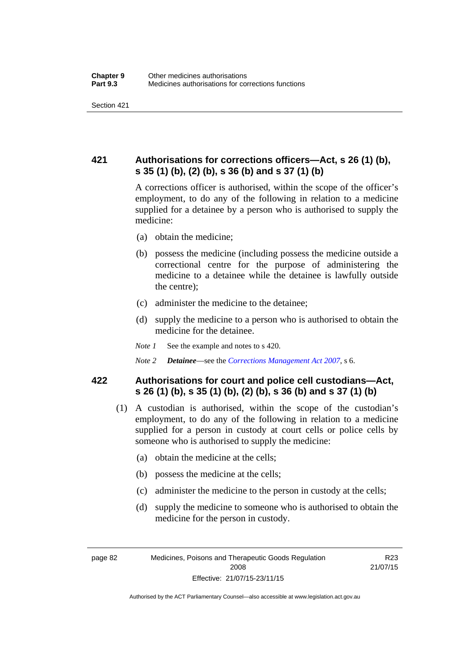## **421 Authorisations for corrections officers—Act, s 26 (1) (b), s 35 (1) (b), (2) (b), s 36 (b) and s 37 (1) (b)**

A corrections officer is authorised, within the scope of the officer's employment, to do any of the following in relation to a medicine supplied for a detainee by a person who is authorised to supply the medicine:

- (a) obtain the medicine;
- (b) possess the medicine (including possess the medicine outside a correctional centre for the purpose of administering the medicine to a detainee while the detainee is lawfully outside the centre);
- (c) administer the medicine to the detainee;
- (d) supply the medicine to a person who is authorised to obtain the medicine for the detainee.
- *Note 1* See the example and notes to s 420.
- *Note 2 Detainee*—see the *[Corrections Management Act 2007](http://www.legislation.act.gov.au/a/2007-15)*, s 6.

### **422 Authorisations for court and police cell custodians—Act, s 26 (1) (b), s 35 (1) (b), (2) (b), s 36 (b) and s 37 (1) (b)**

- (1) A custodian is authorised, within the scope of the custodian's employment, to do any of the following in relation to a medicine supplied for a person in custody at court cells or police cells by someone who is authorised to supply the medicine:
	- (a) obtain the medicine at the cells;
	- (b) possess the medicine at the cells;
	- (c) administer the medicine to the person in custody at the cells;
	- (d) supply the medicine to someone who is authorised to obtain the medicine for the person in custody.

R23 21/07/15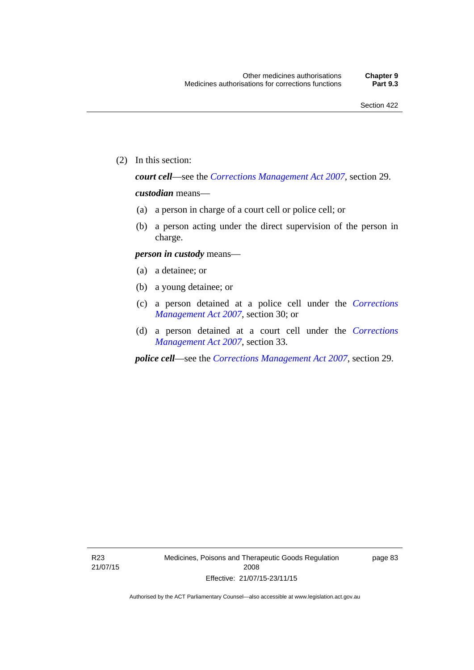(2) In this section:

*court cell*—see the *[Corrections Management Act 2007](http://www.legislation.act.gov.au/a/2007-15)*, section 29.

### *custodian* means—

- (a) a person in charge of a court cell or police cell; or
- (b) a person acting under the direct supervision of the person in charge.

### *person in custody* means—

- (a) a detainee; or
- (b) a young detainee; or
- (c) a person detained at a police cell under the *[Corrections](http://www.legislation.act.gov.au/a/2007-15)  [Management Act 2007](http://www.legislation.act.gov.au/a/2007-15)*, section 30; or
- (d) a person detained at a court cell under the *[Corrections](http://www.legislation.act.gov.au/a/2007-15)  [Management Act 2007](http://www.legislation.act.gov.au/a/2007-15)*, section 33.

*police cell*—see the *[Corrections Management Act 2007](http://www.legislation.act.gov.au/a/2007-15)*, section 29.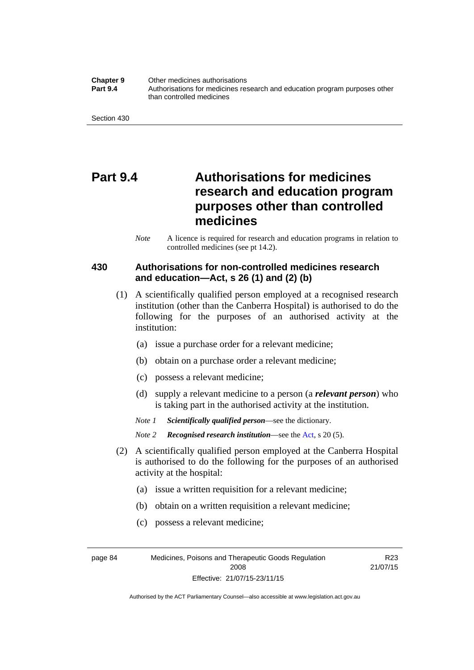**Chapter 9** Other medicines authorisations **Part 9.4** • **Authorisations for medicines research and education program purposes other** than controlled medicines

Section 430

# **Part 9.4 Authorisations for medicines research and education program purposes other than controlled medicines**

*Note* A licence is required for research and education programs in relation to controlled medicines (see pt 14.2).

### **430 Authorisations for non-controlled medicines research and education—Act, s 26 (1) and (2) (b)**

- (1) A scientifically qualified person employed at a recognised research institution (other than the Canberra Hospital) is authorised to do the following for the purposes of an authorised activity at the institution:
	- (a) issue a purchase order for a relevant medicine;
	- (b) obtain on a purchase order a relevant medicine;
	- (c) possess a relevant medicine;
	- (d) supply a relevant medicine to a person (a *relevant person*) who is taking part in the authorised activity at the institution.
	- *Note 1 Scientifically qualified person*—see the dictionary.

*Note 2 Recognised research institution*—see the [Act](http://www.legislation.act.gov.au/a/2008-26/default.asp), s 20 (5).

- (2) A scientifically qualified person employed at the Canberra Hospital is authorised to do the following for the purposes of an authorised activity at the hospital:
	- (a) issue a written requisition for a relevant medicine;
	- (b) obtain on a written requisition a relevant medicine;
	- (c) possess a relevant medicine;

page 84 Medicines, Poisons and Therapeutic Goods Regulation 2008 Effective: 21/07/15-23/11/15

R23 21/07/15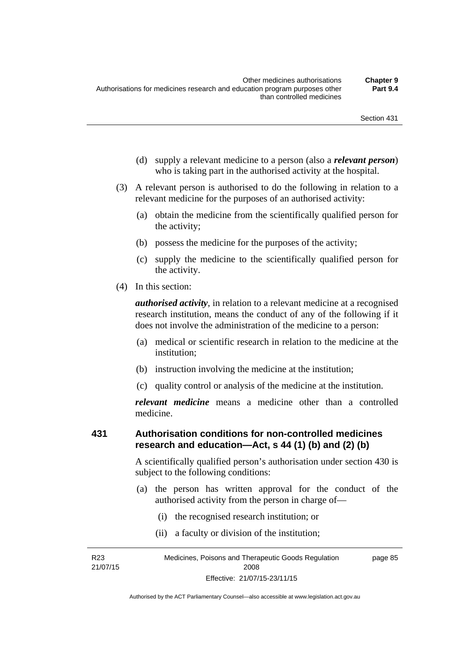- (d) supply a relevant medicine to a person (also a *relevant person*) who is taking part in the authorised activity at the hospital.
- (3) A relevant person is authorised to do the following in relation to a relevant medicine for the purposes of an authorised activity:
	- (a) obtain the medicine from the scientifically qualified person for the activity;
	- (b) possess the medicine for the purposes of the activity;
	- (c) supply the medicine to the scientifically qualified person for the activity.
- (4) In this section:

*authorised activity*, in relation to a relevant medicine at a recognised research institution, means the conduct of any of the following if it does not involve the administration of the medicine to a person:

- (a) medical or scientific research in relation to the medicine at the institution;
- (b) instruction involving the medicine at the institution;
- (c) quality control or analysis of the medicine at the institution.

*relevant medicine* means a medicine other than a controlled medicine.

#### **431 Authorisation conditions for non-controlled medicines research and education—Act, s 44 (1) (b) and (2) (b)**

A scientifically qualified person's authorisation under section 430 is subject to the following conditions:

- (a) the person has written approval for the conduct of the authorised activity from the person in charge of—
	- (i) the recognised research institution; or
	- (ii) a faculty or division of the institution;

R23 21/07/15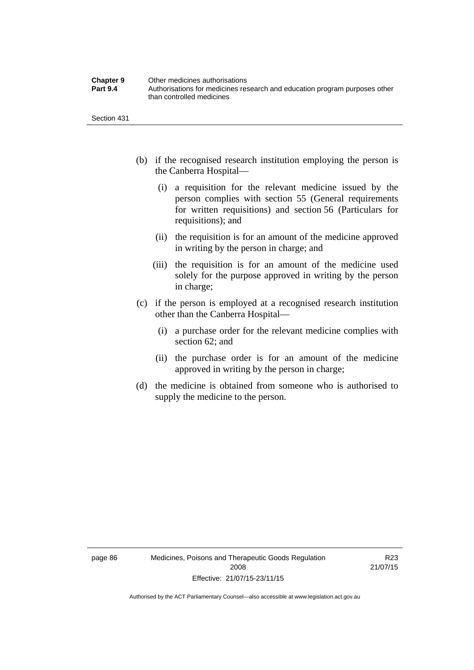| <b>Chapter 9</b> | Other medicines authorisations                                             |
|------------------|----------------------------------------------------------------------------|
| <b>Part 9.4</b>  | Authorisations for medicines research and education program purposes other |
|                  | than controlled medicines                                                  |

Section 431

- (b) if the recognised research institution employing the person is the Canberra Hospital—
	- (i) a requisition for the relevant medicine issued by the person complies with section 55 (General requirements for written requisitions) and section 56 (Particulars for requisitions); and
	- (ii) the requisition is for an amount of the medicine approved in writing by the person in charge; and
	- (iii) the requisition is for an amount of the medicine used solely for the purpose approved in writing by the person in charge;
- (c) if the person is employed at a recognised research institution other than the Canberra Hospital—
	- (i) a purchase order for the relevant medicine complies with section 62; and
	- (ii) the purchase order is for an amount of the medicine approved in writing by the person in charge;
- (d) the medicine is obtained from someone who is authorised to supply the medicine to the person.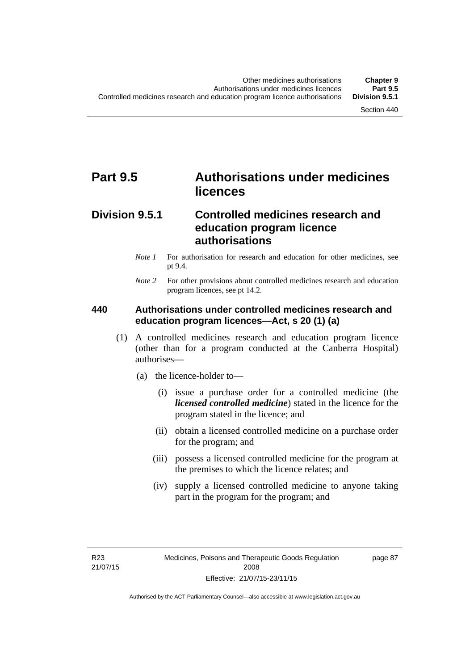# **Part 9.5 Authorisations under medicines licences**

# **Division 9.5.1 Controlled medicines research and education program licence authorisations**

- *Note 1* For authorisation for research and education for other medicines, see pt 9.4.
- *Note 2* For other provisions about controlled medicines research and education program licences, see pt 14.2.

### **440 Authorisations under controlled medicines research and education program licences—Act, s 20 (1) (a)**

- (1) A controlled medicines research and education program licence (other than for a program conducted at the Canberra Hospital) authorises—
	- (a) the licence-holder to—
		- (i) issue a purchase order for a controlled medicine (the *licensed controlled medicine*) stated in the licence for the program stated in the licence; and
		- (ii) obtain a licensed controlled medicine on a purchase order for the program; and
		- (iii) possess a licensed controlled medicine for the program at the premises to which the licence relates; and
		- (iv) supply a licensed controlled medicine to anyone taking part in the program for the program; and

R23 21/07/15 page 87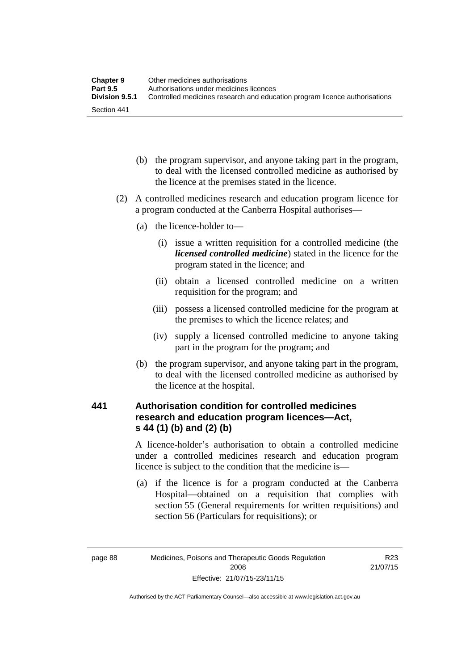| <b>Chapter 9</b> | Other medicines authorisations                                             |
|------------------|----------------------------------------------------------------------------|
| <b>Part 9.5</b>  | Authorisations under medicines licences                                    |
| Division 9.5.1   | Controlled medicines research and education program licence authorisations |
| Section 441      |                                                                            |

- (b) the program supervisor, and anyone taking part in the program, to deal with the licensed controlled medicine as authorised by the licence at the premises stated in the licence.
- (2) A controlled medicines research and education program licence for a program conducted at the Canberra Hospital authorises—
	- (a) the licence-holder to—
		- (i) issue a written requisition for a controlled medicine (the *licensed controlled medicine*) stated in the licence for the program stated in the licence; and
		- (ii) obtain a licensed controlled medicine on a written requisition for the program; and
		- (iii) possess a licensed controlled medicine for the program at the premises to which the licence relates; and
		- (iv) supply a licensed controlled medicine to anyone taking part in the program for the program; and
	- (b) the program supervisor, and anyone taking part in the program, to deal with the licensed controlled medicine as authorised by the licence at the hospital.

# **441 Authorisation condition for controlled medicines research and education program licences—Act, s 44 (1) (b) and (2) (b)**

A licence-holder's authorisation to obtain a controlled medicine under a controlled medicines research and education program licence is subject to the condition that the medicine is—

 (a) if the licence is for a program conducted at the Canberra Hospital—obtained on a requisition that complies with section 55 (General requirements for written requisitions) and section 56 (Particulars for requisitions); or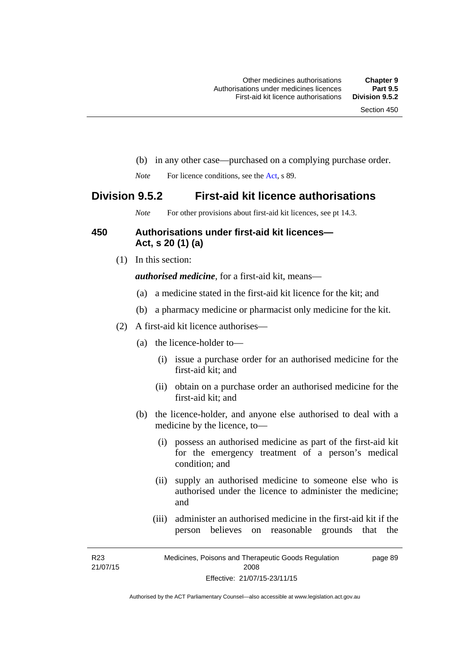- (b) in any other case—purchased on a complying purchase order.
- *Note* For licence conditions, see the [Act](http://www.legislation.act.gov.au/a/2008-26/default.asp), s 89.

# **Division 9.5.2 First-aid kit licence authorisations**

*Note* For other provisions about first-aid kit licences, see pt 14.3.

#### **450 Authorisations under first-aid kit licences— Act, s 20 (1) (a)**

(1) In this section:

*authorised medicine*, for a first-aid kit, means—

- (a) a medicine stated in the first-aid kit licence for the kit; and
- (b) a pharmacy medicine or pharmacist only medicine for the kit.
- (2) A first-aid kit licence authorises—
	- (a) the licence-holder to—
		- (i) issue a purchase order for an authorised medicine for the first-aid kit; and
		- (ii) obtain on a purchase order an authorised medicine for the first-aid kit; and
	- (b) the licence-holder, and anyone else authorised to deal with a medicine by the licence, to—
		- (i) possess an authorised medicine as part of the first-aid kit for the emergency treatment of a person's medical condition; and
		- (ii) supply an authorised medicine to someone else who is authorised under the licence to administer the medicine; and
		- (iii) administer an authorised medicine in the first-aid kit if the person believes on reasonable grounds that the

R23 21/07/15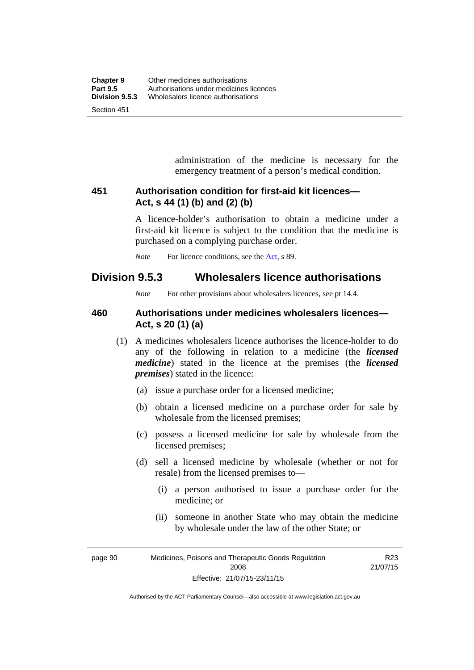administration of the medicine is necessary for the emergency treatment of a person's medical condition.

### **451 Authorisation condition for first-aid kit licences— Act, s 44 (1) (b) and (2) (b)**

A licence-holder's authorisation to obtain a medicine under a first-aid kit licence is subject to the condition that the medicine is purchased on a complying purchase order.

*Note* For licence conditions, see the [Act](http://www.legislation.act.gov.au/a/2008-26/default.asp), s 89.

# **Division 9.5.3 Wholesalers licence authorisations**

*Note* For other provisions about wholesalers licences, see pt 14.4.

### **460 Authorisations under medicines wholesalers licences— Act, s 20 (1) (a)**

- (1) A medicines wholesalers licence authorises the licence-holder to do any of the following in relation to a medicine (the *licensed medicine*) stated in the licence at the premises (the *licensed premises*) stated in the licence:
	- (a) issue a purchase order for a licensed medicine;
	- (b) obtain a licensed medicine on a purchase order for sale by wholesale from the licensed premises;
	- (c) possess a licensed medicine for sale by wholesale from the licensed premises;
	- (d) sell a licensed medicine by wholesale (whether or not for resale) from the licensed premises to—
		- (i) a person authorised to issue a purchase order for the medicine; or
		- (ii) someone in another State who may obtain the medicine by wholesale under the law of the other State; or

page 90 Medicines, Poisons and Therapeutic Goods Regulation 2008 Effective: 21/07/15-23/11/15 R23 21/07/15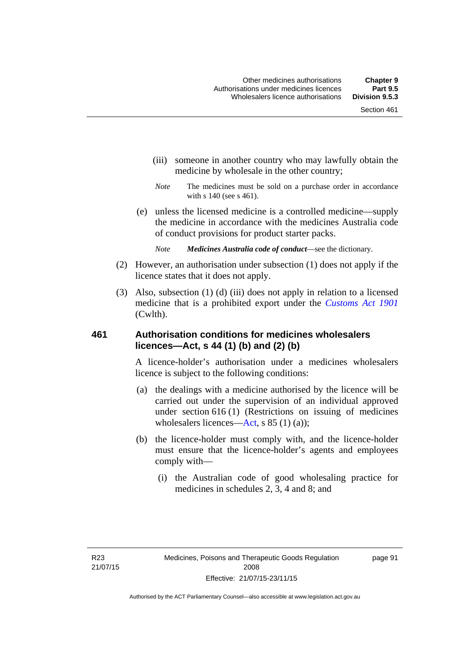- (iii) someone in another country who may lawfully obtain the medicine by wholesale in the other country;
- *Note* The medicines must be sold on a purchase order in accordance with s 140 (see s 461).
- (e) unless the licensed medicine is a controlled medicine—supply the medicine in accordance with the medicines Australia code of conduct provisions for product starter packs.
	- *Note Medicines Australia code of conduct*—see the dictionary.
- (2) However, an authorisation under subsection (1) does not apply if the licence states that it does not apply.
- (3) Also, subsection (1) (d) (iii) does not apply in relation to a licensed medicine that is a prohibited export under the *[Customs Act 1901](http://www.comlaw.gov.au/Series/C1901A00006)* (Cwlth).

#### **461 Authorisation conditions for medicines wholesalers licences—Act, s 44 (1) (b) and (2) (b)**

A licence-holder's authorisation under a medicines wholesalers licence is subject to the following conditions:

- (a) the dealings with a medicine authorised by the licence will be carried out under the supervision of an individual approved under section 616 (1) (Restrictions on issuing of medicines wholesalers licences[—Act,](http://www.legislation.act.gov.au/a/2008-26/default.asp) s 85 (1) (a));
- (b) the licence-holder must comply with, and the licence-holder must ensure that the licence-holder's agents and employees comply with—
	- (i) the Australian code of good wholesaling practice for medicines in schedules 2, 3, 4 and 8; and

page 91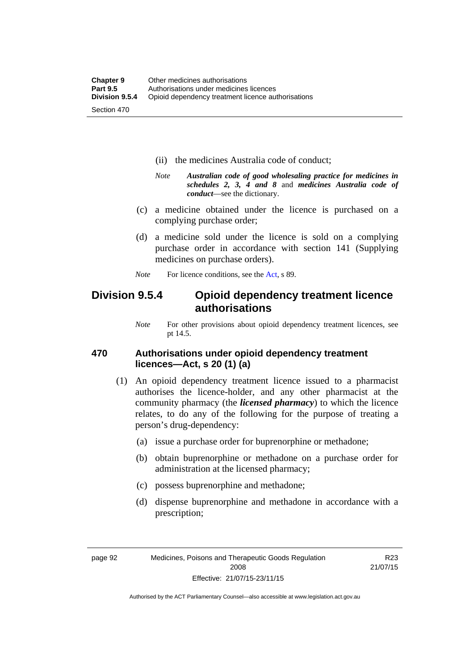- (ii) the medicines Australia code of conduct;
- *Note Australian code of good wholesaling practice for medicines in schedules 2, 3, 4 and 8* and *medicines Australia code of conduct*—see the dictionary.
- (c) a medicine obtained under the licence is purchased on a complying purchase order;
- (d) a medicine sold under the licence is sold on a complying purchase order in accordance with section 141 (Supplying medicines on purchase orders).
- *Note* For licence conditions, see the [Act](http://www.legislation.act.gov.au/a/2008-26/default.asp), s 89.

# **Division 9.5.4 Opioid dependency treatment licence authorisations**

*Note* For other provisions about opioid dependency treatment licences, see pt 14.5.

#### **470 Authorisations under opioid dependency treatment licences—Act, s 20 (1) (a)**

- (1) An opioid dependency treatment licence issued to a pharmacist authorises the licence-holder, and any other pharmacist at the community pharmacy (the *licensed pharmacy*) to which the licence relates, to do any of the following for the purpose of treating a person's drug-dependency:
	- (a) issue a purchase order for buprenorphine or methadone;
	- (b) obtain buprenorphine or methadone on a purchase order for administration at the licensed pharmacy;
	- (c) possess buprenorphine and methadone;
	- (d) dispense buprenorphine and methadone in accordance with a prescription;

R23 21/07/15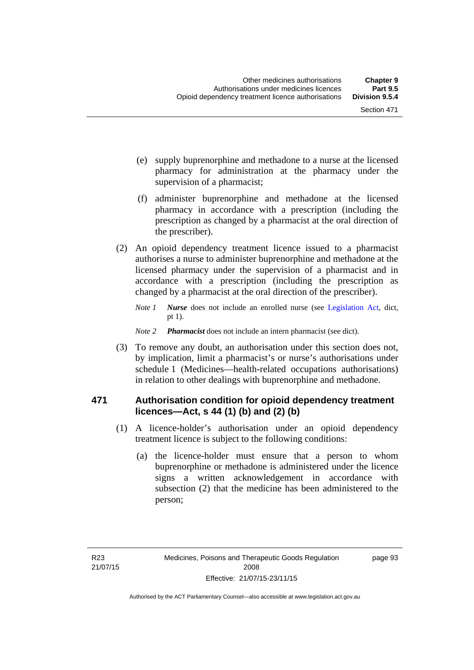- (e) supply buprenorphine and methadone to a nurse at the licensed pharmacy for administration at the pharmacy under the supervision of a pharmacist;
- (f) administer buprenorphine and methadone at the licensed pharmacy in accordance with a prescription (including the prescription as changed by a pharmacist at the oral direction of the prescriber).
- (2) An opioid dependency treatment licence issued to a pharmacist authorises a nurse to administer buprenorphine and methadone at the licensed pharmacy under the supervision of a pharmacist and in accordance with a prescription (including the prescription as changed by a pharmacist at the oral direction of the prescriber).
	- *Note 1 Nurse* does not include an enrolled nurse (see [Legislation Act,](http://www.legislation.act.gov.au/a/2001-14) dict, pt 1).
	- *Note 2 Pharmacist* does not include an intern pharmacist (see dict).
- (3) To remove any doubt, an authorisation under this section does not, by implication, limit a pharmacist's or nurse's authorisations under schedule 1 (Medicines—health-related occupations authorisations) in relation to other dealings with buprenorphine and methadone.

### **471 Authorisation condition for opioid dependency treatment licences—Act, s 44 (1) (b) and (2) (b)**

- (1) A licence-holder's authorisation under an opioid dependency treatment licence is subject to the following conditions:
	- (a) the licence-holder must ensure that a person to whom buprenorphine or methadone is administered under the licence signs a written acknowledgement in accordance with subsection (2) that the medicine has been administered to the person;

page 93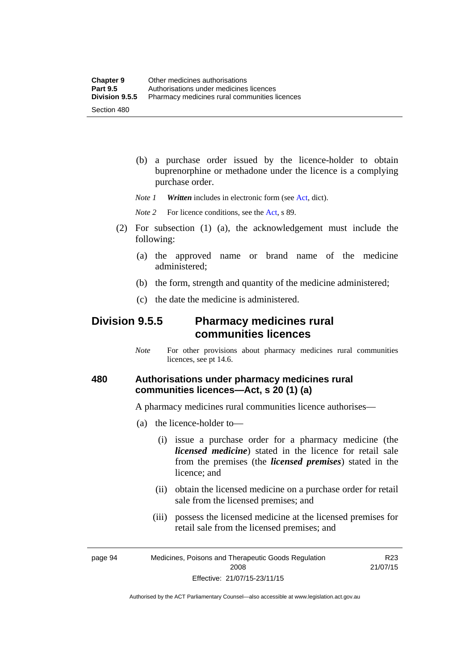(b) a purchase order issued by the licence-holder to obtain buprenorphine or methadone under the licence is a complying purchase order.

*Note 1 Written* includes in electronic form (see [Act,](http://www.legislation.act.gov.au/a/2008-26/default.asp) dict).

*Note* 2 For licence conditions, see the [Act](http://www.legislation.act.gov.au/a/2008-26/default.asp), s 89.

- (2) For subsection (1) (a), the acknowledgement must include the following:
	- (a) the approved name or brand name of the medicine administered;
	- (b) the form, strength and quantity of the medicine administered;
	- (c) the date the medicine is administered.

# **Division 9.5.5 Pharmacy medicines rural communities licences**

*Note* For other provisions about pharmacy medicines rural communities licences, see pt 14.6.

### **480 Authorisations under pharmacy medicines rural communities licences—Act, s 20 (1) (a)**

A pharmacy medicines rural communities licence authorises—

- (a) the licence-holder to—
	- (i) issue a purchase order for a pharmacy medicine (the *licensed medicine*) stated in the licence for retail sale from the premises (the *licensed premises*) stated in the licence; and
	- (ii) obtain the licensed medicine on a purchase order for retail sale from the licensed premises; and
	- (iii) possess the licensed medicine at the licensed premises for retail sale from the licensed premises; and

R23 21/07/15

page 94 Medicines, Poisons and Therapeutic Goods Regulation 2008 Effective: 21/07/15-23/11/15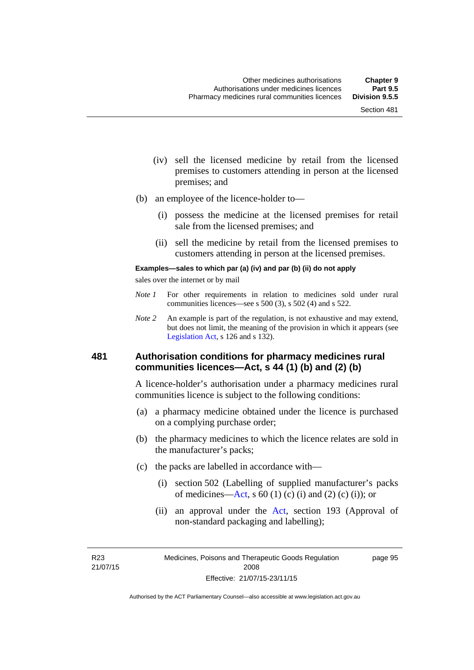- (iv) sell the licensed medicine by retail from the licensed premises to customers attending in person at the licensed premises; and
- (b) an employee of the licence-holder to—
	- (i) possess the medicine at the licensed premises for retail sale from the licensed premises; and
	- (ii) sell the medicine by retail from the licensed premises to customers attending in person at the licensed premises.

#### **Examples—sales to which par (a) (iv) and par (b) (ii) do not apply**

sales over the internet or by mail

- *Note 1* For other requirements in relation to medicines sold under rural communities licences—see s 500 (3), s 502 (4) and s 522.
- *Note 2* An example is part of the regulation, is not exhaustive and may extend, but does not limit, the meaning of the provision in which it appears (see [Legislation Act,](http://www.legislation.act.gov.au/a/2001-14) s 126 and s 132).

#### **481 Authorisation conditions for pharmacy medicines rural communities licences—Act, s 44 (1) (b) and (2) (b)**

A licence-holder's authorisation under a pharmacy medicines rural communities licence is subject to the following conditions:

- (a) a pharmacy medicine obtained under the licence is purchased on a complying purchase order;
- (b) the pharmacy medicines to which the licence relates are sold in the manufacturer's packs;
- (c) the packs are labelled in accordance with—
	- (i) section 502 (Labelling of supplied manufacturer's packs of medicines—[Act](http://www.legislation.act.gov.au/a/2008-26/default.asp), s  $60(1)$  (c) (i) and (2) (c) (i)); or
	- (ii) an approval under the [Act](http://www.legislation.act.gov.au/a/2008-26/default.asp), section 193 (Approval of non-standard packaging and labelling);

R23 21/07/15 page 95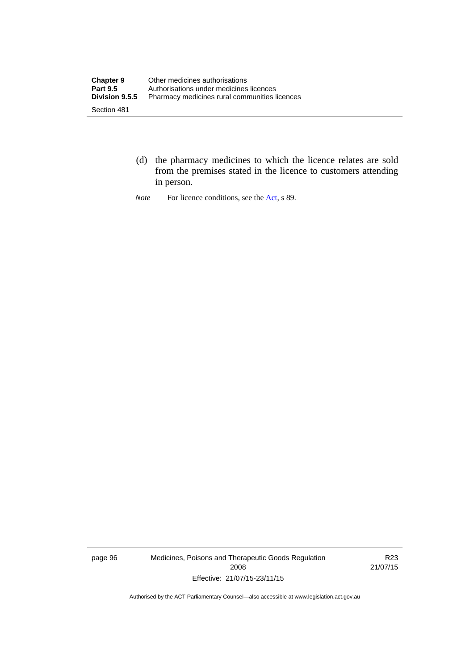- (d) the pharmacy medicines to which the licence relates are sold from the premises stated in the licence to customers attending in person.
- *Note* For licence conditions, see the [Act](http://www.legislation.act.gov.au/a/2008-26/default.asp), s 89.

page 96 Medicines, Poisons and Therapeutic Goods Regulation 2008 Effective: 21/07/15-23/11/15

R23 21/07/15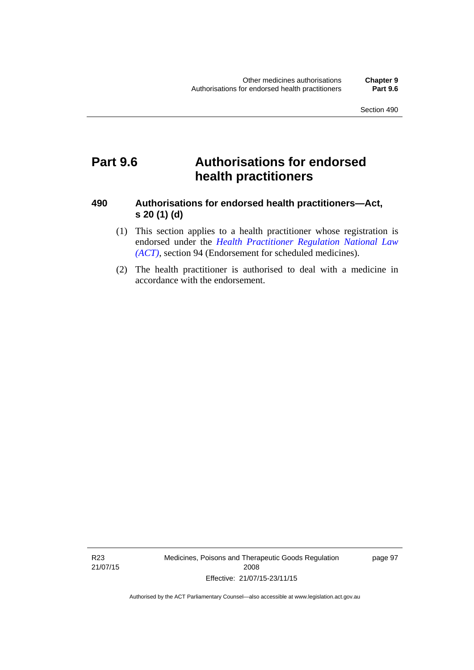# **Part 9.6 Authorisations for endorsed health practitioners**

## **490 Authorisations for endorsed health practitioners—Act, s 20 (1) (d)**

- (1) This section applies to a health practitioner whose registration is endorsed under the 5*[Health Practitioner Regulation National Law](#page-53-0)  (ACT)*[, section 94 \(Endorsement for scheduled medicines\).](#page-53-0)
- [\(2\) The health practitioner is aut](#page-53-0)horised to deal with a medicine in accordance with the endorsement.

R23 21/07/15 Medicines, Poisons and Therapeutic Goods Regulation 2008 Effective: 21/07/15-23/11/15

page 97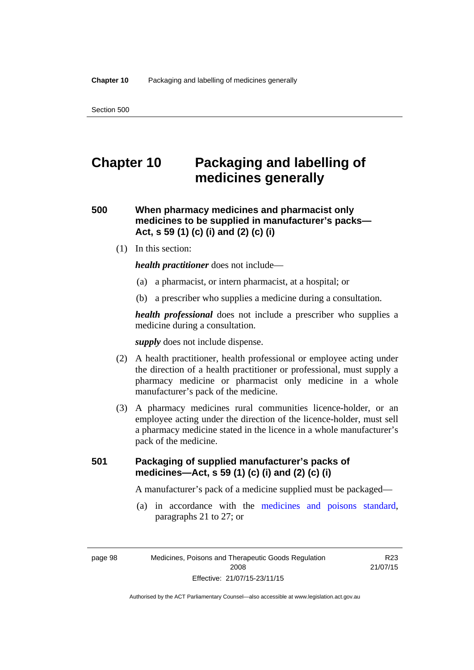# **Chapter 10 Packaging and labelling of medicines generally**

# **500 When pharmacy medicines and pharmacist only medicines to be supplied in manufacturer's packs— Act, s 59 (1) (c) (i) and (2) (c) (i)**

(1) In this section:

*health practitioner* does not include—

- (a) a pharmacist, or intern pharmacist, at a hospital; or
- (b) a prescriber who supplies a medicine during a consultation.

*health professional* does not include a prescriber who supplies a medicine during a consultation.

*supply* does not include dispense.

- (2) A health practitioner, health professional or employee acting under the direction of a health practitioner or professional, must supply a pharmacy medicine or pharmacist only medicine in a whole manufacturer's pack of the medicine.
- (3) A pharmacy medicines rural communities licence-holder, or an employee acting under the direction of the licence-holder, must sell a pharmacy medicine stated in the licence in a whole manufacturer's pack of the medicine.

# **501 Packaging of supplied manufacturer's packs of medicines—Act, s 59 (1) (c) (i) and (2) (c) (i)**

A manufacturer's pack of a medicine supplied must be packaged—

 (a) in accordance with the [medicines and poisons standard](http://www.comlaw.gov.au/Series/F2012L01200), paragraphs 21 to 27; or

R23 21/07/15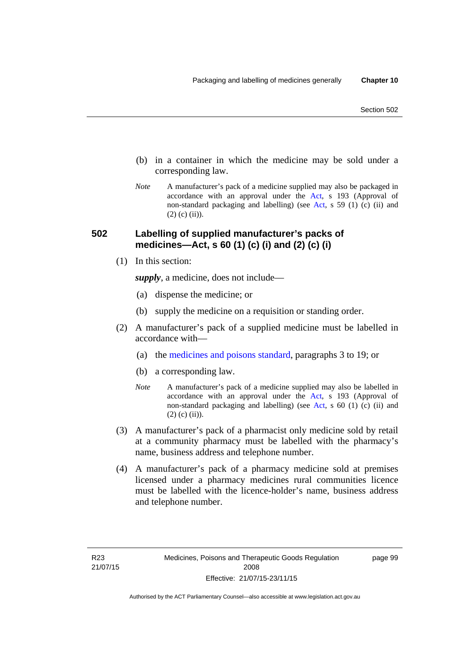- (b) in a container in which the medicine may be sold under a corresponding law.
- *Note* A manufacturer's pack of a medicine supplied may also be packaged in accordance with an approval under the [Act](http://www.legislation.act.gov.au/a/2008-26/default.asp), s 193 (Approval of non-standard packaging and labelling) (see [Act](http://www.legislation.act.gov.au/a/2008-26/default.asp), s 59 (1) (c) (ii) and  $(2)$  (c)  $(ii)$ ).

### **502 Labelling of supplied manufacturer's packs of medicines—Act, s 60 (1) (c) (i) and (2) (c) (i)**

(1) In this section:

*supply*, a medicine, does not include—

- (a) dispense the medicine; or
- (b) supply the medicine on a requisition or standing order.
- (2) A manufacturer's pack of a supplied medicine must be labelled in accordance with—
	- (a) the [medicines and poisons standard](http://www.comlaw.gov.au/Series/F2012L01200), paragraphs 3 to 19; or
	- (b) a corresponding law.
	- *Note* A manufacturer's pack of a medicine supplied may also be labelled in accordance with an approval under the [Act](http://www.legislation.act.gov.au/a/2008-26/default.asp), s 193 (Approval of non-standard packaging and labelling) (see [Act](http://www.legislation.act.gov.au/a/2008-26/default.asp), s 60 (1) (c) (ii) and  $(2)$  (c) (ii)).
- (3) A manufacturer's pack of a pharmacist only medicine sold by retail at a community pharmacy must be labelled with the pharmacy's name, business address and telephone number.
- (4) A manufacturer's pack of a pharmacy medicine sold at premises licensed under a pharmacy medicines rural communities licence must be labelled with the licence-holder's name, business address and telephone number.

page 99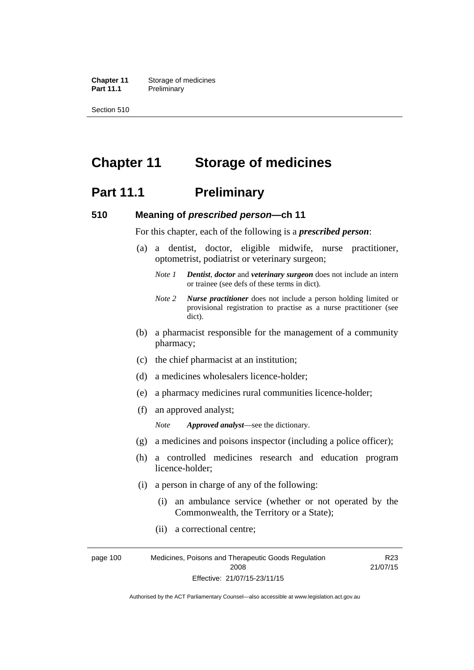**Chapter 11** Storage of medicines Part 11.1 Preliminary

Section 510

# **Chapter 11 Storage of medicines**

# **Part 11.1** Preliminary

#### **510 Meaning of** *prescribed person***—ch 11**

For this chapter, each of the following is a *prescribed person*:

- (a) a dentist, doctor, eligible midwife, nurse practitioner, optometrist, podiatrist or veterinary surgeon;
	- *Note 1 Dentist*, *doctor* and *veterinary surgeon* does not include an intern or trainee (see defs of these terms in dict).
	- *Note 2 Nurse practitioner* does not include a person holding limited or provisional registration to practise as a nurse practitioner (see dict).
- (b) a pharmacist responsible for the management of a community pharmacy;
- (c) the chief pharmacist at an institution;
- (d) a medicines wholesalers licence-holder;
- (e) a pharmacy medicines rural communities licence-holder;
- (f) an approved analyst;

*Note Approved analyst*—see the dictionary.

- (g) a medicines and poisons inspector (including a police officer);
- (h) a controlled medicines research and education program licence-holder;
- (i) a person in charge of any of the following:
	- (i) an ambulance service (whether or not operated by the Commonwealth, the Territory or a State);
	- (ii) a correctional centre;

page 100 Medicines, Poisons and Therapeutic Goods Regulation 2008 Effective: 21/07/15-23/11/15 R23 21/07/15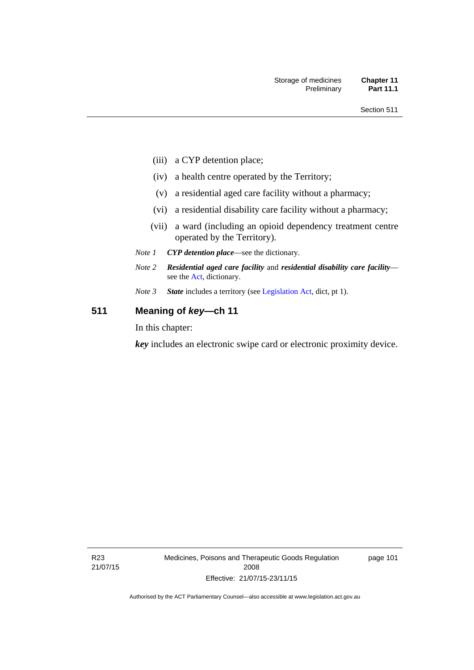- (iii) a CYP detention place;
- (iv) a health centre operated by the Territory;
- (v) a residential aged care facility without a pharmacy;
- (vi) a residential disability care facility without a pharmacy;
- (vii) a ward (including an opioid dependency treatment centre operated by the Territory).
- *Note 1 CYP detention place*—see the dictionary.
- *Note 2 Residential aged care facility* and *residential disability care facility* see the [Act](http://www.legislation.act.gov.au/a/2008-26/default.asp), dictionary.
- *Note 3 State* includes a territory (see [Legislation Act,](http://www.legislation.act.gov.au/a/2001-14) dict, pt 1).

# **511 Meaning of** *key***—ch 11**

In this chapter:

*key* includes an electronic swipe card or electronic proximity device.

R23 21/07/15 Medicines, Poisons and Therapeutic Goods Regulation 2008 Effective: 21/07/15-23/11/15

page 101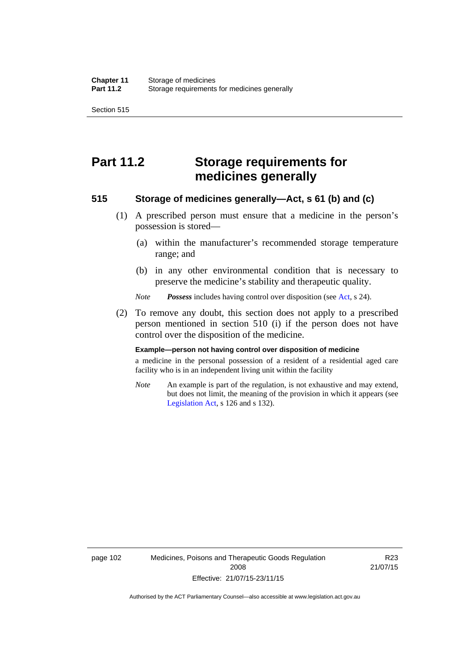Section 515

# **Part 11.2 Storage requirements for medicines generally**

#### **515 Storage of medicines generally—Act, s 61 (b) and (c)**

- (1) A prescribed person must ensure that a medicine in the person's possession is stored—
	- (a) within the manufacturer's recommended storage temperature range; and
	- (b) in any other environmental condition that is necessary to preserve the medicine's stability and therapeutic quality.

*Note Possess* includes having control over disposition (see [Act,](http://www.legislation.act.gov.au/a/2008-26/default.asp) s 24).

 (2) To remove any doubt, this section does not apply to a prescribed person mentioned in section 510 (i) if the person does not have control over the disposition of the medicine.

#### **Example—person not having control over disposition of medicine**

a medicine in the personal possession of a resident of a residential aged care facility who is in an independent living unit within the facility

*Note* An example is part of the regulation, is not exhaustive and may extend, but does not limit, the meaning of the provision in which it appears (see [Legislation Act,](http://www.legislation.act.gov.au/a/2001-14) s 126 and s 132).

page 102 Medicines, Poisons and Therapeutic Goods Regulation 2008 Effective: 21/07/15-23/11/15

R23 21/07/15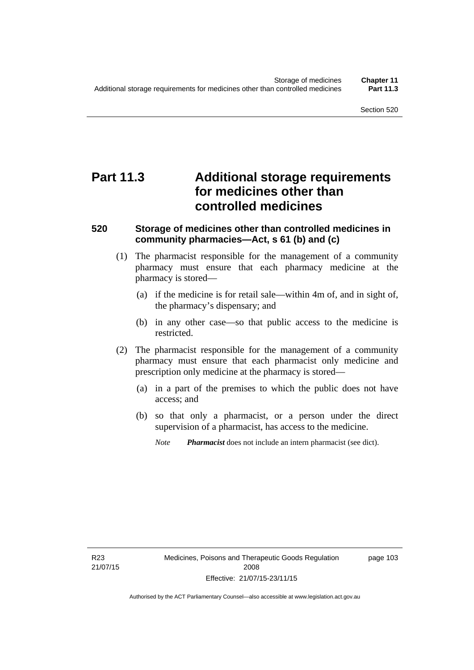# **Part 11.3 Additional storage requirements for medicines other than controlled medicines**

#### **520 Storage of medicines other than controlled medicines in community pharmacies—Act, s 61 (b) and (c)**

- (1) The pharmacist responsible for the management of a community pharmacy must ensure that each pharmacy medicine at the pharmacy is stored—
	- (a) if the medicine is for retail sale—within 4m of, and in sight of, the pharmacy's dispensary; and
	- (b) in any other case—so that public access to the medicine is restricted.
- (2) The pharmacist responsible for the management of a community pharmacy must ensure that each pharmacist only medicine and prescription only medicine at the pharmacy is stored—
	- (a) in a part of the premises to which the public does not have access; and
	- (b) so that only a pharmacist, or a person under the direct supervision of a pharmacist, has access to the medicine.

*Note Pharmacist* does not include an intern pharmacist (see dict).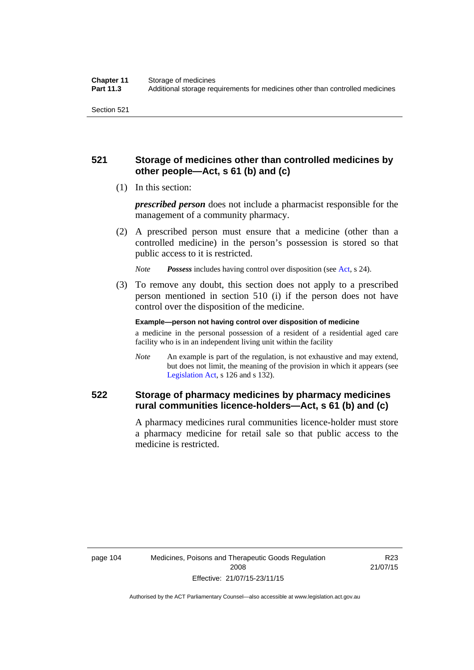# **521 Storage of medicines other than controlled medicines by other people—Act, s 61 (b) and (c)**

(1) In this section:

*prescribed person* does not include a pharmacist responsible for the management of a community pharmacy.

 (2) A prescribed person must ensure that a medicine (other than a controlled medicine) in the person's possession is stored so that public access to it is restricted.

*Note Possess* includes having control over disposition (see [Act,](http://www.legislation.act.gov.au/a/2008-26/default.asp) s 24).

 (3) To remove any doubt, this section does not apply to a prescribed person mentioned in section 510 (i) if the person does not have control over the disposition of the medicine.

**Example—person not having control over disposition of medicine** 

a medicine in the personal possession of a resident of a residential aged care facility who is in an independent living unit within the facility

*Note* An example is part of the regulation, is not exhaustive and may extend, but does not limit, the meaning of the provision in which it appears (see [Legislation Act,](http://www.legislation.act.gov.au/a/2001-14) s 126 and s 132).

# **522 Storage of pharmacy medicines by pharmacy medicines rural communities licence-holders—Act, s 61 (b) and (c)**

A pharmacy medicines rural communities licence-holder must store a pharmacy medicine for retail sale so that public access to the medicine is restricted.

R23 21/07/15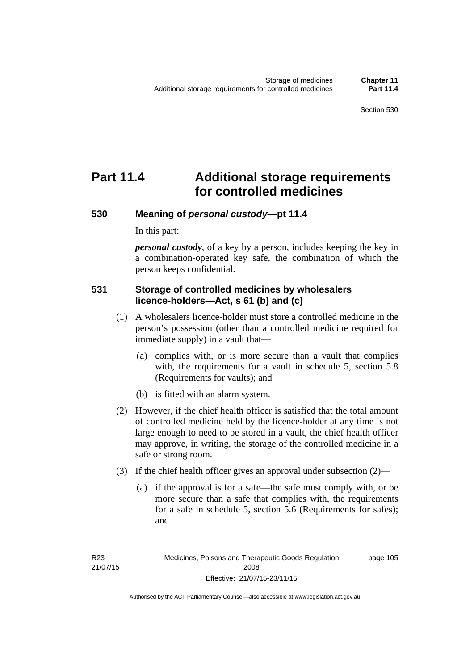page 105

# **Part 11.4 Additional storage requirements for controlled medicines**

#### **530 Meaning of** *personal custody***—pt 11.4**

In this part:

*personal custody*, of a key by a person, includes keeping the key in a combination-operated key safe, the combination of which the person keeps confidential.

### **531 Storage of controlled medicines by wholesalers licence-holders—Act, s 61 (b) and (c)**

- (1) A wholesalers licence-holder must store a controlled medicine in the person's possession (other than a controlled medicine required for immediate supply) in a vault that—
	- (a) complies with, or is more secure than a vault that complies with, the requirements for a vault in schedule 5, section 5.8 (Requirements for vaults); and
	- (b) is fitted with an alarm system.
- (2) However, if the chief health officer is satisfied that the total amount of controlled medicine held by the licence-holder at any time is not large enough to need to be stored in a vault, the chief health officer may approve, in writing, the storage of the controlled medicine in a safe or strong room.
- (3) If the chief health officer gives an approval under subsection (2)—
	- (a) if the approval is for a safe—the safe must comply with, or be more secure than a safe that complies with, the requirements for a safe in schedule 5, section 5.6 (Requirements for safes); and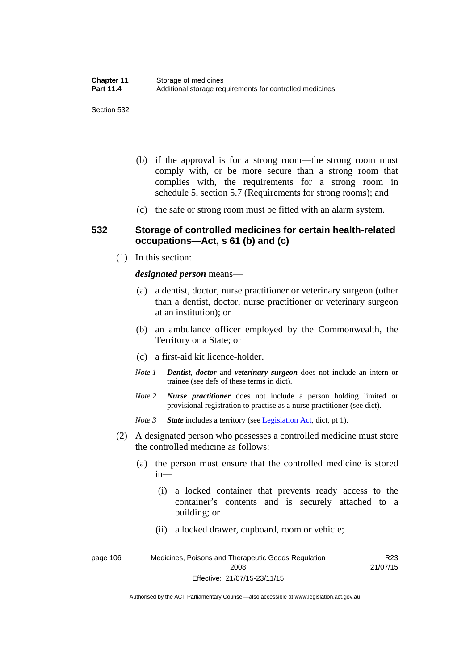- (b) if the approval is for a strong room—the strong room must comply with, or be more secure than a strong room that complies with, the requirements for a strong room in schedule 5, section 5.7 (Requirements for strong rooms); and
- (c) the safe or strong room must be fitted with an alarm system.

#### **532 Storage of controlled medicines for certain health-related occupations—Act, s 61 (b) and (c)**

(1) In this section:

#### *designated person* means—

- (a) a dentist, doctor, nurse practitioner or veterinary surgeon (other than a dentist, doctor, nurse practitioner or veterinary surgeon at an institution); or
- (b) an ambulance officer employed by the Commonwealth, the Territory or a State; or
- (c) a first-aid kit licence-holder.
- *Note 1 Dentist*, *doctor* and *veterinary surgeon* does not include an intern or trainee (see defs of these terms in dict).
- *Note 2 Nurse practitioner* does not include a person holding limited or provisional registration to practise as a nurse practitioner (see dict).
- *Note 3 State* includes a territory (see [Legislation Act,](http://www.legislation.act.gov.au/a/2001-14) dict, pt 1).
- (2) A designated person who possesses a controlled medicine must store the controlled medicine as follows:
	- (a) the person must ensure that the controlled medicine is stored in—
		- (i) a locked container that prevents ready access to the container's contents and is securely attached to a building; or
		- (ii) a locked drawer, cupboard, room or vehicle;

page 106 Medicines, Poisons and Therapeutic Goods Regulation 2008 Effective: 21/07/15-23/11/15 R23 21/07/15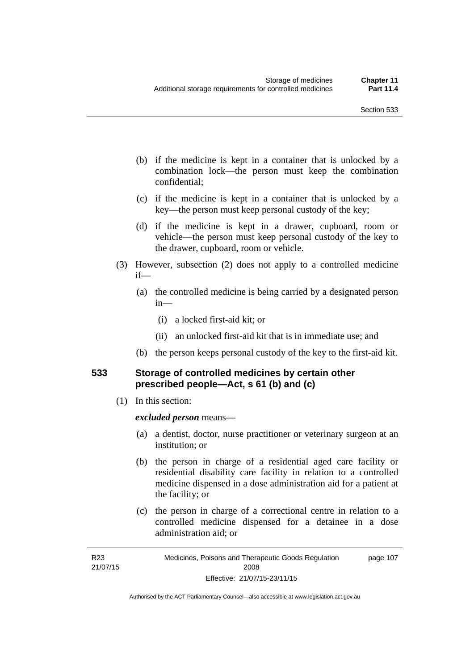- (b) if the medicine is kept in a container that is unlocked by a combination lock—the person must keep the combination confidential;
- (c) if the medicine is kept in a container that is unlocked by a key—the person must keep personal custody of the key;
- (d) if the medicine is kept in a drawer, cupboard, room or vehicle—the person must keep personal custody of the key to the drawer, cupboard, room or vehicle.
- (3) However, subsection (2) does not apply to a controlled medicine if—
	- (a) the controlled medicine is being carried by a designated person in—
		- (i) a locked first-aid kit; or
		- (ii) an unlocked first-aid kit that is in immediate use; and
	- (b) the person keeps personal custody of the key to the first-aid kit.

#### **533 Storage of controlled medicines by certain other prescribed people—Act, s 61 (b) and (c)**

(1) In this section:

#### *excluded person* means—

- (a) a dentist, doctor, nurse practitioner or veterinary surgeon at an institution; or
- (b) the person in charge of a residential aged care facility or residential disability care facility in relation to a controlled medicine dispensed in a dose administration aid for a patient at the facility; or
- (c) the person in charge of a correctional centre in relation to a controlled medicine dispensed for a detainee in a dose administration aid; or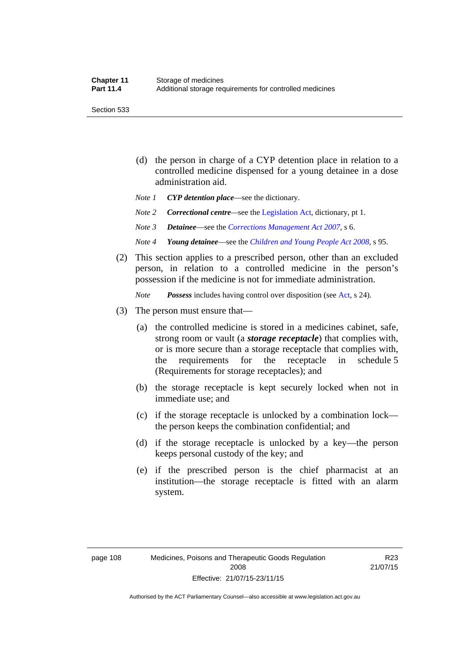Section 533

- (d) the person in charge of a CYP detention place in relation to a controlled medicine dispensed for a young detainee in a dose administration aid.
- *Note 1 CYP detention place*—see the dictionary.
- *Note 2 Correctional centre—see the [Legislation Act](http://www.legislation.act.gov.au/a/2001-14), dictionary, pt 1.*
- *Note 3 Detainee*—see the *[Corrections Management Act 2007](http://www.legislation.act.gov.au/a/2007-15)*, s 6.
- *Note 4 Young detainee*—see the *[Children and Young People Act 2008](http://www.legislation.act.gov.au/a/2008-19)*, s 95.
- (2) This section applies to a prescribed person, other than an excluded person, in relation to a controlled medicine in the person's possession if the medicine is not for immediate administration.

*Note Possess* includes having control over disposition (see [Act,](http://www.legislation.act.gov.au/a/2008-26/default.asp) s 24).

- (3) The person must ensure that—
	- (a) the controlled medicine is stored in a medicines cabinet, safe, strong room or vault (a *storage receptacle*) that complies with, or is more secure than a storage receptacle that complies with, the requirements for the receptacle in schedule 5 (Requirements for storage receptacles); and
	- (b) the storage receptacle is kept securely locked when not in immediate use; and
	- (c) if the storage receptacle is unlocked by a combination lock the person keeps the combination confidential; and
	- (d) if the storage receptacle is unlocked by a key—the person keeps personal custody of the key; and
	- (e) if the prescribed person is the chief pharmacist at an institution—the storage receptacle is fitted with an alarm system.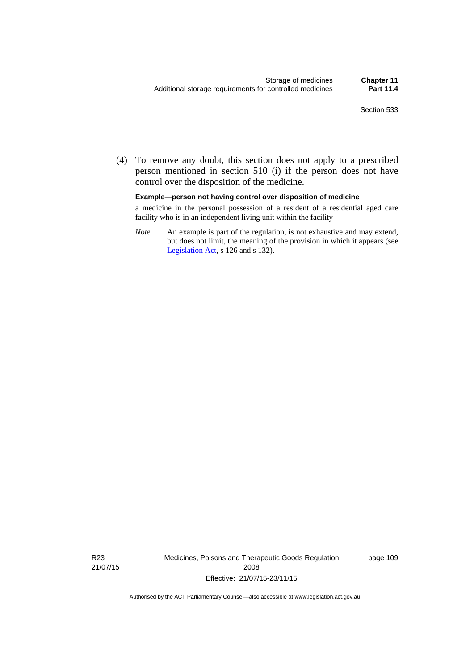(4) To remove any doubt, this section does not apply to a prescribed person mentioned in section 510 (i) if the person does not have control over the disposition of the medicine.

#### **Example—person not having control over disposition of medicine**

a medicine in the personal possession of a resident of a residential aged care facility who is in an independent living unit within the facility

*Note* An example is part of the regulation, is not exhaustive and may extend, but does not limit, the meaning of the provision in which it appears (see [Legislation Act,](http://www.legislation.act.gov.au/a/2001-14) s 126 and s 132).

R23 21/07/15 Medicines, Poisons and Therapeutic Goods Regulation 2008 Effective: 21/07/15-23/11/15

page 109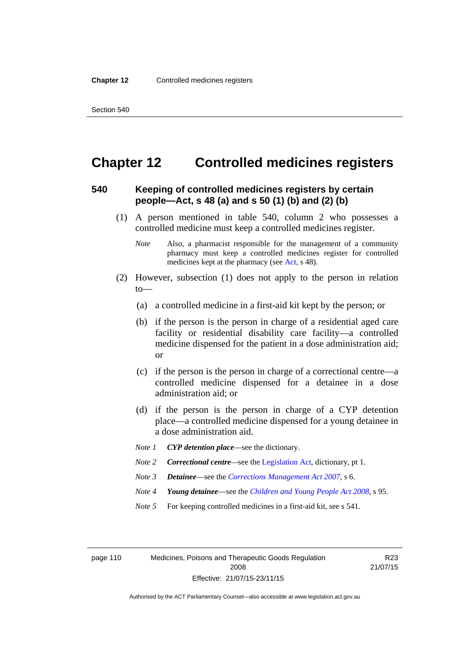# **Chapter 12 Controlled medicines registers**

#### **540 Keeping of controlled medicines registers by certain people—Act, s 48 (a) and s 50 (1) (b) and (2) (b)**

- (1) A person mentioned in table 540, column 2 who possesses a controlled medicine must keep a controlled medicines register.
	- *Note* Also, a pharmacist responsible for the management of a community pharmacy must keep a controlled medicines register for controlled medicines kept at the pharmacy (see [Act](http://www.legislation.act.gov.au/a/2008-26/default.asp), s 48).
- (2) However, subsection (1) does not apply to the person in relation  $to$ —
	- (a) a controlled medicine in a first-aid kit kept by the person; or
	- (b) if the person is the person in charge of a residential aged care facility or residential disability care facility—a controlled medicine dispensed for the patient in a dose administration aid; or
	- (c) if the person is the person in charge of a correctional centre—a controlled medicine dispensed for a detainee in a dose administration aid; or
	- (d) if the person is the person in charge of a CYP detention place—a controlled medicine dispensed for a young detainee in a dose administration aid.
	- *Note 1 CYP detention place*—see the dictionary.
	- *Note 2 Correctional centre—see the [Legislation Act](http://www.legislation.act.gov.au/a/2001-14), dictionary, pt 1.*
	- *Note 3 Detainee*—see the *[Corrections Management Act 2007](http://www.legislation.act.gov.au/a/2007-15)*, s 6.
	- *Note 4 Young detainee*—see the *[Children and Young People Act 2008](http://www.legislation.act.gov.au/a/2008-19)*, s 95.
	- *Note* 5 For keeping controlled medicines in a first-aid kit, see s 541.

page 110 Medicines, Poisons and Therapeutic Goods Regulation 2008 Effective: 21/07/15-23/11/15

R23 21/07/15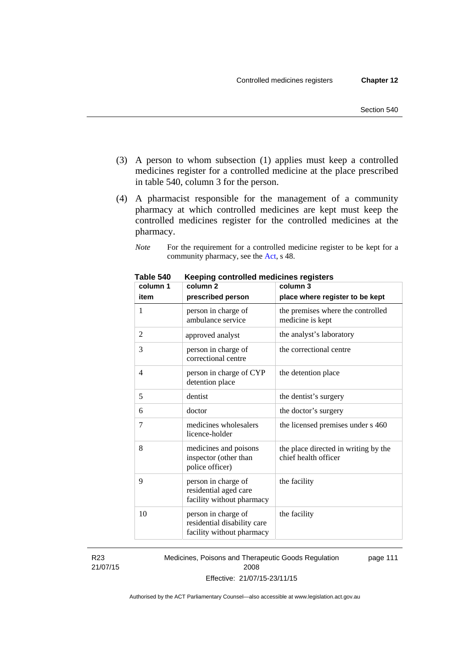- (3) A person to whom subsection (1) applies must keep a controlled medicines register for a controlled medicine at the place prescribed in table 540, column 3 for the person.
- (4) A pharmacist responsible for the management of a community pharmacy at which controlled medicines are kept must keep the controlled medicines register for the controlled medicines at the pharmacy.

*Note* For the requirement for a controlled medicine register to be kept for a community pharmacy, see the [Act,](http://www.legislation.act.gov.au/a/2008-26/default.asp) s 48.

| column 1       | column 2                                                                        | <br>column 3                                                 |  |  |
|----------------|---------------------------------------------------------------------------------|--------------------------------------------------------------|--|--|
| item           | prescribed person                                                               | place where register to be kept                              |  |  |
| 1              | person in charge of<br>ambulance service                                        | the premises where the controlled<br>medicine is kept        |  |  |
| $\overline{c}$ | approved analyst                                                                | the analyst's laboratory                                     |  |  |
| 3              | person in charge of<br>correctional centre                                      | the correctional centre                                      |  |  |
| 4              | person in charge of CYP<br>detention place                                      | the detention place                                          |  |  |
| 5              | dentist                                                                         | the dentist's surgery                                        |  |  |
| 6              | doctor                                                                          | the doctor's surgery                                         |  |  |
| 7              | medicines wholesalers<br>licence-holder                                         | the licensed premises under s 460                            |  |  |
| 8              | medicines and poisons<br>inspector (other than<br>police officer)               | the place directed in writing by the<br>chief health officer |  |  |
| 9              | person in charge of<br>residential aged care<br>facility without pharmacy       | the facility                                                 |  |  |
| 10             | person in charge of<br>residential disability care<br>facility without pharmacy | the facility                                                 |  |  |

**Table 540 Keeping controlled medicines registers** 

R23 21/07/15 Medicines, Poisons and Therapeutic Goods Regulation 2008 Effective: 21/07/15-23/11/15 page 111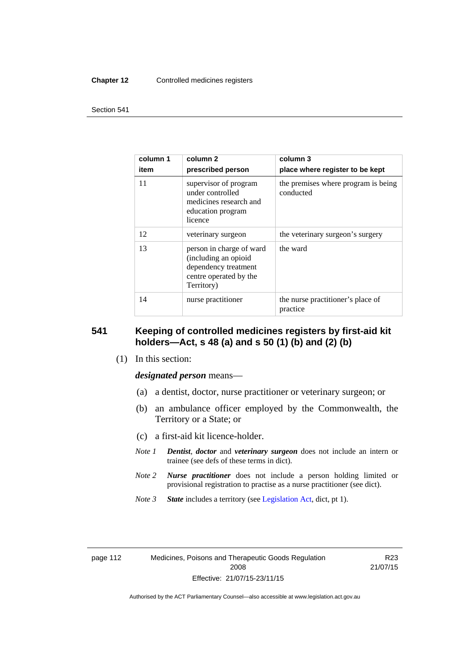#### **Chapter 12** Controlled medicines registers

#### Section 541

| column 1<br>item | column 2<br>prescribed person                                                                                    | column 3<br>place where register to be kept      |  |
|------------------|------------------------------------------------------------------------------------------------------------------|--------------------------------------------------|--|
| 11               | supervisor of program<br>under controlled<br>medicines research and<br>education program<br>licence              | the premises where program is being<br>conducted |  |
| 12               | veterinary surgeon                                                                                               | the veterinary surgeon's surgery                 |  |
| 13               | person in charge of ward<br>(including an opioid<br>dependency treatment<br>centre operated by the<br>Territory) | the ward                                         |  |
| 14               | nurse practitioner                                                                                               | the nurse practitioner's place of<br>practice    |  |

#### **541 Keeping of controlled medicines registers by first-aid kit holders—Act, s 48 (a) and s 50 (1) (b) and (2) (b)**

(1) In this section:

*designated person* means—

- (a) a dentist, doctor, nurse practitioner or veterinary surgeon; or
- (b) an ambulance officer employed by the Commonwealth, the Territory or a State; or
- (c) a first-aid kit licence-holder.
- *Note 1 Dentist*, *doctor* and *veterinary surgeon* does not include an intern or trainee (see defs of these terms in dict).
- *Note 2 Nurse practitioner* does not include a person holding limited or provisional registration to practise as a nurse practitioner (see dict).
- *Note 3 State* includes a territory (see [Legislation Act,](http://www.legislation.act.gov.au/a/2001-14) dict, pt 1).

| page i i |  |
|----------|--|
|          |  |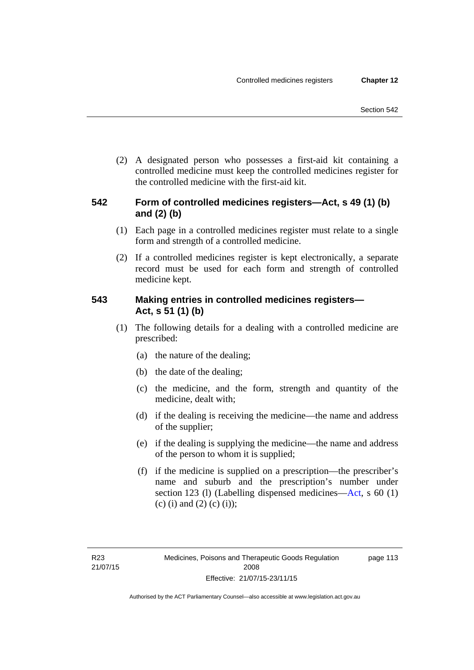(2) A designated person who possesses a first-aid kit containing a controlled medicine must keep the controlled medicines register for the controlled medicine with the first-aid kit.

# **542 Form of controlled medicines registers—Act, s 49 (1) (b) and (2) (b)**

- (1) Each page in a controlled medicines register must relate to a single form and strength of a controlled medicine.
- (2) If a controlled medicines register is kept electronically, a separate record must be used for each form and strength of controlled medicine kept.

# **543 Making entries in controlled medicines registers— Act, s 51 (1) (b)**

- (1) The following details for a dealing with a controlled medicine are prescribed:
	- (a) the nature of the dealing;
	- (b) the date of the dealing;
	- (c) the medicine, and the form, strength and quantity of the medicine, dealt with;
	- (d) if the dealing is receiving the medicine—the name and address of the supplier;
	- (e) if the dealing is supplying the medicine—the name and address of the person to whom it is supplied;
	- (f) if the medicine is supplied on a prescription—the prescriber's name and suburb and the prescription's number under section 123 (l) (Labelling dispensed medicines[—Act,](http://www.legislation.act.gov.au/a/2008-26/default.asp) s 60 (1) (c) (i) and (2) (c) (i));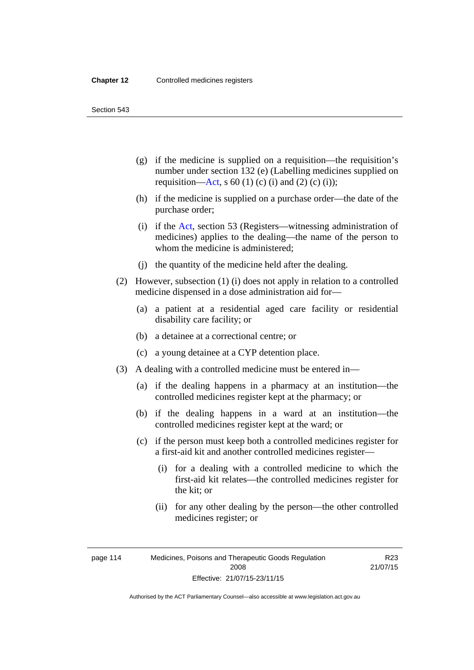Section 543

- (g) if the medicine is supplied on a requisition—the requisition's number under section 132 (e) (Labelling medicines supplied on requisition[—Act,](http://www.legislation.act.gov.au/a/2008-26/default.asp) s 60 (1) (c) (i) and (2) (c) (i));
- (h) if the medicine is supplied on a purchase order—the date of the purchase order;
- (i) if the [Act,](http://www.legislation.act.gov.au/a/2008-26/default.asp) section 53 (Registers—witnessing administration of medicines) applies to the dealing—the name of the person to whom the medicine is administered;
- (j) the quantity of the medicine held after the dealing.
- (2) However, subsection (1) (i) does not apply in relation to a controlled medicine dispensed in a dose administration aid for—
	- (a) a patient at a residential aged care facility or residential disability care facility; or
	- (b) a detainee at a correctional centre; or
	- (c) a young detainee at a CYP detention place.
- (3) A dealing with a controlled medicine must be entered in—
	- (a) if the dealing happens in a pharmacy at an institution—the controlled medicines register kept at the pharmacy; or
	- (b) if the dealing happens in a ward at an institution—the controlled medicines register kept at the ward; or
	- (c) if the person must keep both a controlled medicines register for a first-aid kit and another controlled medicines register—
		- (i) for a dealing with a controlled medicine to which the first-aid kit relates—the controlled medicines register for the kit; or
		- (ii) for any other dealing by the person—the other controlled medicines register; or

R23 21/07/15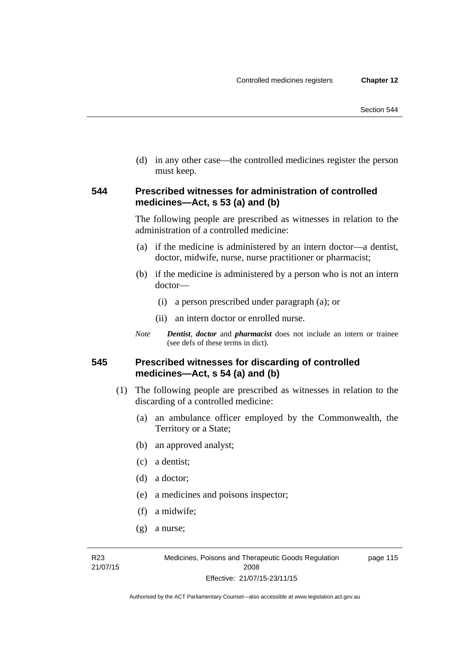(d) in any other case—the controlled medicines register the person must keep.

#### **544 Prescribed witnesses for administration of controlled medicines—Act, s 53 (a) and (b)**

The following people are prescribed as witnesses in relation to the administration of a controlled medicine:

- (a) if the medicine is administered by an intern doctor—a dentist, doctor, midwife, nurse, nurse practitioner or pharmacist;
- (b) if the medicine is administered by a person who is not an intern doctor—
	- (i) a person prescribed under paragraph (a); or
	- (ii) an intern doctor or enrolled nurse.
- *Note Dentist*, *doctor* and *pharmacist* does not include an intern or trainee (see defs of these terms in dict).

#### **545 Prescribed witnesses for discarding of controlled medicines—Act, s 54 (a) and (b)**

- (1) The following people are prescribed as witnesses in relation to the discarding of a controlled medicine:
	- (a) an ambulance officer employed by the Commonwealth, the Territory or a State;
	- (b) an approved analyst;
	- (c) a dentist;
	- (d) a doctor;
	- (e) a medicines and poisons inspector;
	- (f) a midwife;
	- (g) a nurse;

R23 21/07/15 Medicines, Poisons and Therapeutic Goods Regulation 2008 Effective: 21/07/15-23/11/15

page 115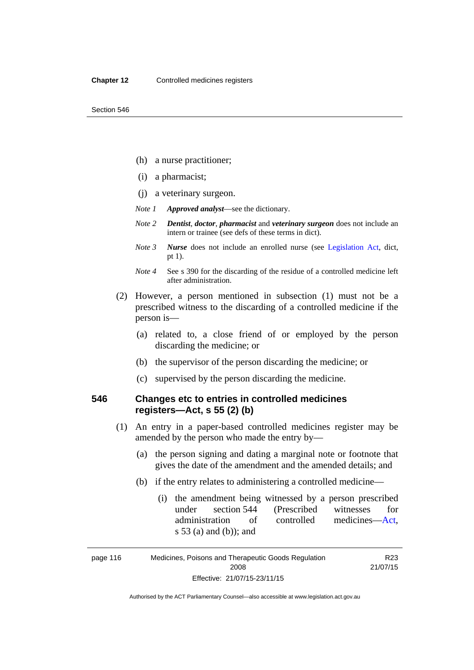- (h) a nurse practitioner;
- (i) a pharmacist;
- (j) a veterinary surgeon.
- *Note 1 Approved analyst*—see the dictionary.
- *Note 2 Dentist*, *doctor*, *pharmacist* and *veterinary surgeon* does not include an intern or trainee (see defs of these terms in dict).
- *Note 3 Nurse* does not include an enrolled nurse (see [Legislation Act,](http://www.legislation.act.gov.au/a/2001-14) dict, pt 1).
- *Note 4* See s 390 for the discarding of the residue of a controlled medicine left after administration.
- (2) However, a person mentioned in subsection (1) must not be a prescribed witness to the discarding of a controlled medicine if the person is—
	- (a) related to, a close friend of or employed by the person discarding the medicine; or
	- (b) the supervisor of the person discarding the medicine; or
	- (c) supervised by the person discarding the medicine.

### **546 Changes etc to entries in controlled medicines registers—Act, s 55 (2) (b)**

- (1) An entry in a paper-based controlled medicines register may be amended by the person who made the entry by—
	- (a) the person signing and dating a marginal note or footnote that gives the date of the amendment and the amended details; and
	- (b) if the entry relates to administering a controlled medicine—
		- (i) the amendment being witnessed by a person prescribed under section 544 (Prescribed witnesses for administration of controlled medicines[—Act](http://www.legislation.act.gov.au/a/2008-26/default.asp), s 53 (a) and (b)); and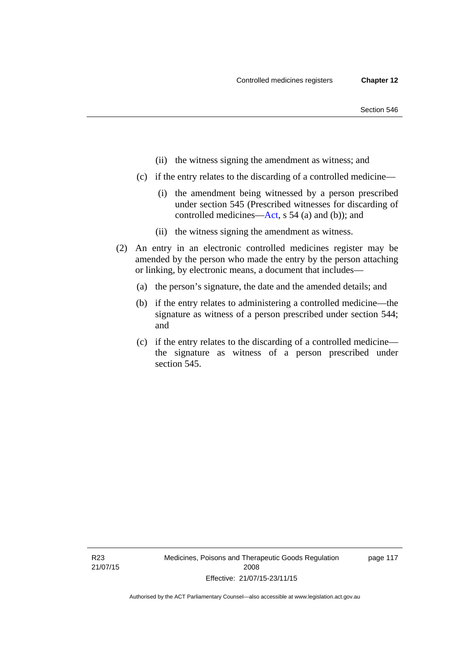- (ii) the witness signing the amendment as witness; and
- (c) if the entry relates to the discarding of a controlled medicine—
	- (i) the amendment being witnessed by a person prescribed under section 545 (Prescribed witnesses for discarding of controlled medicines[—Act,](http://www.legislation.act.gov.au/a/2008-26/default.asp) s 54 (a) and (b)); and
	- (ii) the witness signing the amendment as witness.
- (2) An entry in an electronic controlled medicines register may be amended by the person who made the entry by the person attaching or linking, by electronic means, a document that includes—
	- (a) the person's signature, the date and the amended details; and
	- (b) if the entry relates to administering a controlled medicine—the signature as witness of a person prescribed under section 544; and
	- (c) if the entry relates to the discarding of a controlled medicine the signature as witness of a person prescribed under section 545.

page 117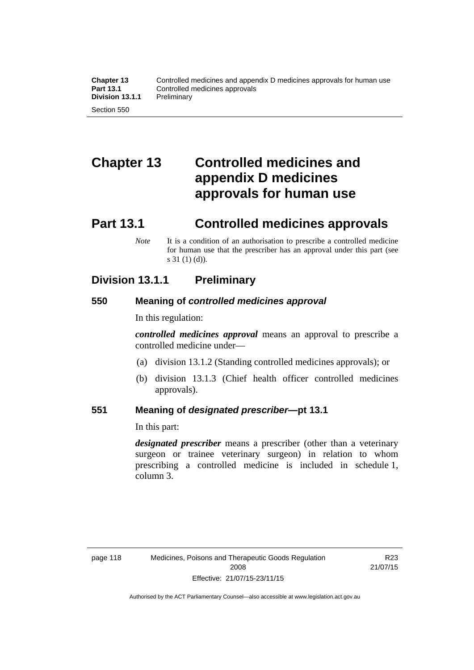# **Chapter 13 Controlled medicines and appendix D medicines approvals for human use**

# **Part 13.1 Controlled medicines approvals**

*Note* It is a condition of an authorisation to prescribe a controlled medicine for human use that the prescriber has an approval under this part (see s 31 (1) (d)).

# **Division 13.1.1 Preliminary**

### **550 Meaning of** *controlled medicines approval*

In this regulation:

*controlled medicines approval* means an approval to prescribe a controlled medicine under—

- (a) division 13.1.2 (Standing controlled medicines approvals); or
- (b) division 13.1.3 (Chief health officer controlled medicines approvals).

#### **551 Meaning of** *designated prescriber***—pt 13.1**

In this part:

*designated prescriber* means a prescriber (other than a veterinary surgeon or trainee veterinary surgeon) in relation to whom prescribing a controlled medicine is included in schedule 1, column 3.

R23 21/07/15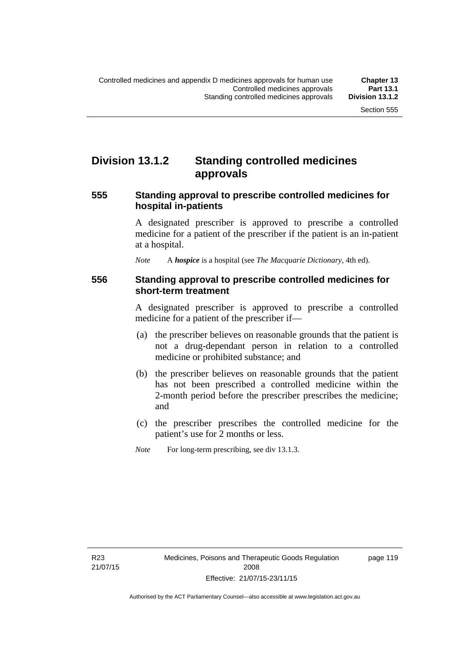# **Division 13.1.2 Standing controlled medicines approvals**

#### **555 Standing approval to prescribe controlled medicines for hospital in-patients**

A designated prescriber is approved to prescribe a controlled medicine for a patient of the prescriber if the patient is an in-patient at a hospital.

*Note* A *hospice* is a hospital (see *The Macquarie Dictionary*, 4th ed).

#### **556 Standing approval to prescribe controlled medicines for short-term treatment**

A designated prescriber is approved to prescribe a controlled medicine for a patient of the prescriber if—

- (a) the prescriber believes on reasonable grounds that the patient is not a drug-dependant person in relation to a controlled medicine or prohibited substance; and
- (b) the prescriber believes on reasonable grounds that the patient has not been prescribed a controlled medicine within the 2-month period before the prescriber prescribes the medicine; and
- (c) the prescriber prescribes the controlled medicine for the patient's use for 2 months or less.
- *Note* For long-term prescribing, see div 13.1.3.

page 119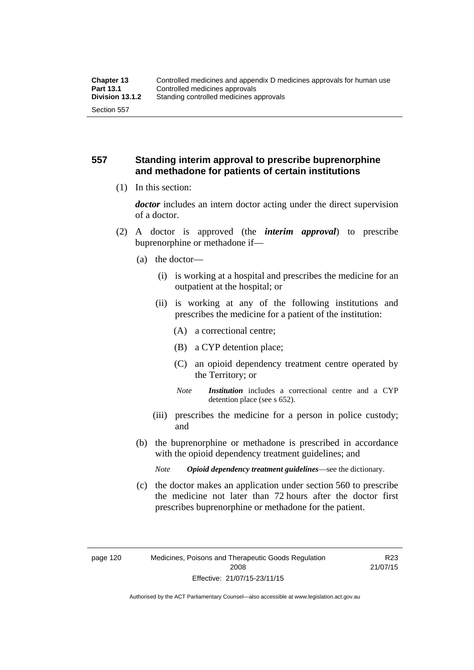### **557 Standing interim approval to prescribe buprenorphine and methadone for patients of certain institutions**

(1) In this section:

*doctor* includes an intern doctor acting under the direct supervision of a doctor.

- (2) A doctor is approved (the *interim approval*) to prescribe buprenorphine or methadone if—
	- (a) the doctor—
		- (i) is working at a hospital and prescribes the medicine for an outpatient at the hospital; or
		- (ii) is working at any of the following institutions and prescribes the medicine for a patient of the institution:
			- (A) a correctional centre;
			- (B) a CYP detention place;
			- (C) an opioid dependency treatment centre operated by the Territory; or
			- *Note Institution* includes a correctional centre and a CYP detention place (see s 652).
		- (iii) prescribes the medicine for a person in police custody; and
	- (b) the buprenorphine or methadone is prescribed in accordance with the opioid dependency treatment guidelines; and
		- *Note Opioid dependency treatment guidelines*—see the dictionary.
	- (c) the doctor makes an application under section 560 to prescribe the medicine not later than 72 hours after the doctor first prescribes buprenorphine or methadone for the patient.

R23 21/07/15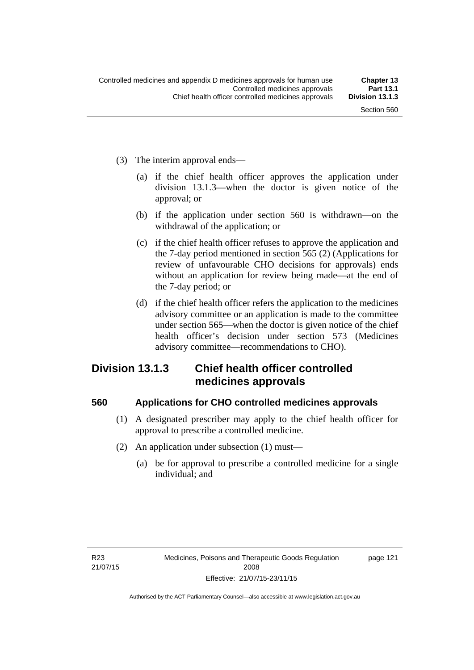- (3) The interim approval ends—
	- (a) if the chief health officer approves the application under division 13.1.3—when the doctor is given notice of the approval; or
	- (b) if the application under section 560 is withdrawn—on the withdrawal of the application; or
	- (c) if the chief health officer refuses to approve the application and the 7-day period mentioned in section 565 (2) (Applications for review of unfavourable CHO decisions for approvals) ends without an application for review being made—at the end of the 7-day period; or
	- (d) if the chief health officer refers the application to the medicines advisory committee or an application is made to the committee under section 565—when the doctor is given notice of the chief health officer's decision under section 573 (Medicines advisory committee—recommendations to CHO).

# **Division 13.1.3 Chief health officer controlled medicines approvals**

## **560 Applications for CHO controlled medicines approvals**

- (1) A designated prescriber may apply to the chief health officer for approval to prescribe a controlled medicine.
- (2) An application under subsection (1) must—
	- (a) be for approval to prescribe a controlled medicine for a single individual; and

page 121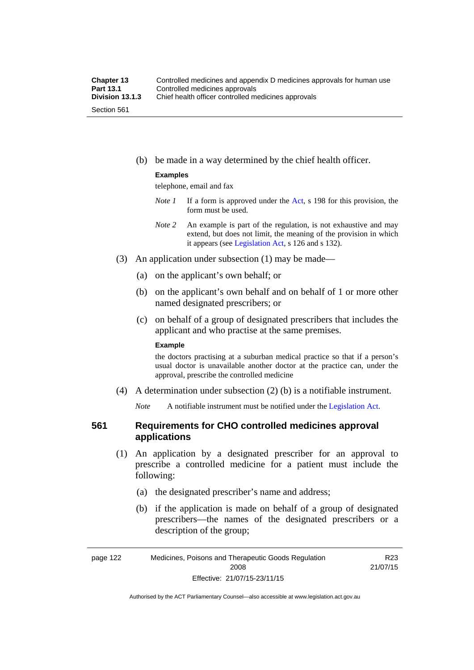(b) be made in a way determined by the chief health officer.

#### **Examples**

telephone, email and fax

- *Note 1* If a form is approved under the [Act](http://www.legislation.act.gov.au/a/2008-26/default.asp), s 198 for this provision, the form must be used.
- *Note 2* An example is part of the regulation, is not exhaustive and may extend, but does not limit, the meaning of the provision in which it appears (see [Legislation Act,](http://www.legislation.act.gov.au/a/2001-14) s 126 and s 132).
- (3) An application under subsection (1) may be made—
	- (a) on the applicant's own behalf; or
	- (b) on the applicant's own behalf and on behalf of 1 or more other named designated prescribers; or
	- (c) on behalf of a group of designated prescribers that includes the applicant and who practise at the same premises.

#### **Example**

the doctors practising at a suburban medical practice so that if a person's usual doctor is unavailable another doctor at the practice can, under the approval, prescribe the controlled medicine

(4) A determination under subsection (2) (b) is a notifiable instrument.

*Note* A notifiable instrument must be notified under the [Legislation Act](http://www.legislation.act.gov.au/a/2001-14).

# **561 Requirements for CHO controlled medicines approval applications**

- (1) An application by a designated prescriber for an approval to prescribe a controlled medicine for a patient must include the following:
	- (a) the designated prescriber's name and address;
	- (b) if the application is made on behalf of a group of designated prescribers—the names of the designated prescribers or a description of the group;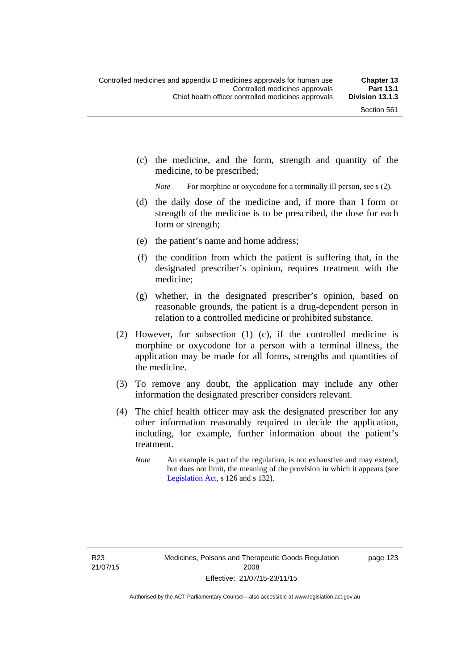(c) the medicine, and the form, strength and quantity of the medicine, to be prescribed;

*Note* For morphine or oxycodone for a terminally ill person, see s (2).

- (d) the daily dose of the medicine and, if more than 1 form or strength of the medicine is to be prescribed, the dose for each form or strength;
- (e) the patient's name and home address;
- (f) the condition from which the patient is suffering that, in the designated prescriber's opinion, requires treatment with the medicine;
- (g) whether, in the designated prescriber's opinion, based on reasonable grounds, the patient is a drug-dependent person in relation to a controlled medicine or prohibited substance.
- (2) However, for subsection (1) (c), if the controlled medicine is morphine or oxycodone for a person with a terminal illness, the application may be made for all forms, strengths and quantities of the medicine.
- (3) To remove any doubt, the application may include any other information the designated prescriber considers relevant.
- (4) The chief health officer may ask the designated prescriber for any other information reasonably required to decide the application, including, for example, further information about the patient's treatment.
	- *Note* An example is part of the regulation, is not exhaustive and may extend, but does not limit, the meaning of the provision in which it appears (see [Legislation Act,](http://www.legislation.act.gov.au/a/2001-14) s 126 and s 132).

page 123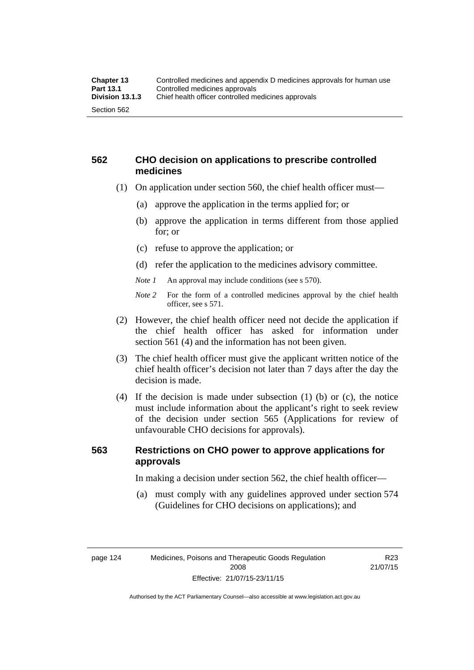# **562 CHO decision on applications to prescribe controlled medicines**

- (1) On application under section 560, the chief health officer must—
	- (a) approve the application in the terms applied for; or
	- (b) approve the application in terms different from those applied for; or
	- (c) refuse to approve the application; or
	- (d) refer the application to the medicines advisory committee.
	- *Note 1* An approval may include conditions (see s 570).
	- *Note 2* For the form of a controlled medicines approval by the chief health officer, see s 571.
- (2) However, the chief health officer need not decide the application if the chief health officer has asked for information under section 561 (4) and the information has not been given.
- (3) The chief health officer must give the applicant written notice of the chief health officer's decision not later than 7 days after the day the decision is made.
- (4) If the decision is made under subsection (1) (b) or (c), the notice must include information about the applicant's right to seek review of the decision under section 565 (Applications for review of unfavourable CHO decisions for approvals).

# **563 Restrictions on CHO power to approve applications for approvals**

In making a decision under section 562, the chief health officer—

 (a) must comply with any guidelines approved under section 574 (Guidelines for CHO decisions on applications); and

R23 21/07/15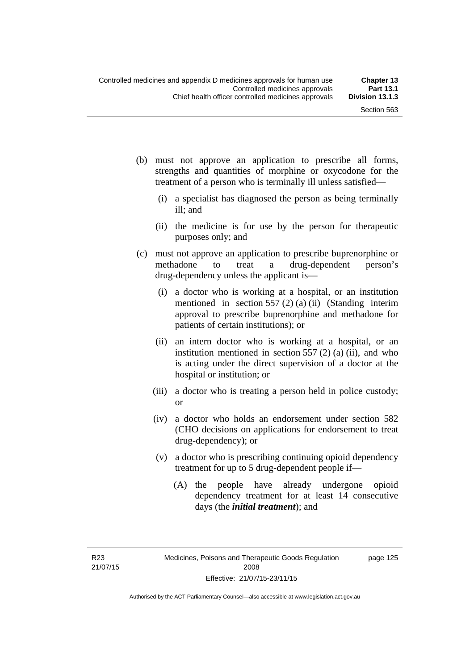- (b) must not approve an application to prescribe all forms, strengths and quantities of morphine or oxycodone for the treatment of a person who is terminally ill unless satisfied—
	- (i) a specialist has diagnosed the person as being terminally ill; and
	- (ii) the medicine is for use by the person for therapeutic purposes only; and
- (c) must not approve an application to prescribe buprenorphine or methadone to treat a drug-dependent person's drug-dependency unless the applicant is—
	- (i) a doctor who is working at a hospital, or an institution mentioned in section 557 (2) (a) (ii) (Standing interim approval to prescribe buprenorphine and methadone for patients of certain institutions); or
	- (ii) an intern doctor who is working at a hospital, or an institution mentioned in section  $557(2)$  (a) (ii), and who is acting under the direct supervision of a doctor at the hospital or institution; or
	- (iii) a doctor who is treating a person held in police custody; or
	- (iv) a doctor who holds an endorsement under section 582 (CHO decisions on applications for endorsement to treat drug-dependency); or
	- (v) a doctor who is prescribing continuing opioid dependency treatment for up to 5 drug-dependent people if—
		- (A) the people have already undergone opioid dependency treatment for at least 14 consecutive days (the *initial treatment*); and

page 125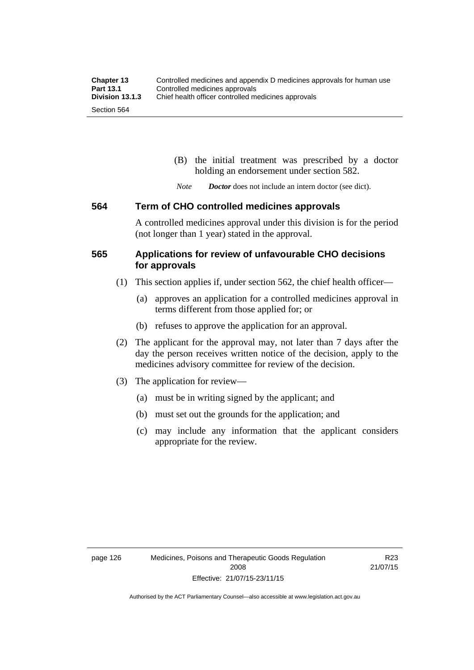(B) the initial treatment was prescribed by a doctor holding an endorsement under section 582.

*Note Doctor* does not include an intern doctor (see dict).

#### **564 Term of CHO controlled medicines approvals**

A controlled medicines approval under this division is for the period (not longer than 1 year) stated in the approval.

## **565 Applications for review of unfavourable CHO decisions for approvals**

- (1) This section applies if, under section 562, the chief health officer—
	- (a) approves an application for a controlled medicines approval in terms different from those applied for; or
	- (b) refuses to approve the application for an approval.
- (2) The applicant for the approval may, not later than 7 days after the day the person receives written notice of the decision, apply to the medicines advisory committee for review of the decision.
- (3) The application for review—
	- (a) must be in writing signed by the applicant; and
	- (b) must set out the grounds for the application; and
	- (c) may include any information that the applicant considers appropriate for the review.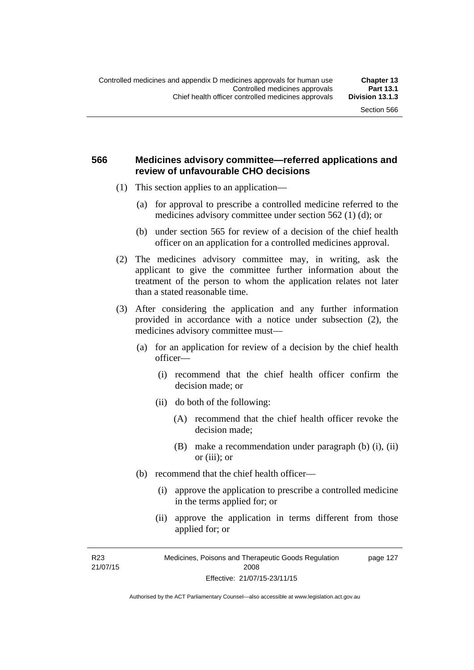## **566 Medicines advisory committee—referred applications and review of unfavourable CHO decisions**

- (1) This section applies to an application—
	- (a) for approval to prescribe a controlled medicine referred to the medicines advisory committee under section 562 (1) (d); or
	- (b) under section 565 for review of a decision of the chief health officer on an application for a controlled medicines approval.
- (2) The medicines advisory committee may, in writing, ask the applicant to give the committee further information about the treatment of the person to whom the application relates not later than a stated reasonable time.
- (3) After considering the application and any further information provided in accordance with a notice under subsection (2), the medicines advisory committee must—
	- (a) for an application for review of a decision by the chief health officer—
		- (i) recommend that the chief health officer confirm the decision made; or
		- (ii) do both of the following:
			- (A) recommend that the chief health officer revoke the decision made;
			- (B) make a recommendation under paragraph (b) (i), (ii) or (iii); or
	- (b) recommend that the chief health officer—
		- (i) approve the application to prescribe a controlled medicine in the terms applied for; or
		- (ii) approve the application in terms different from those applied for; or

R23 21/07/15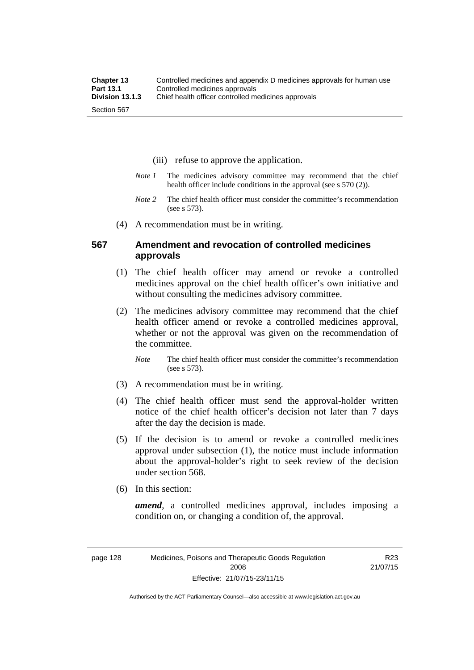- (iii) refuse to approve the application.
- *Note 1* The medicines advisory committee may recommend that the chief health officer include conditions in the approval (see s 570 (2)).
- *Note 2* The chief health officer must consider the committee's recommendation (see s 573).
- (4) A recommendation must be in writing.

## **567 Amendment and revocation of controlled medicines approvals**

- (1) The chief health officer may amend or revoke a controlled medicines approval on the chief health officer's own initiative and without consulting the medicines advisory committee.
- (2) The medicines advisory committee may recommend that the chief health officer amend or revoke a controlled medicines approval, whether or not the approval was given on the recommendation of the committee.

*Note* The chief health officer must consider the committee's recommendation (see s 573).

- (3) A recommendation must be in writing.
- (4) The chief health officer must send the approval-holder written notice of the chief health officer's decision not later than 7 days after the day the decision is made.
- (5) If the decision is to amend or revoke a controlled medicines approval under subsection (1), the notice must include information about the approval-holder's right to seek review of the decision under section 568.
- (6) In this section:

*amend*, a controlled medicines approval, includes imposing a condition on, or changing a condition of, the approval.

R23 21/07/15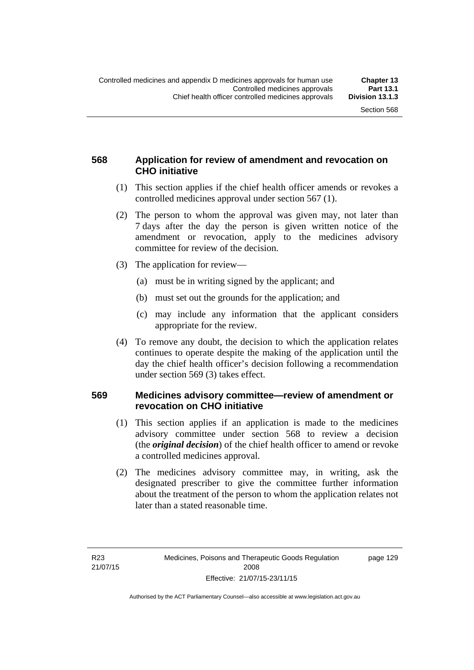# **568 Application for review of amendment and revocation on CHO initiative**

- (1) This section applies if the chief health officer amends or revokes a controlled medicines approval under section 567 (1).
- (2) The person to whom the approval was given may, not later than 7 days after the day the person is given written notice of the amendment or revocation, apply to the medicines advisory committee for review of the decision.
- (3) The application for review—
	- (a) must be in writing signed by the applicant; and
	- (b) must set out the grounds for the application; and
	- (c) may include any information that the applicant considers appropriate for the review.
- (4) To remove any doubt, the decision to which the application relates continues to operate despite the making of the application until the day the chief health officer's decision following a recommendation under section 569 (3) takes effect.

## **569 Medicines advisory committee—review of amendment or revocation on CHO initiative**

- (1) This section applies if an application is made to the medicines advisory committee under section 568 to review a decision (the *original decision*) of the chief health officer to amend or revoke a controlled medicines approval.
- (2) The medicines advisory committee may, in writing, ask the designated prescriber to give the committee further information about the treatment of the person to whom the application relates not later than a stated reasonable time.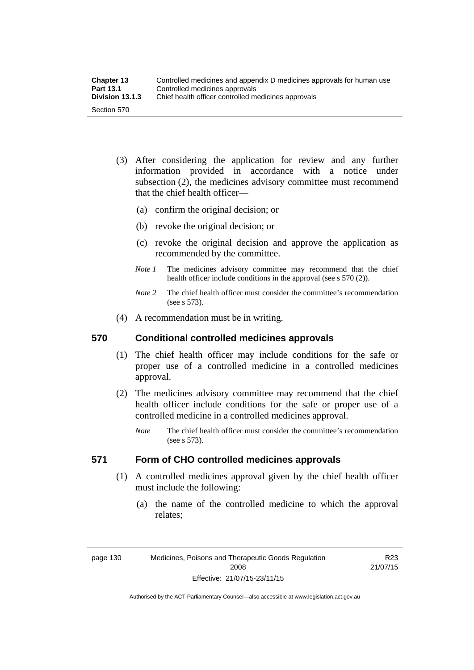| <b>Chapter 13</b> | Controlled medicines and appendix D medicines approvals for human use |
|-------------------|-----------------------------------------------------------------------|
| <b>Part 13.1</b>  | Controlled medicines approvals                                        |
| Division 13.1.3   | Chief health officer controlled medicines approvals                   |
| Section 570       |                                                                       |

- (3) After considering the application for review and any further information provided in accordance with a notice under subsection (2), the medicines advisory committee must recommend that the chief health officer—
	- (a) confirm the original decision; or
	- (b) revoke the original decision; or
	- (c) revoke the original decision and approve the application as recommended by the committee.
	- *Note 1* The medicines advisory committee may recommend that the chief health officer include conditions in the approval (see s 570 (2)).
	- *Note 2* The chief health officer must consider the committee's recommendation (see s 573).
- (4) A recommendation must be in writing.

#### **570 Conditional controlled medicines approvals**

- (1) The chief health officer may include conditions for the safe or proper use of a controlled medicine in a controlled medicines approval.
- (2) The medicines advisory committee may recommend that the chief health officer include conditions for the safe or proper use of a controlled medicine in a controlled medicines approval.
	- *Note* The chief health officer must consider the committee's recommendation (see s 573).

# **571 Form of CHO controlled medicines approvals**

- (1) A controlled medicines approval given by the chief health officer must include the following:
	- (a) the name of the controlled medicine to which the approval relates;

page 130 Medicines, Poisons and Therapeutic Goods Regulation 2008 Effective: 21/07/15-23/11/15

R23 21/07/15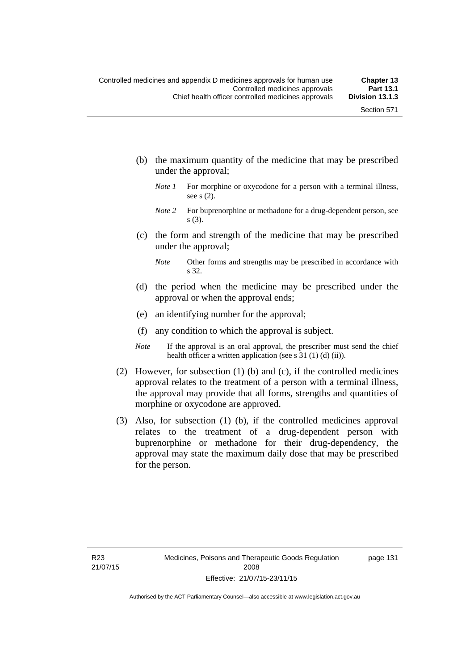- (b) the maximum quantity of the medicine that may be prescribed under the approval;
	- *Note 1* For morphine or oxycodone for a person with a terminal illness, see s (2).
	- *Note* 2 For buprenorphine or methadone for a drug-dependent person, see s (3).
- (c) the form and strength of the medicine that may be prescribed under the approval;
	- *Note* Other forms and strengths may be prescribed in accordance with s 32.
- (d) the period when the medicine may be prescribed under the approval or when the approval ends;
- (e) an identifying number for the approval;
- (f) any condition to which the approval is subject.
- *Note* If the approval is an oral approval, the prescriber must send the chief health officer a written application (see s 31 (1) (d) (ii)).
- (2) However, for subsection (1) (b) and (c), if the controlled medicines approval relates to the treatment of a person with a terminal illness, the approval may provide that all forms, strengths and quantities of morphine or oxycodone are approved.
- (3) Also, for subsection (1) (b), if the controlled medicines approval relates to the treatment of a drug-dependent person with buprenorphine or methadone for their drug-dependency, the approval may state the maximum daily dose that may be prescribed for the person.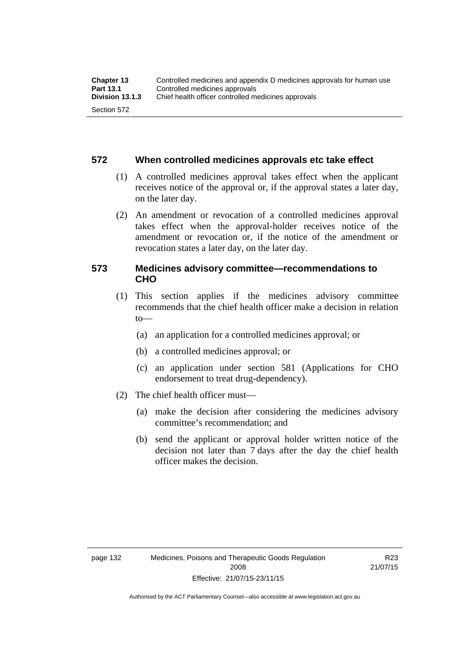#### **572 When controlled medicines approvals etc take effect**

- (1) A controlled medicines approval takes effect when the applicant receives notice of the approval or, if the approval states a later day, on the later day.
- (2) An amendment or revocation of a controlled medicines approval takes effect when the approval-holder receives notice of the amendment or revocation or, if the notice of the amendment or revocation states a later day, on the later day.

## **573 Medicines advisory committee—recommendations to CHO**

- (1) This section applies if the medicines advisory committee recommends that the chief health officer make a decision in relation  $to$ 
	- (a) an application for a controlled medicines approval; or
	- (b) a controlled medicines approval; or
	- (c) an application under section 581 (Applications for CHO endorsement to treat drug-dependency).
- (2) The chief health officer must—
	- (a) make the decision after considering the medicines advisory committee's recommendation; and
	- (b) send the applicant or approval holder written notice of the decision not later than 7 days after the day the chief health officer makes the decision.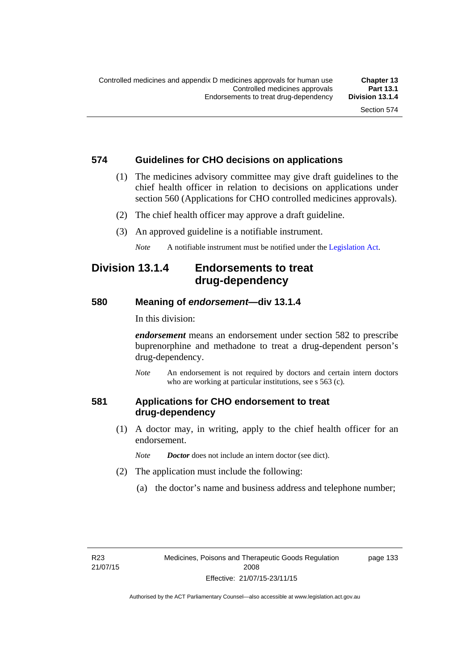# **574 Guidelines for CHO decisions on applications**

- (1) The medicines advisory committee may give draft guidelines to the chief health officer in relation to decisions on applications under section 560 (Applications for CHO controlled medicines approvals).
- (2) The chief health officer may approve a draft guideline.
- (3) An approved guideline is a notifiable instrument.

*Note* A notifiable instrument must be notified under the [Legislation Act](http://www.legislation.act.gov.au/a/2001-14).

# **Division 13.1.4 Endorsements to treat drug-dependency**

#### **580 Meaning of** *endorsement***—div 13.1.4**

In this division:

*endorsement* means an endorsement under section 582 to prescribe buprenorphine and methadone to treat a drug-dependent person's drug-dependency.

*Note* An endorsement is not required by doctors and certain intern doctors who are working at particular institutions, see s 563 (c).

# **581 Applications for CHO endorsement to treat drug-dependency**

 (1) A doctor may, in writing, apply to the chief health officer for an endorsement.

*Note Doctor* does not include an intern doctor (see dict).

- (2) The application must include the following:
	- (a) the doctor's name and business address and telephone number;

page 133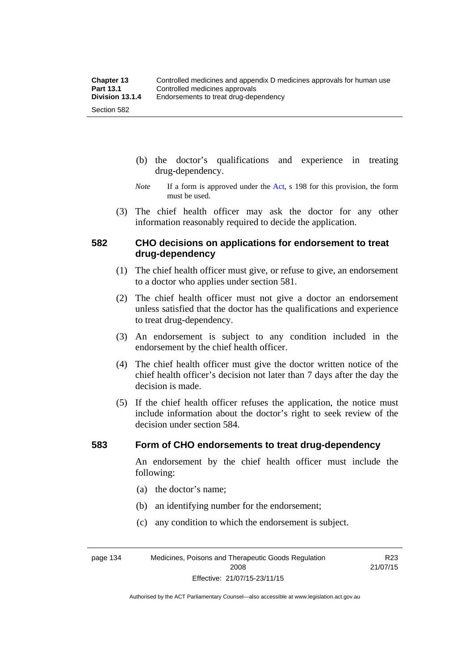- (b) the doctor's qualifications and experience in treating drug-dependency.
- *Note* If a form is approved under the [Act](http://www.legislation.act.gov.au/a/2008-26/default.asp), s 198 for this provision, the form must be used.
- (3) The chief health officer may ask the doctor for any other information reasonably required to decide the application.

## **582 CHO decisions on applications for endorsement to treat drug-dependency**

- (1) The chief health officer must give, or refuse to give, an endorsement to a doctor who applies under section 581.
- (2) The chief health officer must not give a doctor an endorsement unless satisfied that the doctor has the qualifications and experience to treat drug-dependency.
- (3) An endorsement is subject to any condition included in the endorsement by the chief health officer.
- (4) The chief health officer must give the doctor written notice of the chief health officer's decision not later than 7 days after the day the decision is made.
- (5) If the chief health officer refuses the application, the notice must include information about the doctor's right to seek review of the decision under section 584.

#### **583 Form of CHO endorsements to treat drug-dependency**

An endorsement by the chief health officer must include the following:

- (a) the doctor's name;
- (b) an identifying number for the endorsement;
- (c) any condition to which the endorsement is subject.

page 134 Medicines, Poisons and Therapeutic Goods Regulation 2008 Effective: 21/07/15-23/11/15

R23 21/07/15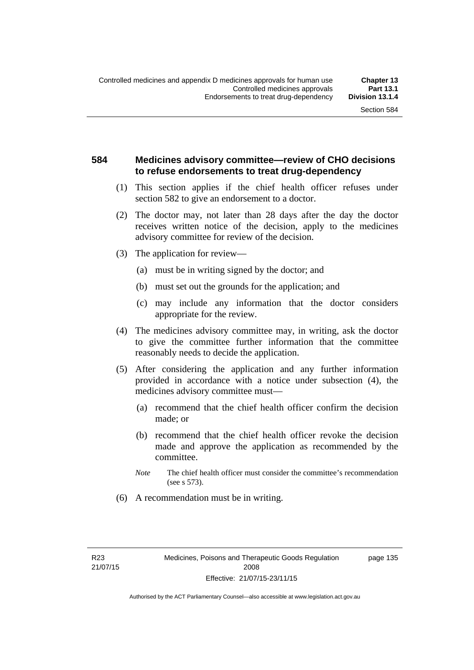## **584 Medicines advisory committee—review of CHO decisions to refuse endorsements to treat drug-dependency**

- (1) This section applies if the chief health officer refuses under section 582 to give an endorsement to a doctor.
- (2) The doctor may, not later than 28 days after the day the doctor receives written notice of the decision, apply to the medicines advisory committee for review of the decision.
- (3) The application for review—
	- (a) must be in writing signed by the doctor; and
	- (b) must set out the grounds for the application; and
	- (c) may include any information that the doctor considers appropriate for the review.
- (4) The medicines advisory committee may, in writing, ask the doctor to give the committee further information that the committee reasonably needs to decide the application.
- (5) After considering the application and any further information provided in accordance with a notice under subsection (4), the medicines advisory committee must—
	- (a) recommend that the chief health officer confirm the decision made; or
	- (b) recommend that the chief health officer revoke the decision made and approve the application as recommended by the committee.
	- *Note* The chief health officer must consider the committee's recommendation (see s 573).
- (6) A recommendation must be in writing.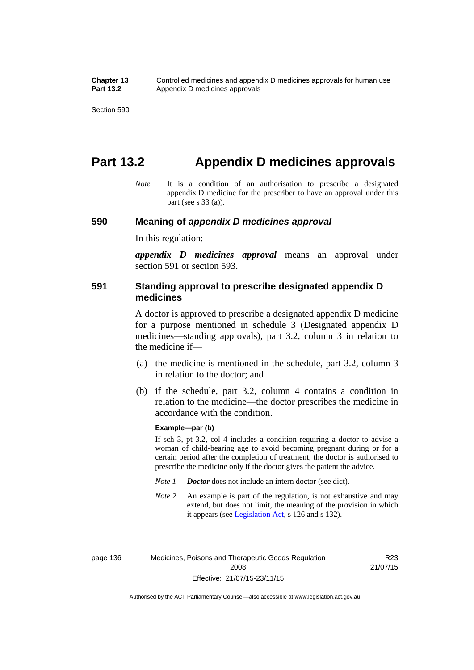# **Part 13.2 Appendix D medicines approvals**

*Note* It is a condition of an authorisation to prescribe a designated appendix D medicine for the prescriber to have an approval under this part (see s 33 (a)).

#### **590 Meaning of** *appendix D medicines approval*

In this regulation:

*appendix D medicines approval* means an approval under section 591 or section 593.

## **591 Standing approval to prescribe designated appendix D medicines**

A doctor is approved to prescribe a designated appendix D medicine for a purpose mentioned in schedule 3 (Designated appendix D medicines—standing approvals), part 3.2, column 3 in relation to the medicine if—

- (a) the medicine is mentioned in the schedule, part 3.2, column 3 in relation to the doctor; and
- (b) if the schedule, part 3.2, column 4 contains a condition in relation to the medicine—the doctor prescribes the medicine in accordance with the condition.

#### **Example—par (b)**

If sch 3, pt 3.2, col 4 includes a condition requiring a doctor to advise a woman of child-bearing age to avoid becoming pregnant during or for a certain period after the completion of treatment, the doctor is authorised to prescribe the medicine only if the doctor gives the patient the advice.

- *Note 1 Doctor* does not include an intern doctor (see dict).
- *Note 2* An example is part of the regulation, is not exhaustive and may extend, but does not limit, the meaning of the provision in which it appears (see [Legislation Act,](http://www.legislation.act.gov.au/a/2001-14) s 126 and s 132).

page 136 Medicines, Poisons and Therapeutic Goods Regulation 2008 Effective: 21/07/15-23/11/15

R23 21/07/15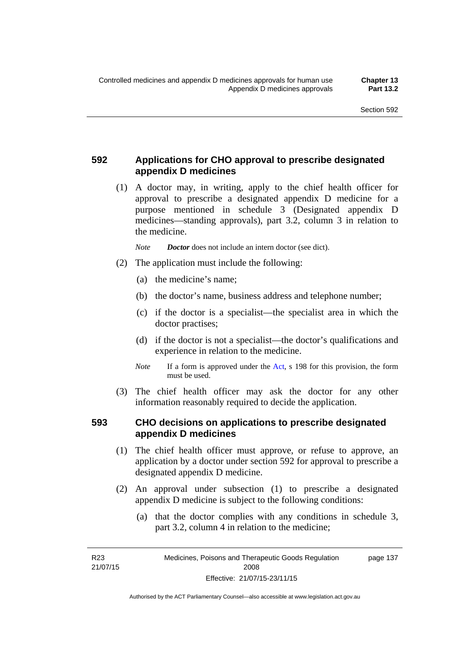# **592 Applications for CHO approval to prescribe designated appendix D medicines**

 (1) A doctor may, in writing, apply to the chief health officer for approval to prescribe a designated appendix D medicine for a purpose mentioned in schedule 3 (Designated appendix D medicines—standing approvals), part 3.2, column 3 in relation to the medicine.

*Note Doctor* does not include an intern doctor (see dict).

- (2) The application must include the following:
	- (a) the medicine's name;
	- (b) the doctor's name, business address and telephone number;
	- (c) if the doctor is a specialist—the specialist area in which the doctor practises;
	- (d) if the doctor is not a specialist—the doctor's qualifications and experience in relation to the medicine.
	- *Note* If a form is approved under the [Act](http://www.legislation.act.gov.au/a/2008-26/default.asp), s 198 for this provision, the form must be used.
- (3) The chief health officer may ask the doctor for any other information reasonably required to decide the application.

# **593 CHO decisions on applications to prescribe designated appendix D medicines**

- (1) The chief health officer must approve, or refuse to approve, an application by a doctor under section 592 for approval to prescribe a designated appendix D medicine.
- (2) An approval under subsection (1) to prescribe a designated appendix D medicine is subject to the following conditions:
	- (a) that the doctor complies with any conditions in schedule 3, part 3.2, column 4 in relation to the medicine;

R23 21/07/15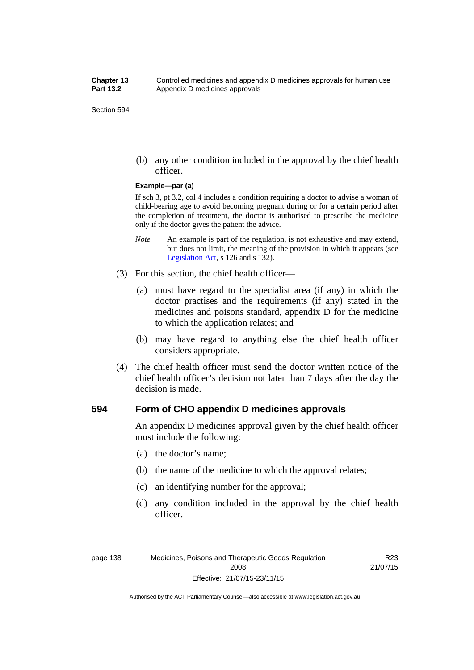(b) any other condition included in the approval by the chief health officer.

#### **Example—par (a)**

If sch 3, pt 3.2, col 4 includes a condition requiring a doctor to advise a woman of child-bearing age to avoid becoming pregnant during or for a certain period after the completion of treatment, the doctor is authorised to prescribe the medicine only if the doctor gives the patient the advice.

- *Note* An example is part of the regulation, is not exhaustive and may extend, but does not limit, the meaning of the provision in which it appears (see [Legislation Act,](http://www.legislation.act.gov.au/a/2001-14) s 126 and s 132).
- (3) For this section, the chief health officer—
	- (a) must have regard to the specialist area (if any) in which the doctor practises and the requirements (if any) stated in the medicines and poisons standard, appendix D for the medicine to which the application relates; and
	- (b) may have regard to anything else the chief health officer considers appropriate.
- (4) The chief health officer must send the doctor written notice of the chief health officer's decision not later than 7 days after the day the decision is made.

## **594 Form of CHO appendix D medicines approvals**

An appendix D medicines approval given by the chief health officer must include the following:

- (a) the doctor's name;
- (b) the name of the medicine to which the approval relates;
- (c) an identifying number for the approval;
- (d) any condition included in the approval by the chief health officer.

R23 21/07/15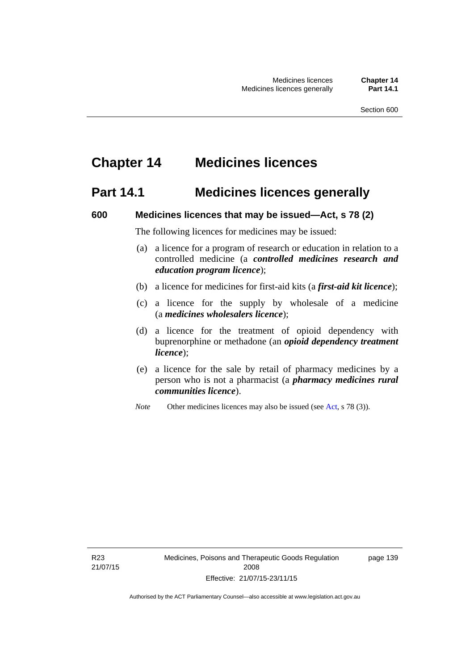# **Chapter 14 Medicines licences**

# **Part 14.1 Medicines licences generally**

#### **600 Medicines licences that may be issued—Act, s 78 (2)**

The following licences for medicines may be issued:

- (a) a licence for a program of research or education in relation to a controlled medicine (a *controlled medicines research and education program licence*);
- (b) a licence for medicines for first-aid kits (a *first-aid kit licence*);
- (c) a licence for the supply by wholesale of a medicine (a *medicines wholesalers licence*);
- (d) a licence for the treatment of opioid dependency with buprenorphine or methadone (an *opioid dependency treatment licence*);
- (e) a licence for the sale by retail of pharmacy medicines by a person who is not a pharmacist (a *pharmacy medicines rural communities licence*).
- *Note* Other medicines licences may also be issued (see [Act,](http://www.legislation.act.gov.au/a/2008-26/default.asp) s 78 (3)).

R23 21/07/15 page 139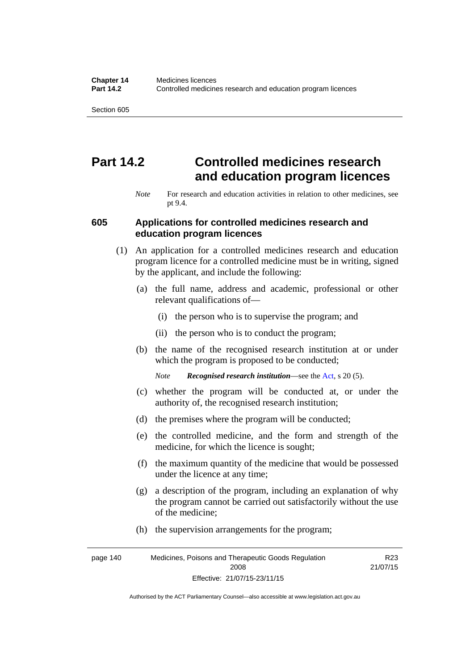# **Part 14.2 Controlled medicines research and education program licences**

*Note* For research and education activities in relation to other medicines, see pt 9.4.

#### **605 Applications for controlled medicines research and education program licences**

- (1) An application for a controlled medicines research and education program licence for a controlled medicine must be in writing, signed by the applicant, and include the following:
	- (a) the full name, address and academic, professional or other relevant qualifications of—
		- (i) the person who is to supervise the program; and
		- (ii) the person who is to conduct the program;
	- (b) the name of the recognised research institution at or under which the program is proposed to be conducted;
		- *Note Recognised research institution*—see the [Act](http://www.legislation.act.gov.au/a/2008-26/default.asp), s 20 (5).
	- (c) whether the program will be conducted at, or under the authority of, the recognised research institution;
	- (d) the premises where the program will be conducted;
	- (e) the controlled medicine, and the form and strength of the medicine, for which the licence is sought;
	- (f) the maximum quantity of the medicine that would be possessed under the licence at any time;
	- (g) a description of the program, including an explanation of why the program cannot be carried out satisfactorily without the use of the medicine;
	- (h) the supervision arrangements for the program;

page 140 Medicines, Poisons and Therapeutic Goods Regulation 2008 Effective: 21/07/15-23/11/15 R23 21/07/15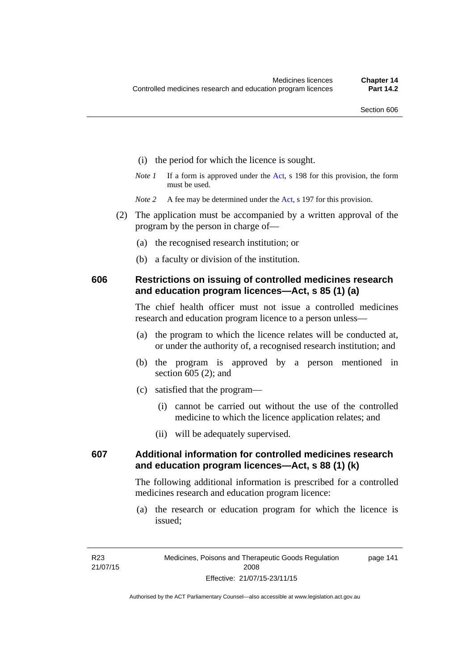- (i) the period for which the licence is sought.
- *Note 1* If a form is approved under the [Act](http://www.legislation.act.gov.au/a/2008-26/default.asp), s 198 for this provision, the form must be used.
- *Note* 2 A fee may be determined under the [Act,](http://www.legislation.act.gov.au/a/2008-26/default.asp) s 197 for this provision.
- (2) The application must be accompanied by a written approval of the program by the person in charge of—
	- (a) the recognised research institution; or
	- (b) a faculty or division of the institution.

## **606 Restrictions on issuing of controlled medicines research and education program licences—Act, s 85 (1) (a)**

The chief health officer must not issue a controlled medicines research and education program licence to a person unless—

- (a) the program to which the licence relates will be conducted at, or under the authority of, a recognised research institution; and
- (b) the program is approved by a person mentioned in section 605 (2); and
- (c) satisfied that the program—
	- (i) cannot be carried out without the use of the controlled medicine to which the licence application relates; and
	- (ii) will be adequately supervised.

# **607 Additional information for controlled medicines research and education program licences—Act, s 88 (1) (k)**

The following additional information is prescribed for a controlled medicines research and education program licence:

 (a) the research or education program for which the licence is issued;

page 141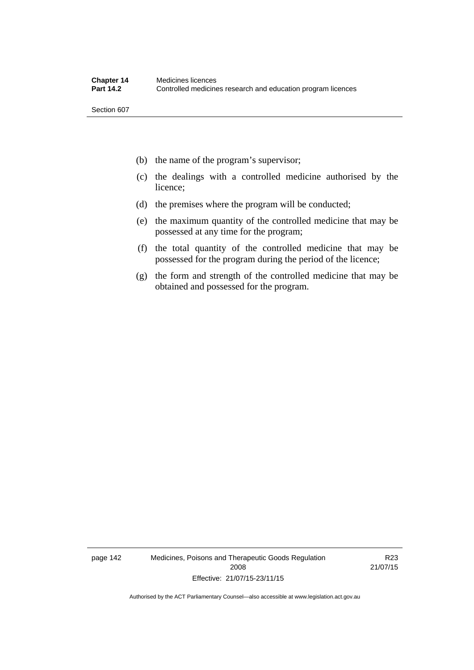- (b) the name of the program's supervisor;
- (c) the dealings with a controlled medicine authorised by the licence;
- (d) the premises where the program will be conducted;
- (e) the maximum quantity of the controlled medicine that may be possessed at any time for the program;
- (f) the total quantity of the controlled medicine that may be possessed for the program during the period of the licence;
- (g) the form and strength of the controlled medicine that may be obtained and possessed for the program.

page 142 Medicines, Poisons and Therapeutic Goods Regulation 2008 Effective: 21/07/15-23/11/15

R23 21/07/15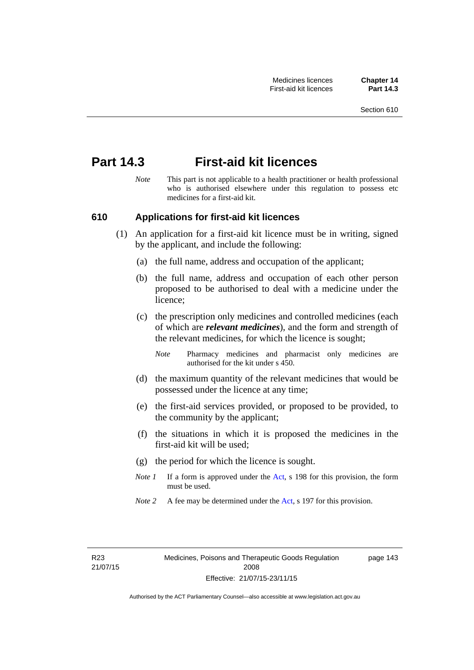# **Part 14.3 First-aid kit licences**

*Note* This part is not applicable to a health practitioner or health professional who is authorised elsewhere under this regulation to possess etc medicines for a first-aid kit.

## **610 Applications for first-aid kit licences**

- (1) An application for a first-aid kit licence must be in writing, signed by the applicant, and include the following:
	- (a) the full name, address and occupation of the applicant;
	- (b) the full name, address and occupation of each other person proposed to be authorised to deal with a medicine under the licence;
	- (c) the prescription only medicines and controlled medicines (each of which are *relevant medicines*), and the form and strength of the relevant medicines, for which the licence is sought;
		- *Note* Pharmacy medicines and pharmacist only medicines are authorised for the kit under s 450.
	- (d) the maximum quantity of the relevant medicines that would be possessed under the licence at any time;
	- (e) the first-aid services provided, or proposed to be provided, to the community by the applicant;
	- (f) the situations in which it is proposed the medicines in the first-aid kit will be used;
	- (g) the period for which the licence is sought.
	- *Note 1* If a form is approved under the [Act](http://www.legislation.act.gov.au/a/2008-26/default.asp), s 198 for this provision, the form must be used.
	- *Note 2* A fee may be determined under the [Act,](http://www.legislation.act.gov.au/a/2008-26/default.asp) s 197 for this provision.

page 143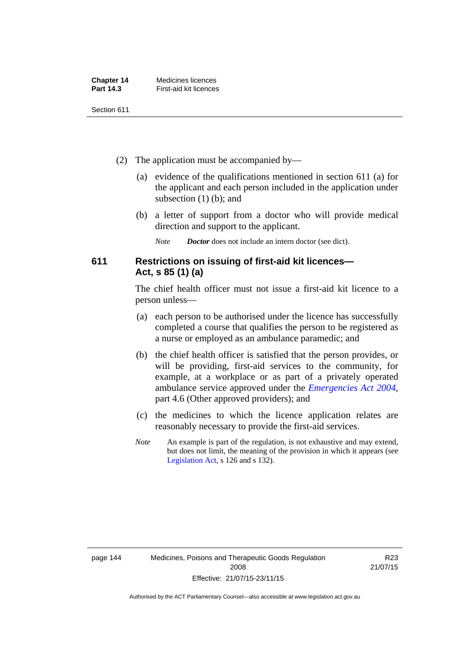| <b>Chapter 14</b> | Medicines licences     |
|-------------------|------------------------|
| Part 14.3         | First-aid kit licences |

- (2) The application must be accompanied by—
	- (a) evidence of the qualifications mentioned in section 611 (a) for the applicant and each person included in the application under subsection (1) (b); and
	- (b) a letter of support from a doctor who will provide medical direction and support to the applicant.
		- *Note Doctor* does not include an intern doctor (see dict).

# **611 Restrictions on issuing of first-aid kit licences— Act, s 85 (1) (a)**

The chief health officer must not issue a first-aid kit licence to a person unless—

- (a) each person to be authorised under the licence has successfully completed a course that qualifies the person to be registered as a nurse or employed as an ambulance paramedic; and
- (b) the chief health officer is satisfied that the person provides, or will be providing, first-aid services to the community, for example, at a workplace or as part of a privately operated ambulance service approved under the *[Emergencies Act 2004](http://www.legislation.act.gov.au/a/2004-28)*, part 4.6 (Other approved providers); and
- (c) the medicines to which the licence application relates are reasonably necessary to provide the first-aid services.
- *Note* An example is part of the regulation, is not exhaustive and may extend, but does not limit, the meaning of the provision in which it appears (see [Legislation Act,](http://www.legislation.act.gov.au/a/2001-14) s 126 and s 132).

R23 21/07/15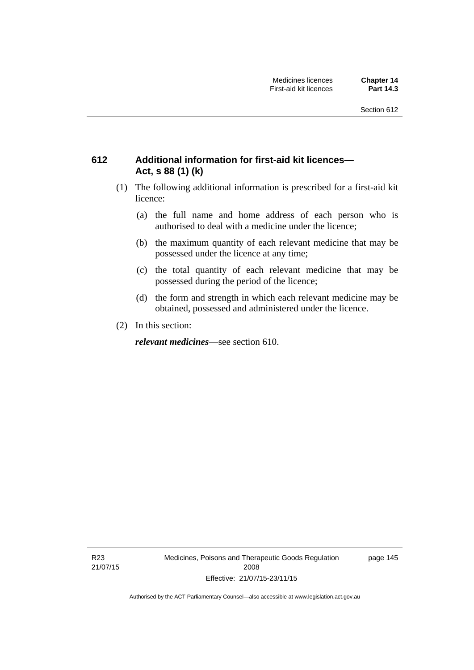# **612 Additional information for first-aid kit licences— Act, s 88 (1) (k)**

- (1) The following additional information is prescribed for a first-aid kit licence:
	- (a) the full name and home address of each person who is authorised to deal with a medicine under the licence;
	- (b) the maximum quantity of each relevant medicine that may be possessed under the licence at any time;
	- (c) the total quantity of each relevant medicine that may be possessed during the period of the licence;
	- (d) the form and strength in which each relevant medicine may be obtained, possessed and administered under the licence.
- (2) In this section:

*relevant medicines*—see section 610.

R23 21/07/15 Medicines, Poisons and Therapeutic Goods Regulation 2008 Effective: 21/07/15-23/11/15

page 145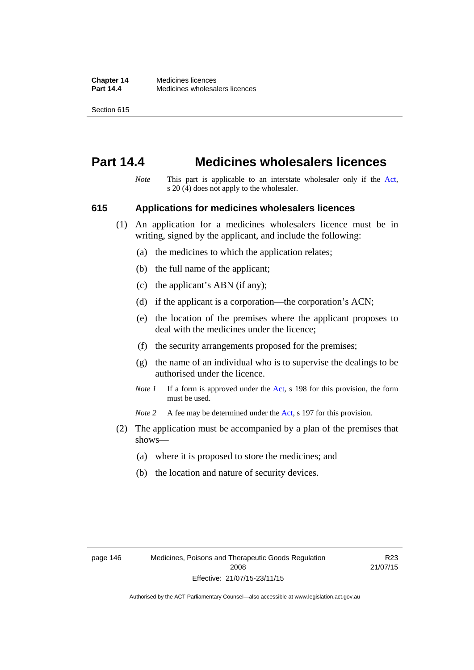# **Part 14.4 Medicines wholesalers licences**

*Note* This part is applicable to an interstate wholesaler only if the [Act,](http://www.legislation.act.gov.au/a/2008-26/default.asp) s 20 (4) does not apply to the wholesaler.

#### **615 Applications for medicines wholesalers licences**

- (1) An application for a medicines wholesalers licence must be in writing, signed by the applicant, and include the following:
	- (a) the medicines to which the application relates;
	- (b) the full name of the applicant;
	- (c) the applicant's ABN (if any);
	- (d) if the applicant is a corporation—the corporation's ACN;
	- (e) the location of the premises where the applicant proposes to deal with the medicines under the licence;
	- (f) the security arrangements proposed for the premises;
	- (g) the name of an individual who is to supervise the dealings to be authorised under the licence.
	- *Note 1* If a form is approved under the [Act](http://www.legislation.act.gov.au/a/2008-26/default.asp), s 198 for this provision, the form must be used.

*Note* 2 A fee may be determined under the [Act,](http://www.legislation.act.gov.au/a/2008-26/default.asp) s 197 for this provision.

- (2) The application must be accompanied by a plan of the premises that shows—
	- (a) where it is proposed to store the medicines; and
	- (b) the location and nature of security devices.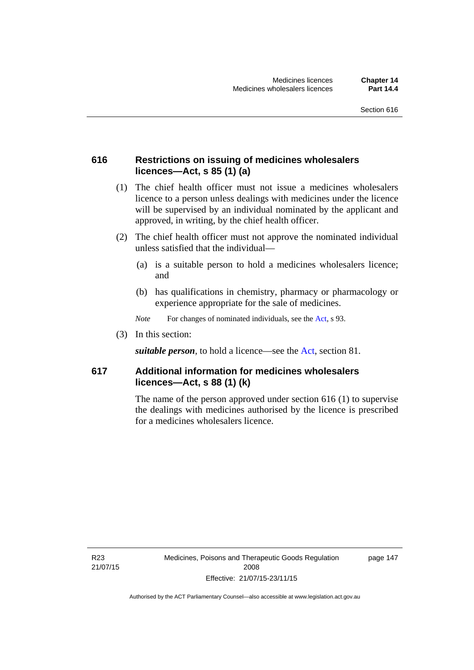# **616 Restrictions on issuing of medicines wholesalers licences—Act, s 85 (1) (a)**

- (1) The chief health officer must not issue a medicines wholesalers licence to a person unless dealings with medicines under the licence will be supervised by an individual nominated by the applicant and approved, in writing, by the chief health officer.
- (2) The chief health officer must not approve the nominated individual unless satisfied that the individual—
	- (a) is a suitable person to hold a medicines wholesalers licence; and
	- (b) has qualifications in chemistry, pharmacy or pharmacology or experience appropriate for the sale of medicines.
	- *Note* For changes of nominated individuals, see the [Act,](http://www.legislation.act.gov.au/a/2008-26/default.asp) s 93.
- (3) In this section:

*suitable person*, to hold a licence—see the [Act](http://www.legislation.act.gov.au/a/2008-26/default.asp), section 81.

# **617 Additional information for medicines wholesalers licences—Act, s 88 (1) (k)**

The name of the person approved under section 616 (1) to supervise the dealings with medicines authorised by the licence is prescribed for a medicines wholesalers licence.

R23 21/07/15 page 147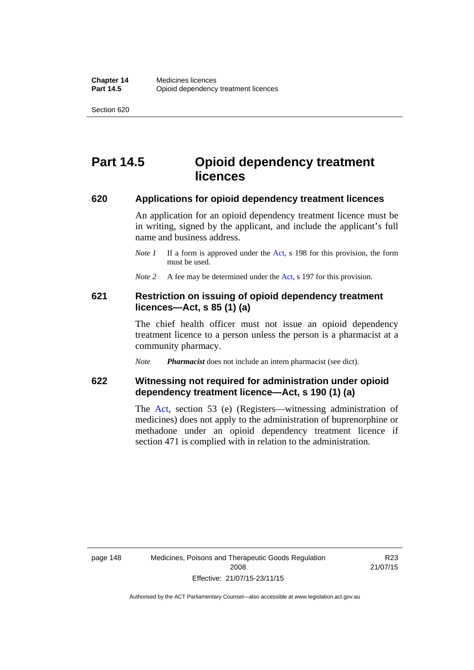# **Part 14.5 Opioid dependency treatment licences**

#### **620 Applications for opioid dependency treatment licences**

An application for an opioid dependency treatment licence must be in writing, signed by the applicant, and include the applicant's full name and business address.

- *Note 1* If a form is approved under the [Act](http://www.legislation.act.gov.au/a/2008-26/default.asp), s 198 for this provision, the form must be used.
- *Note 2* A fee may be determined under the [Act,](http://www.legislation.act.gov.au/a/2008-26/default.asp) s 197 for this provision.

## **621 Restriction on issuing of opioid dependency treatment licences—Act, s 85 (1) (a)**

The chief health officer must not issue an opioid dependency treatment licence to a person unless the person is a pharmacist at a community pharmacy.

*Note Pharmacist* does not include an intern pharmacist (see dict).

# **622 Witnessing not required for administration under opioid dependency treatment licence—Act, s 190 (1) (a)**

The [Act,](http://www.legislation.act.gov.au/a/2008-26/default.asp) section 53 (e) (Registers—witnessing administration of medicines) does not apply to the administration of buprenorphine or methadone under an opioid dependency treatment licence if section 471 is complied with in relation to the administration.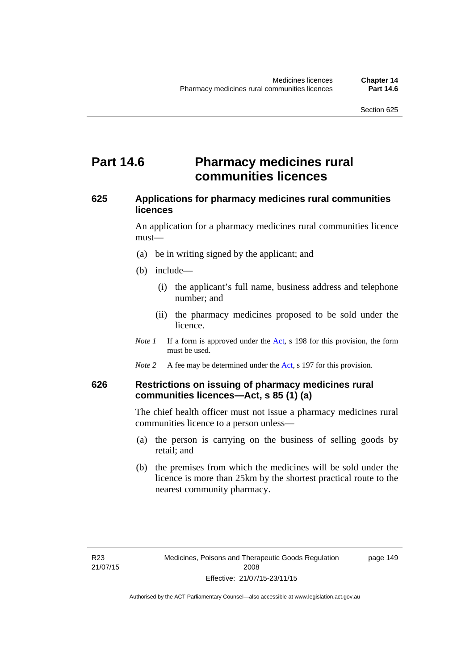# **Part 14.6 Pharmacy medicines rural communities licences**

# **625 Applications for pharmacy medicines rural communities licences**

An application for a pharmacy medicines rural communities licence must—

- (a) be in writing signed by the applicant; and
- (b) include—
	- (i) the applicant's full name, business address and telephone number; and
	- (ii) the pharmacy medicines proposed to be sold under the licence.
- *Note 1* If a form is approved under the [Act](http://www.legislation.act.gov.au/a/2008-26/default.asp), s 198 for this provision, the form must be used.
- *Note 2* A fee may be determined under the [Act,](http://www.legislation.act.gov.au/a/2008-26/default.asp) s 197 for this provision.

# **626 Restrictions on issuing of pharmacy medicines rural communities licences—Act, s 85 (1) (a)**

The chief health officer must not issue a pharmacy medicines rural communities licence to a person unless—

- (a) the person is carrying on the business of selling goods by retail; and
- (b) the premises from which the medicines will be sold under the licence is more than 25km by the shortest practical route to the nearest community pharmacy.

page 149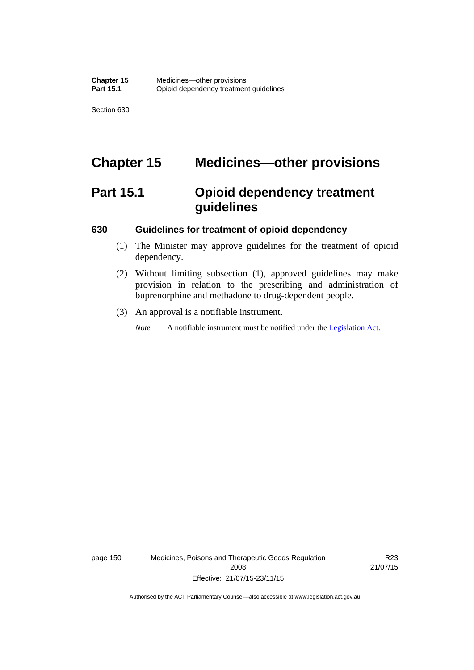# **Chapter 15 Medicines—other provisions**

# **Part 15.1 Opioid dependency treatment guidelines**

#### **630 Guidelines for treatment of opioid dependency**

- (1) The Minister may approve guidelines for the treatment of opioid dependency.
- (2) Without limiting subsection (1), approved guidelines may make provision in relation to the prescribing and administration of buprenorphine and methadone to drug-dependent people.
- (3) An approval is a notifiable instrument.

*Note* A notifiable instrument must be notified under the [Legislation Act](http://www.legislation.act.gov.au/a/2001-14).

page 150 Medicines, Poisons and Therapeutic Goods Regulation 2008 Effective: 21/07/15-23/11/15

R23 21/07/15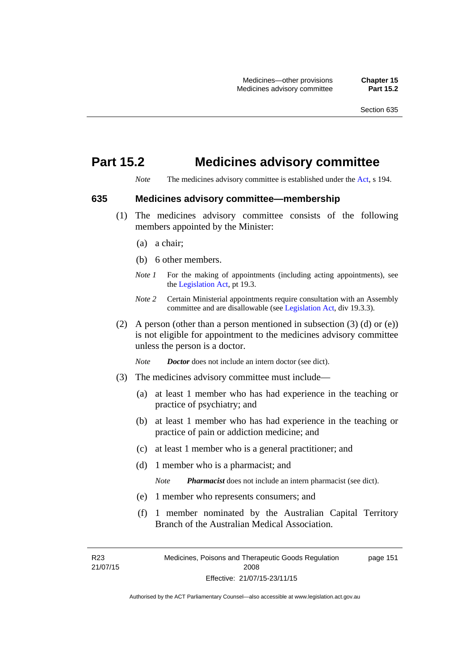# **Part 15.2 Medicines advisory committee**

*Note* The medicines advisory committee is established under the [Act](http://www.legislation.act.gov.au/a/2008-26/default.asp), s 194.

## **635 Medicines advisory committee—membership**

- (1) The medicines advisory committee consists of the following members appointed by the Minister:
	- (a) a chair;
	- (b) 6 other members.
	- *Note 1* For the making of appointments (including acting appointments), see the [Legislation Act,](http://www.legislation.act.gov.au/a/2001-14) pt 19.3.
	- *Note 2* Certain Ministerial appointments require consultation with an Assembly committee and are disallowable (see [Legislation Act,](http://www.legislation.act.gov.au/a/2001-14) div 19.3.3).
- (2) A person (other than a person mentioned in subsection  $(3)$  (d) or  $(e)$ ) is not eligible for appointment to the medicines advisory committee unless the person is a doctor.

*Note Doctor* does not include an intern doctor (see dict).

- (3) The medicines advisory committee must include—
	- (a) at least 1 member who has had experience in the teaching or practice of psychiatry; and
	- (b) at least 1 member who has had experience in the teaching or practice of pain or addiction medicine; and
	- (c) at least 1 member who is a general practitioner; and
	- (d) 1 member who is a pharmacist; and

*Note Pharmacist* does not include an intern pharmacist (see dict).

- (e) 1 member who represents consumers; and
- (f) 1 member nominated by the Australian Capital Territory Branch of the Australian Medical Association.

R23 21/07/15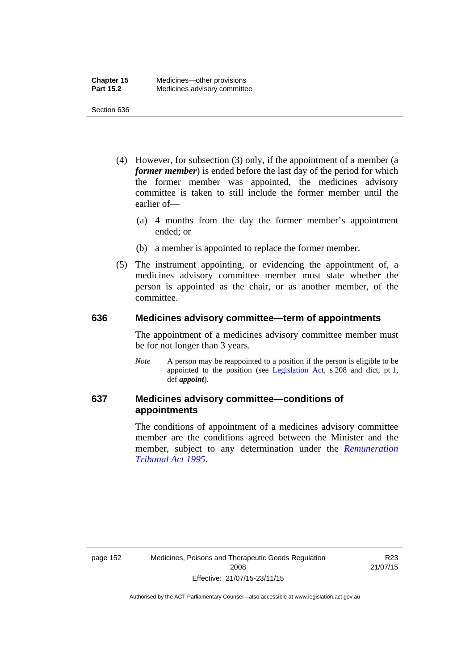- (4) However, for subsection (3) only, if the appointment of a member (a *former member*) is ended before the last day of the period for which the former member was appointed, the medicines advisory committee is taken to still include the former member until the earlier of—
	- (a) 4 months from the day the former member's appointment ended; or
	- (b) a member is appointed to replace the former member.
- (5) The instrument appointing, or evidencing the appointment of, a medicines advisory committee member must state whether the person is appointed as the chair, or as another member, of the committee.

#### **636 Medicines advisory committee—term of appointments**

The appointment of a medicines advisory committee member must be for not longer than 3 years.

*Note* A person may be reappointed to a position if the person is eligible to be appointed to the position (see [Legislation Act,](http://www.legislation.act.gov.au/a/2001-14) s 208 and dict, pt 1, def *appoint*).

# **637 Medicines advisory committee—conditions of appointments**

The conditions of appointment of a medicines advisory committee member are the conditions agreed between the Minister and the member, subject to any determination under the *[Remuneration](http://www.legislation.act.gov.au/a/1995-55)  [Tribunal Act 1995](http://www.legislation.act.gov.au/a/1995-55)*.

R23 21/07/15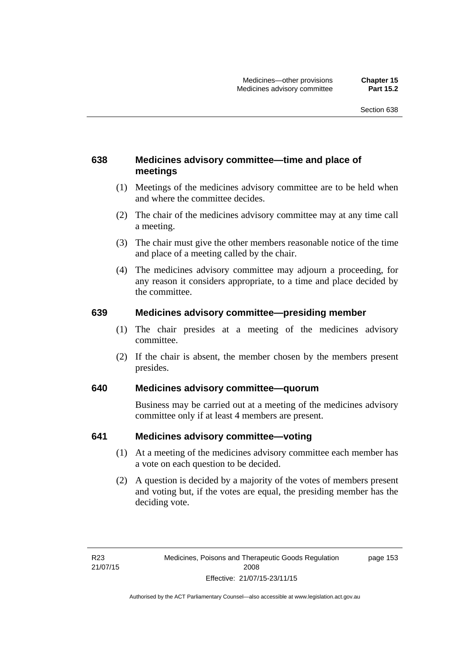# **638 Medicines advisory committee—time and place of meetings**

- (1) Meetings of the medicines advisory committee are to be held when and where the committee decides.
- (2) The chair of the medicines advisory committee may at any time call a meeting.
- (3) The chair must give the other members reasonable notice of the time and place of a meeting called by the chair.
- (4) The medicines advisory committee may adjourn a proceeding, for any reason it considers appropriate, to a time and place decided by the committee.

## **639 Medicines advisory committee—presiding member**

- (1) The chair presides at a meeting of the medicines advisory committee.
- (2) If the chair is absent, the member chosen by the members present presides.

# **640 Medicines advisory committee—quorum**

Business may be carried out at a meeting of the medicines advisory committee only if at least 4 members are present.

## **641 Medicines advisory committee—voting**

- (1) At a meeting of the medicines advisory committee each member has a vote on each question to be decided.
- (2) A question is decided by a majority of the votes of members present and voting but, if the votes are equal, the presiding member has the deciding vote.

page 153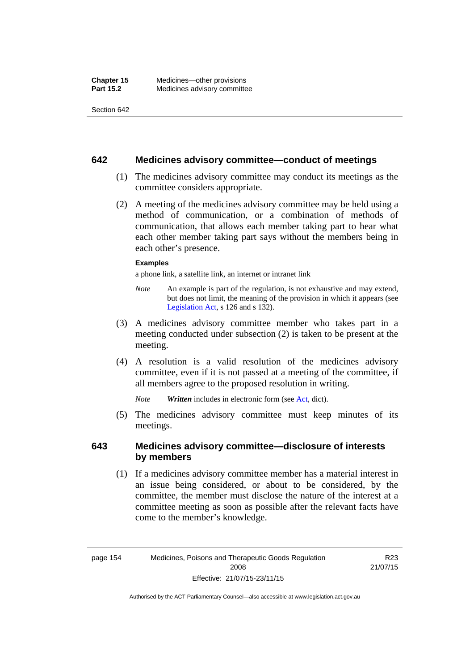#### **642 Medicines advisory committee—conduct of meetings**

- (1) The medicines advisory committee may conduct its meetings as the committee considers appropriate.
- (2) A meeting of the medicines advisory committee may be held using a method of communication, or a combination of methods of communication, that allows each member taking part to hear what each other member taking part says without the members being in each other's presence.

#### **Examples**

a phone link, a satellite link, an internet or intranet link

- *Note* An example is part of the regulation, is not exhaustive and may extend, but does not limit, the meaning of the provision in which it appears (see [Legislation Act,](http://www.legislation.act.gov.au/a/2001-14) s 126 and s 132).
- (3) A medicines advisory committee member who takes part in a meeting conducted under subsection (2) is taken to be present at the meeting.
- (4) A resolution is a valid resolution of the medicines advisory committee, even if it is not passed at a meeting of the committee, if all members agree to the proposed resolution in writing.

*Note Written* includes in electronic form (see [Act,](http://www.legislation.act.gov.au/a/2008-26/default.asp) dict).

 (5) The medicines advisory committee must keep minutes of its meetings.

## **643 Medicines advisory committee—disclosure of interests by members**

 (1) If a medicines advisory committee member has a material interest in an issue being considered, or about to be considered, by the committee, the member must disclose the nature of the interest at a committee meeting as soon as possible after the relevant facts have come to the member's knowledge.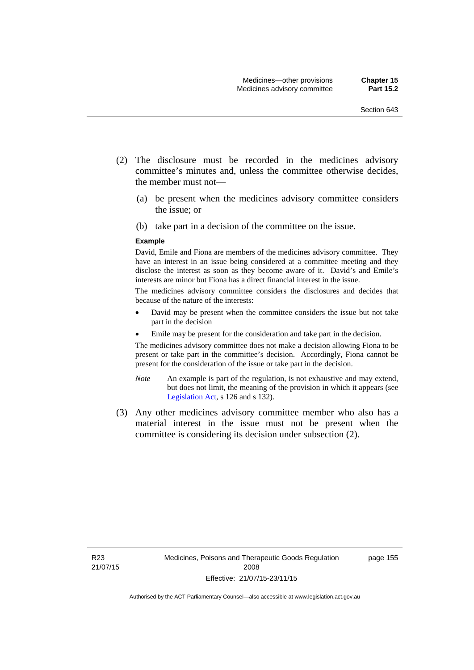- (2) The disclosure must be recorded in the medicines advisory committee's minutes and, unless the committee otherwise decides, the member must not—
	- (a) be present when the medicines advisory committee considers the issue; or
	- (b) take part in a decision of the committee on the issue.

#### **Example**

David, Emile and Fiona are members of the medicines advisory committee. They have an interest in an issue being considered at a committee meeting and they disclose the interest as soon as they become aware of it. David's and Emile's interests are minor but Fiona has a direct financial interest in the issue.

The medicines advisory committee considers the disclosures and decides that because of the nature of the interests:

- David may be present when the committee considers the issue but not take part in the decision
- Emile may be present for the consideration and take part in the decision.

The medicines advisory committee does not make a decision allowing Fiona to be present or take part in the committee's decision. Accordingly, Fiona cannot be present for the consideration of the issue or take part in the decision.

- *Note* An example is part of the regulation, is not exhaustive and may extend, but does not limit, the meaning of the provision in which it appears (see [Legislation Act,](http://www.legislation.act.gov.au/a/2001-14) s 126 and s 132).
- (3) Any other medicines advisory committee member who also has a material interest in the issue must not be present when the committee is considering its decision under subsection (2).

page 155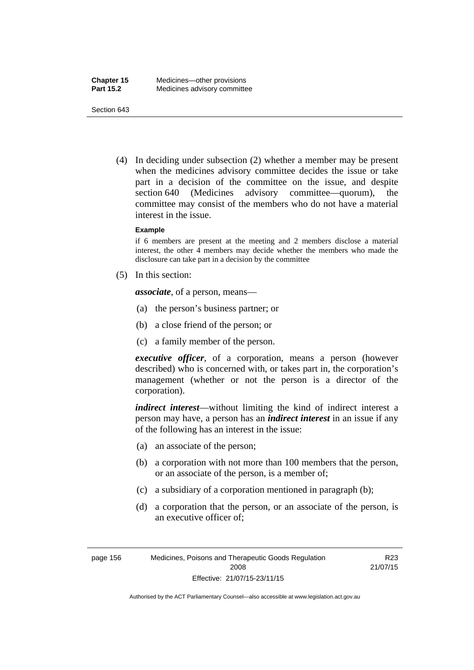(4) In deciding under subsection (2) whether a member may be present when the medicines advisory committee decides the issue or take part in a decision of the committee on the issue, and despite section 640 (Medicines advisory committee—quorum), the committee may consist of the members who do not have a material interest in the issue.

#### **Example**

if 6 members are present at the meeting and 2 members disclose a material interest, the other 4 members may decide whether the members who made the disclosure can take part in a decision by the committee

(5) In this section:

*associate*, of a person, means—

- (a) the person's business partner; or
- (b) a close friend of the person; or
- (c) a family member of the person.

*executive officer*, of a corporation, means a person (however described) who is concerned with, or takes part in, the corporation's management (whether or not the person is a director of the corporation).

*indirect interest*—without limiting the kind of indirect interest a person may have, a person has an *indirect interest* in an issue if any of the following has an interest in the issue:

- (a) an associate of the person;
- (b) a corporation with not more than 100 members that the person, or an associate of the person, is a member of;
- (c) a subsidiary of a corporation mentioned in paragraph (b);
- (d) a corporation that the person, or an associate of the person, is an executive officer of;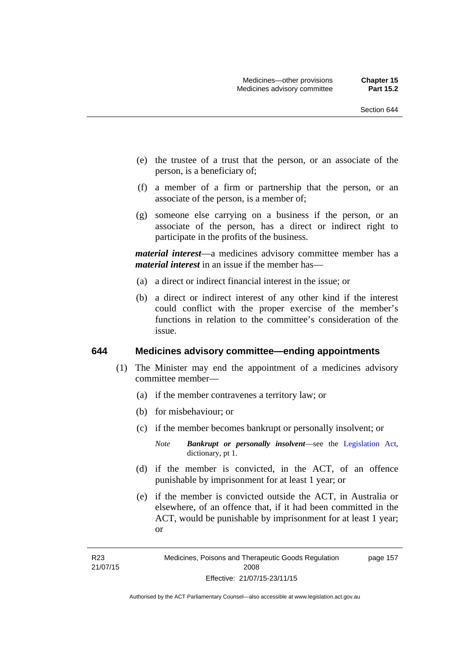- (e) the trustee of a trust that the person, or an associate of the person, is a beneficiary of;
- (f) a member of a firm or partnership that the person, or an associate of the person, is a member of;
- (g) someone else carrying on a business if the person, or an associate of the person, has a direct or indirect right to participate in the profits of the business.

*material interest*—a medicines advisory committee member has a *material interest* in an issue if the member has—

- (a) a direct or indirect financial interest in the issue; or
- (b) a direct or indirect interest of any other kind if the interest could conflict with the proper exercise of the member's functions in relation to the committee's consideration of the issue.

#### **644 Medicines advisory committee—ending appointments**

- (1) The Minister may end the appointment of a medicines advisory committee member—
	- (a) if the member contravenes a territory law; or
	- (b) for misbehaviour; or
	- (c) if the member becomes bankrupt or personally insolvent; or
		- *Note Bankrupt or personally insolvent*—see the [Legislation Act,](http://www.legislation.act.gov.au/a/2001-14) dictionary, pt 1.
	- (d) if the member is convicted, in the ACT, of an offence punishable by imprisonment for at least 1 year; or
	- (e) if the member is convicted outside the ACT, in Australia or elsewhere, of an offence that, if it had been committed in the ACT, would be punishable by imprisonment for at least 1 year; or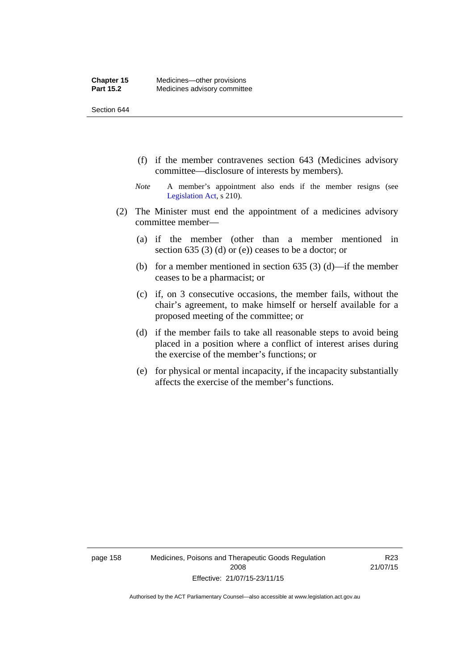- (f) if the member contravenes section 643 (Medicines advisory committee—disclosure of interests by members).
- *Note* A member's appointment also ends if the member resigns (see [Legislation Act,](http://www.legislation.act.gov.au/a/2001-14) s 210).
- (2) The Minister must end the appointment of a medicines advisory committee member—
	- (a) if the member (other than a member mentioned in section 635 (3) (d) or (e)) ceases to be a doctor; or
	- (b) for a member mentioned in section 635 (3) (d)—if the member ceases to be a pharmacist; or
	- (c) if, on 3 consecutive occasions, the member fails, without the chair's agreement, to make himself or herself available for a proposed meeting of the committee; or
	- (d) if the member fails to take all reasonable steps to avoid being placed in a position where a conflict of interest arises during the exercise of the member's functions; or
	- (e) for physical or mental incapacity, if the incapacity substantially affects the exercise of the member's functions.

page 158 Medicines, Poisons and Therapeutic Goods Regulation 2008 Effective: 21/07/15-23/11/15

R23 21/07/15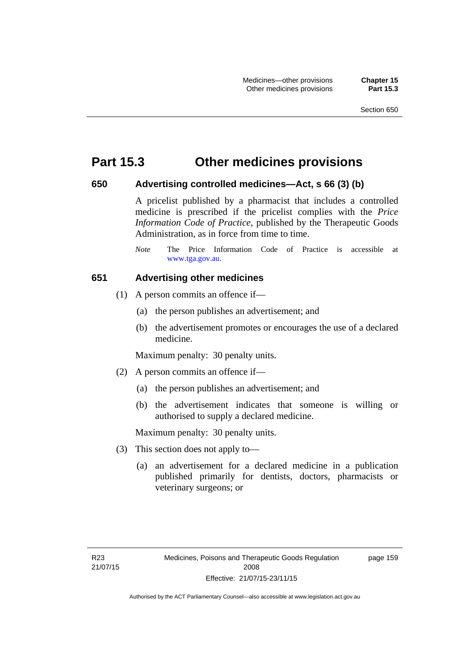## **Part 15.3 Other medicines provisions**

#### **650 Advertising controlled medicines—Act, s 66 (3) (b)**

A pricelist published by a pharmacist that includes a controlled medicine is prescribed if the pricelist complies with the *Price Information Code of Practice*, published by the Therapeutic Goods Administration, as in force from time to time.

#### **651 Advertising other medicines**

- (1) A person commits an offence if—
	- (a) the person publishes an advertisement; and
	- (b) the advertisement promotes or encourages the use of a declared medicine.

Maximum penalty: 30 penalty units.

- (2) A person commits an offence if—
	- (a) the person publishes an advertisement; and
	- (b) the advertisement indicates that someone is willing or authorised to supply a declared medicine.

Maximum penalty: 30 penalty units.

- (3) This section does not apply to—
	- (a) an advertisement for a declared medicine in a publication published primarily for dentists, doctors, pharmacists or veterinary surgeons; or

*Note* The Price Information Code of Practice is accessible at [www.tga.gov.au.](http://www.tga.gov.au/)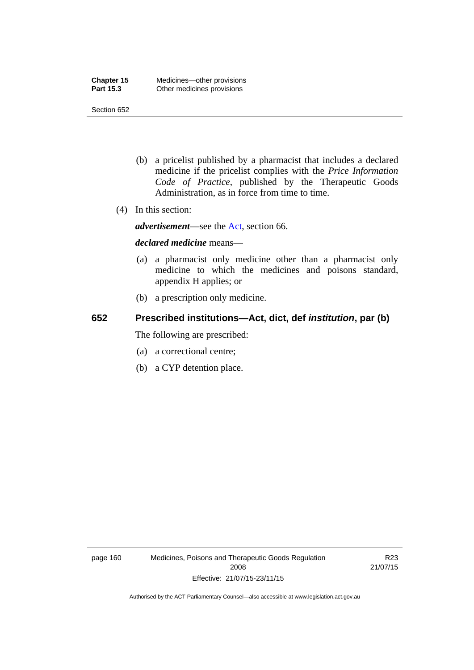- (b) a pricelist published by a pharmacist that includes a declared medicine if the pricelist complies with the *Price Information Code of Practice*, published by the Therapeutic Goods Administration, as in force from time to time.
- (4) In this section:

*advertisement*—see the [Act,](http://www.legislation.act.gov.au/a/2008-26/default.asp) section 66.

#### *declared medicine* means—

- (a) a pharmacist only medicine other than a pharmacist only medicine to which the medicines and poisons standard, appendix H applies; or
- (b) a prescription only medicine.

### **652 Prescribed institutions—Act, dict, def** *institution***, par (b)**

The following are prescribed:

- (a) a correctional centre;
- (b) a CYP detention place.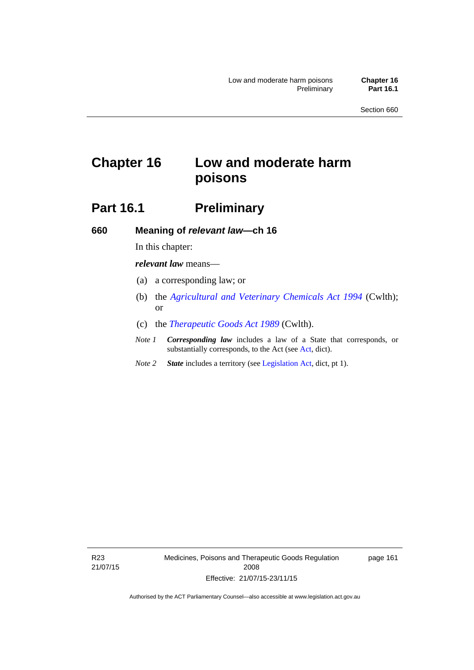# **Chapter 16 Low and moderate harm poisons**

# **Part 16.1** Preliminary

**660 Meaning of** *relevant law***—ch 16** 

In this chapter:

*relevant law* means—

- (a) a corresponding law; or
- (b) the *[Agricultural and Veterinary Chemicals Act 1994](http://www.comlaw.gov.au/Series/C2004A04712)* (Cwlth); or
- (c) the *[Therapeutic Goods Act 1989](http://www.comlaw.gov.au/Series/C2004A03952)* (Cwlth).
- *Note 1 Corresponding law* includes a law of a State that corresponds, or substantially corresponds, to the Act (see [Act](http://www.legislation.act.gov.au/a/2008-26/default.asp), dict).
- *Note 2 State* includes a territory (see [Legislation Act,](http://www.legislation.act.gov.au/a/2001-14) dict, pt 1).

R23 21/07/15 Medicines, Poisons and Therapeutic Goods Regulation 2008 Effective: 21/07/15-23/11/15

page 161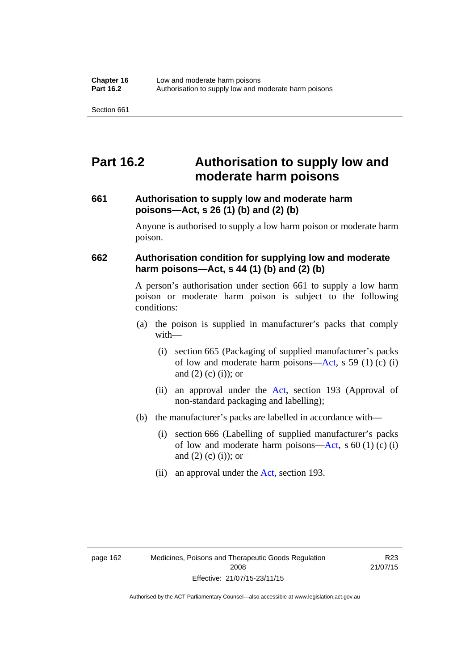## **Part 16.2 Authorisation to supply low and moderate harm poisons**

#### **661 Authorisation to supply low and moderate harm poisons—Act, s 26 (1) (b) and (2) (b)**

Anyone is authorised to supply a low harm poison or moderate harm poison.

#### **662 Authorisation condition for supplying low and moderate harm poisons—Act, s 44 (1) (b) and (2) (b)**

A person's authorisation under section 661 to supply a low harm poison or moderate harm poison is subject to the following conditions:

- (a) the poison is supplied in manufacturer's packs that comply with—
	- (i) section 665 (Packaging of supplied manufacturer's packs of low and moderate harm poisons—[Act](http://www.legislation.act.gov.au/a/2008-26/default.asp), s 59 (1) (c) (i) and  $(2)$  (c) (i)); or
	- (ii) an approval under the [Act](http://www.legislation.act.gov.au/a/2008-26/default.asp), section 193 (Approval of non-standard packaging and labelling);
- (b) the manufacturer's packs are labelled in accordance with—
	- (i) section 666 (Labelling of supplied manufacturer's packs of low and moderate harm poisons—[Act](http://www.legislation.act.gov.au/a/2008-26/default.asp), s  $60(1)(c)(i)$ and  $(2)$  (c)  $(i)$ ; or
	- (ii) an approval under the [Act,](http://www.legislation.act.gov.au/a/2008-26/default.asp) section 193.

R23 21/07/15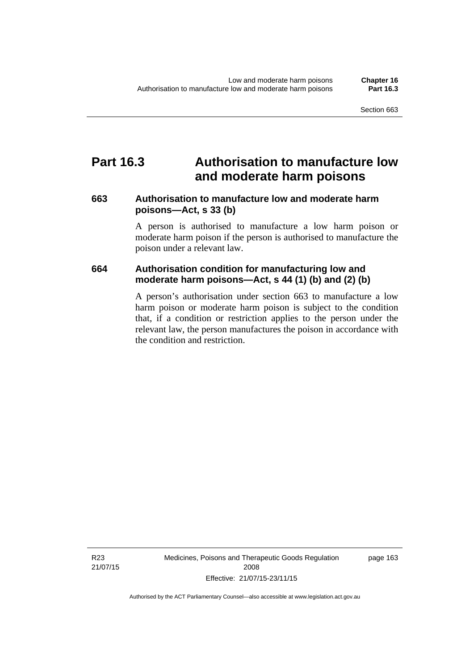## **Part 16.3 Authorisation to manufacture low and moderate harm poisons**

#### **663 Authorisation to manufacture low and moderate harm poisons—Act, s 33 (b)**

A person is authorised to manufacture a low harm poison or moderate harm poison if the person is authorised to manufacture the poison under a relevant law.

#### **664 Authorisation condition for manufacturing low and moderate harm poisons—Act, s 44 (1) (b) and (2) (b)**

A person's authorisation under section 663 to manufacture a low harm poison or moderate harm poison is subject to the condition that, if a condition or restriction applies to the person under the relevant law, the person manufactures the poison in accordance with the condition and restriction.

Medicines, Poisons and Therapeutic Goods Regulation 2008 Effective: 21/07/15-23/11/15

page 163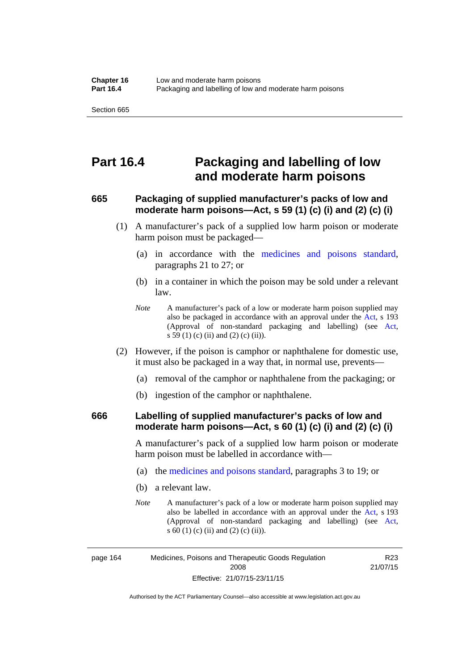## **Part 16.4 Packaging and labelling of low and moderate harm poisons**

#### **665 Packaging of supplied manufacturer's packs of low and moderate harm poisons—Act, s 59 (1) (c) (i) and (2) (c) (i)**

- (1) A manufacturer's pack of a supplied low harm poison or moderate harm poison must be packaged—
	- (a) in accordance with the [medicines and poisons standard](http://www.comlaw.gov.au/Series/F2012L01200), paragraphs 21 to 27; or
	- (b) in a container in which the poison may be sold under a relevant law.
	- *Note* A manufacturer's pack of a low or moderate harm poison supplied may also be packaged in accordance with an approval under the [Act](http://www.legislation.act.gov.au/a/2008-26/default.asp), s 193 (Approval of non-standard packaging and labelling) (see [Act,](http://www.legislation.act.gov.au/a/2008-26/default.asp) s 59 (1) (c) (ii) and (2) (c) (ii)).
- (2) However, if the poison is camphor or naphthalene for domestic use, it must also be packaged in a way that, in normal use, prevents—
	- (a) removal of the camphor or naphthalene from the packaging; or
	- (b) ingestion of the camphor or naphthalene.

#### **666 Labelling of supplied manufacturer's packs of low and moderate harm poisons—Act, s 60 (1) (c) (i) and (2) (c) (i)**

A manufacturer's pack of a supplied low harm poison or moderate harm poison must be labelled in accordance with—

- (a) the [medicines and poisons standard](http://www.comlaw.gov.au/Series/F2012L01200), paragraphs 3 to 19; or
- (b) a relevant law.
- *Note* A manufacturer's pack of a low or moderate harm poison supplied may also be labelled in accordance with an approval under the [Act](http://www.legislation.act.gov.au/a/2008-26/default.asp), s 193 (Approval of non-standard packaging and labelling) (see [Act,](http://www.legislation.act.gov.au/a/2008-26/default.asp) s 60 (1) (c) (ii) and (2) (c) (ii)).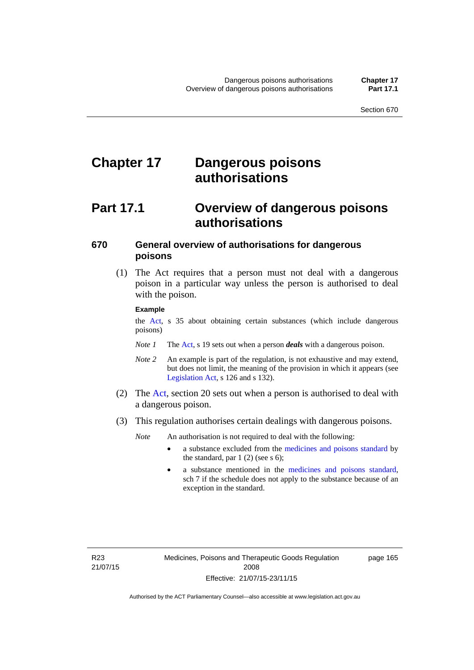# **Chapter 17 Dangerous poisons authorisations**

## **Part 17.1 Overview of dangerous poisons authorisations**

### **670 General overview of authorisations for dangerous poisons**

 (1) The Act requires that a person must not deal with a dangerous poison in a particular way unless the person is authorised to deal with the poison.

#### **Example**

the [Act,](http://www.legislation.act.gov.au/a/2008-26/default.asp) s 35 about obtaining certain substances (which include dangerous poisons)

- *Note 1* The [Act,](http://www.legislation.act.gov.au/a/2008-26/default.asp) s 19 sets out when a person *deals* with a dangerous poison.
- *Note 2* An example is part of the regulation, is not exhaustive and may extend, but does not limit, the meaning of the provision in which it appears (see [Legislation Act,](http://www.legislation.act.gov.au/a/2001-14) s 126 and s 132).
- (2) The [Act](http://www.legislation.act.gov.au/a/2008-26/default.asp), section 20 sets out when a person is authorised to deal with a dangerous poison.
- (3) This regulation authorises certain dealings with dangerous poisons.

*Note* An authorisation is not required to deal with the following:

- a substance excluded from the [medicines and poisons standard](http://www.comlaw.gov.au/Series/F2012L01200) by the standard, par  $1(2)$  (see s 6);
- a substance mentioned in the [medicines and poisons standard,](http://www.comlaw.gov.au/Series/F2012L01200) sch 7 if the schedule does not apply to the substance because of an exception in the standard.

R23 21/07/15 page 165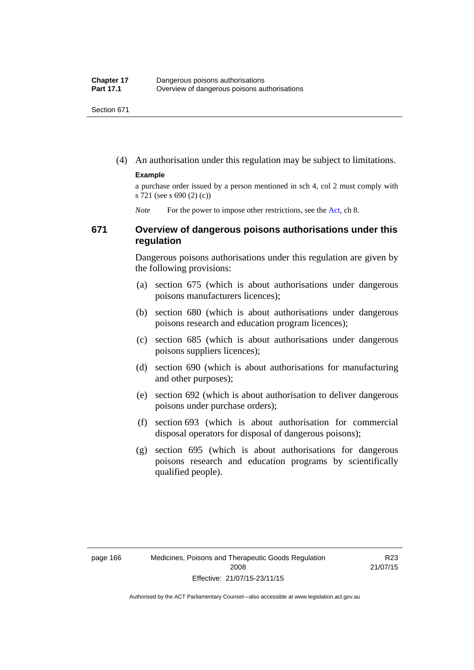(4) An authorisation under this regulation may be subject to limitations.

#### **Example**

a purchase order issued by a person mentioned in sch 4, col 2 must comply with s 721 (see s 690 (2) (c))

*Note* For the power to impose other restrictions, see the [Act](http://www.legislation.act.gov.au/a/2008-26/default.asp), ch 8.

#### **671 Overview of dangerous poisons authorisations under this regulation**

Dangerous poisons authorisations under this regulation are given by the following provisions:

- (a) section 675 (which is about authorisations under dangerous poisons manufacturers licences);
- (b) section 680 (which is about authorisations under dangerous poisons research and education program licences);
- (c) section 685 (which is about authorisations under dangerous poisons suppliers licences);
- (d) section 690 (which is about authorisations for manufacturing and other purposes);
- (e) section 692 (which is about authorisation to deliver dangerous poisons under purchase orders);
- (f) section 693 (which is about authorisation for commercial disposal operators for disposal of dangerous poisons);
- (g) section 695 (which is about authorisations for dangerous poisons research and education programs by scientifically qualified people).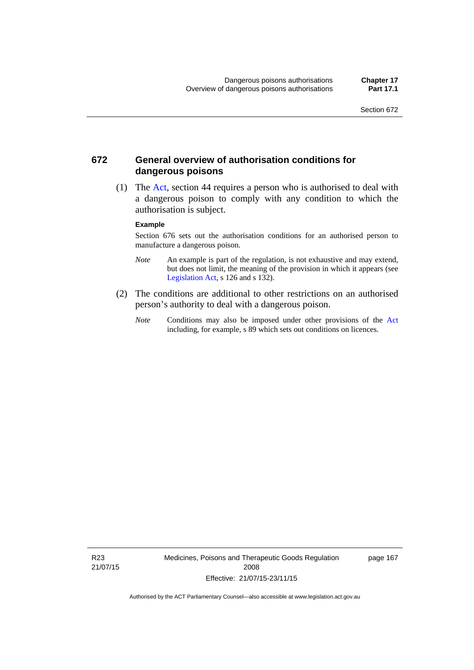#### **672 General overview of authorisation conditions for dangerous poisons**

 (1) The [Act](http://www.legislation.act.gov.au/a/2008-26/default.asp), section 44 requires a person who is authorised to deal with a dangerous poison to comply with any condition to which the authorisation is subject.

#### **Example**

Section 676 sets out the authorisation conditions for an authorised person to manufacture a dangerous poison.

- *Note* An example is part of the regulation, is not exhaustive and may extend, but does not limit, the meaning of the provision in which it appears (see [Legislation Act,](http://www.legislation.act.gov.au/a/2001-14) s 126 and s 132).
- (2) The conditions are additional to other restrictions on an authorised person's authority to deal with a dangerous poison.
	- *Note* Conditions may also be imposed under other provisions of the [Act](http://www.legislation.act.gov.au/a/2008-26/default.asp) including, for example, s 89 which sets out conditions on licences.

R23 21/07/15 Medicines, Poisons and Therapeutic Goods Regulation 2008 Effective: 21/07/15-23/11/15

page 167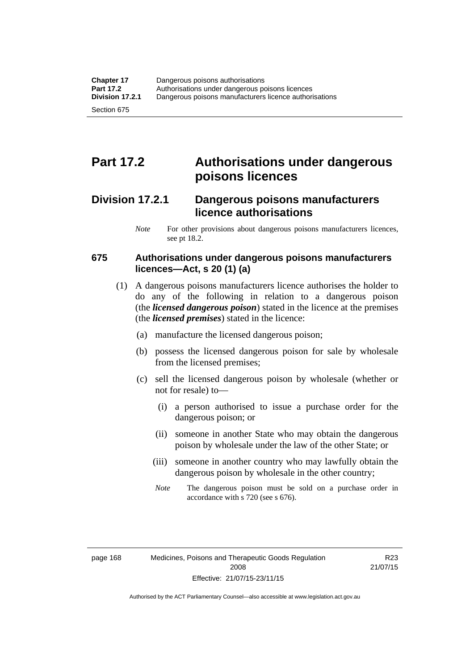# **Part 17.2 Authorisations under dangerous poisons licences**

## **Division 17.2.1 Dangerous poisons manufacturers licence authorisations**

*Note* For other provisions about dangerous poisons manufacturers licences, see pt 18.2.

#### **675 Authorisations under dangerous poisons manufacturers licences—Act, s 20 (1) (a)**

- (1) A dangerous poisons manufacturers licence authorises the holder to do any of the following in relation to a dangerous poison (the *licensed dangerous poison*) stated in the licence at the premises (the *licensed premises*) stated in the licence:
	- (a) manufacture the licensed dangerous poison;
	- (b) possess the licensed dangerous poison for sale by wholesale from the licensed premises;
	- (c) sell the licensed dangerous poison by wholesale (whether or not for resale) to—
		- (i) a person authorised to issue a purchase order for the dangerous poison; or
		- (ii) someone in another State who may obtain the dangerous poison by wholesale under the law of the other State; or
		- (iii) someone in another country who may lawfully obtain the dangerous poison by wholesale in the other country;
		- *Note* The dangerous poison must be sold on a purchase order in accordance with s 720 (see s 676).

R23 21/07/15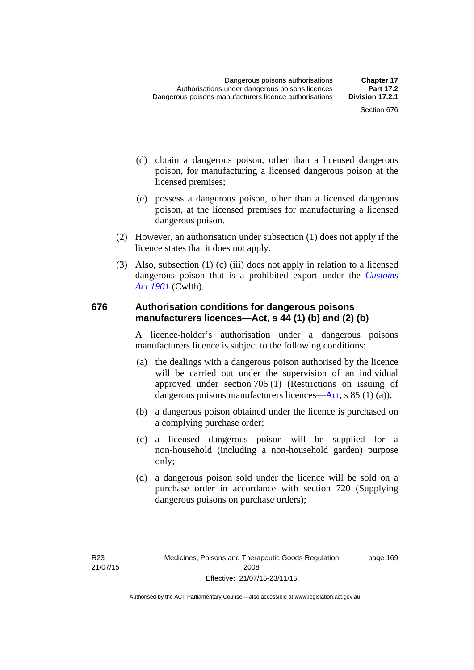- (d) obtain a dangerous poison, other than a licensed dangerous poison, for manufacturing a licensed dangerous poison at the licensed premises;
- (e) possess a dangerous poison, other than a licensed dangerous poison, at the licensed premises for manufacturing a licensed dangerous poison.
- (2) However, an authorisation under subsection (1) does not apply if the licence states that it does not apply.
- (3) Also, subsection (1) (c) (iii) does not apply in relation to a licensed dangerous poison that is a prohibited export under the *[Customs](http://www.comlaw.gov.au/Series/C1901A00006)  [Act 1901](http://www.comlaw.gov.au/Series/C1901A00006)* (Cwlth).

#### **676 Authorisation conditions for dangerous poisons manufacturers licences—Act, s 44 (1) (b) and (2) (b)**

A licence-holder's authorisation under a dangerous poisons manufacturers licence is subject to the following conditions:

- (a) the dealings with a dangerous poison authorised by the licence will be carried out under the supervision of an individual approved under section 706 (1) (Restrictions on issuing of dangerous poisons manufacturers licences[—Act,](http://www.legislation.act.gov.au/a/2008-26/default.asp) s 85 (1) (a));
- (b) a dangerous poison obtained under the licence is purchased on a complying purchase order;
- (c) a licensed dangerous poison will be supplied for a non-household (including a non-household garden) purpose only;
- (d) a dangerous poison sold under the licence will be sold on a purchase order in accordance with section 720 (Supplying dangerous poisons on purchase orders);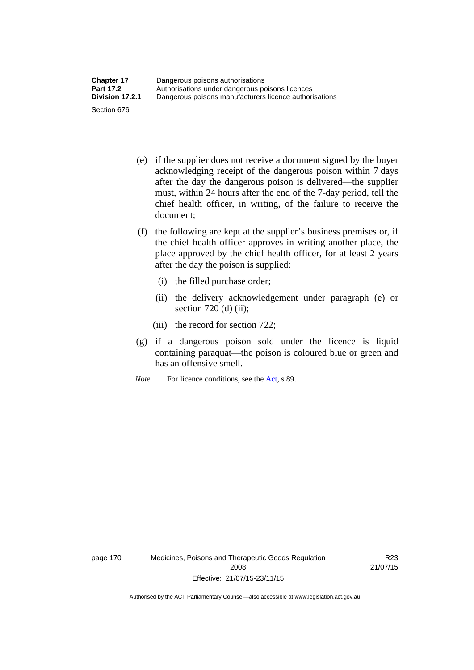- (e) if the supplier does not receive a document signed by the buyer acknowledging receipt of the dangerous poison within 7 days after the day the dangerous poison is delivered—the supplier must, within 24 hours after the end of the 7-day period, tell the chief health officer, in writing, of the failure to receive the document;
- (f) the following are kept at the supplier's business premises or, if the chief health officer approves in writing another place, the place approved by the chief health officer, for at least 2 years after the day the poison is supplied:
	- (i) the filled purchase order;
	- (ii) the delivery acknowledgement under paragraph (e) or section 720 (d) (ii);
	- (iii) the record for section 722;
- (g) if a dangerous poison sold under the licence is liquid containing paraquat—the poison is coloured blue or green and has an offensive smell.
- *Note* For licence conditions, see the [Act](http://www.legislation.act.gov.au/a/2008-26/default.asp), s 89.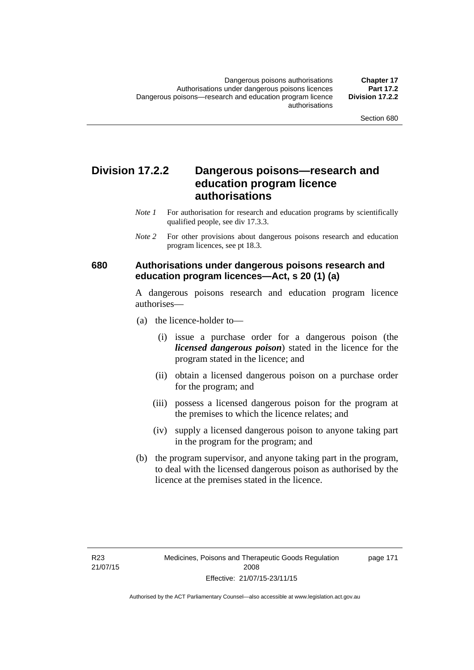## **Division 17.2.2 Dangerous poisons—research and education program licence authorisations**

- *Note 1* For authorisation for research and education programs by scientifically qualified people, see div 17.3.3.
- *Note 2* For other provisions about dangerous poisons research and education program licences, see pt 18.3.

#### **680 Authorisations under dangerous poisons research and education program licences—Act, s 20 (1) (a)**

A dangerous poisons research and education program licence authorises—

- (a) the licence-holder to—
	- (i) issue a purchase order for a dangerous poison (the *licensed dangerous poison*) stated in the licence for the program stated in the licence; and
	- (ii) obtain a licensed dangerous poison on a purchase order for the program; and
	- (iii) possess a licensed dangerous poison for the program at the premises to which the licence relates; and
	- (iv) supply a licensed dangerous poison to anyone taking part in the program for the program; and
- (b) the program supervisor, and anyone taking part in the program, to deal with the licensed dangerous poison as authorised by the licence at the premises stated in the licence.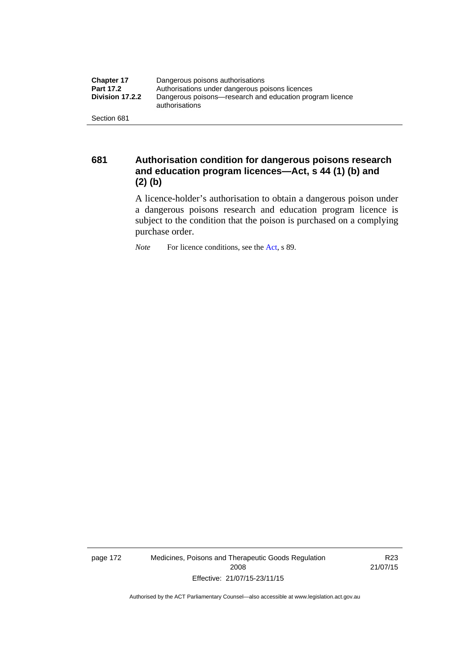| <b>Chapter 17</b> | Dangerous poisons authorisations                                           |
|-------------------|----------------------------------------------------------------------------|
| <b>Part 17.2</b>  | Authorisations under dangerous poisons licences                            |
| Division 17.2.2   | Dangerous poisons—research and education program licence<br>authorisations |
| Section 681       |                                                                            |

**681 Authorisation condition for dangerous poisons research and education program licences—Act, s 44 (1) (b) and (2) (b)** 

> A licence-holder's authorisation to obtain a dangerous poison under a dangerous poisons research and education program licence is subject to the condition that the poison is purchased on a complying purchase order.

*Note* For licence conditions, see the [Act](http://www.legislation.act.gov.au/a/2008-26/default.asp), s 89.

page 172 Medicines, Poisons and Therapeutic Goods Regulation 2008 Effective: 21/07/15-23/11/15

R23 21/07/15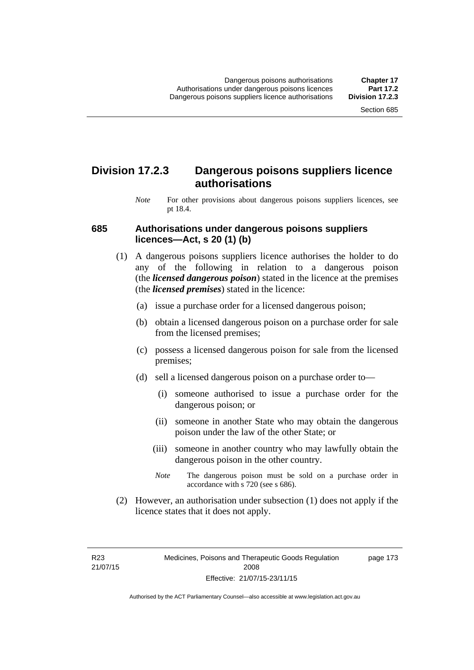## **Division 17.2.3 Dangerous poisons suppliers licence authorisations**

*Note* For other provisions about dangerous poisons suppliers licences, see pt 18.4.

#### **685 Authorisations under dangerous poisons suppliers licences—Act, s 20 (1) (b)**

- (1) A dangerous poisons suppliers licence authorises the holder to do any of the following in relation to a dangerous poison (the *licensed dangerous poison*) stated in the licence at the premises (the *licensed premises*) stated in the licence:
	- (a) issue a purchase order for a licensed dangerous poison;
	- (b) obtain a licensed dangerous poison on a purchase order for sale from the licensed premises;
	- (c) possess a licensed dangerous poison for sale from the licensed premises;
	- (d) sell a licensed dangerous poison on a purchase order to—
		- (i) someone authorised to issue a purchase order for the dangerous poison; or
		- (ii) someone in another State who may obtain the dangerous poison under the law of the other State; or
		- (iii) someone in another country who may lawfully obtain the dangerous poison in the other country.
		- *Note* The dangerous poison must be sold on a purchase order in accordance with s 720 (see s 686).
- (2) However, an authorisation under subsection (1) does not apply if the licence states that it does not apply.

R23 21/07/15 page 173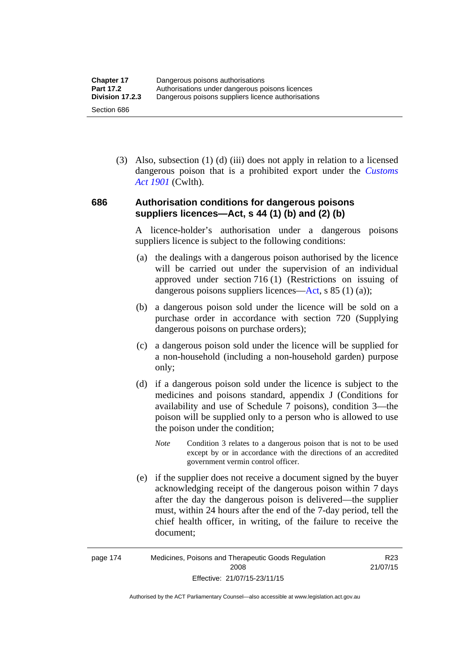(3) Also, subsection (1) (d) (iii) does not apply in relation to a licensed dangerous poison that is a prohibited export under the *[Customs](http://www.comlaw.gov.au/Series/C1901A00006)  [Act 1901](http://www.comlaw.gov.au/Series/C1901A00006)* (Cwlth).

#### **686 Authorisation conditions for dangerous poisons suppliers licences—Act, s 44 (1) (b) and (2) (b)**

A licence-holder's authorisation under a dangerous poisons suppliers licence is subject to the following conditions:

- (a) the dealings with a dangerous poison authorised by the licence will be carried out under the supervision of an individual approved under section 716 (1) (Restrictions on issuing of dangerous poisons suppliers licences—[Act](http://www.legislation.act.gov.au/a/2008-26/default.asp), s 85 (1) (a));
- (b) a dangerous poison sold under the licence will be sold on a purchase order in accordance with section 720 (Supplying dangerous poisons on purchase orders);
- (c) a dangerous poison sold under the licence will be supplied for a non-household (including a non-household garden) purpose only;
- (d) if a dangerous poison sold under the licence is subject to the medicines and poisons standard, appendix J (Conditions for availability and use of Schedule 7 poisons), condition 3—the poison will be supplied only to a person who is allowed to use the poison under the condition;
	- *Note* Condition 3 relates to a dangerous poison that is not to be used except by or in accordance with the directions of an accredited government vermin control officer.
- (e) if the supplier does not receive a document signed by the buyer acknowledging receipt of the dangerous poison within 7 days after the day the dangerous poison is delivered—the supplier must, within 24 hours after the end of the 7-day period, tell the chief health officer, in writing, of the failure to receive the document;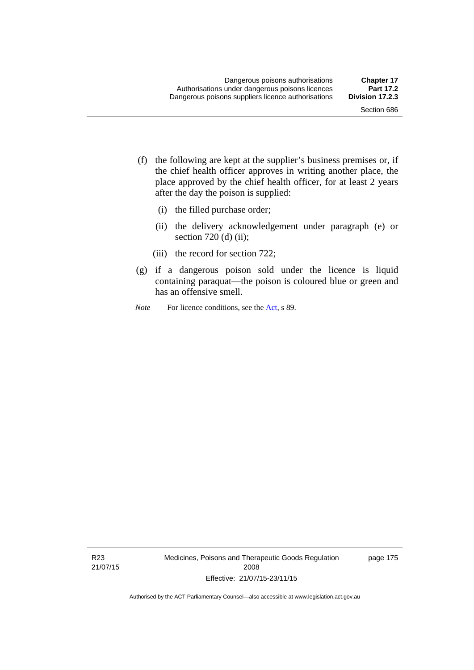- (f) the following are kept at the supplier's business premises or, if the chief health officer approves in writing another place, the place approved by the chief health officer, for at least 2 years after the day the poison is supplied:
	- (i) the filled purchase order;
	- (ii) the delivery acknowledgement under paragraph (e) or section 720 (d) (ii);
	- (iii) the record for section 722;
- (g) if a dangerous poison sold under the licence is liquid containing paraquat—the poison is coloured blue or green and has an offensive smell.
- *Note* For licence conditions, see the [Act](http://www.legislation.act.gov.au/a/2008-26/default.asp), s 89.

R23 21/07/15 Medicines, Poisons and Therapeutic Goods Regulation 2008 Effective: 21/07/15-23/11/15

page 175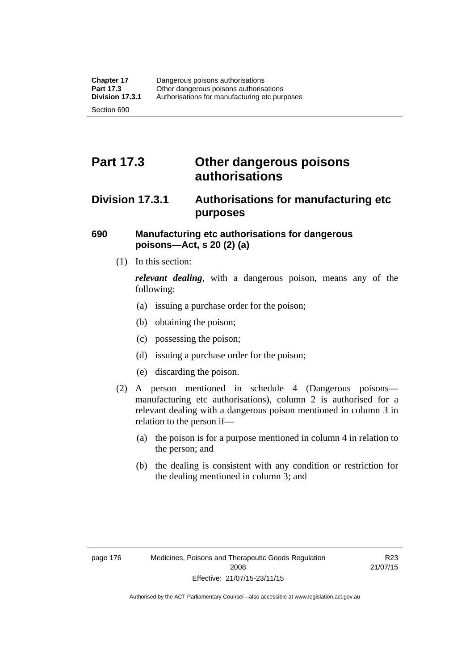# **Part 17.3 Other dangerous poisons authorisations**

## **Division 17.3.1 Authorisations for manufacturing etc purposes**

#### **690 Manufacturing etc authorisations for dangerous poisons—Act, s 20 (2) (a)**

(1) In this section:

*relevant dealing*, with a dangerous poison, means any of the following:

- (a) issuing a purchase order for the poison;
- (b) obtaining the poison;
- (c) possessing the poison;
- (d) issuing a purchase order for the poison;
- (e) discarding the poison.
- (2) A person mentioned in schedule 4 (Dangerous poisons manufacturing etc authorisations), column 2 is authorised for a relevant dealing with a dangerous poison mentioned in column 3 in relation to the person if—
	- (a) the poison is for a purpose mentioned in column 4 in relation to the person; and
	- (b) the dealing is consistent with any condition or restriction for the dealing mentioned in column 3; and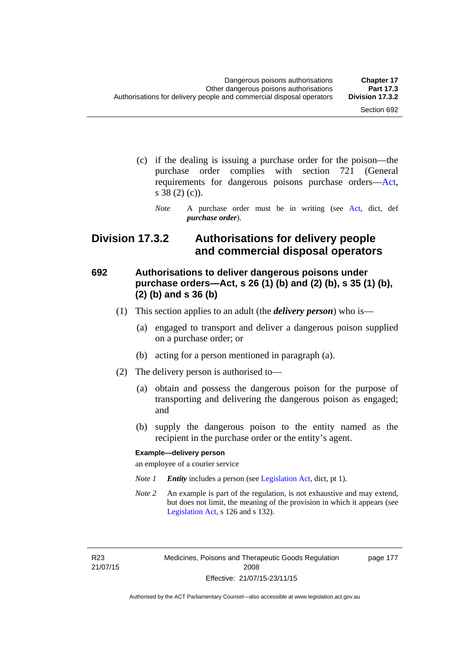page 177

- (c) if the dealing is issuing a purchase order for the poison—the purchase order complies with section 721 (General requirements for dangerous poisons purchase orders[—Act](http://www.legislation.act.gov.au/a/2008-26/default.asp), s 38 (2) (c)).
	- *Note* A purchase order must be in writing (see [Act](http://www.legislation.act.gov.au/a/2008-26/default.asp), dict, def *purchase order*).

## **Division 17.3.2 Authorisations for delivery people and commercial disposal operators**

#### **692 Authorisations to deliver dangerous poisons under purchase orders—Act, s 26 (1) (b) and (2) (b), s 35 (1) (b), (2) (b) and s 36 (b)**

- (1) This section applies to an adult (the *delivery person*) who is—
	- (a) engaged to transport and deliver a dangerous poison supplied on a purchase order; or
	- (b) acting for a person mentioned in paragraph (a).
- (2) The delivery person is authorised to—
	- (a) obtain and possess the dangerous poison for the purpose of transporting and delivering the dangerous poison as engaged; and
	- (b) supply the dangerous poison to the entity named as the recipient in the purchase order or the entity's agent.

#### **Example—delivery person**

an employee of a courier service

- *Note 1 Entity* includes a person (see [Legislation Act,](http://www.legislation.act.gov.au/a/2001-14) dict, pt 1).
- *Note 2* An example is part of the regulation, is not exhaustive and may extend, but does not limit, the meaning of the provision in which it appears (see [Legislation Act,](http://www.legislation.act.gov.au/a/2001-14) s 126 and s 132).

R23 21/07/15 Medicines, Poisons and Therapeutic Goods Regulation 2008 Effective: 21/07/15-23/11/15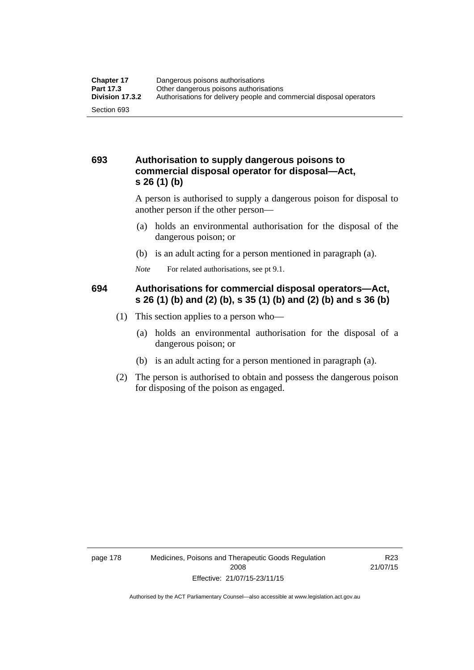#### **693 Authorisation to supply dangerous poisons to commercial disposal operator for disposal—Act, s 26 (1) (b)**

A person is authorised to supply a dangerous poison for disposal to another person if the other person—

- (a) holds an environmental authorisation for the disposal of the dangerous poison; or
- (b) is an adult acting for a person mentioned in paragraph (a).
- *Note* For related authorisations, see pt 9.1.

#### **694 Authorisations for commercial disposal operators—Act, s 26 (1) (b) and (2) (b), s 35 (1) (b) and (2) (b) and s 36 (b)**

- (1) This section applies to a person who—
	- (a) holds an environmental authorisation for the disposal of a dangerous poison; or
	- (b) is an adult acting for a person mentioned in paragraph (a).
- (2) The person is authorised to obtain and possess the dangerous poison for disposing of the poison as engaged.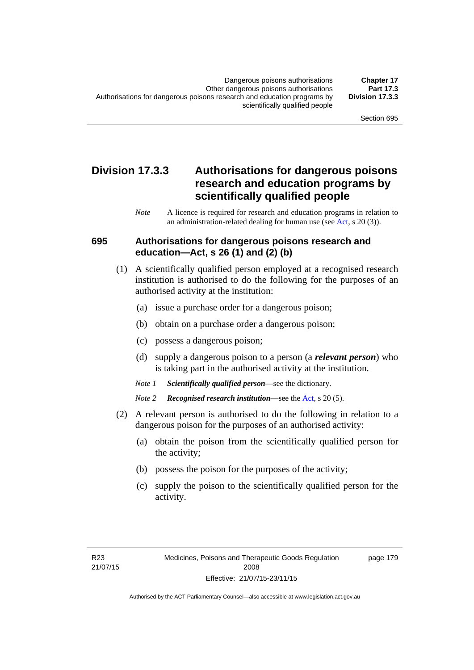## **Division 17.3.3 Authorisations for dangerous poisons research and education programs by scientifically qualified people**

*Note* A licence is required for research and education programs in relation to an administration-related dealing for human use (see [Act](http://www.legislation.act.gov.au/a/2008-26/default.asp), s 20 (3)).

#### **695 Authorisations for dangerous poisons research and education—Act, s 26 (1) and (2) (b)**

- (1) A scientifically qualified person employed at a recognised research institution is authorised to do the following for the purposes of an authorised activity at the institution:
	- (a) issue a purchase order for a dangerous poison;
	- (b) obtain on a purchase order a dangerous poison;
	- (c) possess a dangerous poison;
	- (d) supply a dangerous poison to a person (a *relevant person*) who is taking part in the authorised activity at the institution.
	- *Note 1 Scientifically qualified person*—see the dictionary.
	- *Note 2 Recognised research institution*—see the [Act](http://www.legislation.act.gov.au/a/2008-26/default.asp), s 20 (5).
- (2) A relevant person is authorised to do the following in relation to a dangerous poison for the purposes of an authorised activity:
	- (a) obtain the poison from the scientifically qualified person for the activity;
	- (b) possess the poison for the purposes of the activity;
	- (c) supply the poison to the scientifically qualified person for the activity.

page 179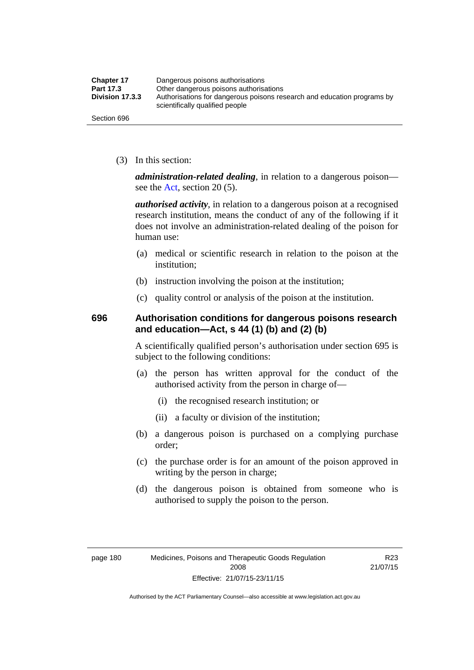| <b>Chapter 17</b> | Dangerous poisons authorisations                                                                           |
|-------------------|------------------------------------------------------------------------------------------------------------|
| Part 17.3         | Other dangerous poisons authorisations                                                                     |
| Division 17.3.3   | Authorisations for dangerous poisons research and education programs by<br>scientifically qualified people |
| Section 696       |                                                                                                            |

(3) In this section:

*administration-related dealing*, in relation to a dangerous poison— see the [Act](http://www.legislation.act.gov.au/a/2008-26/default.asp), section 20 (5).

*authorised activity*, in relation to a dangerous poison at a recognised research institution, means the conduct of any of the following if it does not involve an administration-related dealing of the poison for human use:

- (a) medical or scientific research in relation to the poison at the institution;
- (b) instruction involving the poison at the institution;
- (c) quality control or analysis of the poison at the institution.

#### **696 Authorisation conditions for dangerous poisons research and education—Act, s 44 (1) (b) and (2) (b)**

A scientifically qualified person's authorisation under section 695 is subject to the following conditions:

- (a) the person has written approval for the conduct of the authorised activity from the person in charge of—
	- (i) the recognised research institution; or
	- (ii) a faculty or division of the institution;
- (b) a dangerous poison is purchased on a complying purchase order;
- (c) the purchase order is for an amount of the poison approved in writing by the person in charge;
- (d) the dangerous poison is obtained from someone who is authorised to supply the poison to the person.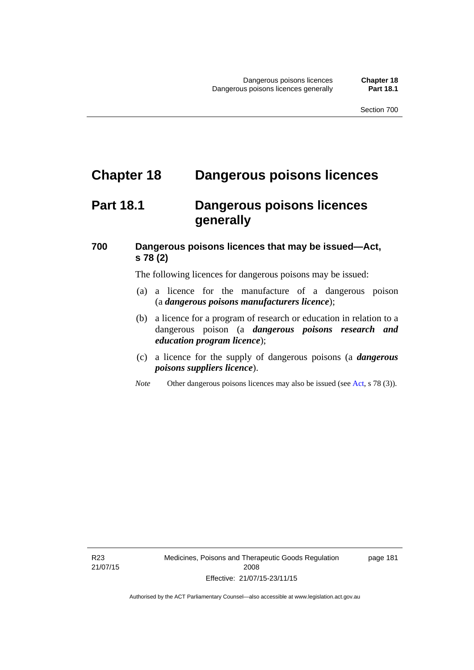# **Chapter 18 Dangerous poisons licences**

## **Part 18.1 Dangerous poisons licences generally**

#### **700 Dangerous poisons licences that may be issued—Act, s 78 (2)**

The following licences for dangerous poisons may be issued:

- (a) a licence for the manufacture of a dangerous poison (a *dangerous poisons manufacturers licence*);
- (b) a licence for a program of research or education in relation to a dangerous poison (a *dangerous poisons research and education program licence*);
- (c) a licence for the supply of dangerous poisons (a *dangerous poisons suppliers licence*).
- *Note* Other dangerous poisons licences may also be issued (see [Act](http://www.legislation.act.gov.au/a/2008-26/default.asp), s 78 (3)).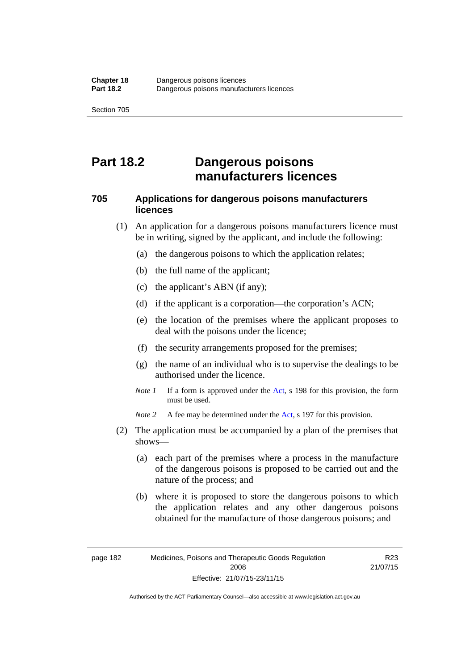## **Part 18.2 Dangerous poisons manufacturers licences**

#### **705 Applications for dangerous poisons manufacturers licences**

- (1) An application for a dangerous poisons manufacturers licence must be in writing, signed by the applicant, and include the following:
	- (a) the dangerous poisons to which the application relates;
	- (b) the full name of the applicant;
	- (c) the applicant's ABN (if any);
	- (d) if the applicant is a corporation—the corporation's ACN;
	- (e) the location of the premises where the applicant proposes to deal with the poisons under the licence;
	- (f) the security arrangements proposed for the premises;
	- (g) the name of an individual who is to supervise the dealings to be authorised under the licence.
	- *Note 1* If a form is approved under the [Act](http://www.legislation.act.gov.au/a/2008-26/default.asp), s 198 for this provision, the form must be used.

*Note 2* A fee may be determined under the [Act,](http://www.legislation.act.gov.au/a/2008-26/default.asp) s 197 for this provision.

- (2) The application must be accompanied by a plan of the premises that shows—
	- (a) each part of the premises where a process in the manufacture of the dangerous poisons is proposed to be carried out and the nature of the process; and
	- (b) where it is proposed to store the dangerous poisons to which the application relates and any other dangerous poisons obtained for the manufacture of those dangerous poisons; and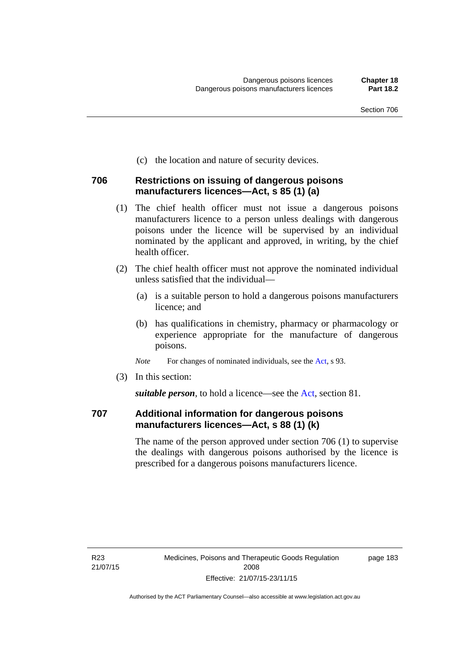(c) the location and nature of security devices.

#### **706 Restrictions on issuing of dangerous poisons manufacturers licences—Act, s 85 (1) (a)**

- (1) The chief health officer must not issue a dangerous poisons manufacturers licence to a person unless dealings with dangerous poisons under the licence will be supervised by an individual nominated by the applicant and approved, in writing, by the chief health officer.
- (2) The chief health officer must not approve the nominated individual unless satisfied that the individual—
	- (a) is a suitable person to hold a dangerous poisons manufacturers licence; and
	- (b) has qualifications in chemistry, pharmacy or pharmacology or experience appropriate for the manufacture of dangerous poisons.
	- *Note* For changes of nominated individuals, see the [Act,](http://www.legislation.act.gov.au/a/2008-26/default.asp) s 93.
- (3) In this section:

*suitable person*, to hold a licence—see the [Act](http://www.legislation.act.gov.au/a/2008-26/default.asp), section 81.

#### **707 Additional information for dangerous poisons manufacturers licences—Act, s 88 (1) (k)**

The name of the person approved under section 706 (1) to supervise the dealings with dangerous poisons authorised by the licence is prescribed for a dangerous poisons manufacturers licence.

page 183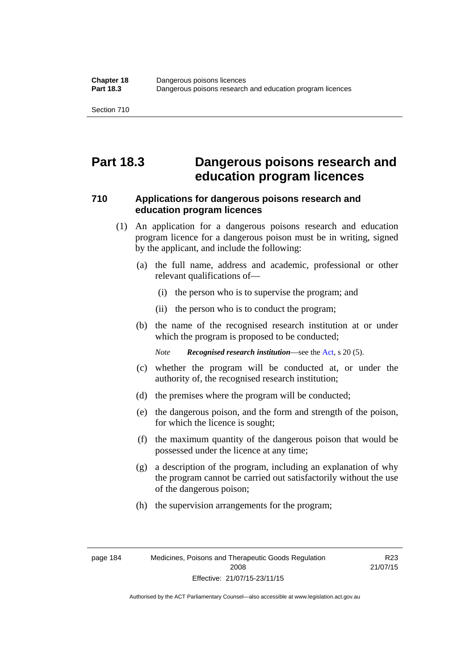## **Part 18.3 Dangerous poisons research and education program licences**

#### **710 Applications for dangerous poisons research and education program licences**

- (1) An application for a dangerous poisons research and education program licence for a dangerous poison must be in writing, signed by the applicant, and include the following:
	- (a) the full name, address and academic, professional or other relevant qualifications of—
		- (i) the person who is to supervise the program; and
		- (ii) the person who is to conduct the program;
	- (b) the name of the recognised research institution at or under which the program is proposed to be conducted;

*Note Recognised research institution*—see the [Act](http://www.legislation.act.gov.au/a/2008-26/default.asp), s 20 (5).

- (c) whether the program will be conducted at, or under the authority of, the recognised research institution;
- (d) the premises where the program will be conducted;
- (e) the dangerous poison, and the form and strength of the poison, for which the licence is sought;
- (f) the maximum quantity of the dangerous poison that would be possessed under the licence at any time;
- (g) a description of the program, including an explanation of why the program cannot be carried out satisfactorily without the use of the dangerous poison;
- (h) the supervision arrangements for the program;

R23 21/07/15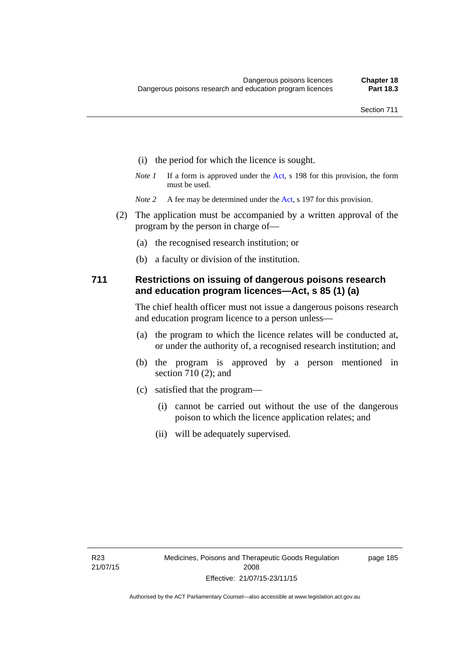- (i) the period for which the licence is sought.
- *Note 1* If a form is approved under the [Act](http://www.legislation.act.gov.au/a/2008-26/default.asp), s 198 for this provision, the form must be used.
- *Note 2* A fee may be determined under the [Act,](http://www.legislation.act.gov.au/a/2008-26/default.asp) s 197 for this provision.
- (2) The application must be accompanied by a written approval of the program by the person in charge of—
	- (a) the recognised research institution; or
	- (b) a faculty or division of the institution.

#### **711 Restrictions on issuing of dangerous poisons research and education program licences—Act, s 85 (1) (a)**

The chief health officer must not issue a dangerous poisons research and education program licence to a person unless—

- (a) the program to which the licence relates will be conducted at, or under the authority of, a recognised research institution; and
- (b) the program is approved by a person mentioned in section 710 (2); and
- (c) satisfied that the program—
	- (i) cannot be carried out without the use of the dangerous poison to which the licence application relates; and
	- (ii) will be adequately supervised.

page 185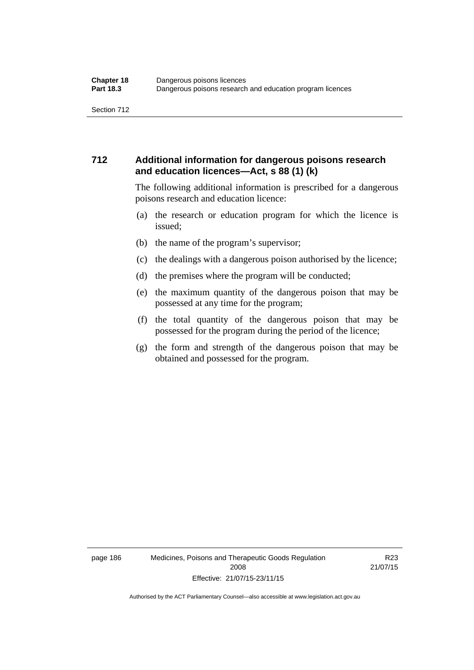#### **712 Additional information for dangerous poisons research and education licences—Act, s 88 (1) (k)**

The following additional information is prescribed for a dangerous poisons research and education licence:

- (a) the research or education program for which the licence is issued;
- (b) the name of the program's supervisor;
- (c) the dealings with a dangerous poison authorised by the licence;
- (d) the premises where the program will be conducted;
- (e) the maximum quantity of the dangerous poison that may be possessed at any time for the program;
- (f) the total quantity of the dangerous poison that may be possessed for the program during the period of the licence;
- (g) the form and strength of the dangerous poison that may be obtained and possessed for the program.

page 186 Medicines, Poisons and Therapeutic Goods Regulation 2008 Effective: 21/07/15-23/11/15

R23 21/07/15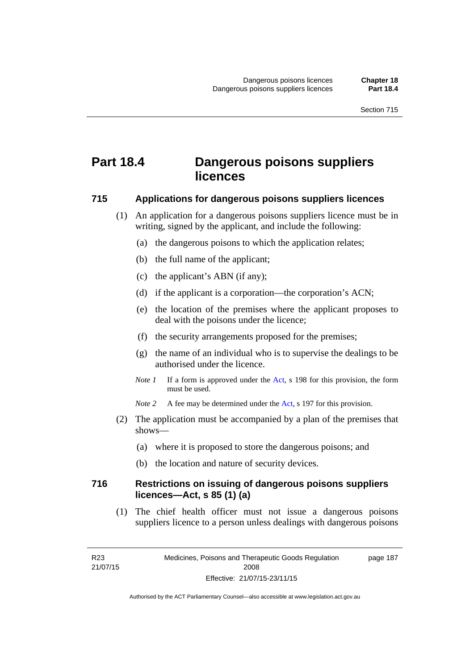# **Part 18.4 Dangerous poisons suppliers licences**

#### **715 Applications for dangerous poisons suppliers licences**

- (1) An application for a dangerous poisons suppliers licence must be in writing, signed by the applicant, and include the following:
	- (a) the dangerous poisons to which the application relates;
	- (b) the full name of the applicant;
	- (c) the applicant's ABN (if any);
	- (d) if the applicant is a corporation—the corporation's ACN;
	- (e) the location of the premises where the applicant proposes to deal with the poisons under the licence;
	- (f) the security arrangements proposed for the premises;
	- (g) the name of an individual who is to supervise the dealings to be authorised under the licence.
	- *Note 1* If a form is approved under the [Act](http://www.legislation.act.gov.au/a/2008-26/default.asp), s 198 for this provision, the form must be used.
	- *Note* 2 A fee may be determined under the [Act,](http://www.legislation.act.gov.au/a/2008-26/default.asp) s 197 for this provision.
- (2) The application must be accompanied by a plan of the premises that shows—
	- (a) where it is proposed to store the dangerous poisons; and
	- (b) the location and nature of security devices.

#### **716 Restrictions on issuing of dangerous poisons suppliers licences—Act, s 85 (1) (a)**

(1) The chief health officer must not issue a dangerous poisons suppliers licence to a person unless dealings with dangerous poisons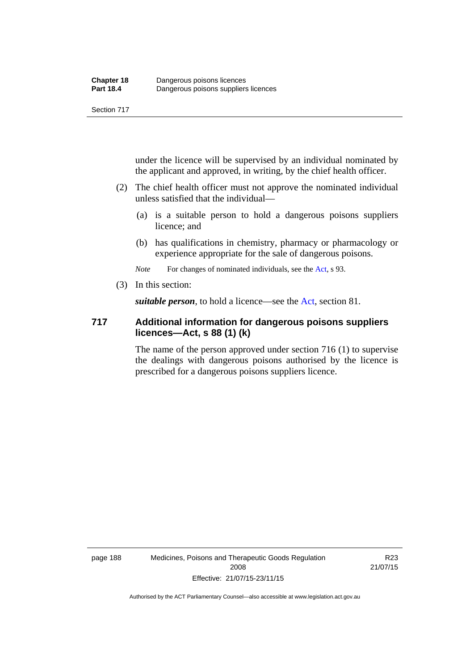under the licence will be supervised by an individual nominated by the applicant and approved, in writing, by the chief health officer.

- (2) The chief health officer must not approve the nominated individual unless satisfied that the individual—
	- (a) is a suitable person to hold a dangerous poisons suppliers licence; and
	- (b) has qualifications in chemistry, pharmacy or pharmacology or experience appropriate for the sale of dangerous poisons.

*Note* For changes of nominated individuals, see the [Act,](http://www.legislation.act.gov.au/a/2008-26/default.asp) s 93.

(3) In this section:

*suitable person*, to hold a licence—see the [Act](http://www.legislation.act.gov.au/a/2008-26/default.asp), section 81.

#### **717 Additional information for dangerous poisons suppliers licences—Act, s 88 (1) (k)**

The name of the person approved under section 716 (1) to supervise the dealings with dangerous poisons authorised by the licence is prescribed for a dangerous poisons suppliers licence.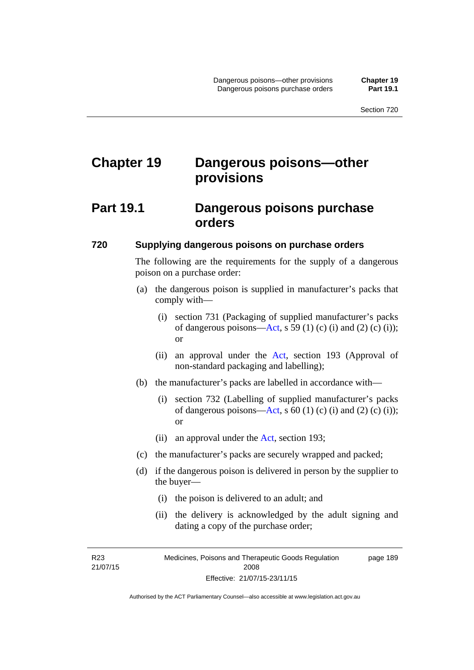# **Chapter 19 Dangerous poisons—other provisions**

## **Part 19.1 Dangerous poisons purchase orders**

#### **720 Supplying dangerous poisons on purchase orders**

The following are the requirements for the supply of a dangerous poison on a purchase order:

- (a) the dangerous poison is supplied in manufacturer's packs that comply with—
	- (i) section 731 (Packaging of supplied manufacturer's packs of dangerous poisons[—Act](http://www.legislation.act.gov.au/a/2008-26/default.asp), s 59 (1) (c) (i) and (2) (c) (i)); or
	- (ii) an approval under the [Act](http://www.legislation.act.gov.au/a/2008-26/default.asp), section 193 (Approval of non-standard packaging and labelling);
- (b) the manufacturer's packs are labelled in accordance with—
	- (i) section 732 (Labelling of supplied manufacturer's packs of dangerous poisons[—Act](http://www.legislation.act.gov.au/a/2008-26/default.asp), s  $60$  (1) (c) (i) and (2) (c) (i)); or
	- (ii) an approval under the [Act,](http://www.legislation.act.gov.au/a/2008-26/default.asp) section 193;
- (c) the manufacturer's packs are securely wrapped and packed;
- (d) if the dangerous poison is delivered in person by the supplier to the buyer—
	- (i) the poison is delivered to an adult; and
	- (ii) the delivery is acknowledged by the adult signing and dating a copy of the purchase order;

R23 21/07/15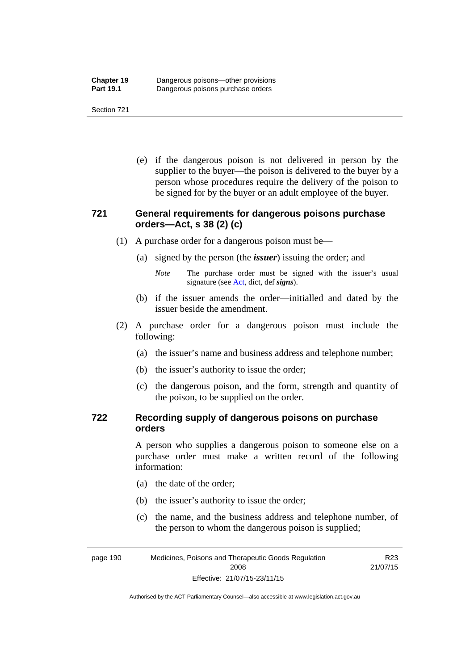(e) if the dangerous poison is not delivered in person by the supplier to the buyer—the poison is delivered to the buyer by a person whose procedures require the delivery of the poison to be signed for by the buyer or an adult employee of the buyer.

#### **721 General requirements for dangerous poisons purchase orders—Act, s 38 (2) (c)**

- (1) A purchase order for a dangerous poison must be—
	- (a) signed by the person (the *issuer*) issuing the order; and
		- *Note* The purchase order must be signed with the issuer's usual signature (see [Act](http://www.legislation.act.gov.au/a/2008-26/default.asp), dict, def *signs*).
	- (b) if the issuer amends the order—initialled and dated by the issuer beside the amendment.
- (2) A purchase order for a dangerous poison must include the following:
	- (a) the issuer's name and business address and telephone number;
	- (b) the issuer's authority to issue the order;
	- (c) the dangerous poison, and the form, strength and quantity of the poison, to be supplied on the order.

#### **722 Recording supply of dangerous poisons on purchase orders**

A person who supplies a dangerous poison to someone else on a purchase order must make a written record of the following information:

- (a) the date of the order;
- (b) the issuer's authority to issue the order;
- (c) the name, and the business address and telephone number, of the person to whom the dangerous poison is supplied;

R23

page 190 Medicines, Poisons and Therapeutic Goods Regulation 2008 Effective: 21/07/15-23/11/15 21/07/15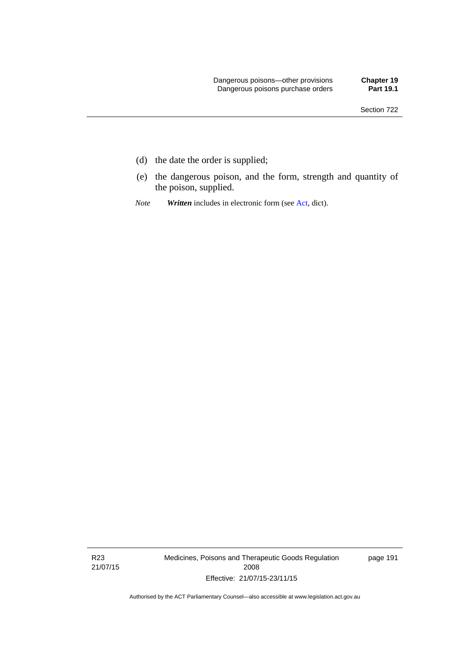- (d) the date the order is supplied;
- (e) the dangerous poison, and the form, strength and quantity of the poison, supplied.
- *Note Written* includes in electronic form (see [Act,](http://www.legislation.act.gov.au/a/2008-26/default.asp) dict).

R23 21/07/15 Medicines, Poisons and Therapeutic Goods Regulation 2008 Effective: 21/07/15-23/11/15

page 191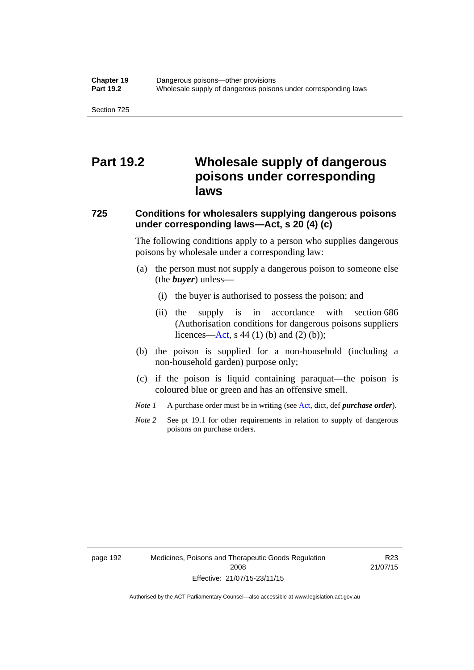## **Part 19.2 Wholesale supply of dangerous poisons under corresponding laws**

#### **725 Conditions for wholesalers supplying dangerous poisons under corresponding laws—Act, s 20 (4) (c)**

The following conditions apply to a person who supplies dangerous poisons by wholesale under a corresponding law:

- (a) the person must not supply a dangerous poison to someone else (the *buyer*) unless—
	- (i) the buyer is authorised to possess the poison; and
	- (ii) the supply is in accordance with section 686 (Authorisation conditions for dangerous poisons suppliers licences—[Act,](http://www.legislation.act.gov.au/a/2008-26/default.asp) s 44 (1) (b) and (2) (b));
- (b) the poison is supplied for a non-household (including a non-household garden) purpose only;
- (c) if the poison is liquid containing paraquat—the poison is coloured blue or green and has an offensive smell.
- *Note 1* A purchase order must be in writing (see [Act,](http://www.legislation.act.gov.au/a/2008-26/default.asp) dict, def *purchase order*).
- *Note* 2 See pt 19.1 for other requirements in relation to supply of dangerous poisons on purchase orders.

R23 21/07/15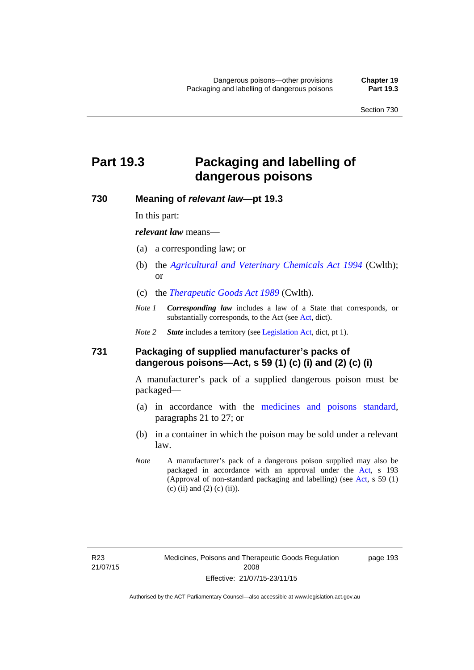# **Part 19.3 Packaging and labelling of dangerous poisons**

#### **730 Meaning of** *relevant law***—pt 19.3**

In this part:

*relevant law* means—

- (a) a corresponding law; or
- (b) the *[Agricultural and Veterinary Chemicals Act 1994](http://www.comlaw.gov.au/Series/C2004A04712)* (Cwlth); or
- (c) the *[Therapeutic Goods Act 1989](http://www.comlaw.gov.au/Series/C2004A03952)* (Cwlth).
- *Note 1 Corresponding law* includes a law of a State that corresponds, or substantially corresponds, to the [Act](http://www.legislation.act.gov.au/a/2008-26/default.asp) (see Act, dict).

*Note 2 State* includes a territory (see [Legislation Act,](http://www.legislation.act.gov.au/a/2001-14) dict, pt 1).

#### **731 Packaging of supplied manufacturer's packs of dangerous poisons—Act, s 59 (1) (c) (i) and (2) (c) (i)**

A manufacturer's pack of a supplied dangerous poison must be packaged—

- (a) in accordance with the [medicines and poisons standard](http://www.comlaw.gov.au/Series/F2012L01200), paragraphs 21 to 27; or
- (b) in a container in which the poison may be sold under a relevant law.
- *Note* A manufacturer's pack of a dangerous poison supplied may also be packaged in accordance with an approval under the [Act,](http://www.legislation.act.gov.au/a/2008-26/default.asp) s 193 (Approval of non-standard packaging and labelling) (see [Act](http://www.legislation.act.gov.au/a/2008-26/default.asp), s 59 (1) (c) (ii) and (2) (c) (ii)).

page 193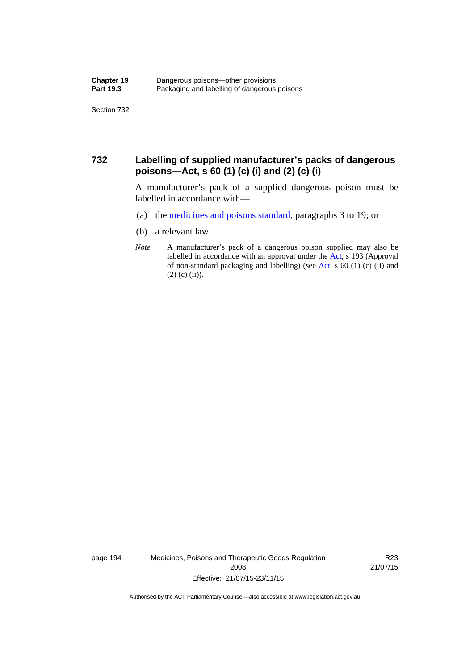Section 732

#### **732 Labelling of supplied manufacturer's packs of dangerous poisons—Act, s 60 (1) (c) (i) and (2) (c) (i)**

A manufacturer's pack of a supplied dangerous poison must be labelled in accordance with—

- (a) the [medicines and poisons standard](http://www.comlaw.gov.au/Series/F2012L01200), paragraphs 3 to 19; or
- (b) a relevant law.
- *Note* A manufacturer's pack of a dangerous poison supplied may also be labelled in accordance with an approval under the [Act](http://www.legislation.act.gov.au/a/2008-26/default.asp), s 193 (Approval of non-standard packaging and labelling) (see [Act,](http://www.legislation.act.gov.au/a/2008-26/default.asp) s 60 (1) (c) (ii) and  $(2)$  (c) (ii)).

page 194 Medicines, Poisons and Therapeutic Goods Regulation 2008 Effective: 21/07/15-23/11/15

R23 21/07/15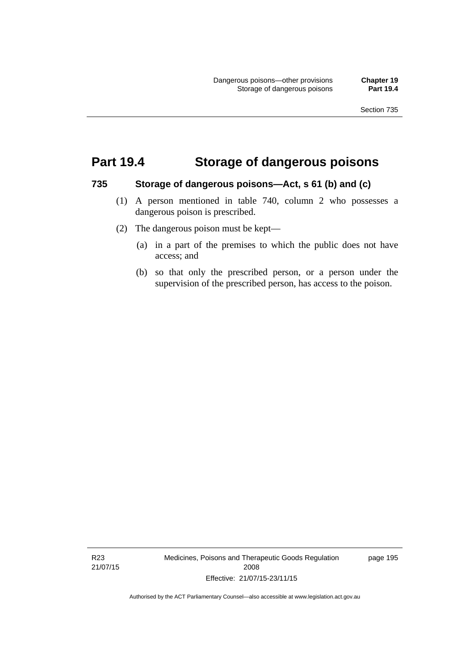### **Part 19.4 Storage of dangerous poisons**

#### **735 Storage of dangerous poisons—Act, s 61 (b) and (c)**

- (1) A person mentioned in table 740, column 2 who possesses a dangerous poison is prescribed.
- (2) The dangerous poison must be kept—
	- (a) in a part of the premises to which the public does not have access; and
	- (b) so that only the prescribed person, or a person under the supervision of the prescribed person, has access to the poison.

R23 21/07/15 Medicines, Poisons and Therapeutic Goods Regulation 2008 Effective: 21/07/15-23/11/15

page 195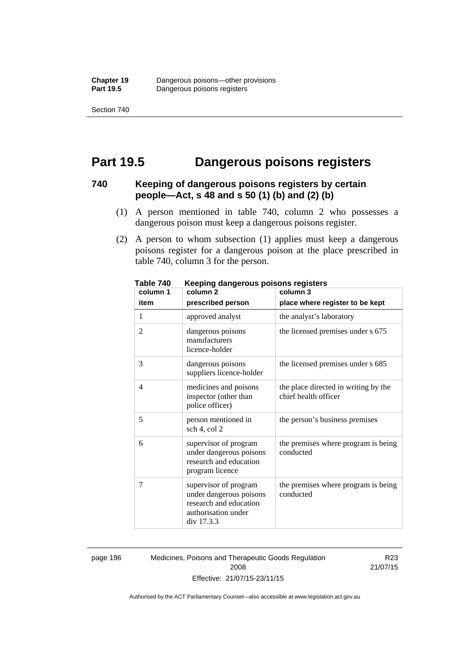Section 740

### **Part 19.5 Dangerous poisons registers**

#### **740 Keeping of dangerous poisons registers by certain people—Act, s 48 and s 50 (1) (b) and (2) (b)**

- (1) A person mentioned in table 740, column 2 who possesses a dangerous poison must keep a dangerous poisons register.
- (2) A person to whom subsection (1) applies must keep a dangerous poisons register for a dangerous poison at the place prescribed in table 740, column 3 for the person.

| 1 ANIC 140<br>column 1 | <u>Reepiriy dariyerous poisons registers</u><br>column <sub>2</sub>                                             | column 3                                                     |
|------------------------|-----------------------------------------------------------------------------------------------------------------|--------------------------------------------------------------|
| item                   | prescribed person                                                                                               | place where register to be kept                              |
| 1                      | approved analyst                                                                                                | the analyst's laboratory                                     |
| $\overline{2}$         | dangerous poisons<br>manufacturers<br>licence-holder                                                            | the licensed premises under s 675                            |
| 3                      | dangerous poisons<br>suppliers licence-holder                                                                   | the licensed premises under s 685                            |
| 4                      | medicines and poisons<br>inspector (other than<br>police officer)                                               | the place directed in writing by the<br>chief health officer |
| 5                      | person mentioned in<br>sch 4, col 2                                                                             | the person's business premises                               |
| 6                      | supervisor of program<br>under dangerous poisons<br>research and education<br>program licence                   | the premises where program is being<br>conducted             |
| 7                      | supervisor of program<br>under dangerous poisons<br>research and education<br>authorisation under<br>div 17.3.3 | the premises where program is being<br>conducted             |

**Table 740 Keeping dangerous poisons registers** 

page 196 Medicines, Poisons and Therapeutic Goods Regulation 2008 Effective: 21/07/15-23/11/15

R23 21/07/15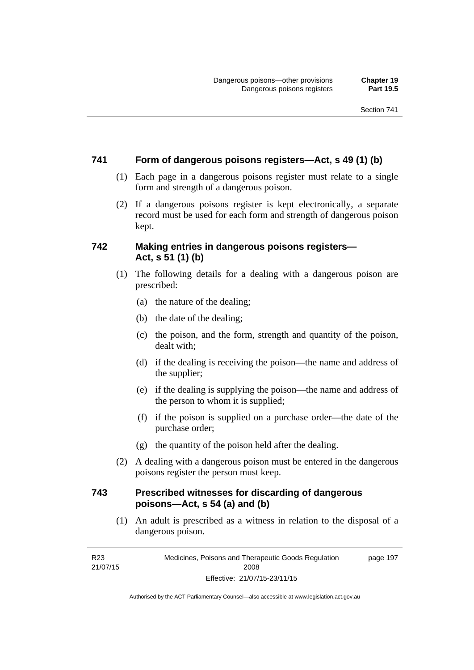#### **741 Form of dangerous poisons registers—Act, s 49 (1) (b)**

- (1) Each page in a dangerous poisons register must relate to a single form and strength of a dangerous poison.
- (2) If a dangerous poisons register is kept electronically, a separate record must be used for each form and strength of dangerous poison kept.

#### **742 Making entries in dangerous poisons registers— Act, s 51 (1) (b)**

- (1) The following details for a dealing with a dangerous poison are prescribed:
	- (a) the nature of the dealing;
	- (b) the date of the dealing;
	- (c) the poison, and the form, strength and quantity of the poison, dealt with;
	- (d) if the dealing is receiving the poison—the name and address of the supplier;
	- (e) if the dealing is supplying the poison—the name and address of the person to whom it is supplied;
	- (f) if the poison is supplied on a purchase order—the date of the purchase order;
	- (g) the quantity of the poison held after the dealing.
- (2) A dealing with a dangerous poison must be entered in the dangerous poisons register the person must keep.

#### **743 Prescribed witnesses for discarding of dangerous poisons—Act, s 54 (a) and (b)**

 (1) An adult is prescribed as a witness in relation to the disposal of a dangerous poison.

R23 21/07/15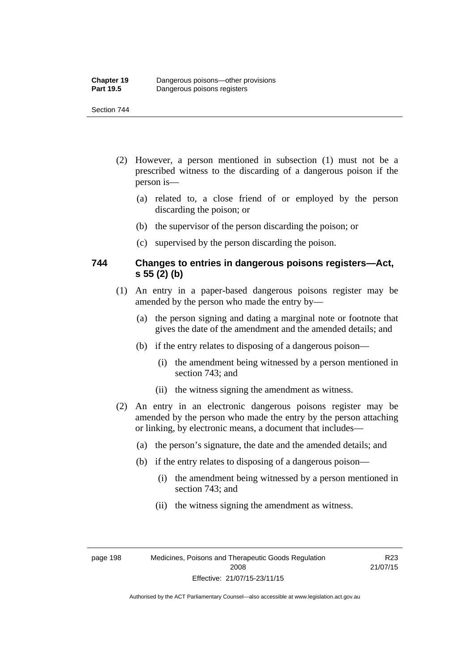#### Section 744

- (2) However, a person mentioned in subsection (1) must not be a prescribed witness to the discarding of a dangerous poison if the person is—
	- (a) related to, a close friend of or employed by the person discarding the poison; or
	- (b) the supervisor of the person discarding the poison; or
	- (c) supervised by the person discarding the poison.

#### **744 Changes to entries in dangerous poisons registers—Act, s 55 (2) (b)**

- (1) An entry in a paper-based dangerous poisons register may be amended by the person who made the entry by—
	- (a) the person signing and dating a marginal note or footnote that gives the date of the amendment and the amended details; and
	- (b) if the entry relates to disposing of a dangerous poison—
		- (i) the amendment being witnessed by a person mentioned in section 743; and
		- (ii) the witness signing the amendment as witness.
- (2) An entry in an electronic dangerous poisons register may be amended by the person who made the entry by the person attaching or linking, by electronic means, a document that includes—
	- (a) the person's signature, the date and the amended details; and
	- (b) if the entry relates to disposing of a dangerous poison—
		- (i) the amendment being witnessed by a person mentioned in section 743; and
		- (ii) the witness signing the amendment as witness.

R23 21/07/15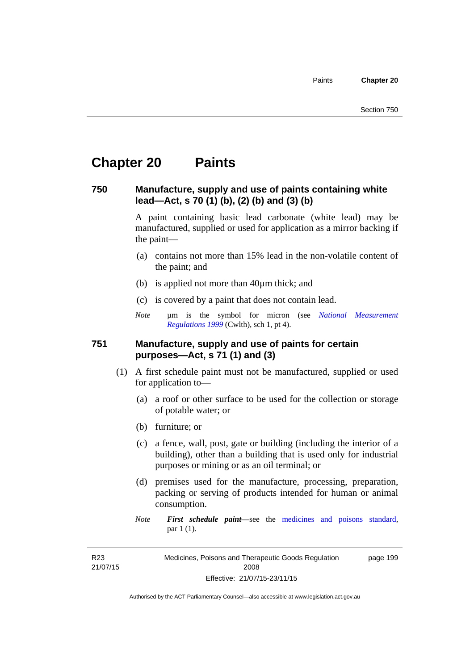# **Chapter 20 Paints**

#### **750 Manufacture, supply and use of paints containing white lead—Act, s 70 (1) (b), (2) (b) and (3) (b)**

A paint containing basic lead carbonate (white lead) may be manufactured, supplied or used for application as a mirror backing if the paint—

- (a) contains not more than 15% lead in the non-volatile content of the paint; and
- (b) is applied not more than 40µm thick; and
- (c) is covered by a paint that does not contain lead.
- *Note* um is the symbol for micron (see *National Measurement [Regulations 1999](http://www.comlaw.gov.au/Series/F1999B00110)* (Cwlth), sch 1, pt 4).

#### **751 Manufacture, supply and use of paints for certain purposes—Act, s 71 (1) and (3)**

- (1) A first schedule paint must not be manufactured, supplied or used for application to—
	- (a) a roof or other surface to be used for the collection or storage of potable water; or
	- (b) furniture; or
	- (c) a fence, wall, post, gate or building (including the interior of a building), other than a building that is used only for industrial purposes or mining or as an oil terminal; or
	- (d) premises used for the manufacture, processing, preparation, packing or serving of products intended for human or animal consumption.
	- *Note First schedule paint*—see the [medicines and poisons standard,](http://www.comlaw.gov.au/Series/F2012L01200) par 1 (1).

R23 21/07/15 Medicines, Poisons and Therapeutic Goods Regulation 2008 Effective: 21/07/15-23/11/15 page 199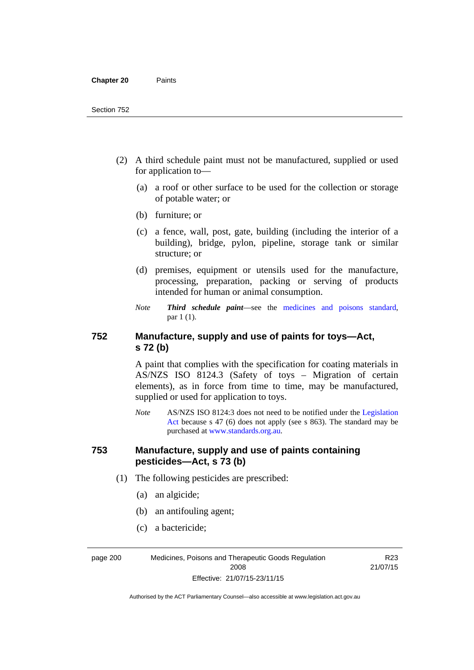- (2) A third schedule paint must not be manufactured, supplied or used for application to—
	- (a) a roof or other surface to be used for the collection or storage of potable water; or
	- (b) furniture; or
	- (c) a fence, wall, post, gate, building (including the interior of a building), bridge, pylon, pipeline, storage tank or similar structure; or
	- (d) premises, equipment or utensils used for the manufacture, processing, preparation, packing or serving of products intended for human or animal consumption.
	- *Note Third schedule paint*—see the [medicines and poisons standard,](http://www.comlaw.gov.au/Series/F2012L01200) par 1 (1).

### **752 Manufacture, supply and use of paints for toys—Act, s 72 (b)**

A paint that complies with the specification for coating materials in AS/NZS ISO 8124.3 (Safety of toys – Migration of certain elements), as in force from time to time, may be manufactured, supplied or used for application to toys.

*Note* AS/NZS ISO 8124:3 does not need to be notified under the [Legislation](http://www.legislation.act.gov.au/a/2001-14)  [Act](http://www.legislation.act.gov.au/a/2001-14) because s 47 (6) does not apply (see s 863). The standard may be purchased at [www.standards.org.au.](http://www.standards.org.au/)

#### **753 Manufacture, supply and use of paints containing pesticides—Act, s 73 (b)**

- (1) The following pesticides are prescribed:
	- (a) an algicide;
	- (b) an antifouling agent;
	- (c) a bactericide;

page 200 Medicines, Poisons and Therapeutic Goods Regulation 2008 Effective: 21/07/15-23/11/15

R23 21/07/15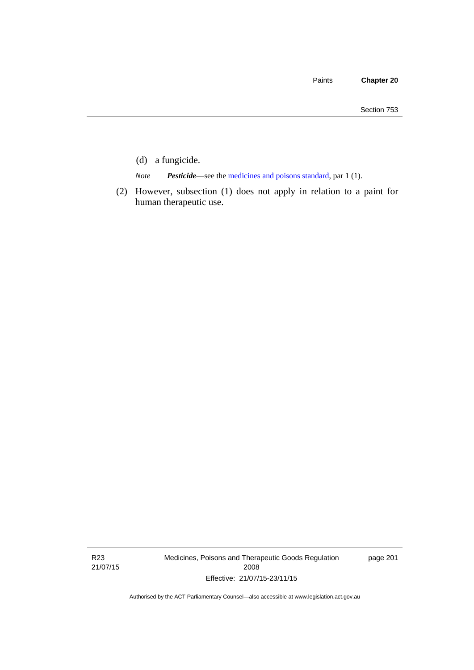- (d) a fungicide.
- *Note Pesticide*—see the [medicines and poisons standard,](http://www.comlaw.gov.au/Series/F2012L01200) par 1 (1).
- (2) However, subsection (1) does not apply in relation to a paint for human therapeutic use.

R23 21/07/15 Medicines, Poisons and Therapeutic Goods Regulation 2008 Effective: 21/07/15-23/11/15

page 201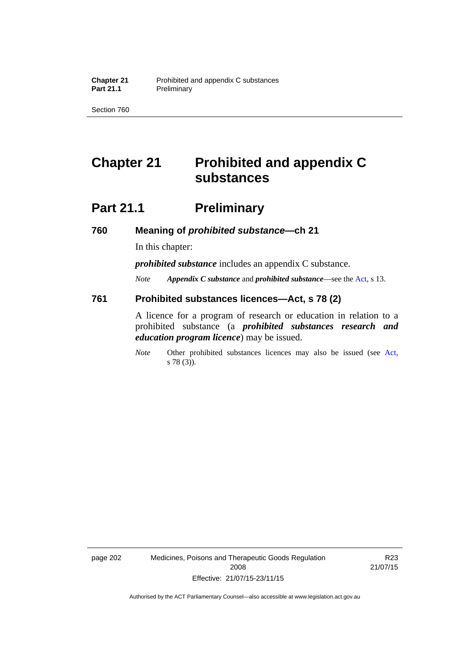Section 760

# **Chapter 21 Prohibited and appendix C substances**

# **Part 21.1 Preliminary**

**760 Meaning of** *prohibited substance***—ch 21** 

In this chapter:

*prohibited substance* includes an appendix C substance.

*Note Appendix C substance* and *prohibited substance*—see the [Act,](http://www.legislation.act.gov.au/a/2008-26/default.asp) s 13.

#### **761 Prohibited substances licences—Act, s 78 (2)**

A licence for a program of research or education in relation to a prohibited substance (a *prohibited substances research and education program licence*) may be issued.

*Note* Other prohibited substances licences may also be issued (see [Act,](http://www.legislation.act.gov.au/a/2008-26/default.asp) s 78 (3)).

page 202 Medicines, Poisons and Therapeutic Goods Regulation 2008 Effective: 21/07/15-23/11/15

R23 21/07/15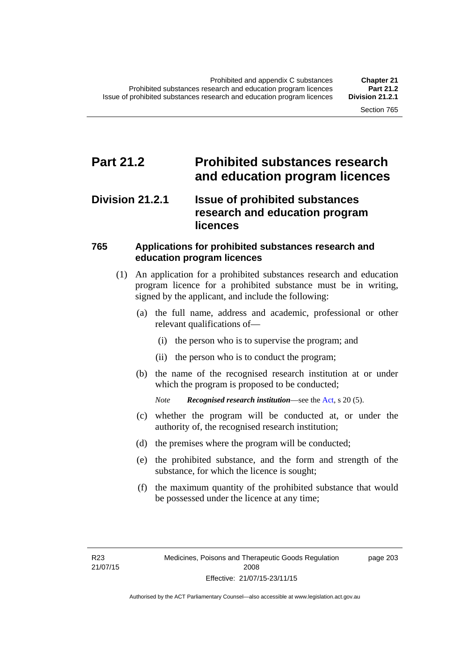### **Part 21.2 Prohibited substances research and education program licences**

### **Division 21.2.1 Issue of prohibited substances research and education program licences**

### **765 Applications for prohibited substances research and education program licences**

- (1) An application for a prohibited substances research and education program licence for a prohibited substance must be in writing, signed by the applicant, and include the following:
	- (a) the full name, address and academic, professional or other relevant qualifications of—
		- (i) the person who is to supervise the program; and
		- (ii) the person who is to conduct the program;
	- (b) the name of the recognised research institution at or under which the program is proposed to be conducted;
		- *Note Recognised research institution*—see the [Act](http://www.legislation.act.gov.au/a/2008-26/default.asp), s 20 (5).
	- (c) whether the program will be conducted at, or under the authority of, the recognised research institution;
	- (d) the premises where the program will be conducted;
	- (e) the prohibited substance, and the form and strength of the substance, for which the licence is sought;
	- (f) the maximum quantity of the prohibited substance that would be possessed under the licence at any time;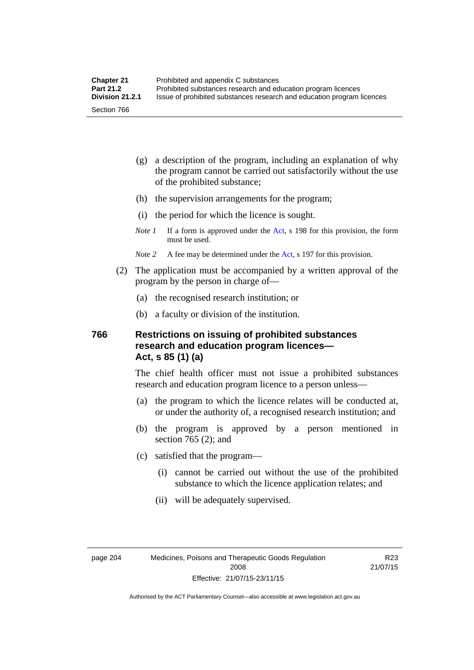- (g) a description of the program, including an explanation of why the program cannot be carried out satisfactorily without the use of the prohibited substance;
- (h) the supervision arrangements for the program;
- (i) the period for which the licence is sought.
- *Note 1* If a form is approved under the [Act](http://www.legislation.act.gov.au/a/2008-26/default.asp), s 198 for this provision, the form must be used.
- *Note 2* A fee may be determined under the [Act,](http://www.legislation.act.gov.au/a/2008-26/default.asp) s 197 for this provision.
- (2) The application must be accompanied by a written approval of the program by the person in charge of—
	- (a) the recognised research institution; or
	- (b) a faculty or division of the institution.

#### **766 Restrictions on issuing of prohibited substances research and education program licences— Act, s 85 (1) (a)**

The chief health officer must not issue a prohibited substances research and education program licence to a person unless—

- (a) the program to which the licence relates will be conducted at, or under the authority of, a recognised research institution; and
- (b) the program is approved by a person mentioned in section 765 (2); and
- (c) satisfied that the program—
	- (i) cannot be carried out without the use of the prohibited substance to which the licence application relates; and
	- (ii) will be adequately supervised.

R23 21/07/15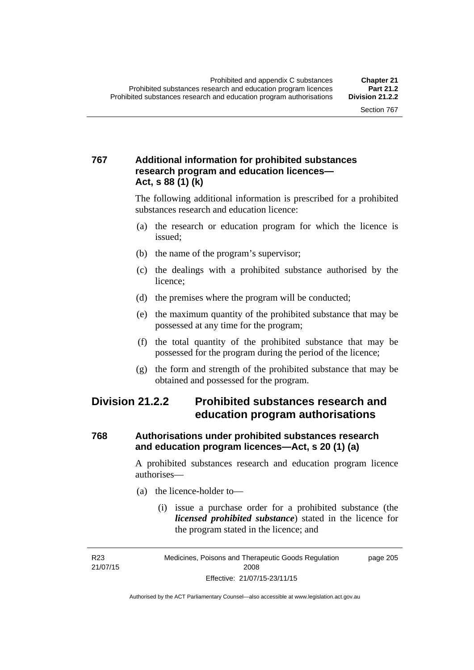### **767 Additional information for prohibited substances research program and education licences— Act, s 88 (1) (k)**

The following additional information is prescribed for a prohibited substances research and education licence:

- (a) the research or education program for which the licence is issued;
- (b) the name of the program's supervisor;
- (c) the dealings with a prohibited substance authorised by the licence;
- (d) the premises where the program will be conducted;
- (e) the maximum quantity of the prohibited substance that may be possessed at any time for the program;
- (f) the total quantity of the prohibited substance that may be possessed for the program during the period of the licence;
- (g) the form and strength of the prohibited substance that may be obtained and possessed for the program.

### **Division 21.2.2 Prohibited substances research and education program authorisations**

### **768 Authorisations under prohibited substances research and education program licences—Act, s 20 (1) (a)**

A prohibited substances research and education program licence authorises—

- (a) the licence-holder to—
	- (i) issue a purchase order for a prohibited substance (the *licensed prohibited substance*) stated in the licence for the program stated in the licence; and

R23 21/07/15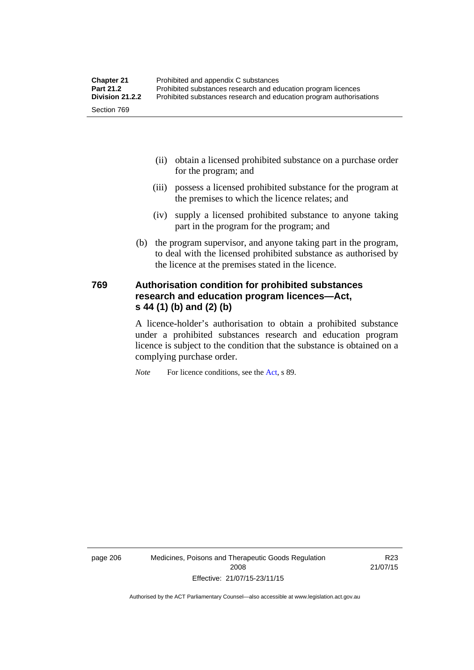- (ii) obtain a licensed prohibited substance on a purchase order for the program; and
- (iii) possess a licensed prohibited substance for the program at the premises to which the licence relates; and
- (iv) supply a licensed prohibited substance to anyone taking part in the program for the program; and
- (b) the program supervisor, and anyone taking part in the program, to deal with the licensed prohibited substance as authorised by the licence at the premises stated in the licence.

### **769 Authorisation condition for prohibited substances research and education program licences—Act, s 44 (1) (b) and (2) (b)**

A licence-holder's authorisation to obtain a prohibited substance under a prohibited substances research and education program licence is subject to the condition that the substance is obtained on a complying purchase order.

*Note* For licence conditions, see the [Act](http://www.legislation.act.gov.au/a/2008-26/default.asp), s 89.

page 206 Medicines, Poisons and Therapeutic Goods Regulation 2008 Effective: 21/07/15-23/11/15

R23 21/07/15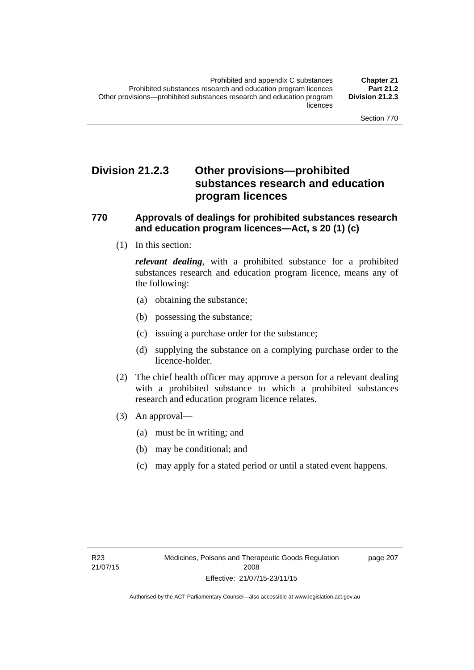### **Division 21.2.3 Other provisions—prohibited substances research and education program licences**

#### **770 Approvals of dealings for prohibited substances research and education program licences—Act, s 20 (1) (c)**

(1) In this section:

*relevant dealing*, with a prohibited substance for a prohibited substances research and education program licence, means any of the following:

- (a) obtaining the substance;
- (b) possessing the substance;
- (c) issuing a purchase order for the substance;
- (d) supplying the substance on a complying purchase order to the licence-holder.
- (2) The chief health officer may approve a person for a relevant dealing with a prohibited substance to which a prohibited substances research and education program licence relates.
- (3) An approval—
	- (a) must be in writing; and
	- (b) may be conditional; and
	- (c) may apply for a stated period or until a stated event happens.

page 207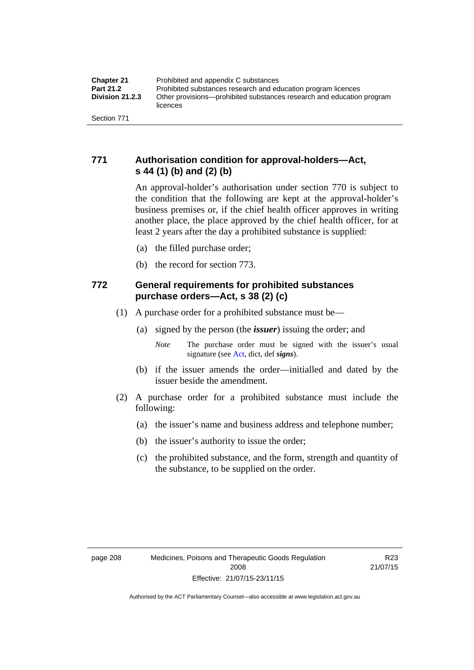### **771 Authorisation condition for approval-holders—Act, s 44 (1) (b) and (2) (b)**

An approval-holder's authorisation under section 770 is subject to the condition that the following are kept at the approval-holder's business premises or, if the chief health officer approves in writing another place, the place approved by the chief health officer, for at least 2 years after the day a prohibited substance is supplied:

- (a) the filled purchase order;
- (b) the record for section 773.

### **772 General requirements for prohibited substances purchase orders—Act, s 38 (2) (c)**

- (1) A purchase order for a prohibited substance must be—
	- (a) signed by the person (the *issuer*) issuing the order; and
		- *Note* The purchase order must be signed with the issuer's usual signature (see [Act](http://www.legislation.act.gov.au/a/2008-26/default.asp), dict, def *signs*).
	- (b) if the issuer amends the order—initialled and dated by the issuer beside the amendment.
- (2) A purchase order for a prohibited substance must include the following:
	- (a) the issuer's name and business address and telephone number;
	- (b) the issuer's authority to issue the order;
	- (c) the prohibited substance, and the form, strength and quantity of the substance, to be supplied on the order.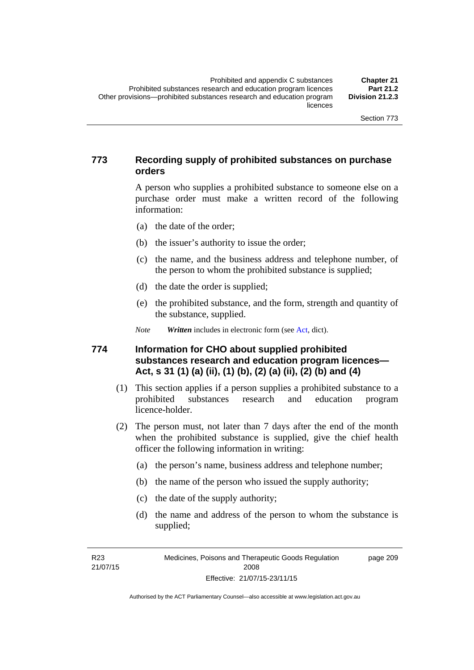#### **773 Recording supply of prohibited substances on purchase orders**

A person who supplies a prohibited substance to someone else on a purchase order must make a written record of the following information:

- (a) the date of the order;
- (b) the issuer's authority to issue the order;
- (c) the name, and the business address and telephone number, of the person to whom the prohibited substance is supplied;
- (d) the date the order is supplied;
- (e) the prohibited substance, and the form, strength and quantity of the substance, supplied.

*Note Written* includes in electronic form (see [Act,](http://www.legislation.act.gov.au/a/2008-26/default.asp) dict).

#### **774 Information for CHO about supplied prohibited substances research and education program licences— Act, s 31 (1) (a) (ii), (1) (b), (2) (a) (ii), (2) (b) and (4)**

- (1) This section applies if a person supplies a prohibited substance to a prohibited substances research and education program licence-holder.
- (2) The person must, not later than 7 days after the end of the month when the prohibited substance is supplied, give the chief health officer the following information in writing:
	- (a) the person's name, business address and telephone number;
	- (b) the name of the person who issued the supply authority;
	- (c) the date of the supply authority;
	- (d) the name and address of the person to whom the substance is supplied;

R23 21/07/15 page 209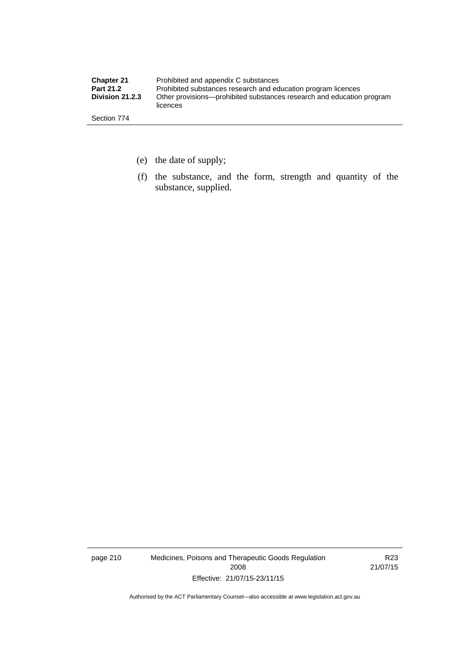| <b>Chapter 21</b> | Prohibited and appendix C substances                                              |
|-------------------|-----------------------------------------------------------------------------------|
| <b>Part 21.2</b>  | Prohibited substances research and education program licences                     |
| Division 21.2.3   | Other provisions—prohibited substances research and education program<br>licences |
| Section 774       |                                                                                   |

- (e) the date of supply;
- (f) the substance, and the form, strength and quantity of the substance, supplied.

page 210 Medicines, Poisons and Therapeutic Goods Regulation 2008 Effective: 21/07/15-23/11/15

R23 21/07/15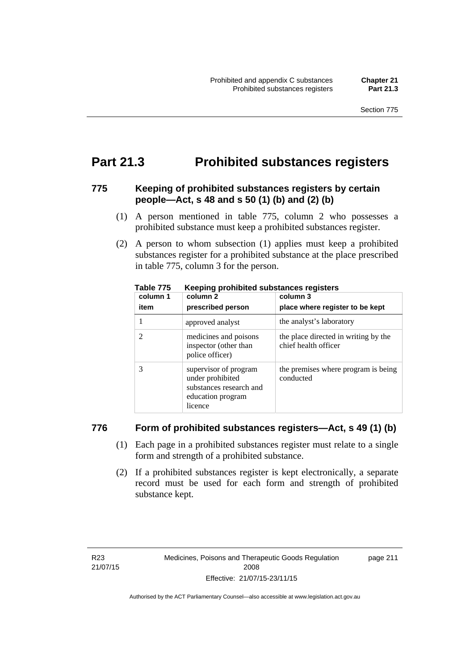### **Part 21.3 Prohibited substances registers**

#### **775 Keeping of prohibited substances registers by certain people—Act, s 48 and s 50 (1) (b) and (2) (b)**

- (1) A person mentioned in table 775, column 2 who possesses a prohibited substance must keep a prohibited substances register.
- (2) A person to whom subsection (1) applies must keep a prohibited substances register for a prohibited substance at the place prescribed in table 775, column 3 for the person.

| column 1<br>item | column 2<br>prescribed person                                                                        | column 3<br>place where register to be kept                  |
|------------------|------------------------------------------------------------------------------------------------------|--------------------------------------------------------------|
|                  | approved analyst                                                                                     | the analyst's laboratory                                     |
|                  | medicines and poisons<br>inspector (other than<br>police officer)                                    | the place directed in writing by the<br>chief health officer |
|                  | supervisor of program<br>under prohibited<br>substances research and<br>education program<br>licence | the premises where program is being<br>conducted             |

**Table 775 Keeping prohibited substances registers** 

#### **776 Form of prohibited substances registers—Act, s 49 (1) (b)**

- (1) Each page in a prohibited substances register must relate to a single form and strength of a prohibited substance.
- (2) If a prohibited substances register is kept electronically, a separate record must be used for each form and strength of prohibited substance kept.

page 211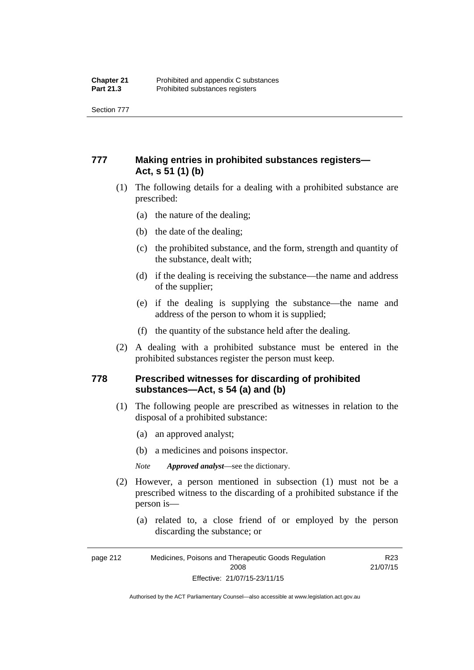Section 777

### **777 Making entries in prohibited substances registers— Act, s 51 (1) (b)**

- (1) The following details for a dealing with a prohibited substance are prescribed:
	- (a) the nature of the dealing;
	- (b) the date of the dealing;
	- (c) the prohibited substance, and the form, strength and quantity of the substance, dealt with;
	- (d) if the dealing is receiving the substance—the name and address of the supplier;
	- (e) if the dealing is supplying the substance—the name and address of the person to whom it is supplied;
	- (f) the quantity of the substance held after the dealing.
- (2) A dealing with a prohibited substance must be entered in the prohibited substances register the person must keep.

#### **778 Prescribed witnesses for discarding of prohibited substances—Act, s 54 (a) and (b)**

- (1) The following people are prescribed as witnesses in relation to the disposal of a prohibited substance:
	- (a) an approved analyst;
	- (b) a medicines and poisons inspector.

*Note Approved analyst*—see the dictionary.

- (2) However, a person mentioned in subsection (1) must not be a prescribed witness to the discarding of a prohibited substance if the person is—
	- (a) related to, a close friend of or employed by the person discarding the substance; or

Authorised by the ACT Parliamentary Counsel—also accessible at www.legislation.act.gov.au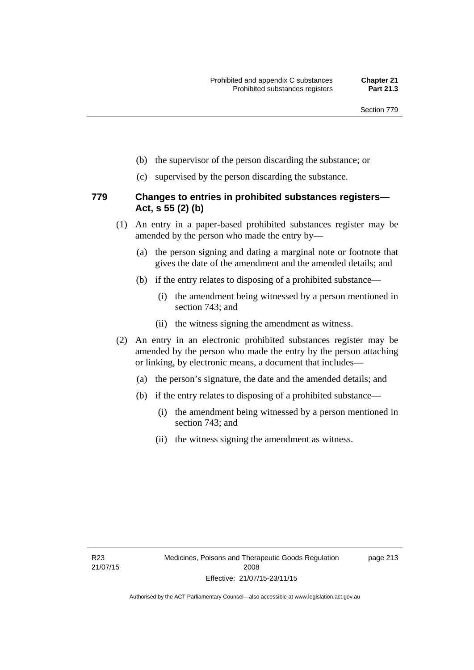- (b) the supervisor of the person discarding the substance; or
- (c) supervised by the person discarding the substance.

#### **779 Changes to entries in prohibited substances registers— Act, s 55 (2) (b)**

- (1) An entry in a paper-based prohibited substances register may be amended by the person who made the entry by—
	- (a) the person signing and dating a marginal note or footnote that gives the date of the amendment and the amended details; and
	- (b) if the entry relates to disposing of a prohibited substance—
		- (i) the amendment being witnessed by a person mentioned in section 743; and
		- (ii) the witness signing the amendment as witness.
- (2) An entry in an electronic prohibited substances register may be amended by the person who made the entry by the person attaching or linking, by electronic means, a document that includes—
	- (a) the person's signature, the date and the amended details; and
	- (b) if the entry relates to disposing of a prohibited substance—
		- (i) the amendment being witnessed by a person mentioned in section 743; and
		- (ii) the witness signing the amendment as witness.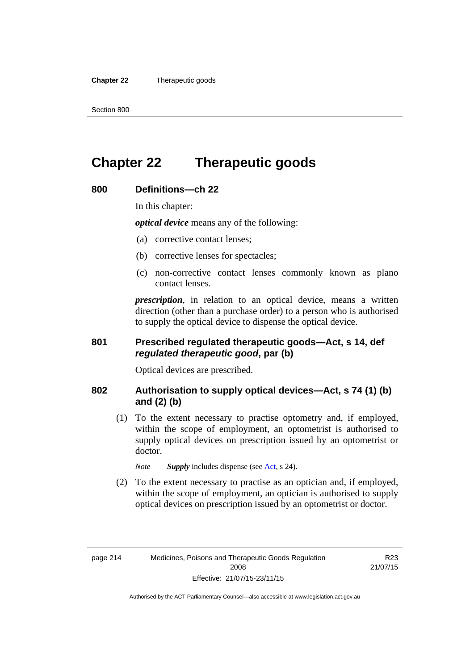**Chapter 22** Therapeutic goods

# **Chapter 22 Therapeutic goods**

### **800 Definitions—ch 22**

In this chapter:

*optical device* means any of the following:

- (a) corrective contact lenses;
- (b) corrective lenses for spectacles;
- (c) non-corrective contact lenses commonly known as plano contact lenses.

*prescription*, in relation to an optical device, means a written direction (other than a purchase order) to a person who is authorised to supply the optical device to dispense the optical device.

#### **801 Prescribed regulated therapeutic goods—Act, s 14, def**  *regulated therapeutic good***, par (b)**

Optical devices are prescribed.

#### **802 Authorisation to supply optical devices—Act, s 74 (1) (b) and (2) (b)**

 (1) To the extent necessary to practise optometry and, if employed, within the scope of employment, an optometrist is authorised to supply optical devices on prescription issued by an optometrist or doctor.

*Note Supply* includes dispense (see [Act,](http://www.legislation.act.gov.au/a/2008-26/default.asp) s 24).

 (2) To the extent necessary to practise as an optician and, if employed, within the scope of employment, an optician is authorised to supply optical devices on prescription issued by an optometrist or doctor.

R23 21/07/15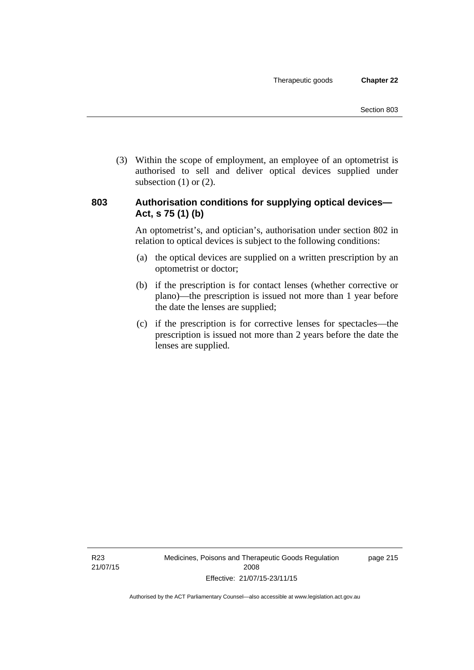(3) Within the scope of employment, an employee of an optometrist is authorised to sell and deliver optical devices supplied under subsection  $(1)$  or  $(2)$ .

#### **803 Authorisation conditions for supplying optical devices— Act, s 75 (1) (b)**

An optometrist's, and optician's, authorisation under section 802 in relation to optical devices is subject to the following conditions:

- (a) the optical devices are supplied on a written prescription by an optometrist or doctor;
- (b) if the prescription is for contact lenses (whether corrective or plano)—the prescription is issued not more than 1 year before the date the lenses are supplied;
- (c) if the prescription is for corrective lenses for spectacles—the prescription is issued not more than 2 years before the date the lenses are supplied.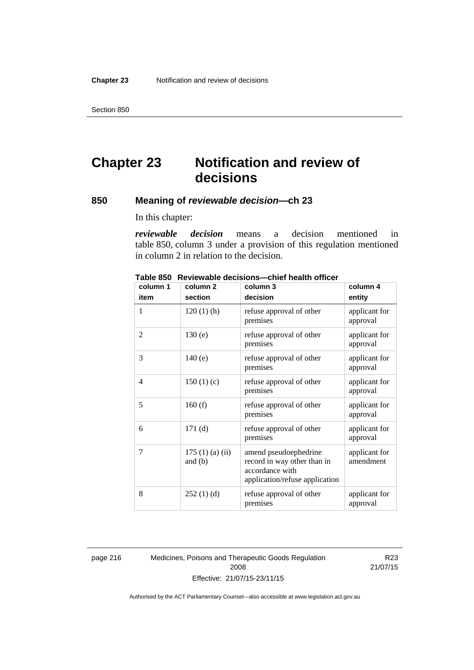Section 850

# **Chapter 23 Notification and review of decisions**

#### **850 Meaning of** *reviewable decision—***ch 23**

In this chapter:

*reviewable decision* means a decision mentioned in table 850, column 3 under a provision of this regulation mentioned in column 2 in relation to the decision.

| column 1       | column <sub>2</sub>        | column 3                                                                                                  | column 4                   |
|----------------|----------------------------|-----------------------------------------------------------------------------------------------------------|----------------------------|
| item           | section                    | decision                                                                                                  | entity                     |
| 1              | $120(1)$ (h)               | refuse approval of other<br>premises                                                                      | applicant for<br>approval  |
| 2              | 130(e)                     | refuse approval of other<br>premises                                                                      | applicant for<br>approval  |
| 3              | 140(e)                     | refuse approval of other<br>premises                                                                      | applicant for<br>approval  |
| $\overline{4}$ | 150(1)(c)                  | refuse approval of other<br>premises                                                                      | applicant for<br>approval  |
| 5              | 160(f)                     | refuse approval of other<br>premises                                                                      | applicant for<br>approval  |
| 6              | 171(d)                     | refuse approval of other<br>premises                                                                      | applicant for<br>approval  |
| 7              | 175(1)(a)(ii)<br>and $(b)$ | amend pseudoephedrine<br>record in way other than in<br>accordance with<br>application/refuse application | applicant for<br>amendment |
| 8              | 252(1)(d)                  | refuse approval of other<br>premises                                                                      | applicant for<br>approval  |

**Table 850 Reviewable decisions—chief health officer** 

page 216 Medicines, Poisons and Therapeutic Goods Regulation 2008 Effective: 21/07/15-23/11/15

R23 21/07/15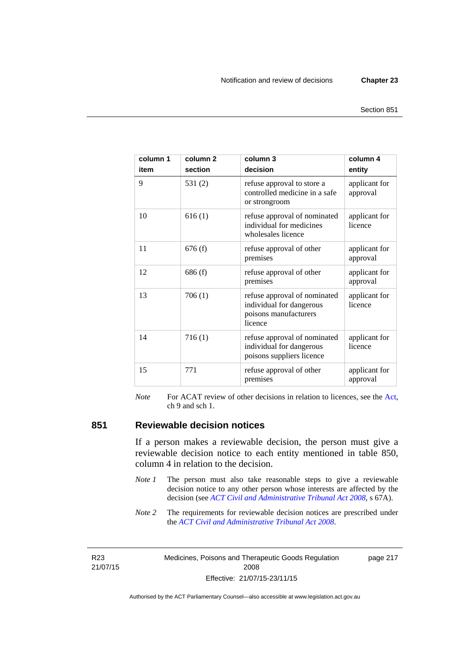page 217

| column 1<br>item | column <sub>2</sub><br>section | column 3<br>decision                                                                         | column 4<br>entity        |
|------------------|--------------------------------|----------------------------------------------------------------------------------------------|---------------------------|
| 9                | 531(2)                         | refuse approval to store a<br>controlled medicine in a safe<br>or strongroom                 | applicant for<br>approval |
| 10               | 616(1)                         | refuse approval of nominated<br>individual for medicines<br>wholesales licence               | applicant for<br>licence  |
| 11               | 676(f)                         | refuse approval of other<br>premises                                                         | applicant for<br>approval |
| 12               | 686(f)                         | refuse approval of other<br>premises                                                         | applicant for<br>approval |
| 13               | 706(1)                         | refuse approval of nominated<br>individual for dangerous<br>poisons manufacturers<br>licence | applicant for<br>licence  |
| 14               | 716(1)                         | refuse approval of nominated<br>individual for dangerous<br>poisons suppliers licence        | applicant for<br>licence  |
| 15               | 771                            | refuse approval of other<br>premises                                                         | applicant for<br>approval |

*Note* For ACAT review of other decisions in relation to licences, see the [Act,](http://www.legislation.act.gov.au/a/2008-26/default.asp) ch 9 and sch 1.

#### **851 Reviewable decision notices**

If a person makes a reviewable decision, the person must give a reviewable decision notice to each entity mentioned in table 850, column 4 in relation to the decision.

- *Note 1* The person must also take reasonable steps to give a reviewable decision notice to any other person whose interests are affected by the decision (see *[ACT Civil and Administrative Tribunal Act 2008](http://www.legislation.act.gov.au/a/2008-35)*, s 67A).
- *Note* 2 The requirements for reviewable decision notices are prescribed under the *[ACT Civil and Administrative Tribunal Act 2008](http://www.legislation.act.gov.au/a/2008-35)*.

R23 21/07/15 Medicines, Poisons and Therapeutic Goods Regulation 2008 Effective: 21/07/15-23/11/15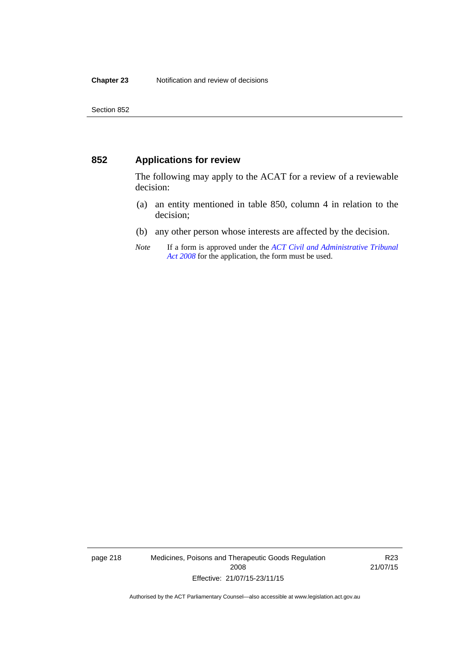#### **852 Applications for review**

The following may apply to the ACAT for a review of a reviewable decision:

- (a) an entity mentioned in table 850, column 4 in relation to the decision;
- (b) any other person whose interests are affected by the decision.
- *Note* If a form is approved under the *[ACT Civil and Administrative Tribunal](http://www.legislation.act.gov.au/a/2008-35)  [Act 2008](http://www.legislation.act.gov.au/a/2008-35)* for the application, the form must be used.

page 218 Medicines, Poisons and Therapeutic Goods Regulation 2008 Effective: 21/07/15-23/11/15

R23 21/07/15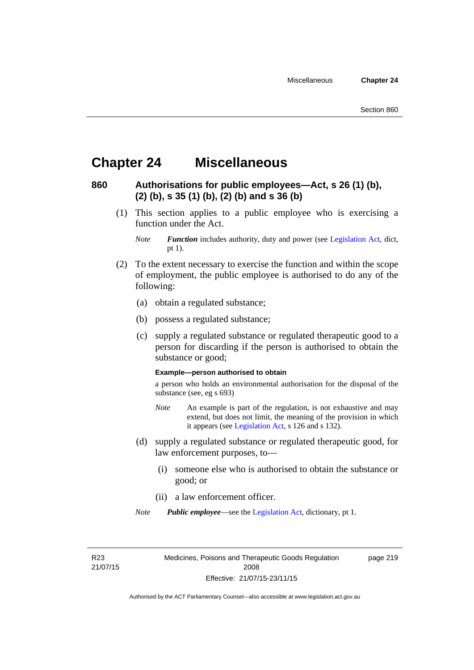### **Chapter 24 Miscellaneous**

### **860 Authorisations for public employees—Act, s 26 (1) (b), (2) (b), s 35 (1) (b), (2) (b) and s 36 (b)**

 (1) This section applies to a public employee who is exercising a function under the Act.

- (2) To the extent necessary to exercise the function and within the scope of employment, the public employee is authorised to do any of the following:
	- (a) obtain a regulated substance;
	- (b) possess a regulated substance;
	- (c) supply a regulated substance or regulated therapeutic good to a person for discarding if the person is authorised to obtain the substance or good;

#### **Example—person authorised to obtain**

a person who holds an environmental authorisation for the disposal of the substance (see, eg s 693)

- *Note* An example is part of the regulation, is not exhaustive and may extend, but does not limit, the meaning of the provision in which it appears (see [Legislation Act,](http://www.legislation.act.gov.au/a/2001-14) s 126 and s 132).
- (d) supply a regulated substance or regulated therapeutic good, for law enforcement purposes, to—
	- (i) someone else who is authorised to obtain the substance or good; or
	- (ii) a law enforcement officer.
- *Note Public employee*—see the [Legislation Act,](http://www.legislation.act.gov.au/a/2001-14) dictionary, pt 1.

R23 21/07/15 Medicines, Poisons and Therapeutic Goods Regulation 2008 Effective: 21/07/15-23/11/15

page 219

*Note Function* includes authority, duty and power (see [Legislation Act](http://www.legislation.act.gov.au/a/2001-14), dict, pt 1).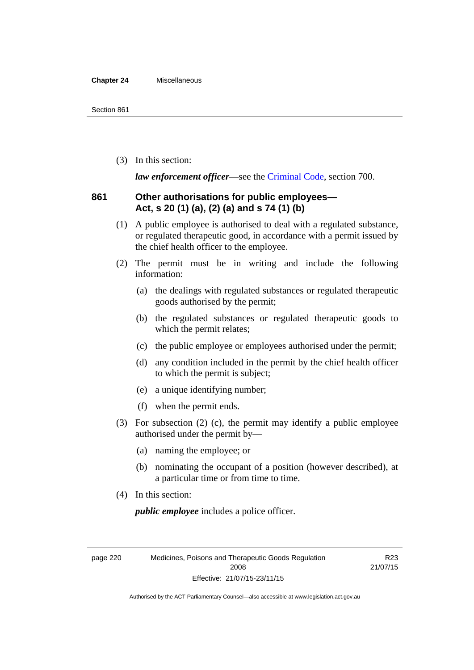#### **Chapter 24** Miscellaneous

(3) In this section:

*law enforcement officer*—see the [Criminal Code,](http://www.legislation.act.gov.au/a/2002-51) section 700.

#### **861 Other authorisations for public employees— Act, s 20 (1) (a), (2) (a) and s 74 (1) (b)**

- (1) A public employee is authorised to deal with a regulated substance, or regulated therapeutic good, in accordance with a permit issued by the chief health officer to the employee.
- (2) The permit must be in writing and include the following information:
	- (a) the dealings with regulated substances or regulated therapeutic goods authorised by the permit;
	- (b) the regulated substances or regulated therapeutic goods to which the permit relates;
	- (c) the public employee or employees authorised under the permit;
	- (d) any condition included in the permit by the chief health officer to which the permit is subject;
	- (e) a unique identifying number;
	- (f) when the permit ends.
- (3) For subsection (2) (c), the permit may identify a public employee authorised under the permit by—
	- (a) naming the employee; or
	- (b) nominating the occupant of a position (however described), at a particular time or from time to time.
- (4) In this section:

*public employee* includes a police officer.

page 220 Medicines, Poisons and Therapeutic Goods Regulation 2008 Effective: 21/07/15-23/11/15

R23 21/07/15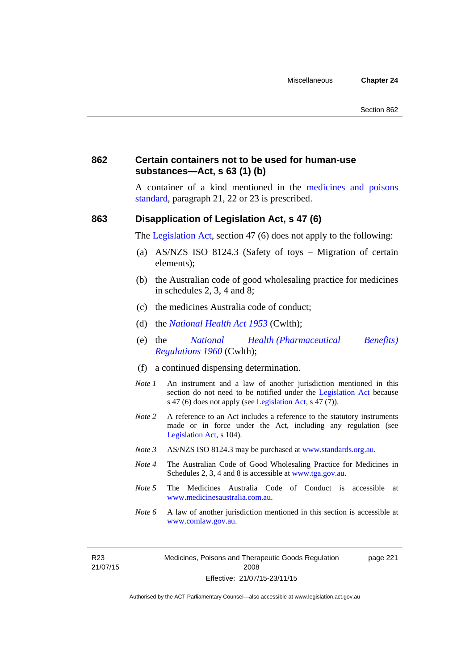page 221

#### **862 Certain containers not to be used for human-use substances—Act, s 63 (1) (b)**

A container of a kind mentioned in the [medicines and poisons](http://www.comlaw.gov.au/Series/F2012L01200)  [standard,](http://www.comlaw.gov.au/Series/F2012L01200) paragraph 21, 22 or 23 is prescribed.

#### **863 Disapplication of Legislation Act, s 47 (6)**

The [Legislation Act](http://www.legislation.act.gov.au/a/2001-14), section 47 (6) does not apply to the following:

- (a) AS/NZS ISO 8124.3 (Safety of toys Migration of certain elements);
- (b) the Australian code of good wholesaling practice for medicines in schedules 2, 3, 4 and 8;
- (c) the medicines Australia code of conduct;
- (d) the *[National Health Act 1953](http://www.comlaw.gov.au/Series/C1953A00095)* (Cwlth);
- (e) the *[National Health \(Pharmaceutical Benefits\)](http://www.comlaw.gov.au/Series/F1996B02844)  [Regulations 1960](http://www.comlaw.gov.au/Series/F1996B02844)* (Cwlth);
- (f) a continued dispensing determination.
- *Note 1* An instrument and a law of another jurisdiction mentioned in this section do not need to be notified under the [Legislation Act](http://www.legislation.act.gov.au/a/2001-14) because s 47 (6) does not apply (see [Legislation Act](http://www.legislation.act.gov.au/a/2001-14), s 47 (7)).
- *Note 2* A reference to an Act includes a reference to the statutory instruments made or in force under the Act, including any regulation (see [Legislation Act,](http://www.legislation.act.gov.au/a/2001-14) s 104).
- *Note 3* AS/NZS ISO 8124.3 may be purchased at [www.standards.org.au.](http://www.standards.org.au/)
- *Note 4* The Australian Code of Good Wholesaling Practice for Medicines in Schedules 2, 3, 4 and 8 is accessible at [www.tga.gov.au.](http://www.tga.gov.au/)
- *Note 5* The Medicines Australia Code of Conduct is accessible at [www.medicinesaustralia.com.au](http://www.medicinesaustralia.com.au/).
- *Note* 6 A law of another jurisdiction mentioned in this section is accessible at [www.comlaw.gov.au](http://www.comlaw.gov.au/).

R23 21/07/15 Medicines, Poisons and Therapeutic Goods Regulation 2008 Effective: 21/07/15-23/11/15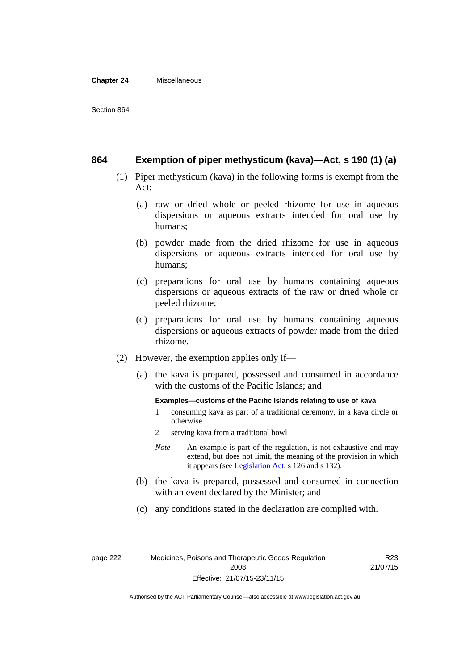#### **Chapter 24** Miscellaneous

#### **864 Exemption of piper methysticum (kava)—Act, s 190 (1) (a)**

- (1) Piper methysticum (kava) in the following forms is exempt from the Act:
	- (a) raw or dried whole or peeled rhizome for use in aqueous dispersions or aqueous extracts intended for oral use by humans;
	- (b) powder made from the dried rhizome for use in aqueous dispersions or aqueous extracts intended for oral use by humans;
	- (c) preparations for oral use by humans containing aqueous dispersions or aqueous extracts of the raw or dried whole or peeled rhizome;
	- (d) preparations for oral use by humans containing aqueous dispersions or aqueous extracts of powder made from the dried rhizome.
- (2) However, the exemption applies only if—
	- (a) the kava is prepared, possessed and consumed in accordance with the customs of the Pacific Islands; and

#### **Examples—customs of the Pacific Islands relating to use of kava**

- 1 consuming kava as part of a traditional ceremony, in a kava circle or otherwise
- 2 serving kava from a traditional bowl
- *Note* An example is part of the regulation, is not exhaustive and may extend, but does not limit, the meaning of the provision in which it appears (see [Legislation Act,](http://www.legislation.act.gov.au/a/2001-14) s 126 and s 132).
- (b) the kava is prepared, possessed and consumed in connection with an event declared by the Minister; and
- (c) any conditions stated in the declaration are complied with.

page 222 Medicines, Poisons and Therapeutic Goods Regulation 2008 Effective: 21/07/15-23/11/15

R23 21/07/15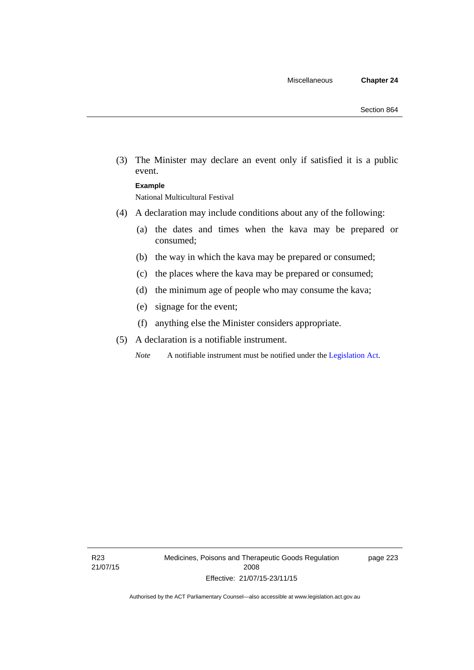(3) The Minister may declare an event only if satisfied it is a public event.

#### **Example**

National Multicultural Festival

- (4) A declaration may include conditions about any of the following:
	- (a) the dates and times when the kava may be prepared or consumed;
	- (b) the way in which the kava may be prepared or consumed;
	- (c) the places where the kava may be prepared or consumed;
	- (d) the minimum age of people who may consume the kava;
	- (e) signage for the event;
	- (f) anything else the Minister considers appropriate.
- (5) A declaration is a notifiable instrument.

*Note* A notifiable instrument must be notified under the [Legislation Act](http://www.legislation.act.gov.au/a/2001-14).

page 223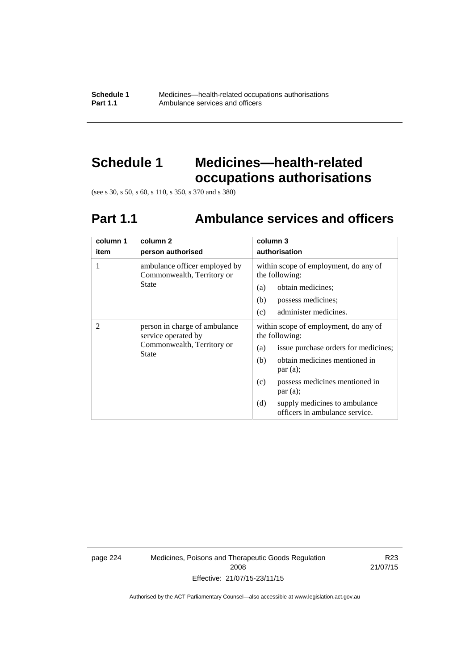**Schedule 1** Medicines—health-related occupations authorisations<br>**Part 1.1** Ambulance services and officers Ambulance services and officers

# **Schedule 1 Medicines—health-related occupations authorisations**

(see s 30, s 50, s 60, s 110, s 350, s 370 and s 380)

# **Part 1.1 Ambulance services and officers**

| column 1<br>item | column 2<br>person authorised                                                                      | column 3<br>authorisation                                                                                                                                                                                                                                                               |
|------------------|----------------------------------------------------------------------------------------------------|-----------------------------------------------------------------------------------------------------------------------------------------------------------------------------------------------------------------------------------------------------------------------------------------|
| 1                | ambulance officer employed by<br>Commonwealth, Territory or<br>State                               | within scope of employment, do any of<br>the following:<br>obtain medicines;<br>(a)<br>(b)<br>possess medicines;<br>administer medicines.<br>(c)                                                                                                                                        |
| 2                | person in charge of ambulance<br>service operated by<br>Commonwealth, Territory or<br><b>State</b> | within scope of employment, do any of<br>the following:<br>issue purchase orders for medicines;<br>(a)<br>obtain medicines mentioned in<br>(b)<br>par(a);<br>possess medicines mentioned in<br>(c)<br>par(a);<br>(d)<br>supply medicines to ambulance<br>officers in ambulance service. |

page 224 Medicines, Poisons and Therapeutic Goods Regulation 2008 Effective: 21/07/15-23/11/15

R23 21/07/15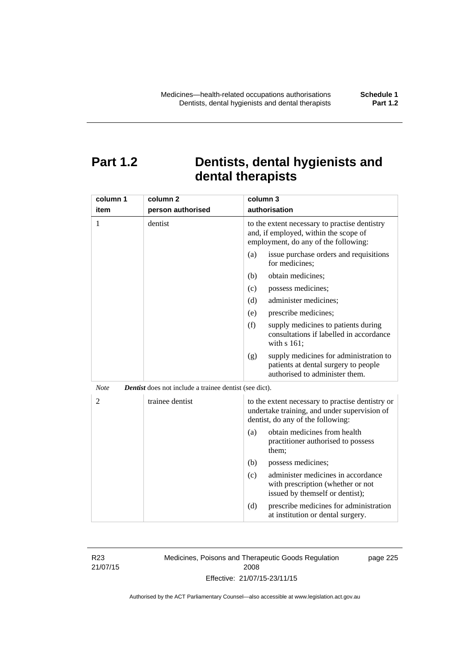# **Part 1.2 Dentists, dental hygienists and dental therapists**

| column 1       | column <sub>2</sub>                                           | column 3                                                                                                                              |
|----------------|---------------------------------------------------------------|---------------------------------------------------------------------------------------------------------------------------------------|
| item           | person authorised                                             | authorisation                                                                                                                         |
| 1              | dentist                                                       | to the extent necessary to practise dentistry<br>and, if employed, within the scope of<br>employment, do any of the following:        |
|                |                                                               | (a)<br>issue purchase orders and requisitions<br>for medicines;                                                                       |
|                |                                                               | obtain medicines;<br>(b)                                                                                                              |
|                |                                                               | (c)<br>possess medicines;                                                                                                             |
|                |                                                               | administer medicines;<br>(d)                                                                                                          |
|                |                                                               | prescribe medicines;<br>(e)                                                                                                           |
|                |                                                               | (f)<br>supply medicines to patients during<br>consultations if labelled in accordance<br>with s 161;                                  |
|                |                                                               | supply medicines for administration to<br>(g)<br>patients at dental surgery to people<br>authorised to administer them.               |
| <b>Note</b>    | <b>Dentist</b> does not include a trainee dentist (see dict). |                                                                                                                                       |
| $\overline{2}$ | trainee dentist                                               | to the extent necessary to practise dentistry or<br>undertake training, and under supervision of<br>dentist, do any of the following: |
|                |                                                               | obtain medicines from health<br>(a)<br>practitioner authorised to possess<br>them:                                                    |
|                |                                                               | (b)<br>possess medicines;                                                                                                             |
|                |                                                               | administer medicines in accordance<br>(c)<br>with prescription (whether or not<br>issued by themself or dentist);                     |
|                |                                                               | (d)<br>prescribe medicines for administration<br>at institution or dental surgery.                                                    |

R23 21/07/15 Medicines, Poisons and Therapeutic Goods Regulation 2008 Effective: 21/07/15-23/11/15

page 225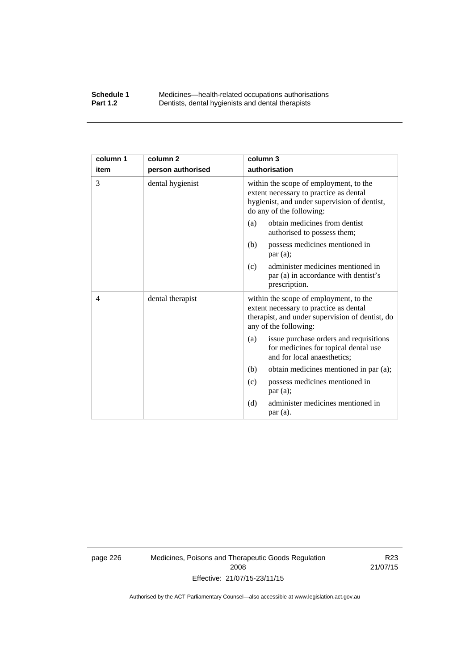#### **Schedule 1** Medicines—health-related occupations authorisations<br>**Part 1.2** Dentists, dental hygienists and dental therapists **Part 1.2** Dentists, dental hygienists and dental therapists

| column 1 | column <sub>2</sub> | column 3                                                                                                                                                     |
|----------|---------------------|--------------------------------------------------------------------------------------------------------------------------------------------------------------|
| item     | person authorised   | authorisation                                                                                                                                                |
| 3        | dental hygienist    | within the scope of employment, to the<br>extent necessary to practice as dental<br>hygienist, and under supervision of dentist,<br>do any of the following: |
|          |                     | obtain medicines from dentist<br>(a)<br>authorised to possess them;                                                                                          |
|          |                     | possess medicines mentioned in<br>(b)<br>par(a);                                                                                                             |
|          |                     | administer medicines mentioned in<br>(c)<br>par (a) in accordance with dentist's<br>prescription.                                                            |
| 4        | dental therapist    | within the scope of employment, to the<br>extent necessary to practice as dental<br>therapist, and under supervision of dentist, do<br>any of the following: |
|          |                     | issue purchase orders and requisitions<br>(a)<br>for medicines for topical dental use<br>and for local anaesthetics;                                         |
|          |                     | obtain medicines mentioned in par (a);<br>(b)                                                                                                                |
|          |                     | possess medicines mentioned in<br>(c)<br>par(a);                                                                                                             |
|          |                     | administer medicines mentioned in<br>(d)<br>par (a).                                                                                                         |

page 226 Medicines, Poisons and Therapeutic Goods Regulation 2008 Effective: 21/07/15-23/11/15

R23 21/07/15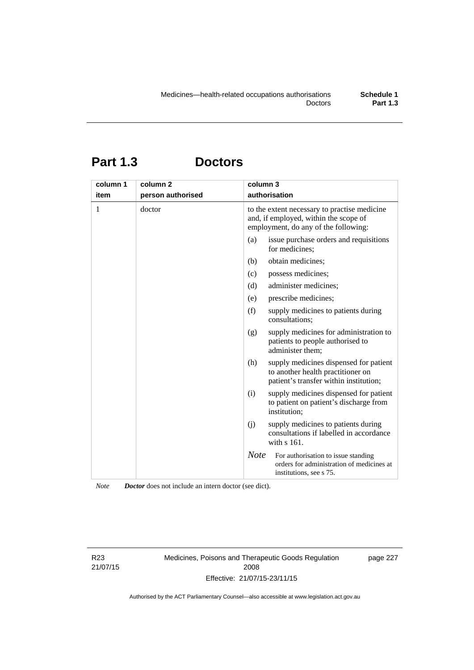# **Part 1.3 Doctors**

| column 1 | column <sub>2</sub> | column 3                                                                                                                      |
|----------|---------------------|-------------------------------------------------------------------------------------------------------------------------------|
| item     | person authorised   | authorisation                                                                                                                 |
| 1        | doctor              | to the extent necessary to practise medicine<br>and, if employed, within the scope of<br>employment, do any of the following: |
|          |                     | (a)<br>issue purchase orders and requisitions<br>for medicines;                                                               |
|          |                     | obtain medicines;<br>(b)                                                                                                      |
|          |                     | possess medicines;<br>(c)                                                                                                     |
|          |                     | administer medicines;<br>(d)                                                                                                  |
|          |                     | prescribe medicines;<br>(e)                                                                                                   |
|          |                     | (f)<br>supply medicines to patients during<br>consultations;                                                                  |
|          |                     | (g)<br>supply medicines for administration to<br>patients to people authorised to<br>administer them;                         |
|          |                     | supply medicines dispensed for patient<br>(h)<br>to another health practitioner on<br>patient's transfer within institution;  |
|          |                     | (i)<br>supply medicines dispensed for patient<br>to patient on patient's discharge from<br>institution;                       |
|          |                     | (i)<br>supply medicines to patients during<br>consultations if labelled in accordance<br>with s 161.                          |
|          |                     | <b>Note</b><br>For authorisation to issue standing<br>orders for administration of medicines at<br>institutions, see s 75.    |

*Note Doctor* does not include an intern doctor (see dict).

R23 21/07/15 Medicines, Poisons and Therapeutic Goods Regulation 2008 Effective: 21/07/15-23/11/15

page 227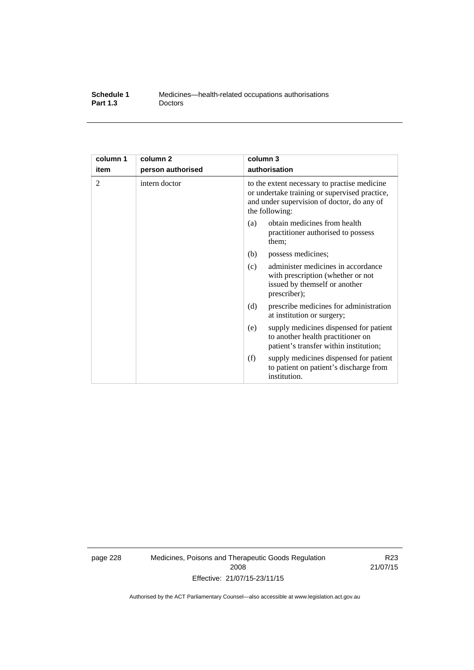| Schedule 1      | Medicines—health-related occupations authorisations |
|-----------------|-----------------------------------------------------|
| <b>Part 1.3</b> | <b>Doctors</b>                                      |

| column 1 | column <sub>2</sub> | column 3                                                                                                                                                      |
|----------|---------------------|---------------------------------------------------------------------------------------------------------------------------------------------------------------|
| item     | person authorised   | authorisation                                                                                                                                                 |
| 2        | intern doctor       | to the extent necessary to practise medicine<br>or undertake training or supervised practice,<br>and under supervision of doctor, do any of<br>the following: |
|          |                     | obtain medicines from health<br>(a)<br>practitioner authorised to possess<br>them:                                                                            |
|          |                     | (b)<br>possess medicines;                                                                                                                                     |
|          |                     | administer medicines in accordance<br>(c)<br>with prescription (whether or not<br>issued by themself or another<br>prescriber);                               |
|          |                     | (d)<br>prescribe medicines for administration<br>at institution or surgery;                                                                                   |
|          |                     | supply medicines dispensed for patient<br>(e)<br>to another health practitioner on<br>patient's transfer within institution;                                  |
|          |                     | (f)<br>supply medicines dispensed for patient<br>to patient on patient's discharge from<br>institution.                                                       |

page 228 Medicines, Poisons and Therapeutic Goods Regulation 2008 Effective: 21/07/15-23/11/15

R23 21/07/15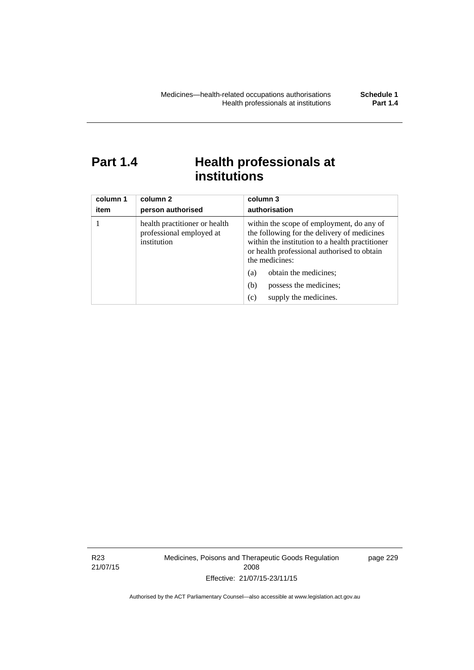# Part 1.4 **Health professionals at institutions**

| column 1<br>item | column 2<br>person authorised                                            | column 3<br>authorisation                                                                                                                                                                                    |
|------------------|--------------------------------------------------------------------------|--------------------------------------------------------------------------------------------------------------------------------------------------------------------------------------------------------------|
|                  | health practitioner or health<br>professional employed at<br>institution | within the scope of employment, do any of<br>the following for the delivery of medicines<br>within the institution to a health practitioner<br>or health professional authorised to obtain<br>the medicines: |
|                  |                                                                          | obtain the medicines;<br>(a)                                                                                                                                                                                 |
|                  |                                                                          | possess the medicines;<br>(b)                                                                                                                                                                                |
|                  |                                                                          | supply the medicines.<br>(c)                                                                                                                                                                                 |

R23 21/07/15 Medicines, Poisons and Therapeutic Goods Regulation 2008 Effective: 21/07/15-23/11/15

page 229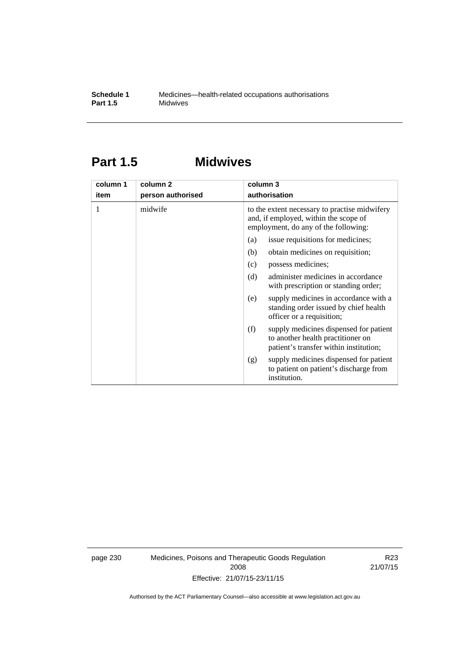# **Part 1.5 Midwives**

| column 1 | column 2          | column 3                                                                                                                       |  |  |
|----------|-------------------|--------------------------------------------------------------------------------------------------------------------------------|--|--|
| item     | person authorised | authorisation                                                                                                                  |  |  |
| 1        | midwife           | to the extent necessary to practise midwifery<br>and, if employed, within the scope of<br>employment, do any of the following: |  |  |
|          |                   | issue requisitions for medicines;<br>(a)                                                                                       |  |  |
|          |                   | obtain medicines on requisition;<br>(b)                                                                                        |  |  |
|          |                   | possess medicines;<br>(c)                                                                                                      |  |  |
|          |                   | administer medicines in accordance<br>(d)<br>with prescription or standing order;                                              |  |  |
|          |                   | supply medicines in accordance with a<br>(e)<br>standing order issued by chief health<br>officer or a requisition;             |  |  |
|          |                   | (f)<br>supply medicines dispensed for patient<br>to another health practitioner on<br>patient's transfer within institution;   |  |  |
|          |                   | supply medicines dispensed for patient<br>(g)<br>to patient on patient's discharge from<br>institution.                        |  |  |

page 230 Medicines, Poisons and Therapeutic Goods Regulation 2008 Effective: 21/07/15-23/11/15

R23 21/07/15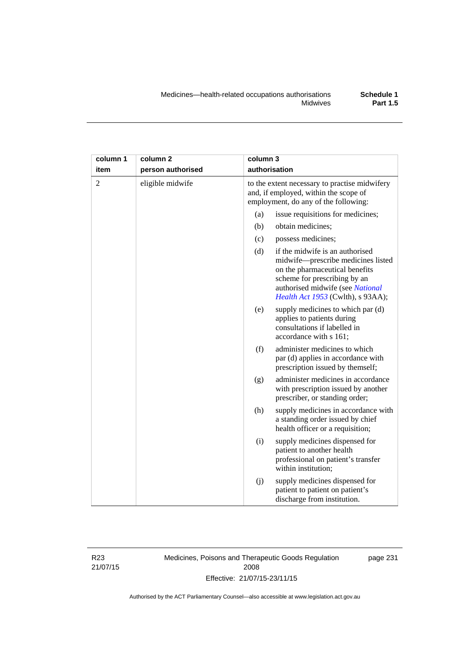| column 1       | column <sub>2</sub> | column 3 |                                                                                                                                                                                                                  |
|----------------|---------------------|----------|------------------------------------------------------------------------------------------------------------------------------------------------------------------------------------------------------------------|
| item           | person authorised   |          | authorisation                                                                                                                                                                                                    |
| $\overline{2}$ | eligible midwife    |          | to the extent necessary to practise midwifery<br>and, if employed, within the scope of<br>employment, do any of the following:                                                                                   |
|                |                     | (a)      | issue requisitions for medicines;                                                                                                                                                                                |
|                |                     | (b)      | obtain medicines;                                                                                                                                                                                                |
|                |                     | (c)      | possess medicines;                                                                                                                                                                                               |
|                |                     | (d)      | if the midwife is an authorised<br>midwife-prescribe medicines listed<br>on the pharmaceutical benefits<br>scheme for prescribing by an<br>authorised midwife (see National<br>Health Act 1953 (Cwlth), s 93AA); |
|                |                     | (e)      | supply medicines to which par (d)<br>applies to patients during<br>consultations if labelled in<br>accordance with s 161;                                                                                        |
|                |                     | (f)      | administer medicines to which<br>par (d) applies in accordance with<br>prescription issued by themself;                                                                                                          |
|                |                     | (g)      | administer medicines in accordance<br>with prescription issued by another<br>prescriber, or standing order;                                                                                                      |
|                |                     | (h)      | supply medicines in accordance with<br>a standing order issued by chief<br>health officer or a requisition;                                                                                                      |
|                |                     | (i)      | supply medicines dispensed for<br>patient to another health<br>professional on patient's transfer<br>within institution;                                                                                         |
|                |                     | (j)      | supply medicines dispensed for<br>patient to patient on patient's<br>discharge from institution.                                                                                                                 |

R23 21/07/15 Medicines, Poisons and Therapeutic Goods Regulation 2008 Effective: 21/07/15-23/11/15

page 231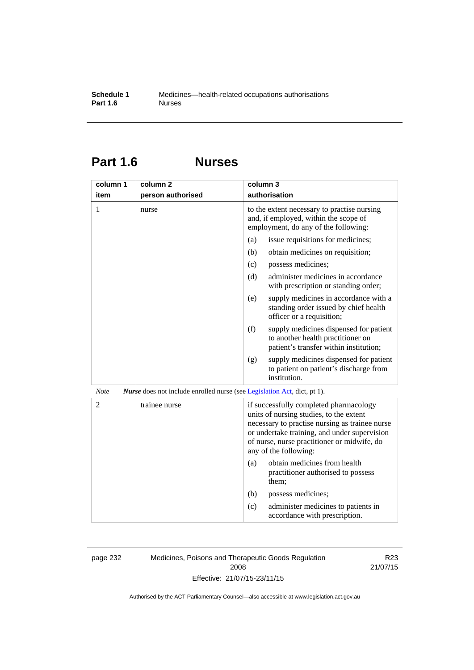# **Part 1.6 Nurses**

| column 1       | column <sub>2</sub>                                                             | column 3                                                                                                                                                                                                                                                    |
|----------------|---------------------------------------------------------------------------------|-------------------------------------------------------------------------------------------------------------------------------------------------------------------------------------------------------------------------------------------------------------|
| item           | person authorised                                                               | authorisation                                                                                                                                                                                                                                               |
| 1              | nurse                                                                           | to the extent necessary to practise nursing<br>and, if employed, within the scope of<br>employment, do any of the following:                                                                                                                                |
|                |                                                                                 | issue requisitions for medicines;<br>(a)                                                                                                                                                                                                                    |
|                |                                                                                 | (b)<br>obtain medicines on requisition;                                                                                                                                                                                                                     |
|                |                                                                                 | (c)<br>possess medicines;                                                                                                                                                                                                                                   |
|                |                                                                                 | (d)<br>administer medicines in accordance<br>with prescription or standing order;                                                                                                                                                                           |
|                |                                                                                 | supply medicines in accordance with a<br>(e)<br>standing order issued by chief health<br>officer or a requisition;                                                                                                                                          |
|                |                                                                                 | (f)<br>supply medicines dispensed for patient<br>to another health practitioner on<br>patient's transfer within institution;                                                                                                                                |
|                |                                                                                 | supply medicines dispensed for patient<br>(g)<br>to patient on patient's discharge from<br>institution.                                                                                                                                                     |
| <b>Note</b>    | <i>Nurse</i> does not include enrolled nurse (see Legislation Act, dict, pt 1). |                                                                                                                                                                                                                                                             |
| $\overline{2}$ | trainee nurse                                                                   | if successfully completed pharmacology<br>units of nursing studies, to the extent<br>necessary to practise nursing as trainee nurse<br>or undertake training, and under supervision<br>of nurse, nurse practitioner or midwife, do<br>any of the following: |
|                |                                                                                 | obtain medicines from health<br>(a)<br>practitioner authorised to possess<br>them;                                                                                                                                                                          |
|                |                                                                                 | (b)<br>possess medicines;                                                                                                                                                                                                                                   |
|                |                                                                                 | administer medicines to patients in<br>(c)<br>accordance with prescription.                                                                                                                                                                                 |

page 232 Medicines, Poisons and Therapeutic Goods Regulation 2008 Effective: 21/07/15-23/11/15

R23 21/07/15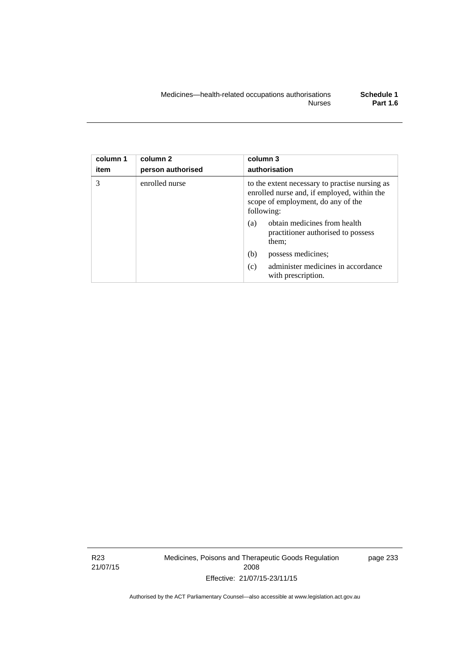| column 1<br>item | column <sub>2</sub><br>person authorised | column 3<br>authorisation                                                                                                                         |
|------------------|------------------------------------------|---------------------------------------------------------------------------------------------------------------------------------------------------|
| 3                | enrolled nurse                           | to the extent necessary to practise nursing as<br>enrolled nurse and, if employed, within the<br>scope of employment, do any of the<br>following: |
|                  |                                          | obtain medicines from health<br>(a)<br>practitioner authorised to possess<br>them;                                                                |
|                  |                                          | possess medicines;<br>(b)                                                                                                                         |
|                  |                                          | administer medicines in accordance<br>(c)<br>with prescription.                                                                                   |

R23 21/07/15 Medicines, Poisons and Therapeutic Goods Regulation 2008 Effective: 21/07/15-23/11/15

page 233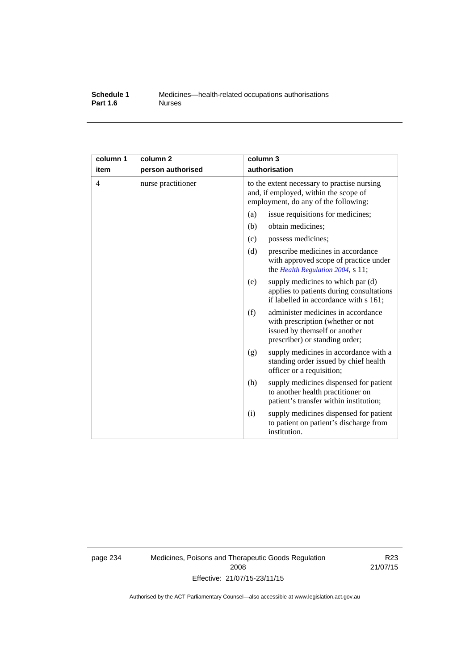#### **Schedule 1** Medicines—health-related occupations authorisations<br>**Part 1.6** Murses **Part 1.6**

| column 1<br>item | column <sub>2</sub><br>person authorised | column 3<br>authorisation                                                                                                                         |
|------------------|------------------------------------------|---------------------------------------------------------------------------------------------------------------------------------------------------|
| 4                | nurse practitioner                       | to the extent necessary to practise nursing<br>and, if employed, within the scope of<br>employment, do any of the following:                      |
|                  |                                          | (a)<br>issue requisitions for medicines;                                                                                                          |
|                  |                                          | (b)<br>obtain medicines;                                                                                                                          |
|                  |                                          | possess medicines;<br>(c)                                                                                                                         |
|                  |                                          | (d)<br>prescribe medicines in accordance<br>with approved scope of practice under<br>the Health Regulation 2004, s 11;                            |
|                  |                                          | supply medicines to which par (d)<br>(e)<br>applies to patients during consultations<br>if labelled in accordance with s 161;                     |
|                  |                                          | (f)<br>administer medicines in accordance<br>with prescription (whether or not<br>issued by themself or another<br>prescriber) or standing order; |
|                  |                                          | supply medicines in accordance with a<br>(g)<br>standing order issued by chief health<br>officer or a requisition;                                |
|                  |                                          | (h)<br>supply medicines dispensed for patient<br>to another health practitioner on<br>patient's transfer within institution;                      |
|                  |                                          | supply medicines dispensed for patient<br>(i)<br>to patient on patient's discharge from<br>institution.                                           |

page 234 Medicines, Poisons and Therapeutic Goods Regulation 2008 Effective: 21/07/15-23/11/15

R23 21/07/15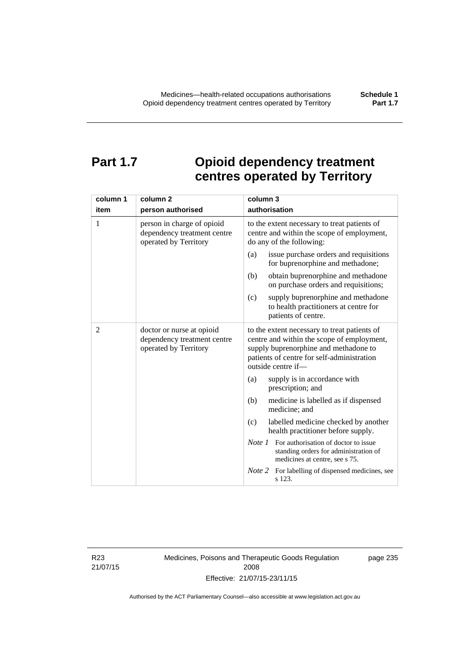# **Part 1.7 Opioid dependency treatment centres operated by Territory**

| column 1       | column <sub>2</sub>                                                                | column 3                                                                                                                                                                                                |
|----------------|------------------------------------------------------------------------------------|---------------------------------------------------------------------------------------------------------------------------------------------------------------------------------------------------------|
| item           | person authorised                                                                  | authorisation                                                                                                                                                                                           |
| 1              | person in charge of opioid<br>dependency treatment centre<br>operated by Territory | to the extent necessary to treat patients of<br>centre and within the scope of employment,<br>do any of the following:                                                                                  |
|                |                                                                                    | issue purchase orders and requisitions<br>(a)<br>for buprenorphine and methadone;                                                                                                                       |
|                |                                                                                    | obtain buprenorphine and methadone<br>(b)<br>on purchase orders and requisitions;                                                                                                                       |
|                |                                                                                    | supply buprenorphine and methadone<br>(c)<br>to health practitioners at centre for<br>patients of centre.                                                                                               |
| $\overline{2}$ | doctor or nurse at opioid<br>dependency treatment centre<br>operated by Territory  | to the extent necessary to treat patients of<br>centre and within the scope of employment,<br>supply buprenorphine and methadone to<br>patients of centre for self-administration<br>outside centre if- |
|                |                                                                                    | supply is in accordance with<br>(a)<br>prescription; and                                                                                                                                                |
|                |                                                                                    | (b)<br>medicine is labelled as if dispensed<br>medicine; and                                                                                                                                            |
|                |                                                                                    | (c)<br>labelled medicine checked by another<br>health practitioner before supply.                                                                                                                       |
|                |                                                                                    | <i>Note 1</i> For authorisation of doctor to issue<br>standing orders for administration of<br>medicines at centre, see s 75.                                                                           |
|                |                                                                                    | Note 2<br>For labelling of dispensed medicines, see<br>s 123.                                                                                                                                           |

R23 21/07/15 Medicines, Poisons and Therapeutic Goods Regulation 2008 Effective: 21/07/15-23/11/15

page 235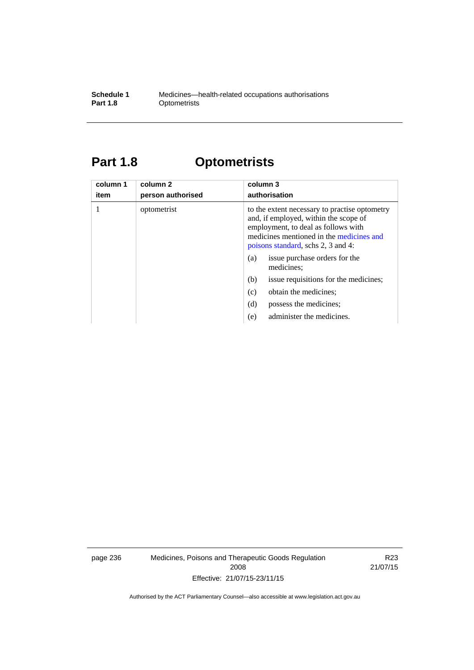#### **Schedule 1** Medicines—health-related occupations authorisations<br>**Part 1.8** Optometrists **Optometrists**

# **Part 1.8 Optometrists**

| column 1<br>item | column 2<br>person authorised | column 3<br>authorisation                                                                                                                                                                                                                               |
|------------------|-------------------------------|---------------------------------------------------------------------------------------------------------------------------------------------------------------------------------------------------------------------------------------------------------|
|                  | optometrist                   | to the extent necessary to practise optometry<br>and, if employed, within the scope of<br>employment, to deal as follows with<br>medicines mentioned in the medicines and<br>poisons standard, schs 2, 3 and 4:<br>issue purchase orders for the<br>(a) |
|                  |                               | medicines;                                                                                                                                                                                                                                              |
|                  |                               | (b)<br>issue requisitions for the medicines;                                                                                                                                                                                                            |
|                  |                               | obtain the medicines;<br>(c)                                                                                                                                                                                                                            |
|                  |                               | (d)<br>possess the medicines:                                                                                                                                                                                                                           |
|                  |                               | administer the medicines.<br>(e)                                                                                                                                                                                                                        |

page 236 Medicines, Poisons and Therapeutic Goods Regulation 2008 Effective: 21/07/15-23/11/15

R23 21/07/15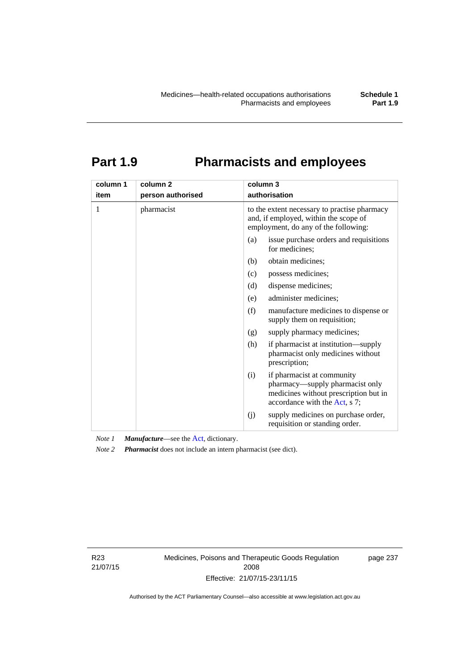# **Part 1.9 Pharmacists and employees**

| column 1<br>item | column <sub>2</sub><br>person authorised | column 3<br>authorisation                                                                                                                      |  |  |
|------------------|------------------------------------------|------------------------------------------------------------------------------------------------------------------------------------------------|--|--|
| 1                | pharmacist                               | to the extent necessary to practise pharmacy<br>and, if employed, within the scope of<br>employment, do any of the following:                  |  |  |
|                  |                                          | issue purchase orders and requisitions<br>(a)<br>for medicines;                                                                                |  |  |
|                  |                                          | obtain medicines;<br>(b)                                                                                                                       |  |  |
|                  |                                          | (c)<br>possess medicines;                                                                                                                      |  |  |
|                  |                                          | (d)<br>dispense medicines;                                                                                                                     |  |  |
|                  |                                          | administer medicines;<br>(e)                                                                                                                   |  |  |
|                  |                                          | (f)<br>manufacture medicines to dispense or<br>supply them on requisition;                                                                     |  |  |
|                  |                                          | supply pharmacy medicines;<br>(g)                                                                                                              |  |  |
|                  |                                          | (h)<br>if pharmacist at institution—supply<br>pharmacist only medicines without<br>prescription;                                               |  |  |
|                  |                                          | if pharmacist at community<br>(i)<br>pharmacy—supply pharmacist only<br>medicines without prescription but in<br>accordance with the Act, s 7; |  |  |
|                  |                                          | supply medicines on purchase order,<br>(j)<br>requisition or standing order.                                                                   |  |  |

*Note 1 Manufacture*—see the [Act,](http://www.legislation.act.gov.au/a/2008-26/default.asp) dictionary.

*Note 2 Pharmacist* does not include an intern pharmacist (see dict).

R23 21/07/15 Medicines, Poisons and Therapeutic Goods Regulation 2008 Effective: 21/07/15-23/11/15

page 237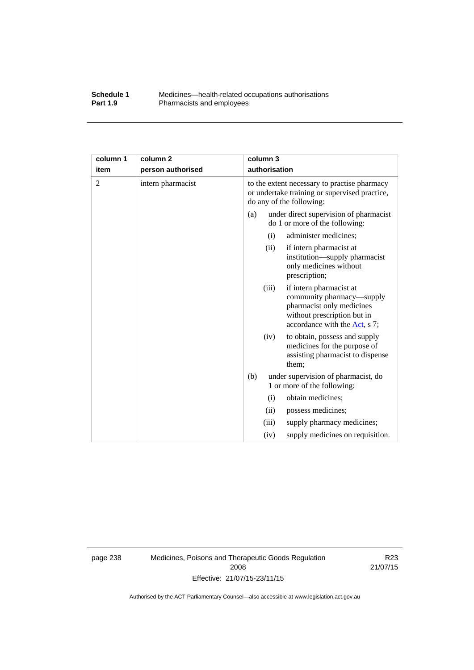#### **Schedule 1** Medicines—health-related occupations authorisations<br>**Part 1.9** Pharmacists and employees Pharmacists and employees

| column 1       | column <sub>2</sub> |     | column 3      |                                                                                                                                                   |
|----------------|---------------------|-----|---------------|---------------------------------------------------------------------------------------------------------------------------------------------------|
| item           | person authorised   |     | authorisation |                                                                                                                                                   |
| $\overline{c}$ | intern pharmacist   |     |               | to the extent necessary to practise pharmacy<br>or undertake training or supervised practice,<br>do any of the following:                         |
|                |                     | (a) |               | under direct supervision of pharmacist<br>do 1 or more of the following:                                                                          |
|                |                     |     | (i)           | administer medicines;                                                                                                                             |
|                |                     |     | (ii)          | if intern pharmacist at<br>institution—supply pharmacist<br>only medicines without<br>prescription;                                               |
|                |                     |     | (iii)         | if intern pharmacist at<br>community pharmacy—supply<br>pharmacist only medicines<br>without prescription but in<br>accordance with the Act, s 7; |
|                |                     |     | (iv)          | to obtain, possess and supply<br>medicines for the purpose of<br>assisting pharmacist to dispense<br>them;                                        |
|                |                     | (b) |               | under supervision of pharmacist, do<br>1 or more of the following:                                                                                |
|                |                     |     | (i)           | obtain medicines;                                                                                                                                 |
|                |                     |     | (ii)          | possess medicines;                                                                                                                                |
|                |                     |     | (iii)         | supply pharmacy medicines;                                                                                                                        |
|                |                     |     | (iv)          | supply medicines on requisition.                                                                                                                  |

page 238 Medicines, Poisons and Therapeutic Goods Regulation 2008 Effective: 21/07/15-23/11/15

R23 21/07/15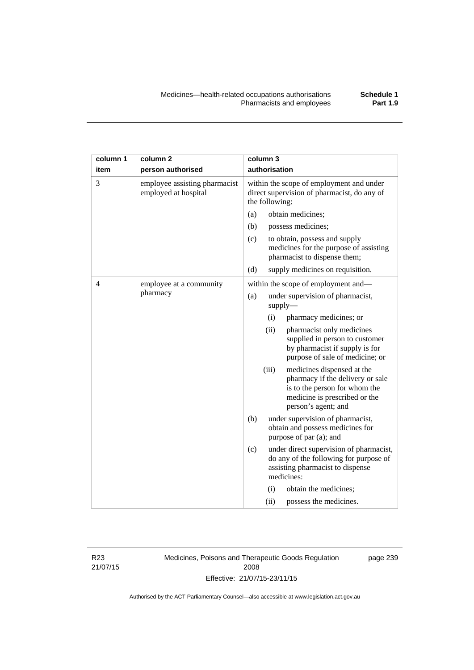| column 1       | column <sub>2</sub>                                   |                                                                                                           | column 3                                   |                                                                                                                                                         |
|----------------|-------------------------------------------------------|-----------------------------------------------------------------------------------------------------------|--------------------------------------------|---------------------------------------------------------------------------------------------------------------------------------------------------------|
| item           | person authorised                                     |                                                                                                           | authorisation                              |                                                                                                                                                         |
| 3              | employee assisting pharmacist<br>employed at hospital | within the scope of employment and under<br>direct supervision of pharmacist, do any of<br>the following: |                                            |                                                                                                                                                         |
|                |                                                       | (a)                                                                                                       |                                            | obtain medicines;                                                                                                                                       |
|                |                                                       | (b)                                                                                                       |                                            | possess medicines;                                                                                                                                      |
|                |                                                       | (c)                                                                                                       |                                            | to obtain, possess and supply<br>medicines for the purpose of assisting<br>pharmacist to dispense them;                                                 |
|                |                                                       | (d)                                                                                                       |                                            | supply medicines on requisition.                                                                                                                        |
| $\overline{4}$ | employee at a community                               |                                                                                                           |                                            | within the scope of employment and-                                                                                                                     |
|                | pharmacy                                              | (a)                                                                                                       | under supervision of pharmacist,<br>supply |                                                                                                                                                         |
|                |                                                       |                                                                                                           | (i)                                        | pharmacy medicines; or                                                                                                                                  |
|                |                                                       |                                                                                                           | (ii)                                       | pharmacist only medicines<br>supplied in person to customer<br>by pharmacist if supply is for<br>purpose of sale of medicine; or                        |
|                |                                                       |                                                                                                           | (iii)                                      | medicines dispensed at the<br>pharmacy if the delivery or sale<br>is to the person for whom the<br>medicine is prescribed or the<br>person's agent; and |
|                |                                                       | (b)                                                                                                       |                                            | under supervision of pharmacist,<br>obtain and possess medicines for<br>purpose of par (a); and                                                         |
|                |                                                       | (c)                                                                                                       |                                            | under direct supervision of pharmacist,<br>do any of the following for purpose of<br>assisting pharmacist to dispense<br>medicines:                     |
|                |                                                       |                                                                                                           | (i)                                        | obtain the medicines;                                                                                                                                   |
|                |                                                       |                                                                                                           | (ii)                                       | possess the medicines.                                                                                                                                  |

R23 21/07/15 Medicines, Poisons and Therapeutic Goods Regulation 2008 Effective: 21/07/15-23/11/15

page 239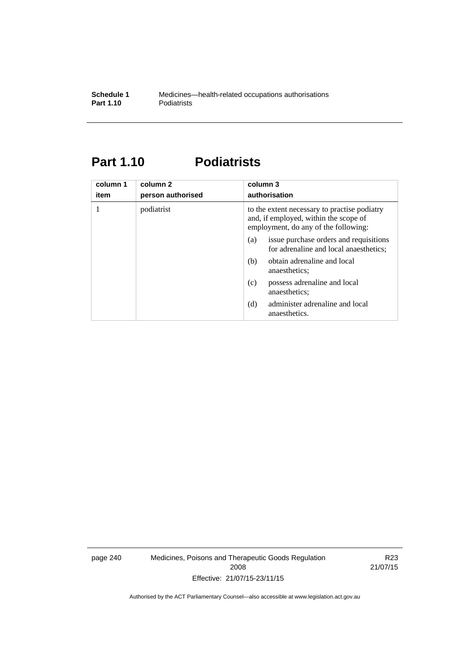### **Part 1.10 Podiatrists**

| column 1<br>item | column 2<br>person authorised | column 3<br>authorisation                                                                                                     |  |
|------------------|-------------------------------|-------------------------------------------------------------------------------------------------------------------------------|--|
|                  | podiatrist                    | to the extent necessary to practise podiatry<br>and, if employed, within the scope of<br>employment, do any of the following: |  |
|                  |                               | issue purchase orders and requisitions<br>(a)<br>for adrenaline and local anaesthetics;                                       |  |
|                  |                               | obtain adrenaline and local<br>(b)<br>anaesthetics:                                                                           |  |
|                  |                               | possess adrenaline and local<br>(c)<br>anaesthetics;                                                                          |  |
|                  |                               | administer adrenaline and local<br>(d)<br>anaesthetics.                                                                       |  |

page 240 Medicines, Poisons and Therapeutic Goods Regulation 2008 Effective: 21/07/15-23/11/15

R23 21/07/15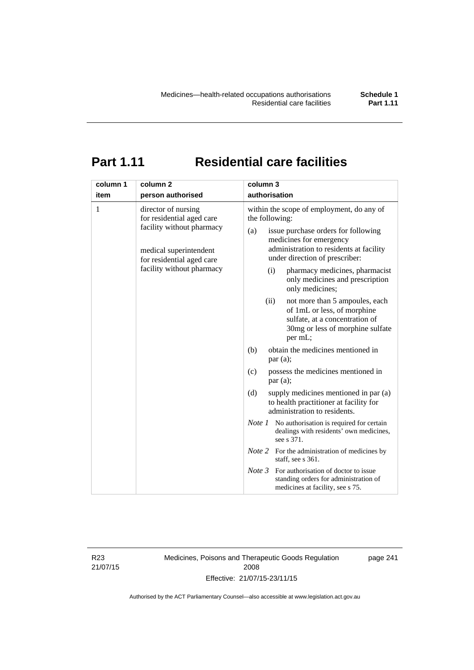# **Part 1.11 Residential care facilities**

| column 1 | column <sub>2</sub>                                                                                                                                               | column 3                                                                                                                                                                                                                                                                                                                                                   |
|----------|-------------------------------------------------------------------------------------------------------------------------------------------------------------------|------------------------------------------------------------------------------------------------------------------------------------------------------------------------------------------------------------------------------------------------------------------------------------------------------------------------------------------------------------|
| item     | person authorised                                                                                                                                                 | authorisation                                                                                                                                                                                                                                                                                                                                              |
| 1        | director of nursing<br>for residential aged care<br>facility without pharmacy<br>medical superintendent<br>for residential aged care<br>facility without pharmacy | within the scope of employment, do any of<br>the following:<br>issue purchase orders for following<br>(a)<br>medicines for emergency<br>administration to residents at facility<br>under direction of prescriber:<br>pharmacy medicines, pharmacist<br>(i)<br>only medicines and prescription<br>only medicines;<br>(ii)<br>not more than 5 ampoules, each |
|          |                                                                                                                                                                   | of 1mL or less, of morphine<br>sulfate, at a concentration of<br>30mg or less of morphine sulfate<br>per mL;                                                                                                                                                                                                                                               |
|          |                                                                                                                                                                   | obtain the medicines mentioned in<br>(b)<br>par(a);                                                                                                                                                                                                                                                                                                        |
|          |                                                                                                                                                                   | possess the medicines mentioned in<br>(c)<br>par(a);                                                                                                                                                                                                                                                                                                       |
|          |                                                                                                                                                                   | (d)<br>supply medicines mentioned in par (a)<br>to health practitioner at facility for<br>administration to residents.                                                                                                                                                                                                                                     |
|          |                                                                                                                                                                   | <i>Note 1</i> No authorisation is required for certain<br>dealings with residents' own medicines,<br>see s 371.                                                                                                                                                                                                                                            |
|          |                                                                                                                                                                   | <i>Note</i> 2 For the administration of medicines by<br>staff, see s 361.                                                                                                                                                                                                                                                                                  |
|          |                                                                                                                                                                   | Note 3<br>For authorisation of doctor to issue<br>standing orders for administration of<br>medicines at facility, see s 75.                                                                                                                                                                                                                                |

R23 21/07/15 Medicines, Poisons and Therapeutic Goods Regulation 2008 Effective: 21/07/15-23/11/15

page 241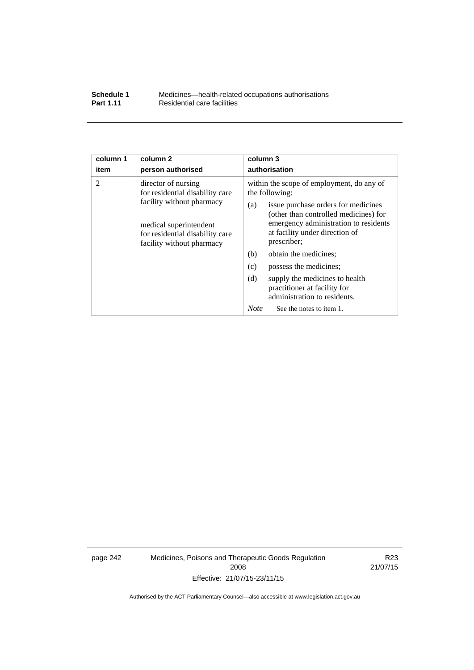| Schedule 1       | Medicines—health-related occupations authorisations |
|------------------|-----------------------------------------------------|
| <b>Part 1.11</b> | Residential care facilities                         |

| column 1<br>item                                                                                                                                       | column <sub>2</sub><br>person authorised                                                                                                                                      | column 3<br>authorisation                                                                             |  |  |
|--------------------------------------------------------------------------------------------------------------------------------------------------------|-------------------------------------------------------------------------------------------------------------------------------------------------------------------------------|-------------------------------------------------------------------------------------------------------|--|--|
| $\overline{2}$                                                                                                                                         | director of nursing                                                                                                                                                           | within the scope of employment, do any of                                                             |  |  |
| for residential disability care<br>facility without pharmacy<br>medical superintendent<br>for residential disability care<br>facility without pharmacy |                                                                                                                                                                               | the following:                                                                                        |  |  |
|                                                                                                                                                        | issue purchase orders for medicines<br>(a)<br>(other than controlled medicines) for<br>emergency administration to residents<br>at facility under direction of<br>prescriber; |                                                                                                       |  |  |
|                                                                                                                                                        |                                                                                                                                                                               | obtain the medicines;<br>(b)                                                                          |  |  |
|                                                                                                                                                        |                                                                                                                                                                               | (c)<br>possess the medicines;                                                                         |  |  |
|                                                                                                                                                        |                                                                                                                                                                               | (d)<br>supply the medicines to health<br>practitioner at facility for<br>administration to residents. |  |  |
|                                                                                                                                                        |                                                                                                                                                                               | <b>Note</b><br>See the notes to item 1.                                                               |  |  |

page 242 Medicines, Poisons and Therapeutic Goods Regulation 2008 Effective: 21/07/15-23/11/15

R23 21/07/15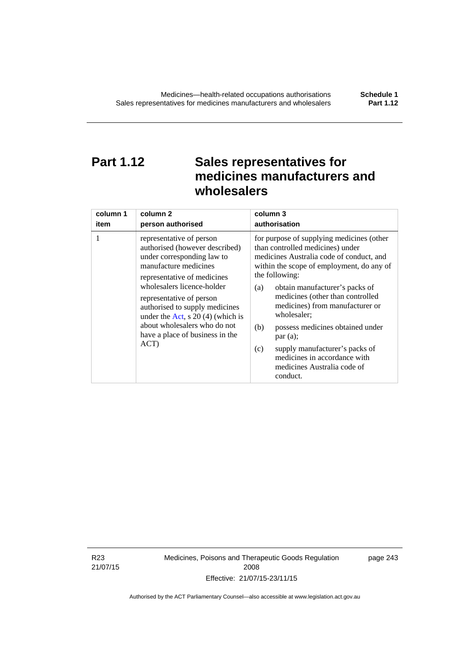# **Part 1.12 Sales representatives for medicines manufacturers and wholesalers**

| column 1 | column 2                                                                                                                                                                                                                                                                                                                                                      | column 3                                                                                                                                                                                                                                                                                                                                                                                                                                                                                          |  |
|----------|---------------------------------------------------------------------------------------------------------------------------------------------------------------------------------------------------------------------------------------------------------------------------------------------------------------------------------------------------------------|---------------------------------------------------------------------------------------------------------------------------------------------------------------------------------------------------------------------------------------------------------------------------------------------------------------------------------------------------------------------------------------------------------------------------------------------------------------------------------------------------|--|
| item     | person authorised                                                                                                                                                                                                                                                                                                                                             | authorisation                                                                                                                                                                                                                                                                                                                                                                                                                                                                                     |  |
| 1        | representative of person<br>authorised (however described)<br>under corresponding law to<br>manufacture medicines<br>representative of medicines<br>wholesalers licence-holder<br>representative of person<br>authorised to supply medicines<br>under the Act, s $20(4)$ (which is<br>about wholesalers who do not<br>have a place of business in the<br>ACT) | for purpose of supplying medicines (other<br>than controlled medicines) under<br>medicines Australia code of conduct, and<br>within the scope of employment, do any of<br>the following:<br>obtain manufacturer's packs of<br>(a)<br>medicines (other than controlled<br>medicines) from manufacturer or<br>wholesaler;<br>(b)<br>possess medicines obtained under<br>par(a);<br>supply manufacturer's packs of<br>(c)<br>medicines in accordance with<br>medicines Australia code of<br>conduct. |  |

R23 21/07/15 Medicines, Poisons and Therapeutic Goods Regulation 2008 Effective: 21/07/15-23/11/15

page 243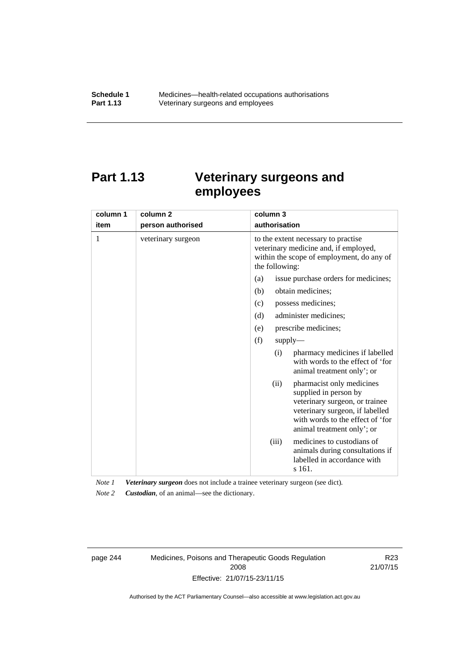# **Part 1.13 Veterinary surgeons and employees**

| column 1 | column <sub>2</sub> | column 3                                                                                                                                                                                          |  |  |
|----------|---------------------|---------------------------------------------------------------------------------------------------------------------------------------------------------------------------------------------------|--|--|
| item     | person authorised   | authorisation                                                                                                                                                                                     |  |  |
| 1        | veterinary surgeon  | to the extent necessary to practise<br>veterinary medicine and, if employed,<br>within the scope of employment, do any of<br>the following:                                                       |  |  |
|          |                     | issue purchase orders for medicines;<br>(a)                                                                                                                                                       |  |  |
|          |                     | (b)<br>obtain medicines;                                                                                                                                                                          |  |  |
|          |                     | possess medicines;<br>(c)                                                                                                                                                                         |  |  |
|          |                     | administer medicines;<br>(d)                                                                                                                                                                      |  |  |
|          |                     | prescribe medicines;<br>(e)                                                                                                                                                                       |  |  |
|          |                     | (f)<br>$supply$ —                                                                                                                                                                                 |  |  |
|          |                     | pharmacy medicines if labelled<br>(i)<br>with words to the effect of 'for<br>animal treatment only'; or                                                                                           |  |  |
|          |                     | pharmacist only medicines<br>(ii)<br>supplied in person by<br>veterinary surgeon, or trainee<br>veterinary surgeon, if labelled<br>with words to the effect of 'for<br>animal treatment only'; or |  |  |
|          |                     | medicines to custodians of<br>(iii)<br>animals during consultations if<br>labelled in accordance with<br>s 161.                                                                                   |  |  |

*Note 1 Veterinary surgeon* does not include a trainee veterinary surgeon (see dict).

*Note 2 Custodian*, of an animal—see the dictionary.

page 244 Medicines, Poisons and Therapeutic Goods Regulation 2008 Effective: 21/07/15-23/11/15

R23 21/07/15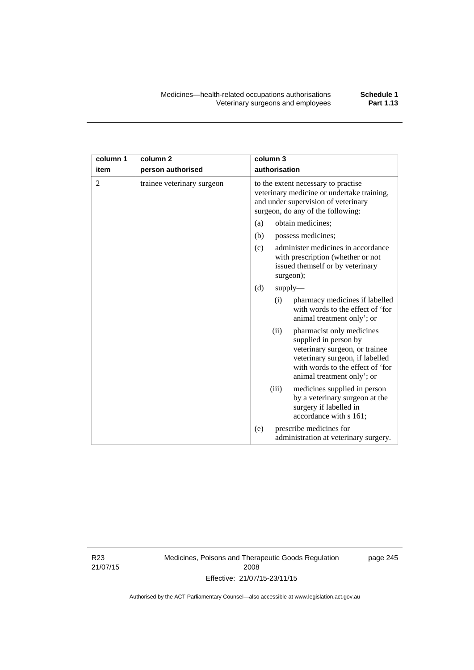| column 1 | column <sub>2</sub>        | column 3                                                                                                                                                                                          |  |  |
|----------|----------------------------|---------------------------------------------------------------------------------------------------------------------------------------------------------------------------------------------------|--|--|
| item     | person authorised          | authorisation                                                                                                                                                                                     |  |  |
| 2        | trainee veterinary surgeon | to the extent necessary to practise<br>veterinary medicine or undertake training,<br>and under supervision of veterinary<br>surgeon, do any of the following:                                     |  |  |
|          |                            | (a)<br>obtain medicines:                                                                                                                                                                          |  |  |
|          |                            | (b)<br>possess medicines;                                                                                                                                                                         |  |  |
|          |                            | administer medicines in accordance<br>(c)<br>with prescription (whether or not<br>issued themself or by veterinary<br>surgeon);                                                                   |  |  |
|          |                            | (d)<br>supply                                                                                                                                                                                     |  |  |
|          |                            | pharmacy medicines if labelled<br>(i)<br>with words to the effect of 'for<br>animal treatment only'; or                                                                                           |  |  |
|          |                            | (ii)<br>pharmacist only medicines<br>supplied in person by<br>veterinary surgeon, or trainee<br>veterinary surgeon, if labelled<br>with words to the effect of 'for<br>animal treatment only'; or |  |  |
|          |                            | (iii)<br>medicines supplied in person<br>by a veterinary surgeon at the<br>surgery if labelled in<br>accordance with s 161;                                                                       |  |  |
|          |                            | prescribe medicines for<br>(e)<br>administration at veterinary surgery.                                                                                                                           |  |  |

R23 21/07/15 Medicines, Poisons and Therapeutic Goods Regulation 2008 Effective: 21/07/15-23/11/15

page 245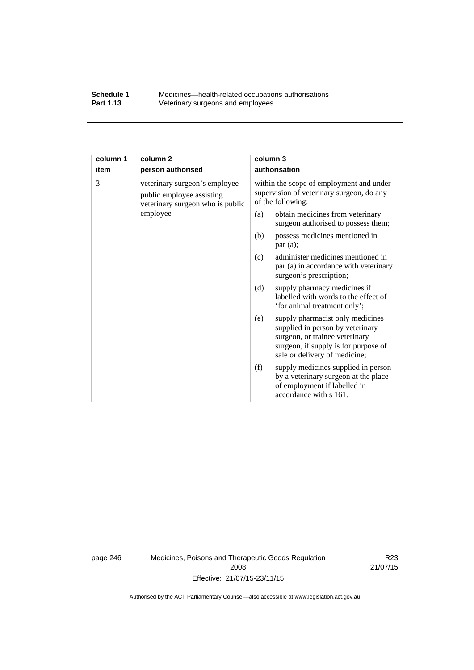#### **Schedule 1** Medicines—health-related occupations authorisations<br>**Part 1.13** Veterinary surgeons and employees Veterinary surgeons and employees

| column 1 | column <sub>2</sub>                                                                            | column 3                                                                                                                                                                               |  |
|----------|------------------------------------------------------------------------------------------------|----------------------------------------------------------------------------------------------------------------------------------------------------------------------------------------|--|
| item     | person authorised                                                                              | authorisation                                                                                                                                                                          |  |
| 3        | veterinary surgeon's employee<br>public employee assisting<br>veterinary surgeon who is public | within the scope of employment and under<br>supervision of veterinary surgeon, do any<br>of the following:                                                                             |  |
|          | employee                                                                                       | (a)<br>obtain medicines from veterinary<br>surgeon authorised to possess them;                                                                                                         |  |
|          |                                                                                                | possess medicines mentioned in<br>(b)<br>par(a);                                                                                                                                       |  |
|          |                                                                                                | administer medicines mentioned in<br>(c)<br>par (a) in accordance with veterinary<br>surgeon's prescription;                                                                           |  |
|          |                                                                                                | (d)<br>supply pharmacy medicines if<br>labelled with words to the effect of<br>'for animal treatment only';                                                                            |  |
|          |                                                                                                | supply pharmacist only medicines<br>(e)<br>supplied in person by veterinary<br>surgeon, or trainee veterinary<br>surgeon, if supply is for purpose of<br>sale or delivery of medicine; |  |
|          |                                                                                                | supply medicines supplied in person<br>(f)<br>by a veterinary surgeon at the place<br>of employment if labelled in<br>accordance with s 161.                                           |  |

page 246 Medicines, Poisons and Therapeutic Goods Regulation 2008 Effective: 21/07/15-23/11/15

R23 21/07/15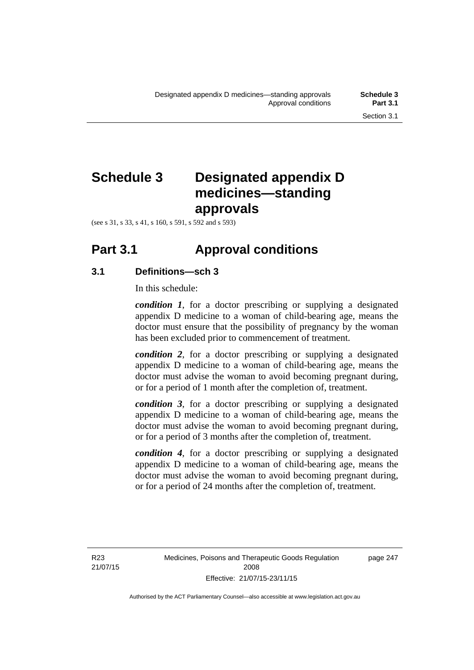# **Schedule 3 Designated appendix D medicines—standing approvals**

(see s 31, s 33, s 41, s 160, s 591, s 592 and s 593)

# **Part 3.1 Approval conditions**

### **3.1 Definitions—sch 3**

In this schedule:

*condition 1*, for a doctor prescribing or supplying a designated appendix D medicine to a woman of child-bearing age, means the doctor must ensure that the possibility of pregnancy by the woman has been excluded prior to commencement of treatment.

*condition 2*, for a doctor prescribing or supplying a designated appendix D medicine to a woman of child-bearing age, means the doctor must advise the woman to avoid becoming pregnant during, or for a period of 1 month after the completion of, treatment.

*condition 3*, for a doctor prescribing or supplying a designated appendix D medicine to a woman of child-bearing age, means the doctor must advise the woman to avoid becoming pregnant during, or for a period of 3 months after the completion of, treatment.

*condition 4*, for a doctor prescribing or supplying a designated appendix D medicine to a woman of child-bearing age, means the doctor must advise the woman to avoid becoming pregnant during, or for a period of 24 months after the completion of, treatment.

R23 21/07/15 page 247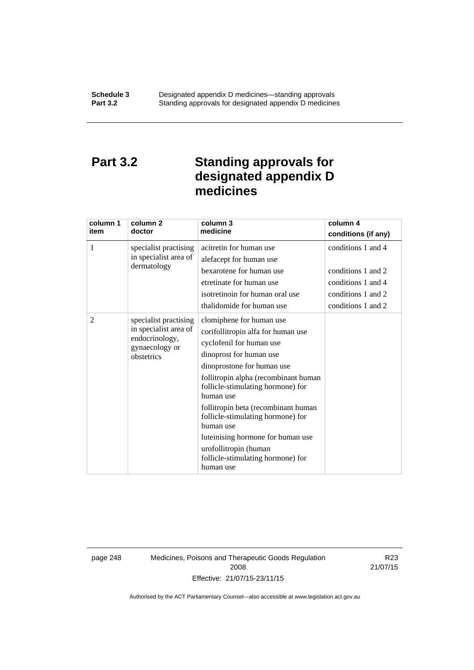### **Part 3.2 Standing approvals for designated appendix D medicines**

| column 1 | column <sub>2</sub>                                       | column 3<br>medicine                                                    | column 4            |
|----------|-----------------------------------------------------------|-------------------------------------------------------------------------|---------------------|
| item     | doctor                                                    |                                                                         | conditions (if any) |
| 1        | specialist practising                                     | acitretin for human use                                                 | conditions 1 and 4  |
|          | in specialist area of                                     | alefacept for human use                                                 |                     |
|          | dermatology                                               | bexarotene for human use                                                | conditions 1 and 2  |
|          |                                                           | etretinate for human use                                                | conditions 1 and 4  |
|          |                                                           | isotretinoin for human oral use                                         | conditions 1 and 2  |
|          |                                                           | thalidomide for human use                                               | conditions 1 and 2  |
| 2        | specialist practising                                     | clomiphene for human use                                                |                     |
|          | in specialist area of<br>endocrinology,<br>gynaecology or | corifollitropin alfa for human use                                      |                     |
|          |                                                           | cyclofenil for human use                                                |                     |
|          | obstetrics                                                | dinoprost for human use                                                 |                     |
|          |                                                           | dinoprostone for human use                                              |                     |
|          |                                                           | follitropin alpha (recombinant human                                    |                     |
|          |                                                           | follicle-stimulating hormone) for<br>human use                          |                     |
|          |                                                           | follitropin beta (recombinant human                                     |                     |
|          |                                                           | follicle-stimulating hormone) for<br>human use                          |                     |
|          |                                                           | luteinising hormone for human use                                       |                     |
|          |                                                           | urofollitropin (human<br>follicle-stimulating hormone) for<br>human use |                     |

page 248 Medicines, Poisons and Therapeutic Goods Regulation 2008 Effective: 21/07/15-23/11/15

R23 21/07/15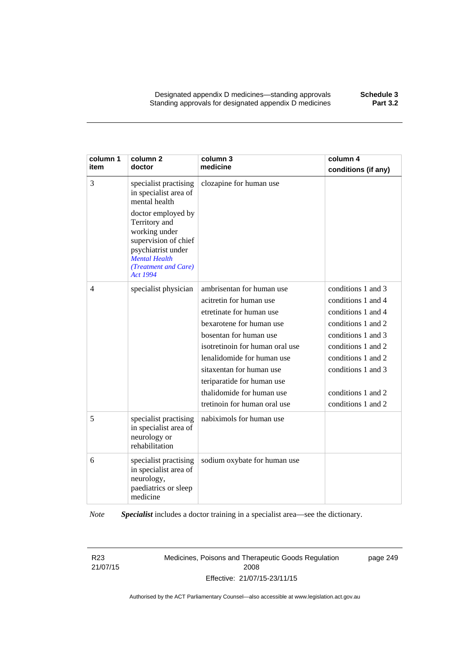Designated appendix D medicines—standing approvals **Schedule 3** Standing approvals for designated appendix D medicines

| column 1<br>item | column <sub>2</sub><br>doctor                                                                                                                                                                                                     | column 3<br>medicine                                                                                                                                                                                                                                                                                                           | column 4<br>conditions (if any)                                                                                                                                                                                          |
|------------------|-----------------------------------------------------------------------------------------------------------------------------------------------------------------------------------------------------------------------------------|--------------------------------------------------------------------------------------------------------------------------------------------------------------------------------------------------------------------------------------------------------------------------------------------------------------------------------|--------------------------------------------------------------------------------------------------------------------------------------------------------------------------------------------------------------------------|
| 3                | specialist practising<br>in specialist area of<br>mental health<br>doctor employed by<br>Territory and<br>working under<br>supervision of chief<br>psychiatrist under<br><b>Mental Health</b><br>(Treatment and Care)<br>Act 1994 | clozapine for human use                                                                                                                                                                                                                                                                                                        |                                                                                                                                                                                                                          |
| $\overline{4}$   | specialist physician                                                                                                                                                                                                              | ambrisentan for human use<br>acitretin for human use<br>etretinate for human use<br>bexarotene for human use<br>bosentan for human use<br>isotretinoin for human oral use<br>lenalidomide for human use<br>sitaxentan for human use<br>teriparatide for human use<br>thalidomide for human use<br>tretinoin for human oral use | conditions 1 and 3<br>conditions 1 and 4<br>conditions 1 and 4<br>conditions 1 and 2<br>conditions 1 and 3<br>conditions 1 and 2<br>conditions 1 and 2<br>conditions 1 and 3<br>conditions 1 and 2<br>conditions 1 and 2 |
| 5                | specialist practising<br>in specialist area of<br>neurology or<br>rehabilitation                                                                                                                                                  | nabiximols for human use                                                                                                                                                                                                                                                                                                       |                                                                                                                                                                                                                          |
| 6                | specialist practising<br>in specialist area of<br>neurology,<br>paediatrics or sleep<br>medicine                                                                                                                                  | sodium oxybate for human use                                                                                                                                                                                                                                                                                                   |                                                                                                                                                                                                                          |

*Note Specialist* includes a doctor training in a specialist area—see the dictionary.

R23 21/07/15 Medicines, Poisons and Therapeutic Goods Regulation 2008 Effective: 21/07/15-23/11/15

page 249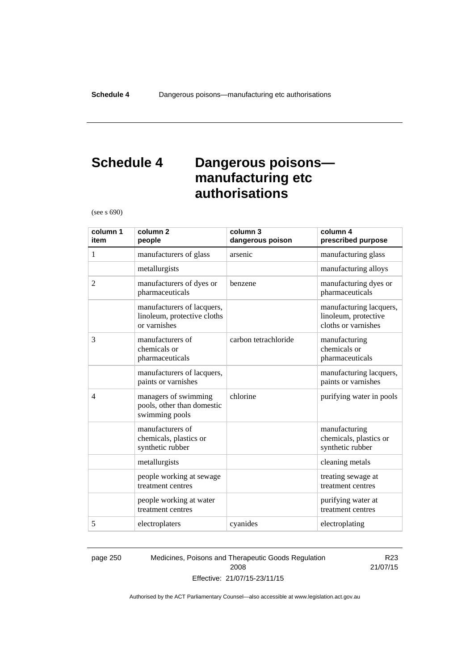### **Schedule 4 Dangerous poisons manufacturing etc authorisations**

(see s 690)

| column 1<br>item | column <sub>2</sub><br>people                                             | column 3<br>dangerous poison | column 4<br>prescribed purpose                                         |
|------------------|---------------------------------------------------------------------------|------------------------------|------------------------------------------------------------------------|
| 1                | manufacturers of glass                                                    | arsenic                      | manufacturing glass                                                    |
|                  | metallurgists                                                             |                              | manufacturing alloys                                                   |
| $\overline{2}$   | manufacturers of dyes or<br>pharmaceuticals                               | benzene                      | manufacturing dyes or<br>pharmaceuticals                               |
|                  | manufacturers of lacquers,<br>linoleum, protective cloths<br>or varnishes |                              | manufacturing lacquers,<br>linoleum, protective<br>cloths or varnishes |
| 3                | manufacturers of<br>chemicals or<br>pharmaceuticals                       | carbon tetrachloride         | manufacturing<br>chemicals or<br>pharmaceuticals                       |
|                  | manufacturers of lacquers,<br>paints or varnishes                         |                              | manufacturing lacquers,<br>paints or varnishes                         |
| $\overline{4}$   | managers of swimming<br>pools, other than domestic<br>swimming pools      | chlorine                     | purifying water in pools                                               |
|                  | manufacturers of<br>chemicals, plastics or<br>synthetic rubber            |                              | manufacturing<br>chemicals, plastics or<br>synthetic rubber            |
|                  | metallurgists                                                             |                              | cleaning metals                                                        |
|                  | people working at sewage<br>treatment centres                             |                              | treating sewage at<br>treatment centres                                |
|                  | people working at water<br>treatment centres                              |                              | purifying water at<br>treatment centres                                |
| 5                | electroplaters                                                            | cyanides                     | electroplating                                                         |

page 250 Medicines, Poisons and Therapeutic Goods Regulation 2008 Effective: 21/07/15-23/11/15

R23 21/07/15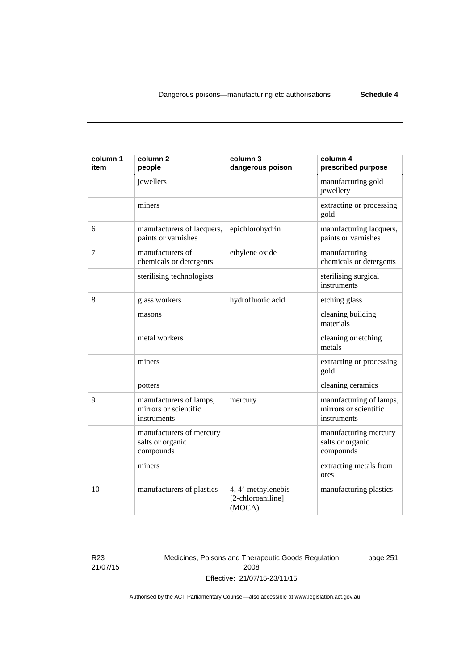| column 1<br>item | column <sub>2</sub><br>people                                   | column 3<br>dangerous poison                      | column 4<br>prescribed purpose                                  |
|------------------|-----------------------------------------------------------------|---------------------------------------------------|-----------------------------------------------------------------|
|                  | jewellers                                                       |                                                   | manufacturing gold<br>jewellery                                 |
|                  | miners                                                          |                                                   | extracting or processing<br>gold                                |
| 6                | manufacturers of lacquers,<br>paints or varnishes               | epichlorohydrin                                   | manufacturing lacquers,<br>paints or varnishes                  |
| 7                | manufacturers of<br>chemicals or detergents                     | ethylene oxide                                    | manufacturing<br>chemicals or detergents                        |
|                  | sterilising technologists                                       |                                                   | sterilising surgical<br>instruments                             |
| 8                | glass workers                                                   | hydrofluoric acid                                 | etching glass                                                   |
|                  | masons                                                          |                                                   | cleaning building<br>materials                                  |
|                  | metal workers                                                   |                                                   | cleaning or etching<br>metals                                   |
|                  | miners                                                          |                                                   | extracting or processing<br>gold                                |
|                  | potters                                                         |                                                   | cleaning ceramics                                               |
| 9                | manufacturers of lamps,<br>mirrors or scientific<br>instruments | mercury                                           | manufacturing of lamps,<br>mirrors or scientific<br>instruments |
|                  | manufacturers of mercury<br>salts or organic<br>compounds       |                                                   | manufacturing mercury<br>salts or organic<br>compounds          |
|                  | miners                                                          |                                                   | extracting metals from<br>ores                                  |
| 10               | manufacturers of plastics                                       | 4, 4'-methylenebis<br>[2-chloroaniline]<br>(MOCA) | manufacturing plastics                                          |

R23 21/07/15 Medicines, Poisons and Therapeutic Goods Regulation 2008 Effective: 21/07/15-23/11/15

page 251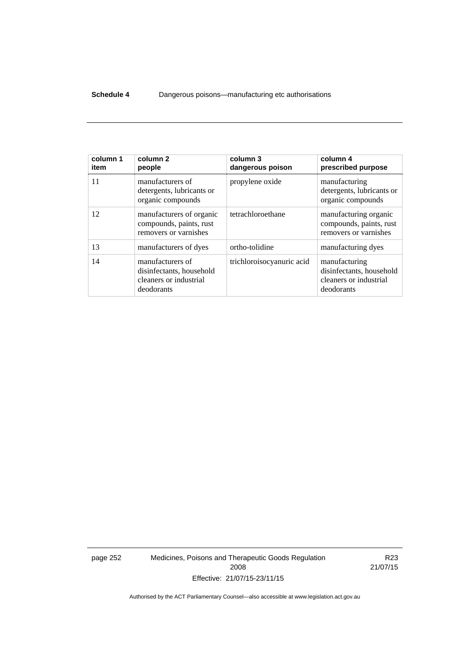#### **Schedule 4** Dangerous poisons—manufacturing etc authorisations

| column 1<br>item | column <sub>2</sub><br>people                                                        | column 3<br>dangerous poison | column 4<br>prescribed purpose                                                    |
|------------------|--------------------------------------------------------------------------------------|------------------------------|-----------------------------------------------------------------------------------|
| 11               | manufacturers of<br>detergents, lubricants or<br>organic compounds                   | propylene oxide              | manufacturing<br>detergents, lubricants or<br>organic compounds                   |
| 12               | manufacturers of organic<br>compounds, paints, rust<br>removers or varnishes         | tetrachloroethane            | manufacturing organic<br>compounds, paints, rust<br>removers or varnishes         |
| 13               | manufacturers of dyes                                                                | ortho-tolidine               | manufacturing dyes                                                                |
| 14               | manufacturers of<br>disinfectants, household<br>cleaners or industrial<br>deodorants | trichloroisocyanuric acid    | manufacturing<br>disinfectants, household<br>cleaners or industrial<br>deodorants |

page 252 Medicines, Poisons and Therapeutic Goods Regulation 2008 Effective: 21/07/15-23/11/15

R23 21/07/15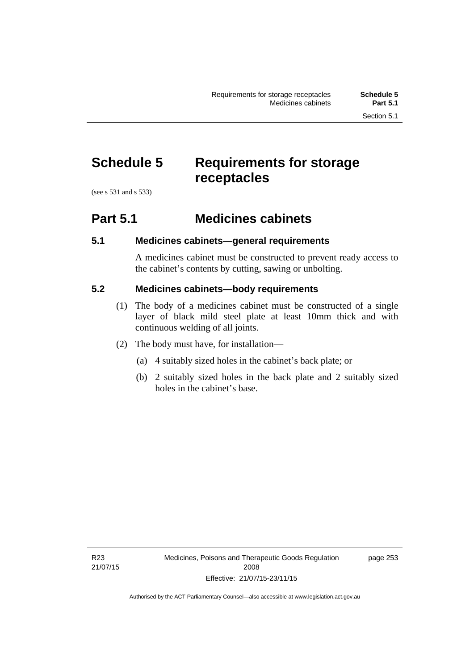# **Schedule 5 Requirements for storage receptacles**

(see s 531 and s 533)

### **Part 5.1 Medicines cabinets**

### **5.1 Medicines cabinets—general requirements**

A medicines cabinet must be constructed to prevent ready access to the cabinet's contents by cutting, sawing or unbolting.

### **5.2 Medicines cabinets—body requirements**

- (1) The body of a medicines cabinet must be constructed of a single layer of black mild steel plate at least 10mm thick and with continuous welding of all joints.
- (2) The body must have, for installation—
	- (a) 4 suitably sized holes in the cabinet's back plate; or
	- (b) 2 suitably sized holes in the back plate and 2 suitably sized holes in the cabinet's base.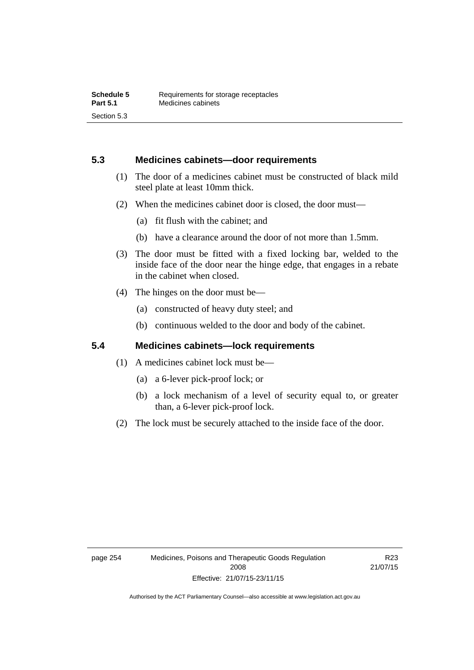### **5.3 Medicines cabinets—door requirements**

- (1) The door of a medicines cabinet must be constructed of black mild steel plate at least 10mm thick.
- (2) When the medicines cabinet door is closed, the door must—
	- (a) fit flush with the cabinet; and
	- (b) have a clearance around the door of not more than 1.5mm.
- (3) The door must be fitted with a fixed locking bar, welded to the inside face of the door near the hinge edge, that engages in a rebate in the cabinet when closed.
- (4) The hinges on the door must be—
	- (a) constructed of heavy duty steel; and
	- (b) continuous welded to the door and body of the cabinet.

### **5.4 Medicines cabinets—lock requirements**

- (1) A medicines cabinet lock must be—
	- (a) a 6-lever pick-proof lock; or
	- (b) a lock mechanism of a level of security equal to, or greater than, a 6-lever pick-proof lock.
- (2) The lock must be securely attached to the inside face of the door.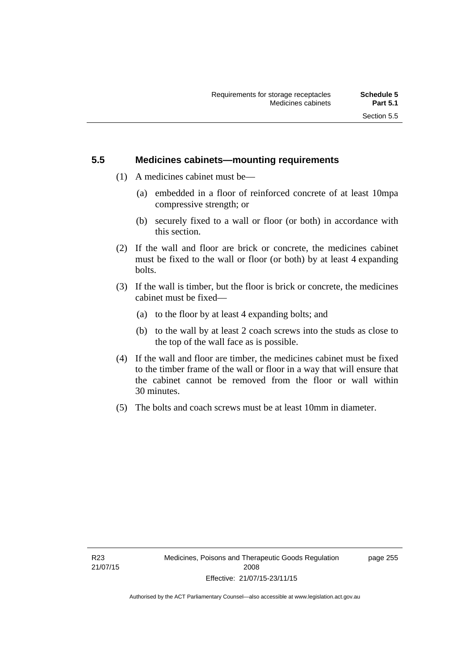### **5.5 Medicines cabinets—mounting requirements**

- (1) A medicines cabinet must be—
	- (a) embedded in a floor of reinforced concrete of at least 10mpa compressive strength; or
	- (b) securely fixed to a wall or floor (or both) in accordance with this section.
- (2) If the wall and floor are brick or concrete, the medicines cabinet must be fixed to the wall or floor (or both) by at least 4 expanding bolts.
- (3) If the wall is timber, but the floor is brick or concrete, the medicines cabinet must be fixed—
	- (a) to the floor by at least 4 expanding bolts; and
	- (b) to the wall by at least 2 coach screws into the studs as close to the top of the wall face as is possible.
- (4) If the wall and floor are timber, the medicines cabinet must be fixed to the timber frame of the wall or floor in a way that will ensure that the cabinet cannot be removed from the floor or wall within 30 minutes.
- (5) The bolts and coach screws must be at least 10mm in diameter.

page 255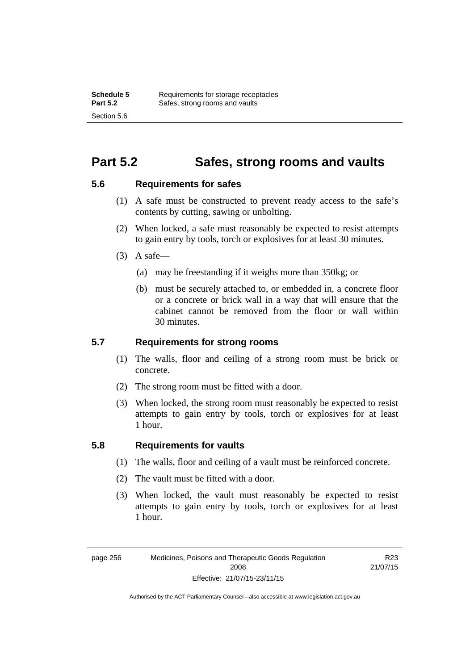### **Part 5.2 Safes, strong rooms and vaults**

### **5.6 Requirements for safes**

- (1) A safe must be constructed to prevent ready access to the safe's contents by cutting, sawing or unbolting.
- (2) When locked, a safe must reasonably be expected to resist attempts to gain entry by tools, torch or explosives for at least 30 minutes.
- $(3)$  A safe-
	- (a) may be freestanding if it weighs more than 350kg; or
	- (b) must be securely attached to, or embedded in, a concrete floor or a concrete or brick wall in a way that will ensure that the cabinet cannot be removed from the floor or wall within 30 minutes.

### **5.7 Requirements for strong rooms**

- (1) The walls, floor and ceiling of a strong room must be brick or concrete.
- (2) The strong room must be fitted with a door.
- (3) When locked, the strong room must reasonably be expected to resist attempts to gain entry by tools, torch or explosives for at least 1 hour.

### **5.8 Requirements for vaults**

- (1) The walls, floor and ceiling of a vault must be reinforced concrete.
- (2) The vault must be fitted with a door.
- (3) When locked, the vault must reasonably be expected to resist attempts to gain entry by tools, torch or explosives for at least 1 hour.

R23 21/07/15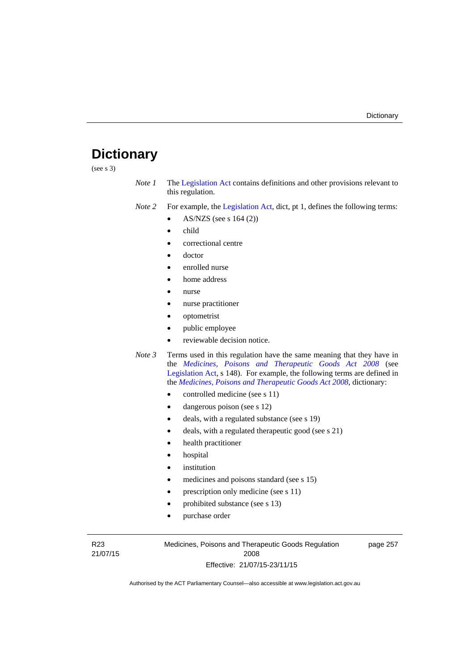## **Dictionary**

(see s 3)

- *Note 1* The [Legislation Act](http://www.legislation.act.gov.au/a/2001-14) contains definitions and other provisions relevant to this regulation.
- *Note 2* For example, the [Legislation Act,](http://www.legislation.act.gov.au/a/2001-14) dict, pt 1, defines the following terms:
	- AS/NZS (see s 164 (2))
	- child
	- correctional centre
	- doctor
	- enrolled nurse
	- home address
	- nurse
	- nurse practitioner
	- optometrist
	- public employee
	- reviewable decision notice.
- *Note 3* Terms used in this regulation have the same meaning that they have in the *[Medicines, Poisons and Therapeutic Goods Act 2008](http://www.legislation.act.gov.au/a/2008-26)* (see [Legislation Act,](http://www.legislation.act.gov.au/a/2001-14) s 148). For example, the following terms are defined in the *[Medicines, Poisons and Therapeutic Goods Act 2008](http://www.legislation.act.gov.au/a/2008-26)*, dictionary:
	- controlled medicine (see s 11)
	- dangerous poison (see s 12)
	- deals, with a regulated substance (see s 19)
	- deals, with a regulated therapeutic good (see s 21)
	- health practitioner
	- hospital
	- institution
	- medicines and poisons standard (see s 15)
	- prescription only medicine (see s 11)
	- prohibited substance (see s 13)
	- purchase order

R23 21/07/15 Medicines, Poisons and Therapeutic Goods Regulation 2008 Effective: 21/07/15-23/11/15

page 257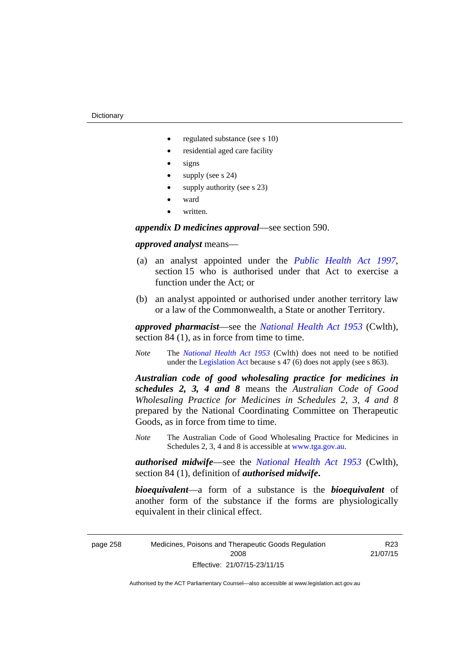- regulated substance (see s 10)
- residential aged care facility
- signs
- supply (see s 24)
- supply authority (see s 23)
- ward
- written.

*appendix D medicines approval*—see section 590.

#### *approved analyst* means—

- (a) an analyst appointed under the *[Public Health Act 1997](http://www.legislation.act.gov.au/a/1997-69)*, section 15 who is authorised under that Act to exercise a function under the Act; or
- (b) an analyst appointed or authorised under another territory law or a law of the Commonwealth, a State or another Territory.

*approved pharmacist*––see the *[National Health Act 1953](http://www.comlaw.gov.au/Series/C1953A00095)* (Cwlth), section 84 (1), as in force from time to time.

*Note* The *[National Health Act 1953](http://www.comlaw.gov.au/Series/C1953A00095)* (Cwlth) does not need to be notified under the [Legislation Act](http://www.legislation.act.gov.au/a/2001-14) because s 47 (6) does not apply (see s 863).

*Australian code of good wholesaling practice for medicines in schedules 2, 3, 4 and 8* means the *Australian Code of Good Wholesaling Practice for Medicines in Schedules 2, 3, 4 and 8* prepared by the National Coordinating Committee on Therapeutic Goods, as in force from time to time.

*Note* The Australian Code of Good Wholesaling Practice for Medicines in Schedules 2, 3, 4 and 8 is accessible at [www.tga.gov.au.](http://www.tga.gov.au/)

*authorised midwife*—see the *[National Health Act 1953](http://www.comlaw.gov.au/Series/C1953A00095)* (Cwlth), section 84 (1), definition of *authorised midwife***.**

*bioequivalent*—a form of a substance is the *bioequivalent* of another form of the substance if the forms are physiologically equivalent in their clinical effect.

page 258 Medicines, Poisons and Therapeutic Goods Regulation 2008 Effective: 21/07/15-23/11/15

R23 21/07/15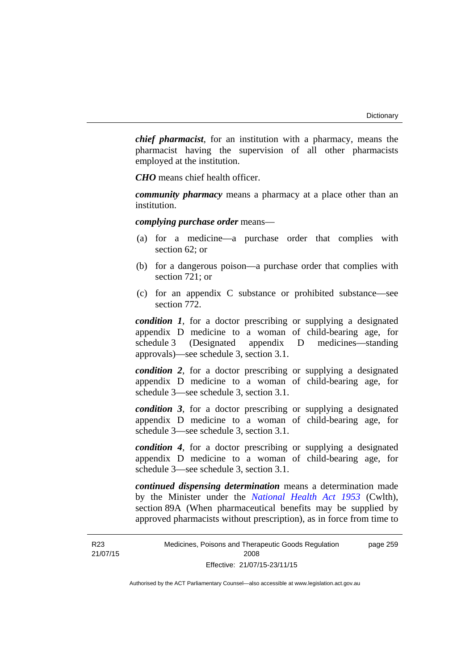*chief pharmacist*, for an institution with a pharmacy, means the pharmacist having the supervision of all other pharmacists employed at the institution.

*CHO* means chief health officer.

*community pharmacy* means a pharmacy at a place other than an institution.

*complying purchase order* means—

- (a) for a medicine—a purchase order that complies with section 62; or
- (b) for a dangerous poison—a purchase order that complies with section 721; or
- (c) for an appendix C substance or prohibited substance—see section 772.

*condition 1*, for a doctor prescribing or supplying a designated appendix D medicine to a woman of child-bearing age, for schedule 3 (Designated appendix D medicines—standing approvals)—see schedule 3, section 3.1.

*condition 2*, for a doctor prescribing or supplying a designated appendix D medicine to a woman of child-bearing age, for schedule 3—see schedule 3, section 3.1.

*condition 3*, for a doctor prescribing or supplying a designated appendix D medicine to a woman of child-bearing age, for schedule 3—see schedule 3, section 3.1.

*condition 4*, for a doctor prescribing or supplying a designated appendix D medicine to a woman of child-bearing age, for schedule 3—see schedule 3, section 3.1.

*continued dispensing determination* means a determination made by the Minister under the *[National Health Act 1953](http://www.comlaw.gov.au/Series/C1953A00095)* (Cwlth), section 89A (When pharmaceutical benefits may be supplied by approved pharmacists without prescription), as in force from time to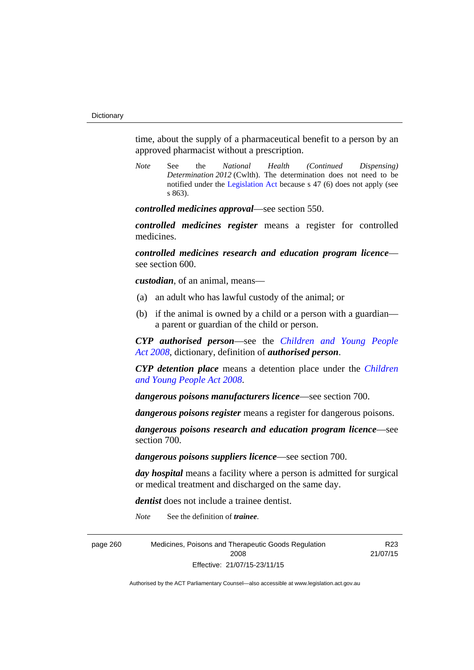time, about the supply of a pharmaceutical benefit to a person by an approved pharmacist without a prescription.

*Note* See the *National Health (Continued Dispensing) Determination 2012* (Cwlth). The determination does not need to be notified under the [Legislation Act](http://www.legislation.act.gov.au/a/2001-14) because s 47 (6) does not apply (see s 863).

*controlled medicines approval*—see section 550.

*controlled medicines register* means a register for controlled medicines.

*controlled medicines research and education program licence* see section 600.

*custodian*, of an animal, means—

- (a) an adult who has lawful custody of the animal; or
- (b) if the animal is owned by a child or a person with a guardian a parent or guardian of the child or person.

*CYP authorised person*—see the *[Children and Young People](http://www.legislation.act.gov.au/a/2008-19)  [Act 2008](http://www.legislation.act.gov.au/a/2008-19)*, dictionary, definition of *authorised person*.

*CYP detention place* means a detention place under the *[Children](http://www.legislation.act.gov.au/a/2008-19)  [and Young People Act 2008](http://www.legislation.act.gov.au/a/2008-19)*.

*dangerous poisons manufacturers licence*—see section 700.

*dangerous poisons register* means a register for dangerous poisons.

*dangerous poisons research and education program licence*—see section 700.

*dangerous poisons suppliers licence*—see section 700.

*day hospital* means a facility where a person is admitted for surgical or medical treatment and discharged on the same day.

*dentist* does not include a trainee dentist.

*Note* See the definition of *trainee*.

page 260 Medicines, Poisons and Therapeutic Goods Regulation 2008 Effective: 21/07/15-23/11/15 R23 21/07/15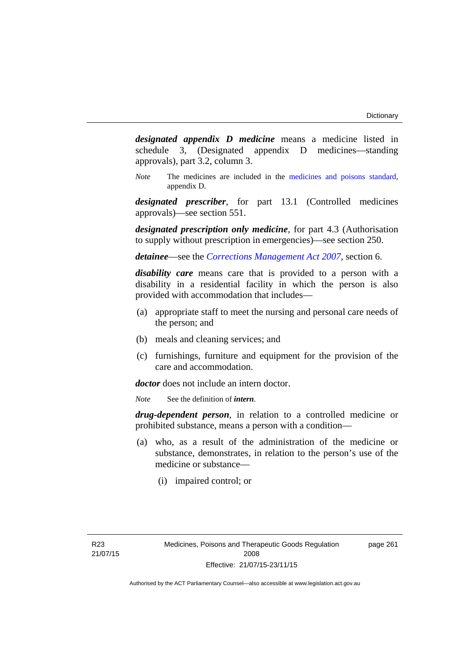*designated appendix D medicine* means a medicine listed in schedule 3, (Designated appendix D medicines—standing approvals), part 3.2, column 3.

*Note* The medicines are included in the [medicines and poisons standard,](http://www.comlaw.gov.au/Series/F2012L01200) appendix D.

*designated prescriber*, for part 13.1 (Controlled medicines approvals)—see section 551.

*designated prescription only medicine*, for part 4.3 (Authorisation to supply without prescription in emergencies)—see section 250.

*detainee*—see the *[Corrections Management Act 2007](http://www.legislation.act.gov.au/a/2007-15)*, section 6.

*disability care* means care that is provided to a person with a disability in a residential facility in which the person is also provided with accommodation that includes—

- (a) appropriate staff to meet the nursing and personal care needs of the person; and
- (b) meals and cleaning services; and
- (c) furnishings, furniture and equipment for the provision of the care and accommodation.

*doctor* does not include an intern doctor.

*Note* See the definition of *intern*.

*drug-dependent person*, in relation to a controlled medicine or prohibited substance, means a person with a condition—

- (a) who, as a result of the administration of the medicine or substance, demonstrates, in relation to the person's use of the medicine or substance—
	- (i) impaired control; or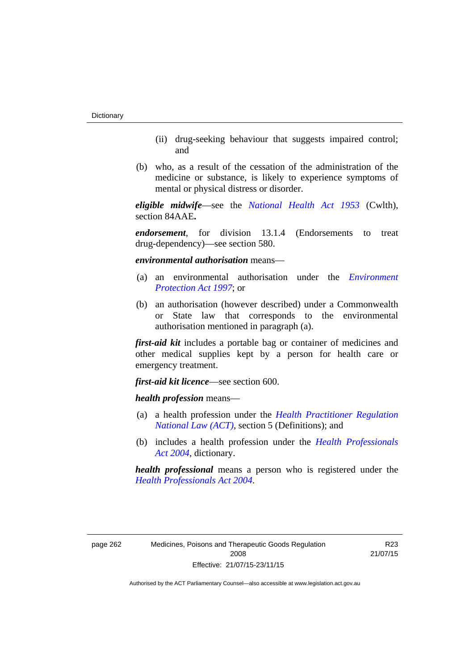- (ii) drug-seeking behaviour that suggests impaired control; and
- (b) who, as a result of the cessation of the administration of the medicine or substance, is likely to experience symptoms of mental or physical distress or disorder.

*eligible midwife*—see the *[National Health Act 1953](http://www.comlaw.gov.au/Series/C1953A00095)* (Cwlth), section 84AAE**.**

*endorsement*, for division 13.1.4 (Endorsements to treat drug-dependency)—see section 580.

*environmental authorisation* means—

- (a) an environmental authorisation under the *[Environment](http://www.legislation.act.gov.au/a/1997-92)  [Protection Act 1997](http://www.legislation.act.gov.au/a/1997-92)*; or
- (b) an authorisation (however described) under a Commonwealth or State law that corresponds to the environmental authorisation mentioned in paragraph (a).

*first-aid kit* includes a portable bag or container of medicines and other medical supplies kept by a person for health care or emergency treatment.

*first-aid kit licence*—see section 600.

*health profession* means—

- (a) a health profession under the *[Health Practitioner Regulation](http://www.legislation.act.gov.au/a/db_39269/default.asp)  [National Law \(ACT\)](http://www.legislation.act.gov.au/a/db_39269/default.asp)*, section 5 (Definitions); and
- (b) includes a health profession under the *[Health Professionals](http://www.legislation.act.gov.au/a/2004-38)  [Act 2004](http://www.legislation.act.gov.au/a/2004-38)*, dictionary.

*health professional* means a person who is registered under the *[Health Professionals Act 2004](http://www.legislation.act.gov.au/a/2004-38)*.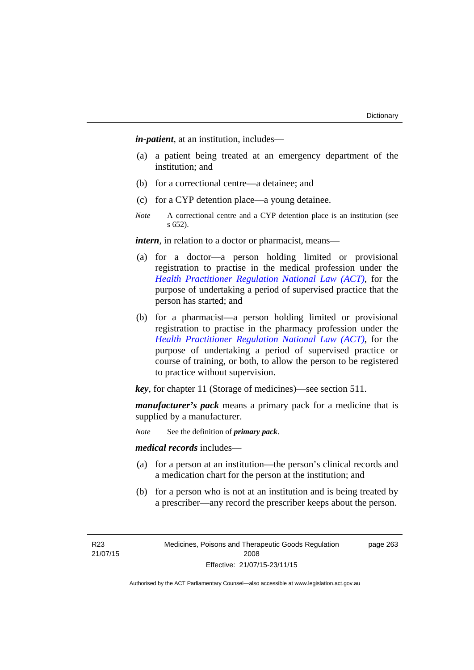*in-patient*, at an institution, includes—

- (a) a patient being treated at an emergency department of the institution; and
- (b) for a correctional centre—a detainee; and
- (c) for a CYP detention place—a young detainee.
- *Note* A correctional centre and a CYP detention place is an institution (see s 652).

*intern*, in relation to a doctor or pharmacist, means—

- (a) for a doctor—a person holding limited or provisional registration to practise in the medical profession under the *[Health Practitioner Regulation National Law \(ACT\)](http://www.legislation.act.gov.au/a/db_39269/default.asp)*, for the purpose of undertaking a period of supervised practice that the person has started; and
- (b) for a pharmacist—a person holding limited or provisional registration to practise in the pharmacy profession under the *[Health Practitioner Regulation National Law \(ACT\)](http://www.legislation.act.gov.au/a/db_39269/default.asp)*, for the purpose of undertaking a period of supervised practice or course of training, or both, to allow the person to be registered to practice without supervision.

*key*, for chapter 11 (Storage of medicines)—see section 511.

*manufacturer's pack* means a primary pack for a medicine that is supplied by a manufacturer.

*Note* See the definition of *primary pack*.

*medical records* includes—

- (a) for a person at an institution—the person's clinical records and a medication chart for the person at the institution; and
- (b) for a person who is not at an institution and is being treated by a prescriber—any record the prescriber keeps about the person.

R23 21/07/15 Medicines, Poisons and Therapeutic Goods Regulation 2008 Effective: 21/07/15-23/11/15

page 263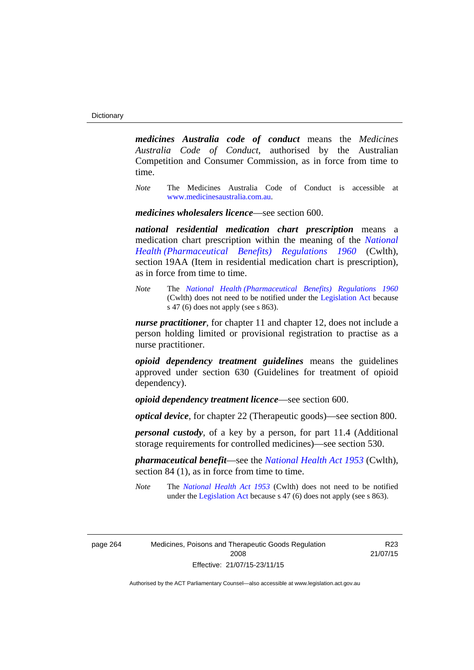*medicines Australia code of conduct* means the *Medicines Australia Code of Conduct*, authorised by the Australian Competition and Consumer Commission, as in force from time to time.

*Note* The Medicines Australia Code of Conduct is accessible at [www.medicinesaustralia.com.au](http://www.medicinesaustralia.com.au/).

*medicines wholesalers licence*—see section 600.

*national residential medication chart prescription* means a medication chart prescription within the meaning of the *[National](http://www.comlaw.gov.au/Series/F1996B02844)  [Health \(Pharmaceutical Benefits\) Regulations 1960](http://www.comlaw.gov.au/Series/F1996B02844)* (Cwlth), section 19AA (Item in residential medication chart is prescription), as in force from time to time.

*Note* The *[National Health \(Pharmaceutical Benefits\) Regulations 1960](http://www.comlaw.gov.au/Series/F1996B02844)* (Cwlth) does not need to be notified under the [Legislation Act](http://www.legislation.act.gov.au/a/2001-14) because s 47 (6) does not apply (see s 863).

*nurse practitioner*, for chapter 11 and chapter 12, does not include a person holding limited or provisional registration to practise as a nurse practitioner.

*opioid dependency treatment guidelines* means the guidelines approved under section 630 (Guidelines for treatment of opioid dependency).

*opioid dependency treatment licence*—see section 600.

*optical device*, for chapter 22 (Therapeutic goods)—see section 800.

*personal custody*, of a key by a person, for part 11.4 (Additional storage requirements for controlled medicines)—see section 530.

*pharmaceutical benefit*—see the *[National Health Act 1953](http://www.comlaw.gov.au/Series/C1953A00095)* (Cwlth), section 84 (1), as in force from time to time.

*Note* The *[National Health Act 1953](http://www.comlaw.gov.au/Series/C1953A00095)* (Cwlth) does not need to be notified under the [Legislation Act](http://www.legislation.act.gov.au/a/2001-14) because s 47 (6) does not apply (see s 863).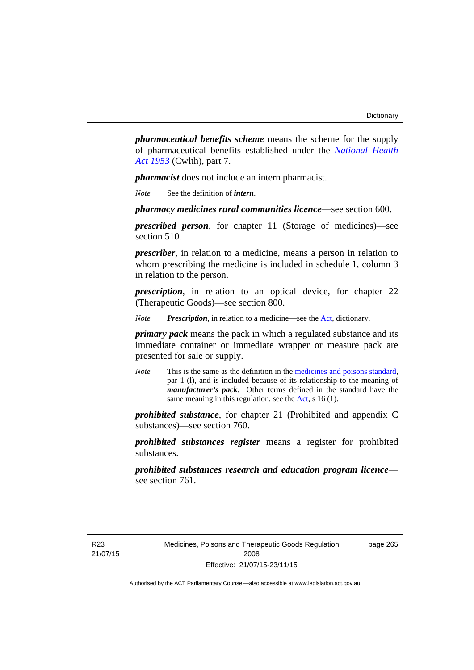*pharmaceutical benefits scheme* means the scheme for the supply of pharmaceutical benefits established under the *[National Health](http://www.comlaw.gov.au/Series/C1953A00095)  [Act 1953](http://www.comlaw.gov.au/Series/C1953A00095)* (Cwlth), part 7.

*pharmacist* does not include an intern pharmacist.

*Note* See the definition of *intern*.

*pharmacy medicines rural communities licence*—see section 600.

*prescribed person*, for chapter 11 (Storage of medicines)—see section 510.

*prescriber*, in relation to a medicine, means a person in relation to whom prescribing the medicine is included in schedule 1, column 3 in relation to the person.

*prescription*, in relation to an optical device, for chapter 22 (Therapeutic Goods)—see section 800.

*Note Prescription*, in relation to a medicine—see the [Act](http://www.legislation.act.gov.au/a/2008-26/default.asp), dictionary.

*primary pack* means the pack in which a regulated substance and its immediate container or immediate wrapper or measure pack are presented for sale or supply.

*Note* This is the same as the definition in the [medicines and poisons standard,](http://www.comlaw.gov.au/Series/F2012L01200) par 1 (l), and is included because of its relationship to the meaning of *manufacturer's pack*. Other terms defined in the standard have the same meaning in this regulation, see the [Act](http://www.legislation.act.gov.au/a/2008-26/default.asp), s 16 (1).

*prohibited substance*, for chapter 21 (Prohibited and appendix C substances)—see section 760.

*prohibited substances register* means a register for prohibited substances.

*prohibited substances research and education program licence* see section 761.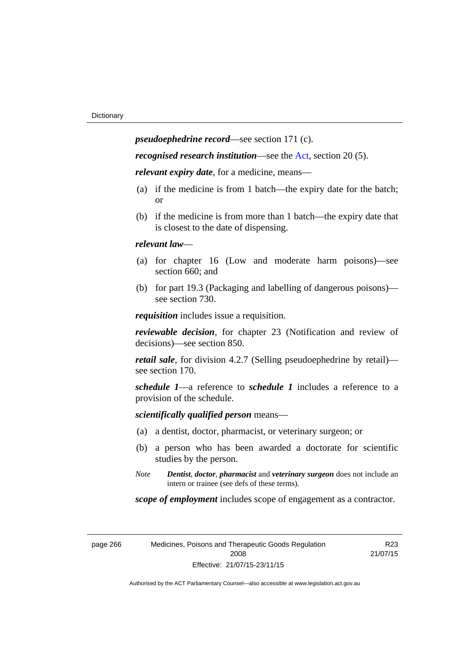*pseudoephedrine record*—see section 171 (c).

*recognised research institution*—see the [Act](http://www.legislation.act.gov.au/a/2008-26/default.asp), section 20 (5).

*relevant expiry date*, for a medicine, means—

- (a) if the medicine is from 1 batch—the expiry date for the batch; or
- (b) if the medicine is from more than 1 batch—the expiry date that is closest to the date of dispensing.

## *relevant law*—

- (a) for chapter 16 (Low and moderate harm poisons)—see section 660; and
- (b) for part 19.3 (Packaging and labelling of dangerous poisons) see section 730.

*requisition* includes issue a requisition.

*reviewable decision*, for chapter 23 (Notification and review of decisions)—see section 850.

*retail sale*, for division 4.2.7 (Selling pseudoephedrine by retail) see section 170.

*schedule 1*—a reference to *schedule 1* includes a reference to a provision of the schedule.

*scientifically qualified person* means—

- (a) a dentist, doctor, pharmacist, or veterinary surgeon; or
- (b) a person who has been awarded a doctorate for scientific studies by the person.
- *Note Dentist*, *doctor*, *pharmacist* and *veterinary surgeon* does not include an intern or trainee (see defs of these terms).

*scope of employment* includes scope of engagement as a contractor.

| page 266 |  |  |
|----------|--|--|
|----------|--|--|

266 Medicines, Poisons and Therapeutic Goods Regulation 2008 Effective: 21/07/15-23/11/15

R23 21/07/15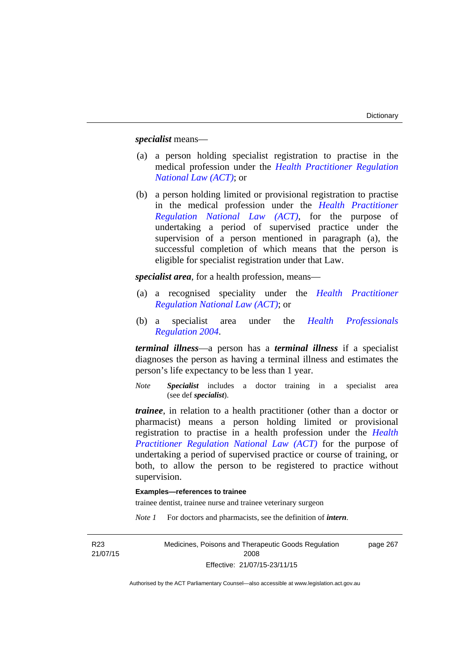*specialist* means—

- (a) a person holding specialist registration to practise in the medical profession under the *[Health Practitioner Regulation](http://www.legislation.act.gov.au/a/db_39269/default.asp)  [National Law \(ACT\)](http://www.legislation.act.gov.au/a/db_39269/default.asp)*; or
- (b) a person holding limited or provisional registration to practise in the medical profession under the *[Health Practitioner](http://www.legislation.act.gov.au/a/db_39269/default.asp)  [Regulation National Law \(ACT\)](http://www.legislation.act.gov.au/a/db_39269/default.asp)*, for the purpose of undertaking a period of supervised practice under the supervision of a person mentioned in paragraph (a), the successful completion of which means that the person is eligible for specialist registration under that Law.

*specialist area*, for a health profession, means—

- (a) a recognised speciality under the *[Health Practitioner](http://www.legislation.act.gov.au/a/db_39269/default.asp)  [Regulation National Law \(ACT\)](http://www.legislation.act.gov.au/a/db_39269/default.asp)*; or
- (b) a specialist area under the *[Health Professionals](http://www.legislation.act.gov.au/sl/2004-41)  [Regulation 2004](http://www.legislation.act.gov.au/sl/2004-41)*.

*terminal illness*—a person has a *terminal illness* if a specialist diagnoses the person as having a terminal illness and estimates the person's life expectancy to be less than 1 year.

*Note Specialist* includes a doctor training in a specialist area (see def *specialist*).

*trainee*, in relation to a health practitioner (other than a doctor or pharmacist) means a person holding limited or provisional registration to practise in a health profession under the *[Health](http://www.legislation.act.gov.au/a/db_39269/default.asp)  [Practitioner Regulation National Law \(ACT\)](http://www.legislation.act.gov.au/a/db_39269/default.asp)* for the purpose of undertaking a period of supervised practice or course of training, or both, to allow the person to be registered to practice without supervision.

## **Examples—references to trainee**

trainee dentist, trainee nurse and trainee veterinary surgeon

*Note 1* For doctors and pharmacists, see the definition of *intern*.

R23 21/07/15 Medicines, Poisons and Therapeutic Goods Regulation 2008 Effective: 21/07/15-23/11/15 page 267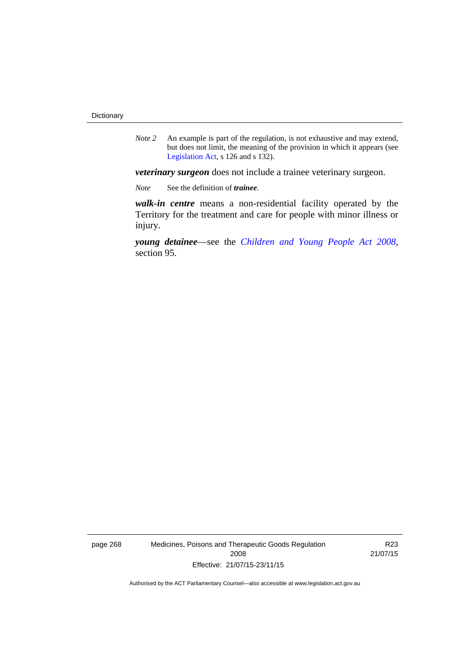*Note 2* An example is part of the regulation, is not exhaustive and may extend, but does not limit, the meaning of the provision in which it appears (see [Legislation Act,](http://www.legislation.act.gov.au/a/2001-14) s 126 and s 132).

*veterinary surgeon* does not include a trainee veterinary surgeon.

*Note* See the definition of *trainee*.

*walk-in centre* means a non-residential facility operated by the Territory for the treatment and care for people with minor illness or injury.

*young detainee*—see the *[Children and Young People Act 2008](http://www.legislation.act.gov.au/a/2008-19)*, section 95.

page 268 Medicines, Poisons and Therapeutic Goods Regulation 2008 Effective: 21/07/15-23/11/15

R23 21/07/15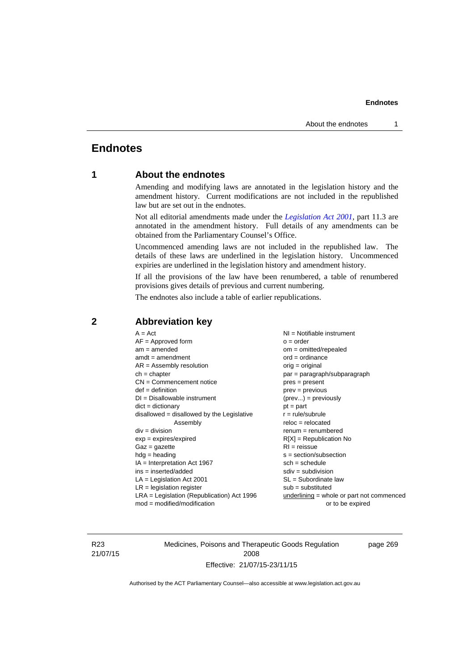# **Endnotes**

# **1 About the endnotes**

Amending and modifying laws are annotated in the legislation history and the amendment history. Current modifications are not included in the republished law but are set out in the endnotes.

Not all editorial amendments made under the *[Legislation Act 2001](http://www.legislation.act.gov.au/a/2001-14)*, part 11.3 are annotated in the amendment history. Full details of any amendments can be obtained from the Parliamentary Counsel's Office.

Uncommenced amending laws are not included in the republished law. The details of these laws are underlined in the legislation history. Uncommenced expiries are underlined in the legislation history and amendment history.

If all the provisions of the law have been renumbered, a table of renumbered provisions gives details of previous and current numbering.

The endnotes also include a table of earlier republications.

| $A = Act$<br>$AF =$ Approved form<br>$am = amended$<br>$amdt = amendment$<br>$AR = Assembly resolution$<br>$ch = chapter$<br>$CN =$ Commencement notice<br>$def = definition$<br>$DI = Disallowable instrument$<br>$dict = dictionary$<br>disallowed = disallowed by the Legislative<br>Assembly<br>$div = division$<br>$exp = expires/expired$<br>$Gaz = gazette$<br>$hdg = heading$<br>$IA = Interpretation Act 1967$<br>$ins = inserted/added$<br>$LA =$ Legislation Act 2001<br>$LR =$ legislation register | NI = Notifiable instrument<br>$o = order$<br>$om = omitted/report$<br>$ord = ordinance$<br>$orig = original$<br>par = paragraph/subparagraph<br>$pres = present$<br>$prev = previous$<br>$(\text{prev}) = \text{previously}$<br>$pt = part$<br>$r = rule/subrule$<br>$reloc = relocated$<br>$remum = renumbered$<br>$R[X]$ = Republication No<br>$RI = reissue$<br>$s = section/subsection$<br>$sch = schedule$<br>$sdiv = subdivision$<br>$SL = Subordinate$ law<br>$sub =$ substituted |
|-----------------------------------------------------------------------------------------------------------------------------------------------------------------------------------------------------------------------------------------------------------------------------------------------------------------------------------------------------------------------------------------------------------------------------------------------------------------------------------------------------------------|------------------------------------------------------------------------------------------------------------------------------------------------------------------------------------------------------------------------------------------------------------------------------------------------------------------------------------------------------------------------------------------------------------------------------------------------------------------------------------------|
|                                                                                                                                                                                                                                                                                                                                                                                                                                                                                                                 |                                                                                                                                                                                                                                                                                                                                                                                                                                                                                          |
| $LRA =$ Legislation (Republication) Act 1996<br>$mod = modified/modification$                                                                                                                                                                                                                                                                                                                                                                                                                                   | $underlining = whole or part not commenced$<br>or to be expired                                                                                                                                                                                                                                                                                                                                                                                                                          |
|                                                                                                                                                                                                                                                                                                                                                                                                                                                                                                                 |                                                                                                                                                                                                                                                                                                                                                                                                                                                                                          |

## **2 Abbreviation key**

R23 21/07/15 Medicines, Poisons and Therapeutic Goods Regulation 2008 Effective: 21/07/15-23/11/15

page 269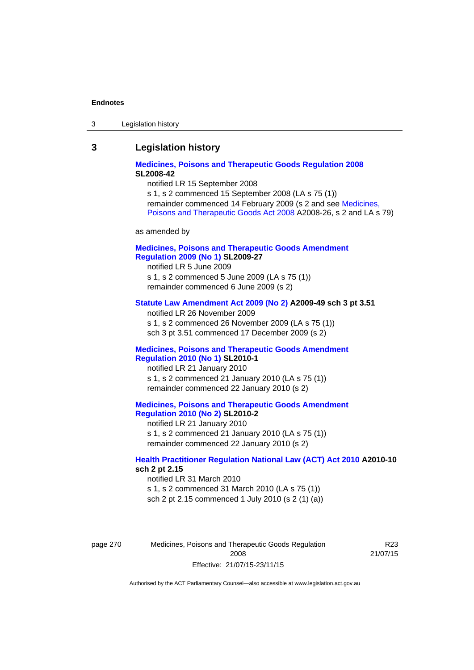| Legislation history<br>-3 |
|---------------------------|
|---------------------------|

## **3 Legislation history**

## **[Medicines, Poisons and Therapeutic Goods Regulation 2008](http://www.legislation.act.gov.au/sl/2008-42) SL2008-42**

notified LR 15 September 2008

s 1, s 2 commenced 15 September 2008 (LA s 75 (1)) remainder commenced 14 February 2009 (s 2 and see [Medicines,](http://www.legislation.act.gov.au/a/2008-26)  [Poisons and Therapeutic Goods Act 2008](http://www.legislation.act.gov.au/a/2008-26) A2008-26, s 2 and LA s 79)

as amended by

## **[Medicines, Poisons and Therapeutic Goods Amendment](http://www.legislation.act.gov.au/sl/2009-27)  [Regulation 2009 \(No 1\)](http://www.legislation.act.gov.au/sl/2009-27) SL2009-27**

notified LR 5 June 2009 s 1, s 2 commenced 5 June 2009 (LA s 75 (1)) remainder commenced 6 June 2009 (s 2)

## **[Statute Law Amendment Act 2009 \(No 2\)](http://www.legislation.act.gov.au/a/2009-49) A2009-49 sch 3 pt 3.51**

notified LR 26 November 2009 s 1, s 2 commenced 26 November 2009 (LA s 75 (1)) sch 3 pt 3.51 commenced 17 December 2009 (s 2)

## **[Medicines, Poisons and Therapeutic Goods Amendment](http://www.legislation.act.gov.au/sl/2010-1)  [Regulation 2010 \(No 1\)](http://www.legislation.act.gov.au/sl/2010-1) SL2010-1**

notified LR 21 January 2010 s 1, s 2 commenced 21 January 2010 (LA s 75 (1)) remainder commenced 22 January 2010 (s 2)

## **[Medicines, Poisons and Therapeutic Goods Amendment](http://www.legislation.act.gov.au/sl/2010-2)  [Regulation 2010 \(No 2\)](http://www.legislation.act.gov.au/sl/2010-2) SL2010-2**

notified LR 21 January 2010 s 1, s 2 commenced 21 January 2010 (LA s 75 (1)) remainder commenced 22 January 2010 (s 2)

## **[Health Practitioner Regulation National Law \(ACT\) Act 2010](http://www.legislation.act.gov.au/a/2010-10) A2010-10 sch 2 pt 2.15**

notified LR 31 March 2010 s 1, s 2 commenced 31 March 2010 (LA s 75 (1)) sch 2 pt 2.15 commenced 1 July 2010 (s 2 (1) (a))

page 270 Medicines, Poisons and Therapeutic Goods Regulation 2008 Effective: 21/07/15-23/11/15

R23 21/07/15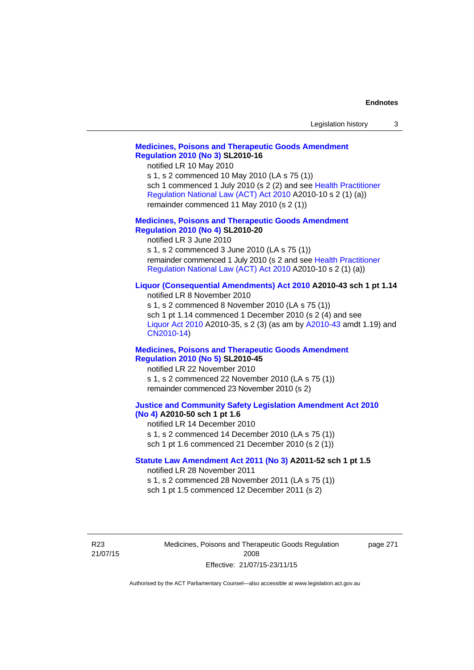| Legislation history |  |
|---------------------|--|
|---------------------|--|

## **[Medicines, Poisons and Therapeutic Goods Amendment](http://www.legislation.act.gov.au/sl/2010-16)  [Regulation 2010 \(No 3\)](http://www.legislation.act.gov.au/sl/2010-16) SL2010-16**

notified LR 10 May 2010

s 1, s 2 commenced 10 May 2010 (LA s 75 (1)) sch 1 commenced 1 July 2010 (s 2 (2) and see [Health Practitioner](http://www.legislation.act.gov.au/a/2010-10)  [Regulation National Law \(ACT\) Act 2010](http://www.legislation.act.gov.au/a/2010-10) A2010-10 s 2 (1) (a)) remainder commenced 11 May 2010 (s 2 (1))

## **[Medicines, Poisons and Therapeutic Goods Amendment](http://www.legislation.act.gov.au/sl/2010-20)  [Regulation 2010 \(No 4\)](http://www.legislation.act.gov.au/sl/2010-20) SL2010-20**

notified LR 3 June 2010 s 1, s 2 commenced 3 June 2010 (LA s 75 (1)) remainder commenced 1 July 2010 (s 2 and see [Health Practitioner](http://www.legislation.act.gov.au/a/2010-10)  [Regulation National Law \(ACT\) Act 2010](http://www.legislation.act.gov.au/a/2010-10) A2010-10 s 2 (1) (a))

## **[Liquor \(Consequential Amendments\) Act 2010](http://www.legislation.act.gov.au/a/2010-43) A2010-43 sch 1 pt 1.14**

notified LR 8 November 2010 s 1, s 2 commenced 8 November 2010 (LA s 75 (1)) sch 1 pt 1.14 commenced 1 December 2010 (s 2 (4) and see [Liquor Act 2010](http://www.legislation.act.gov.au/a/2010-35) A2010-35, s 2 (3) (as am by [A2010-43](http://www.legislation.act.gov.au/a/2010-43) amdt 1.19) and [CN2010-14](http://www.legislation.act.gov.au/cn/2010-14/default.asp))

### **[Medicines, Poisons and Therapeutic Goods Amendment](http://www.legislation.act.gov.au/sl/2010-45)  [Regulation 2010 \(No 5\)](http://www.legislation.act.gov.au/sl/2010-45) SL2010-45**

notified LR 22 November 2010 s 1, s 2 commenced 22 November 2010 (LA s 75 (1)) remainder commenced 23 November 2010 (s 2)

## **[Justice and Community Safety Legislation Amendment Act 2010](http://www.legislation.act.gov.au/a/2010-50)  [\(No 4\)](http://www.legislation.act.gov.au/a/2010-50) A2010-50 sch 1 pt 1.6**

notified LR 14 December 2010 s 1, s 2 commenced 14 December 2010 (LA s 75 (1)) sch 1 pt 1.6 commenced 21 December 2010 (s 2 (1))

## **[Statute Law Amendment Act 2011 \(No 3\)](http://www.legislation.act.gov.au/a/2011-52) A2011-52 sch 1 pt 1.5**  notified LR 28 November 2011

s 1, s 2 commenced 28 November 2011 (LA s 75 (1))

sch 1 pt 1.5 commenced 12 December 2011 (s 2)

R23 21/07/15 Medicines, Poisons and Therapeutic Goods Regulation 2008 Effective: 21/07/15-23/11/15

page 271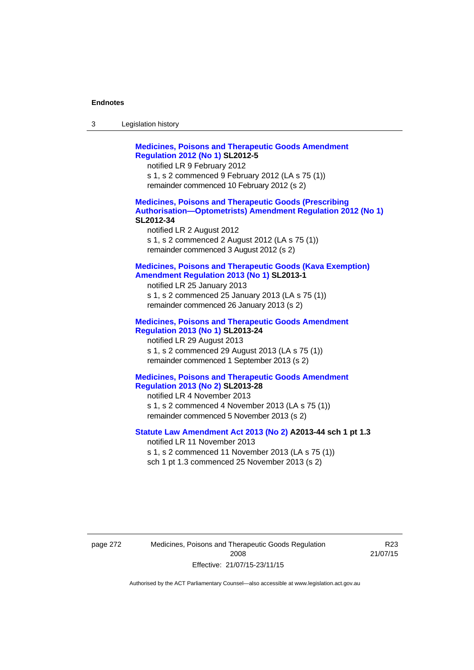| -3 | Legislation history |  |
|----|---------------------|--|
|----|---------------------|--|

**[Medicines, Poisons and Therapeutic Goods Amendment](http://www.legislation.act.gov.au/sl/2012-5)  [Regulation 2012 \(No 1\)](http://www.legislation.act.gov.au/sl/2012-5) SL2012-5**  notified LR 9 February 2012 s 1, s 2 commenced 9 February 2012 (LA s 75 (1)) remainder commenced 10 February 2012 (s 2) **[Medicines, Poisons and Therapeutic Goods \(Prescribing](http://www.legislation.act.gov.au/sl/2012-34)  [Authorisation—Optometrists\) Amendment Regulation 2012 \(No 1\)](http://www.legislation.act.gov.au/sl/2012-34) SL2012-34**  notified LR 2 August 2012 s 1, s 2 commenced 2 August 2012 (LA s 75 (1)) remainder commenced 3 August 2012 (s 2) **[Medicines, Poisons and Therapeutic Goods \(Kava Exemption\)](http://www.legislation.act.gov.au/sl/2013-1/default.asp)  [Amendment Regulation 2013 \(No 1\)](http://www.legislation.act.gov.au/sl/2013-1/default.asp) SL2013-1**  notified LR 25 January 2013 s 1, s 2 commenced 25 January 2013 (LA s 75 (1)) remainder commenced 26 January 2013 (s 2) **[Medicines, Poisons and Therapeutic Goods Amendment](http://www.legislation.act.gov.au/sl/2013-24/default.asp)  [Regulation 2013 \(No 1\)](http://www.legislation.act.gov.au/sl/2013-24/default.asp) SL2013-24**  notified LR 29 August 2013 s 1, s 2 commenced 29 August 2013 (LA s 75 (1)) remainder commenced 1 September 2013 (s 2) **[Medicines, Poisons and Therapeutic Goods Amendment](http://www.legislation.act.gov.au/sl/2013-28)  [Regulation 2013 \(No 2\)](http://www.legislation.act.gov.au/sl/2013-28) SL2013-28**  notified LR 4 November 2013 s 1, s 2 commenced 4 November 2013 (LA s 75 (1)) remainder commenced 5 November 2013 (s 2) **[Statute Law Amendment Act 2013 \(No 2\)](http://www.legislation.act.gov.au/a/2013-44) A2013-44 sch 1 pt 1.3**  notified LR 11 November 2013 s 1, s 2 commenced 11 November 2013 (LA s 75 (1)) sch 1 pt 1.3 commenced 25 November 2013 (s 2)

page 272 Medicines, Poisons and Therapeutic Goods Regulation 2008 Effective: 21/07/15-23/11/15

R23 21/07/15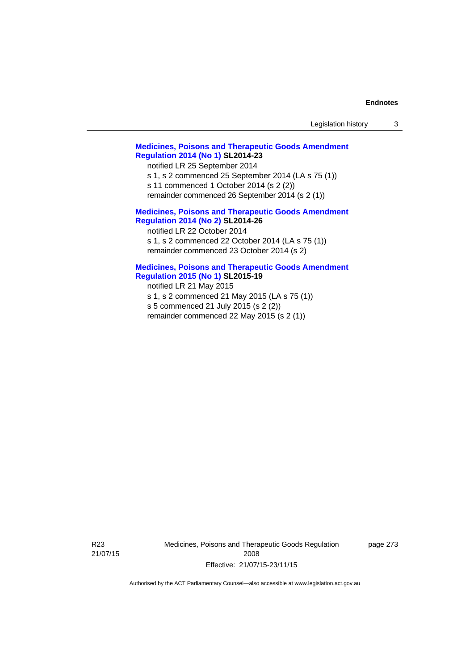| Legislation history |  |
|---------------------|--|
|                     |  |

## **[Medicines, Poisons and Therapeutic Goods Amendment](http://www.legislation.act.gov.au/sl/2014-23)  [Regulation 2014 \(No 1\)](http://www.legislation.act.gov.au/sl/2014-23) SL2014-23**

notified LR 25 September 2014

s 1, s 2 commenced 25 September 2014 (LA s 75 (1))

s 11 commenced 1 October 2014 (s 2 (2))

remainder commenced 26 September 2014 (s 2 (1))

## **[Medicines, Poisons and Therapeutic Goods Amendment](http://www.legislation.act.gov.au/sl/2014-26)  [Regulation 2014 \(No 2\)](http://www.legislation.act.gov.au/sl/2014-26) SL2014-26**

notified LR 22 October 2014 s 1, s 2 commenced 22 October 2014 (LA s 75 (1)) remainder commenced 23 October 2014 (s 2)

## **[Medicines, Poisons and Therapeutic Goods Amendment](http://www.legislation.act.gov.au/sl/2015-19)  [Regulation 2015 \(No 1\)](http://www.legislation.act.gov.au/sl/2015-19) SL2015-19**

notified LR 21 May 2015

s 1, s 2 commenced 21 May 2015 (LA s 75 (1)) s 5 commenced 21 July 2015 (s 2 (2)) remainder commenced 22 May 2015 (s 2 (1))

R23 21/07/15 Medicines, Poisons and Therapeutic Goods Regulation 2008 Effective: 21/07/15-23/11/15

page 273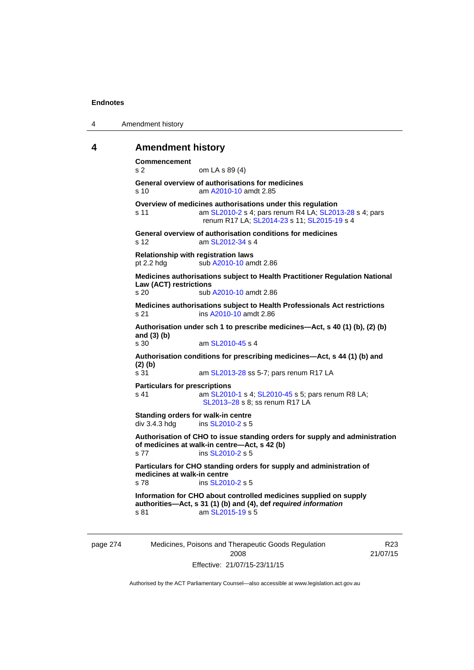| 4 | Amendment history |
|---|-------------------|
|---|-------------------|

## **4 Amendment history**

**Commencement**  s 2 om LA s 89 (4) **General overview of authorisations for medicines**  s 10 am [A2010-10](http://www.legislation.act.gov.au/a/2010-10) amdt 2.85 **Overview of medicines authorisations under this regulation**  s 11 am [SL2010-2](http://www.legislation.act.gov.au/sl/2010-2) s 4; pars renum R4 LA; [SL2013-28](http://www.legislation.act.gov.au/sl/2013-28) s 4; pars renum R17 LA; [SL2014-23](http://www.legislation.act.gov.au/sl/2014-23) s 11; [SL2015-19](http://www.legislation.act.gov.au/sl/2015-19) s 4 **General overview of authorisation conditions for medicines**  s 12 am [SL2012-34](http://www.legislation.act.gov.au/sl/2012-34) s 4 **Relationship with registration laws**  pt 2.2 hdg sub [A2010-10](http://www.legislation.act.gov.au/a/2010-10) amdt 2.86 **Medicines authorisations subject to Health Practitioner Regulation National Law (ACT) restrictions**  sub [A2010-10](http://www.legislation.act.gov.au/a/2010-10) amdt 2.86 **Medicines authorisations subject to Health Professionals Act restrictions**  s 21 ins [A2010-10](http://www.legislation.act.gov.au/a/2010-10) amdt 2.86 **Authorisation under sch 1 to prescribe medicines—Act, s 40 (1) (b), (2) (b) and (3) (b)**  s 30 am [SL2010-45](http://www.legislation.act.gov.au/sl/2010-45) s 4 **Authorisation conditions for prescribing medicines—Act, s 44 (1) (b) and (2) (b)**  s 31 am [SL2013-28](http://www.legislation.act.gov.au/sl/2013-28) ss 5-7; pars renum R17 LA **Particulars for prescriptions**  s 41 **am [SL2010-1](http://www.legislation.act.gov.au/sl/2010-1) s 4; [SL2010-45](http://www.legislation.act.gov.au/sl/2010-45) s 5; pars renum R8 LA;** [SL2013–28](http://www.legislation.act.gov.au/sl/2013-28) s 8; ss renum R17 LA **Standing orders for walk-in centre**   $div 3.4.3$  hdg ins  $SL2010-2$  s 5 **Authorisation of CHO to issue standing orders for supply and administration of medicines at walk-in centre—Act, s 42 (b)**  s 77 ins [SL2010-2](http://www.legislation.act.gov.au/sl/2010-2) s 5 **Particulars for CHO standing orders for supply and administration of medicines at walk-in centre**  s 78 ins [SL2010-2](http://www.legislation.act.gov.au/sl/2010-2) s 5 **Information for CHO about controlled medicines supplied on supply authorities—Act, s 31 (1) (b) and (4), def** *required information*  s 81 am SL 2015-19 s 5

page 274 Medicines, Poisons and Therapeutic Goods Regulation 2008 Effective: 21/07/15-23/11/15

R23 21/07/15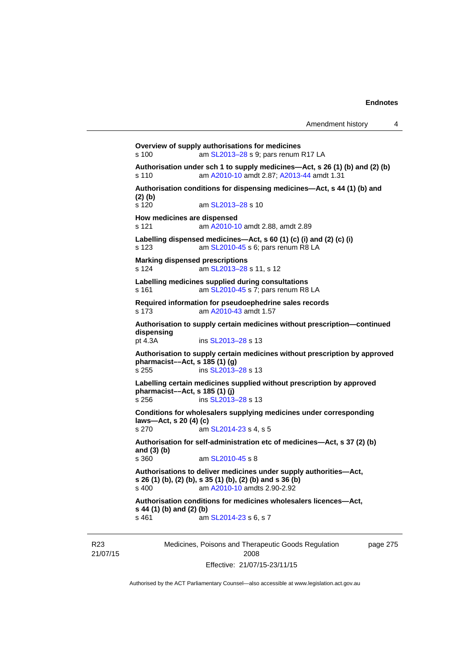**Overview of supply authorisations for medicines**  s 100 am [SL2013–28](http://www.legislation.act.gov.au/sl/2013-28) s 9; pars renum R17 LA **Authorisation under sch 1 to supply medicines—Act, s 26 (1) (b) and (2) (b)**  s 110 am [A2010-10](http://www.legislation.act.gov.au/a/2010-10) amdt 2.87; [A2013-44](http://www.legislation.act.gov.au/a/2013-44) amdt 1.31 **Authorisation conditions for dispensing medicines—Act, s 44 (1) (b) and (2) (b)**  s 120 am [SL2013–28](http://www.legislation.act.gov.au/sl/2013-28) s 10 **How medicines are dispensed**  s 121 am [A2010-10](http://www.legislation.act.gov.au/a/2010-10) amdt 2.88, amdt 2.89 **Labelling dispensed medicines—Act, s 60 (1) (c) (i) and (2) (c) (i)**  s 123 am [SL2010-45](http://www.legislation.act.gov.au/sl/2010-45) s 6; pars renum R8 LA **Marking dispensed prescriptions**  s 124 **am [SL2013–28](http://www.legislation.act.gov.au/sl/2013-28) s 11, s 12 Labelling medicines supplied during consultations**  s 161 **am [SL2010-45](http://www.legislation.act.gov.au/sl/2010-45) s 7; pars renum R8 LA Required information for pseudoephedrine sales records**  s 173 am [A2010-43](http://www.legislation.act.gov.au/a/2010-43) amdt 1.57 **Authorisation to supply certain medicines without prescription—continued dispensing**  pt 4.3A ins [SL2013–28](http://www.legislation.act.gov.au/sl/2013-28) s 13 **Authorisation to supply certain medicines without prescription by approved pharmacist––Act, s 185 (1) (g)**  s 255 ins [SL2013–28](http://www.legislation.act.gov.au/sl/2013-28) s 13 **Labelling certain medicines supplied without prescription by approved pharmacist––Act, s 185 (1) (j)**  s 256 ins [SL2013–28](http://www.legislation.act.gov.au/sl/2013-28) s 13 **Conditions for wholesalers supplying medicines under corresponding laws—Act, s 20 (4) (c)**  s 270 am [SL2014-23](http://www.legislation.act.gov.au/sl/2014-23) s 4, s 5 **Authorisation for self-administration etc of medicines—Act, s 37 (2) (b) and (3) (b)**  am [SL2010-45](http://www.legislation.act.gov.au/sl/2010-45) s 8 **Authorisations to deliver medicines under supply authorities—Act, s 26 (1) (b), (2) (b), s 35 (1) (b), (2) (b) and s 36 (b)**<br>s 400 **am A2010-10** amdts 2.90-2.92 am [A2010-10](http://www.legislation.act.gov.au/a/2010-10) amdts 2.90-2.92 **Authorisation conditions for medicines wholesalers licences—Act, s 44 (1) (b) and (2) (b)**  s 461 **am [SL2014-23](http://www.legislation.act.gov.au/sl/2014-23) s 6, s 7** 

R23 21/07/15 Medicines, Poisons and Therapeutic Goods Regulation 2008 Effective: 21/07/15-23/11/15

page 275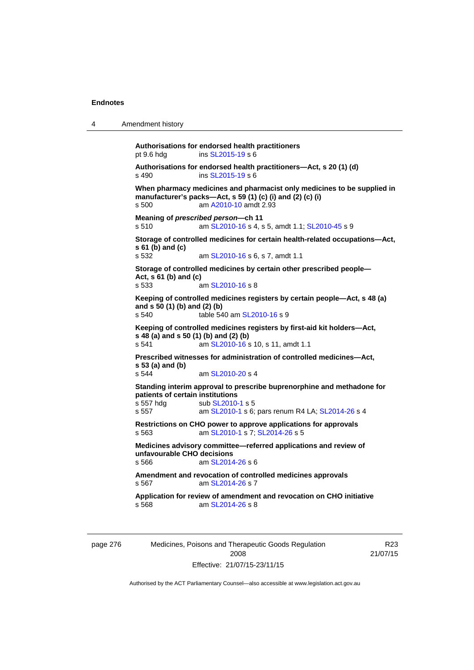```
4 Amendment history 
Authorisations for endorsed health practitioners 
pt 9.6 hdg ins SL2015-19 s 6 
Authorisations for endorsed health practitioners—Act, s 20 (1) (d) s 490 \frac{\text{S L2015-19 S}}{6}SL2015-19 s 6
When pharmacy medicines and pharmacist only medicines to be supplied in 
manufacturer's packs—Act, s 59 (1) (c) (i) and (2) (c) (i) 
s 500 am A2010-10 amdt 2.93
Meaning of prescribed person—ch 11 
s 510 am SL2010-16 s 4, s 5, amdt 1.1; SL2010-45 s 9 
Storage of controlled medicines for certain health-related occupations—Act, 
s 61 (b) and (c) 
                   SL2010-16 s 6, s 7, amdt 1.1
Storage of controlled medicines by certain other prescribed people—
Act, s 61 (b) and (c) 
s 533 am SL2010-16 s 8 
Keeping of controlled medicines registers by certain people—Act, s 48 (a) 
and s 50 (1) (b) and (2) (b) 
s 540 table 540 am SL2010-16 s 9 
Keeping of controlled medicines registers by first-aid kit holders—Act, 
s 48 (a) and s 50 (1) (b) and (2) (b)<br>s 541 am SL2010-16 s
                  SL2010-16 s 10, s 11, amdt 1.1
Prescribed witnesses for administration of controlled medicines—Act, 
s 53 (a) and (b) 
                   SL2010-20 s 4
Standing interim approval to prescribe buprenorphine and methadone for 
patients of certain institutions 
SL2010-1 s 5
s 557  SL2010-1SL2014-26 s 4
Restrictions on CHO power to approve applications for approvals 
s 563 am SL2010-1 s 7; SL2014-26 s 5 
Medicines advisory committee—referred applications and review of 
unfavourable CHO decisions 
s 566 am SL2014-26 s 6 
Amendment and revocation of controlled medicines approvals 
s 567 am SL2014-26 s 7 
Application for review of amendment and revocation on CHO initiative 
s 568 am SL2014-26 s 8
```
page 276 Medicines, Poisons and Therapeutic Goods Regulation 2008 Effective: 21/07/15-23/11/15

R23 21/07/15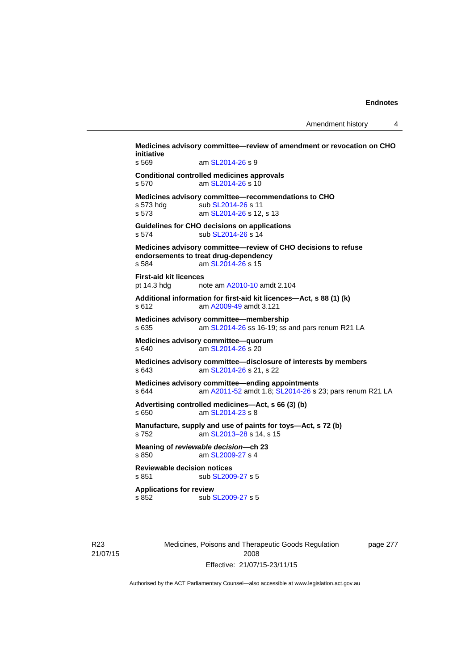**Medicines advisory committee—review of amendment or revocation on CHO initiative**  s 569 am [SL2014-26](http://www.legislation.act.gov.au/sl/2014-26) s 9 **Conditional controlled medicines approvals**  s 570 am [SL2014-26](http://www.legislation.act.gov.au/sl/2014-26) s 10 **Medicines advisory committee—recommendations to CHO**  s 573 hdg sub [SL2014-26](http://www.legislation.act.gov.au/sl/2014-26) s 11 s 573 **am [SL2014-26](http://www.legislation.act.gov.au/sl/2014-26) s 12, s 13 Guidelines for CHO decisions on applications**  s 574 sub [SL2014-26](http://www.legislation.act.gov.au/sl/2014-26) s 14 **Medicines advisory committee—review of CHO decisions to refuse endorsements to treat drug-dependency**  s 584 **am [SL2014-26](http://www.legislation.act.gov.au/sl/2014-26) s 15 First-aid kit licences**  pt 14.3 hdg note am [A2010-10](http://www.legislation.act.gov.au/a/2010-10) amdt 2.104 **Additional information for first-aid kit licences—Act, s 88 (1) (k)**  s 612 am [A2009-49](http://www.legislation.act.gov.au/a/2009-49) amdt 3.121 **Medicines advisory committee—membership**  s 635 am [SL2014-26](http://www.legislation.act.gov.au/sl/2014-26) ss 16-19; ss and pars renum R21 LA **Medicines advisory committee—quorum**  s 640 am [SL2014-26](http://www.legislation.act.gov.au/sl/2014-26) s 20 **Medicines advisory committee—disclosure of interests by members**  s 643 am [SL2014-26](http://www.legislation.act.gov.au/sl/2014-26) s 21, s 22 **Medicines advisory committee—ending appointments**  s 644 am [A2011-52](http://www.legislation.act.gov.au/a/2011-52) amdt 1.8; [SL2014-26](http://www.legislation.act.gov.au/sl/2014-26) s 23; pars renum R21 LA **Advertising controlled medicines—Act, s 66 (3) (b)**  s 650 am [SL2014-23](http://www.legislation.act.gov.au/sl/2014-23) s 8 **Manufacture, supply and use of paints for toys—Act, s 72 (b)**  s 752 am [SL2013–28](http://www.legislation.act.gov.au/sl/2013-28) s 14, s 15 **Meaning of** *reviewable decision—***ch 23**  s 850 am [SL2009-27](http://www.legislation.act.gov.au/sl/2009-27) s 4 **Reviewable decision notices**  sub [SL2009-27](http://www.legislation.act.gov.au/sl/2009-27) s 5 **Applications for review**  s 852 sub [SL2009-27](http://www.legislation.act.gov.au/sl/2009-27) s 5

R23 21/07/15 Medicines, Poisons and Therapeutic Goods Regulation 2008 Effective: 21/07/15-23/11/15

page 277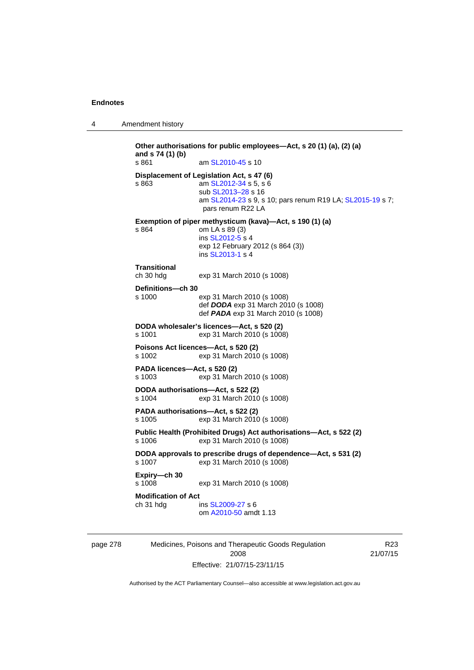4 Amendment history

**Other authorisations for public employees—Act, s 20 (1) (a), (2) (a) and s 74 (1) (b)**  s 861 **am [SL2010-45](http://www.legislation.act.gov.au/sl/2010-45) s 10 Displacement of Legislation Act, s 47 (6)**  s 863 am [SL2012-34](http://www.legislation.act.gov.au/sl/2012-34) s 5, s 6 sub [SL2013–28](http://www.legislation.act.gov.au/sl/2013-28) s 16 am [SL2014-23](http://www.legislation.act.gov.au/sl/2014-23) s 9, s 10; pars renum R19 LA; [SL2015-19](http://www.legislation.act.gov.au/sl/2015-19) s 7; pars renum R22 LA **Exemption of piper methysticum (kava)—Act, s 190 (1) (a)**  s 864 om LA s 89 (3) ins [SL2012-5](http://www.legislation.act.gov.au/sl/2012-5) s 4 exp 12 February 2012 (s 864 (3)) ins [SL2013-1](http://www.legislation.act.gov.au/sl/2013-1/default.asp) s 4 **Transitional**  exp 31 March 2010 (s 1008) **Definitions—ch 30**  s 1000 exp 31 March 2010 (s 1008) def *DODA* exp 31 March 2010 (s 1008) def *PADA* exp 31 March 2010 (s 1008) **DODA wholesaler's licences—Act, s 520 (2)**  s 1001 exp 31 March 2010 (s 1008) **Poisons Act licences—Act, s 520 (2)**  s 1002 exp 31 March 2010 (s 1008) **PADA licences—Act, s 520 (2)**  s 1003 exp 31 March 2010 (s 1008) **DODA authorisations—Act, s 522 (2)**  s 1004 exp 31 March 2010 (s 1008) **PADA authorisations—Act, s 522 (2)**  s 1005 exp 31 March 2010 (s 1008) **Public Health (Prohibited Drugs) Act authorisations—Act, s 522 (2)** s 1006 exp 31 March 2010 (s 1008) exp 31 March 2010 (s 1008) **DODA approvals to prescribe drugs of dependence—Act, s 531 (2)**  s 1007 exp 31 March 2010 (s 1008) **Expiry—ch 30**  exp 31 March 2010 (s 1008) **Modification of Act**  ch 31 hdg ins [SL2009-27](http://www.legislation.act.gov.au/sl/2009-27) s 6 om [A2010-50](http://www.legislation.act.gov.au/a/2010-50) amdt 1.13

page 278 Medicines, Poisons and Therapeutic Goods Regulation 2008 Effective: 21/07/15-23/11/15

R23 21/07/15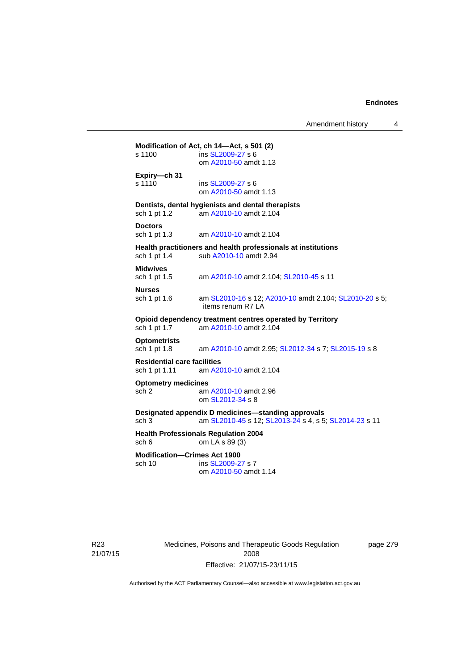Amendment history 4

# **Modification of Act, ch 14—Act, s 501 (2)**<br>s 1100 **ins SL2009-27 s 6**

ins [SL2009-27](http://www.legislation.act.gov.au/sl/2009-27) s 6 om [A2010-50](http://www.legislation.act.gov.au/a/2010-50) amdt 1.13 **Expiry—ch 31** 

s 1110 **ins [SL2009-27](http://www.legislation.act.gov.au/sl/2009-27) s 6** om [A2010-50](http://www.legislation.act.gov.au/a/2010-50) amdt 1.13

**Dentists, dental hygienists and dental therapists** 

sch 1 pt 1.2 am [A2010-10](http://www.legislation.act.gov.au/a/2010-10) amdt 2.104

**Doctors**  sch 1 pt 1.3 am [A2010-10](http://www.legislation.act.gov.au/a/2010-10) amdt 2.104

# **Health practitioners and health professionals at institutions** sch 1 pt 1.4 sub A2010-10 amdt 2.94

sub [A2010-10](http://www.legislation.act.gov.au/a/2010-10) amdt 2.94

**Midwives** 

sch 1 pt 1.5 am [A2010-10](http://www.legislation.act.gov.au/a/2010-10) amdt 2.104; [SL2010-45](http://www.legislation.act.gov.au/sl/2010-45) s 11

**Nurses** 

sch 1 pt 1.6 am [SL2010-16](http://www.legislation.act.gov.au/sl/2010-16) s 12; [A2010-10](http://www.legislation.act.gov.au/a/2010-10) amdt 2.104; [SL2010-20](http://www.legislation.act.gov.au/sl/2010-20) s 5;

items renum R7 LA

#### **Opioid dependency treatment centres operated by Territory**  sch 1 pt 1.7 am [A2010-10](http://www.legislation.act.gov.au/a/2010-10) amdt 2.104

# **Optometrists**

am [A2010-10](http://www.legislation.act.gov.au/a/2010-10) amdt 2.95; [SL2012-34](http://www.legislation.act.gov.au/sl/2012-34) s 7; [SL2015-19](http://www.legislation.act.gov.au/sl/2015-19) s 8

## **Residential care facilities**

sch 1 pt 1.11 am [A2010-10](http://www.legislation.act.gov.au/a/2010-10) amdt 2.104

#### **Optometry medicines**

sch 2 am [A2010-10](http://www.legislation.act.gov.au/a/2010-10) amdt 2.96 om [SL2012-34](http://www.legislation.act.gov.au/sl/2012-34) s 8

#### **Designated appendix D medicines—standing approvals**

sch 3 am [SL2010-45](http://www.legislation.act.gov.au/sl/2010-45) s 12; [SL2013-24](http://www.legislation.act.gov.au/sl/2013-24/default.asp) s 4, s 5; [SL2014-23](http://www.legislation.act.gov.au/sl/2014-23/default.asp) s 11

#### **Health Professionals Regulation 2004**  sch 6 om LA s 89 (3)

#### **Modification—Crimes Act 1900**

sch 10 ins [SL2009-27](http://www.legislation.act.gov.au/sl/2009-27) s 7 om [A2010-50](http://www.legislation.act.gov.au/a/2010-50) amdt 1.14

R23 21/07/15 Medicines, Poisons and Therapeutic Goods Regulation 2008 Effective: 21/07/15-23/11/15

page 279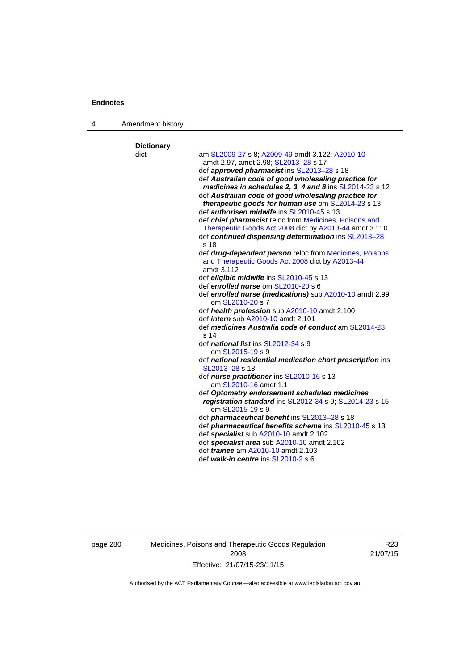4 Amendment history

| <b>Dictionary</b> |                                                                                                           |
|-------------------|-----------------------------------------------------------------------------------------------------------|
| dict              | am SL2009-27 s 8; A2009-49 amdt 3.122; A2010-10                                                           |
|                   | amdt 2.97, amdt 2.98; SL2013-28 s 17                                                                      |
|                   | def <b>approved pharmacist</b> ins SL2013-28 s 18                                                         |
|                   | def Australian code of good wholesaling practice for                                                      |
|                   | medicines in schedules 2, 3, 4 and 8 ins SL2014-23 s 12                                                   |
|                   | def Australian code of good wholesaling practice for<br>therapeutic goods for human use om SL2014-23 s 13 |
|                   | def <i>authorised midwife</i> ins SL2010-45 s 13                                                          |
|                   | def chief pharmacist reloc from Medicines, Poisons and                                                    |
|                   | Therapeutic Goods Act 2008 dict by A2013-44 amdt 3.110                                                    |
|                   | def continued dispensing determination ins SL2013-28<br>s <sub>18</sub>                                   |
|                   | def drug-dependent person reloc from Medicines, Poisons                                                   |
|                   | and Therapeutic Goods Act 2008 dict by A2013-44                                                           |
|                   | amdt 3.112                                                                                                |
|                   | def eligible midwife ins SL2010-45 s 13                                                                   |
|                   | def enrolled nurse om SL2010-20 s 6                                                                       |
|                   | def enrolled nurse (medications) sub A2010-10 amdt 2.99                                                   |
|                   | om SL2010-20 s 7                                                                                          |
|                   | def health profession sub A2010-10 amdt 2.100                                                             |
|                   | def <i>intern</i> sub A2010-10 amdt 2.101                                                                 |
|                   | def medicines Australia code of conduct am SL2014-23<br>s <sub>14</sub>                                   |
|                   |                                                                                                           |
|                   | def <i>national list</i> ins SL2012-34 s 9<br>om SL2015-19 s 9                                            |
|                   | def national residential medication chart prescription ins                                                |
|                   | SL2013-28 s 18                                                                                            |
|                   | def nurse practitioner ins SL2010-16 s 13                                                                 |
|                   | am SL2010-16 amdt 1.1                                                                                     |
|                   | def Optometry endorsement scheduled medicines                                                             |
|                   | registration standard ins SL2012-34 s 9; SL2014-23 s 15                                                   |
|                   | om SL2015-19 s 9                                                                                          |
|                   | def <i>pharmaceutical benefit</i> ins SL2013-28 s 18                                                      |
|                   | def <i>pharmaceutical benefits scheme</i> ins SL2010-45 s 13                                              |
|                   | def specialist sub A2010-10 amdt 2.102                                                                    |
|                   | def specialist area sub A2010-10 amdt 2.102                                                               |
|                   | def <i>trainee</i> am A2010-10 amdt 2.103                                                                 |
|                   | def walk-in centre ins SL2010-2 s 6                                                                       |

page 280 Medicines, Poisons and Therapeutic Goods Regulation 2008 Effective: 21/07/15-23/11/15

R23 21/07/15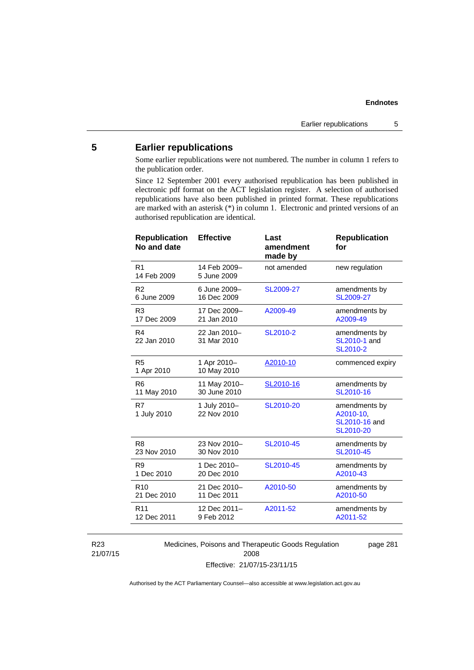# **5 Earlier republications**

Some earlier republications were not numbered. The number in column 1 refers to the publication order.

Since 12 September 2001 every authorised republication has been published in electronic pdf format on the ACT legislation register. A selection of authorised republications have also been published in printed format. These republications are marked with an asterisk (\*) in column 1. Electronic and printed versions of an authorised republication are identical.

| <b>Republication</b><br>No and date | <b>Effective</b>            | Last<br>amendment<br>made by | <b>Republication</b><br>for                              |
|-------------------------------------|-----------------------------|------------------------------|----------------------------------------------------------|
| R <sub>1</sub><br>14 Feb 2009       | 14 Feb 2009-<br>5 June 2009 | not amended                  | new regulation                                           |
| R <sub>2</sub>                      | 6 June 2009-                | SL2009-27                    | amendments by                                            |
| 6 June 2009                         | 16 Dec 2009                 |                              | SL2009-27                                                |
| R <sub>3</sub>                      | 17 Dec 2009-                | A2009-49                     | amendments by                                            |
| 17 Dec 2009                         | 21 Jan 2010                 |                              | A2009-49                                                 |
| R4<br>22 Jan 2010                   | 22 Jan 2010-<br>31 Mar 2010 | SL2010-2                     | amendments by<br>SL2010-1 and<br>SL2010-2                |
| R <sub>5</sub><br>1 Apr 2010        | 1 Apr 2010-<br>10 May 2010  | A2010-10                     | commenced expiry                                         |
| R <sub>6</sub>                      | 11 May 2010-                | SL2010-16                    | amendments by                                            |
| 11 May 2010                         | 30 June 2010                |                              | SL2010-16                                                |
| R7<br>1 July 2010                   | 1 July 2010-<br>22 Nov 2010 | SL2010-20                    | amendments by<br>A2010-10,<br>SL2010-16 and<br>SL2010-20 |
| R <sub>8</sub>                      | 23 Nov 2010-                | SL2010-45                    | amendments by                                            |
| 23 Nov 2010                         | 30 Nov 2010                 |                              | SL2010-45                                                |
| R <sub>9</sub>                      | 1 Dec 2010-                 | SL2010-45                    | amendments by                                            |
| 1 Dec 2010                          | 20 Dec 2010                 |                              | A2010-43                                                 |
| R <sub>10</sub>                     | 21 Dec 2010-                | A2010-50                     | amendments by                                            |
| 21 Dec 2010                         | 11 Dec 2011                 |                              | A2010-50                                                 |
| R <sub>11</sub>                     | 12 Dec 2011-                | A2011-52                     | amendments by                                            |
| 12 Dec 2011                         | 9 Feb 2012                  |                              | A2011-52                                                 |
|                                     |                             |                              |                                                          |

R23 21/07/15 Medicines, Poisons and Therapeutic Goods Regulation 2008 Effective: 21/07/15-23/11/15

page 281